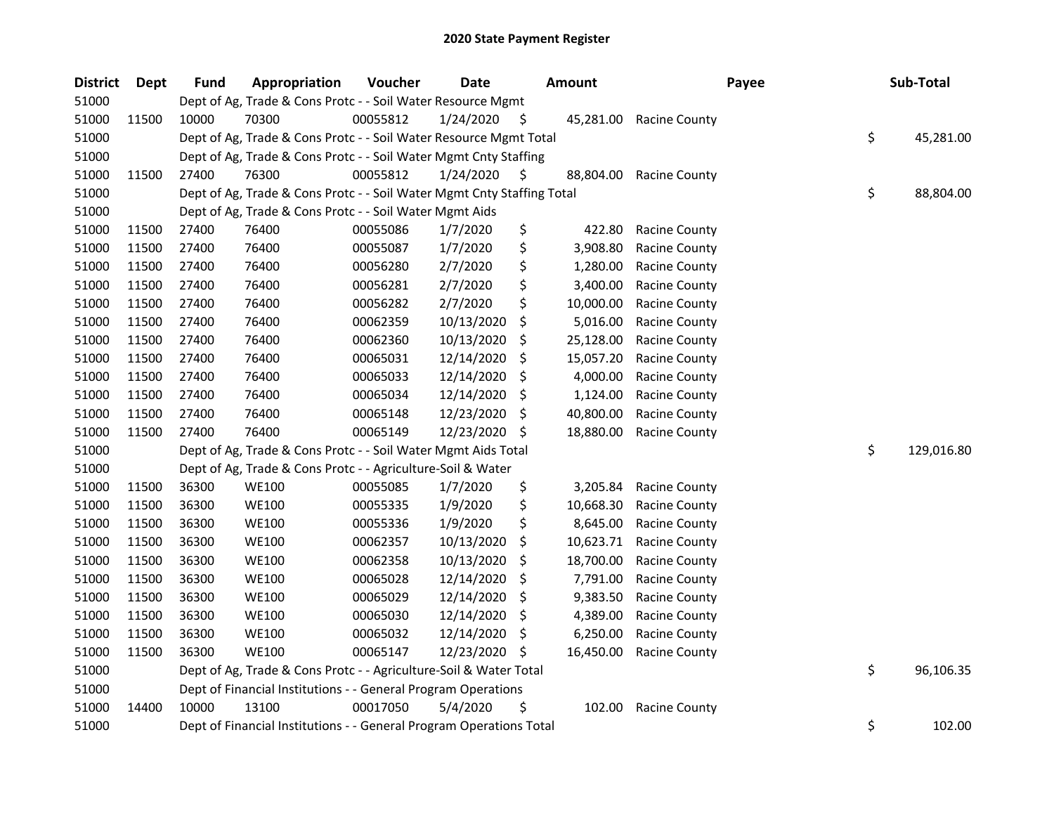| <b>District</b> | Dept  | <b>Fund</b> | Appropriation                                                          | Voucher  | <b>Date</b> |     | <b>Amount</b> | Payee                | Sub-Total        |
|-----------------|-------|-------------|------------------------------------------------------------------------|----------|-------------|-----|---------------|----------------------|------------------|
| 51000           |       |             | Dept of Ag, Trade & Cons Protc - - Soil Water Resource Mgmt            |          |             |     |               |                      |                  |
| 51000           | 11500 | 10000       | 70300                                                                  | 00055812 | 1/24/2020   | S   | 45,281.00     | <b>Racine County</b> |                  |
| 51000           |       |             | Dept of Ag, Trade & Cons Protc - - Soil Water Resource Mgmt Total      |          |             |     |               |                      | \$<br>45,281.00  |
| 51000           |       |             | Dept of Ag, Trade & Cons Protc - - Soil Water Mgmt Cnty Staffing       |          |             |     |               |                      |                  |
| 51000           | 11500 | 27400       | 76300                                                                  | 00055812 | 1/24/2020   | \$  | 88,804.00     | <b>Racine County</b> |                  |
| 51000           |       |             | Dept of Ag, Trade & Cons Protc - - Soil Water Mgmt Cnty Staffing Total |          |             |     |               |                      | \$<br>88,804.00  |
| 51000           |       |             | Dept of Ag, Trade & Cons Protc - - Soil Water Mgmt Aids                |          |             |     |               |                      |                  |
| 51000           | 11500 | 27400       | 76400                                                                  | 00055086 | 1/7/2020    | \$  | 422.80        | <b>Racine County</b> |                  |
| 51000           | 11500 | 27400       | 76400                                                                  | 00055087 | 1/7/2020    | \$  | 3,908.80      | Racine County        |                  |
| 51000           | 11500 | 27400       | 76400                                                                  | 00056280 | 2/7/2020    | \$  | 1,280.00      | Racine County        |                  |
| 51000           | 11500 | 27400       | 76400                                                                  | 00056281 | 2/7/2020    | \$  | 3,400.00      | <b>Racine County</b> |                  |
| 51000           | 11500 | 27400       | 76400                                                                  | 00056282 | 2/7/2020    | \$  | 10,000.00     | <b>Racine County</b> |                  |
| 51000           | 11500 | 27400       | 76400                                                                  | 00062359 | 10/13/2020  | \$  | 5,016.00      | <b>Racine County</b> |                  |
| 51000           | 11500 | 27400       | 76400                                                                  | 00062360 | 10/13/2020  | \$  | 25,128.00     | <b>Racine County</b> |                  |
| 51000           | 11500 | 27400       | 76400                                                                  | 00065031 | 12/14/2020  | \$  | 15,057.20     | <b>Racine County</b> |                  |
| 51000           | 11500 | 27400       | 76400                                                                  | 00065033 | 12/14/2020  | Ş   | 4,000.00      | Racine County        |                  |
| 51000           | 11500 | 27400       | 76400                                                                  | 00065034 | 12/14/2020  | \$, | 1,124.00      | <b>Racine County</b> |                  |
| 51000           | 11500 | 27400       | 76400                                                                  | 00065148 | 12/23/2020  | S   | 40,800.00     | <b>Racine County</b> |                  |
| 51000           | 11500 | 27400       | 76400                                                                  | 00065149 | 12/23/2020  | \$. | 18,880.00     | <b>Racine County</b> |                  |
| 51000           |       |             | Dept of Ag, Trade & Cons Protc - - Soil Water Mgmt Aids Total          |          |             |     |               |                      | \$<br>129,016.80 |
| 51000           |       |             | Dept of Ag, Trade & Cons Protc - - Agriculture-Soil & Water            |          |             |     |               |                      |                  |
| 51000           | 11500 | 36300       | <b>WE100</b>                                                           | 00055085 | 1/7/2020    | \$  | 3,205.84      | Racine County        |                  |
| 51000           | 11500 | 36300       | <b>WE100</b>                                                           | 00055335 | 1/9/2020    | \$  | 10,668.30     | <b>Racine County</b> |                  |
| 51000           | 11500 | 36300       | <b>WE100</b>                                                           | 00055336 | 1/9/2020    | \$  | 8,645.00      | <b>Racine County</b> |                  |
| 51000           | 11500 | 36300       | <b>WE100</b>                                                           | 00062357 | 10/13/2020  | \$  | 10,623.71     | <b>Racine County</b> |                  |
| 51000           | 11500 | 36300       | <b>WE100</b>                                                           | 00062358 | 10/13/2020  | \$  | 18,700.00     | <b>Racine County</b> |                  |
| 51000           | 11500 | 36300       | <b>WE100</b>                                                           | 00065028 | 12/14/2020  | \$  | 7,791.00      | <b>Racine County</b> |                  |
| 51000           | 11500 | 36300       | <b>WE100</b>                                                           | 00065029 | 12/14/2020  | \$  | 9,383.50      | <b>Racine County</b> |                  |
| 51000           | 11500 | 36300       | <b>WE100</b>                                                           | 00065030 | 12/14/2020  | S   | 4,389.00      | <b>Racine County</b> |                  |
| 51000           | 11500 | 36300       | <b>WE100</b>                                                           | 00065032 | 12/14/2020  | S   | 6,250.00      | Racine County        |                  |
| 51000           | 11500 | 36300       | <b>WE100</b>                                                           | 00065147 | 12/23/2020  | \$, | 16,450.00     | <b>Racine County</b> |                  |
| 51000           |       |             | Dept of Ag, Trade & Cons Protc - - Agriculture-Soil & Water Total      |          |             |     |               |                      | \$<br>96,106.35  |
| 51000           |       |             | Dept of Financial Institutions - - General Program Operations          |          |             |     |               |                      |                  |
| 51000           | 14400 | 10000       | 13100                                                                  | 00017050 | 5/4/2020    | \$  | 102.00        | <b>Racine County</b> |                  |
| 51000           |       |             | Dept of Financial Institutions - - General Program Operations Total    |          |             |     |               |                      | \$<br>102.00     |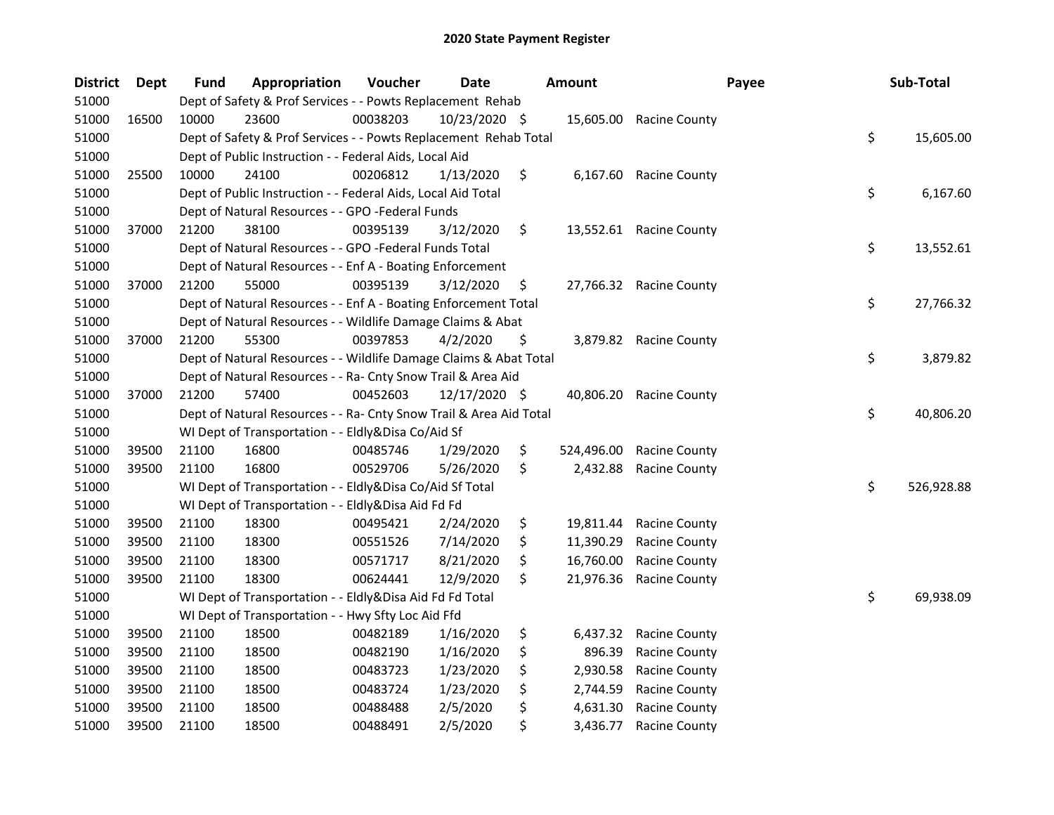| <b>District</b> | Dept  | <b>Fund</b> | Appropriation                                                      | Voucher  | <b>Date</b>   | <b>Amount</b>    | Payee                   | Sub-Total        |
|-----------------|-------|-------------|--------------------------------------------------------------------|----------|---------------|------------------|-------------------------|------------------|
| 51000           |       |             | Dept of Safety & Prof Services - - Powts Replacement Rehab         |          |               |                  |                         |                  |
| 51000           | 16500 | 10000       | 23600                                                              | 00038203 | 10/23/2020 \$ |                  | 15,605.00 Racine County |                  |
| 51000           |       |             | Dept of Safety & Prof Services - - Powts Replacement Rehab Total   |          |               |                  |                         | \$<br>15,605.00  |
| 51000           |       |             | Dept of Public Instruction - - Federal Aids, Local Aid             |          |               |                  |                         |                  |
| 51000           | 25500 | 10000       | 24100                                                              | 00206812 | 1/13/2020     | \$               | 6,167.60 Racine County  |                  |
| 51000           |       |             | Dept of Public Instruction - - Federal Aids, Local Aid Total       |          |               |                  |                         | \$<br>6,167.60   |
| 51000           |       |             | Dept of Natural Resources - - GPO -Federal Funds                   |          |               |                  |                         |                  |
| 51000           | 37000 | 21200       | 38100                                                              | 00395139 | 3/12/2020     | \$               | 13,552.61 Racine County |                  |
| 51000           |       |             | Dept of Natural Resources - - GPO -Federal Funds Total             |          |               |                  |                         | \$<br>13,552.61  |
| 51000           |       |             | Dept of Natural Resources - - Enf A - Boating Enforcement          |          |               |                  |                         |                  |
| 51000           | 37000 | 21200       | 55000                                                              | 00395139 | 3/12/2020     | \$               | 27,766.32 Racine County |                  |
| 51000           |       |             | Dept of Natural Resources - - Enf A - Boating Enforcement Total    |          |               |                  |                         | \$<br>27,766.32  |
| 51000           |       |             | Dept of Natural Resources - - Wildlife Damage Claims & Abat        |          |               |                  |                         |                  |
| 51000           | 37000 | 21200       | 55300                                                              | 00397853 | 4/2/2020      | \$               | 3,879.82 Racine County  |                  |
| 51000           |       |             | Dept of Natural Resources - - Wildlife Damage Claims & Abat Total  |          |               |                  |                         | \$<br>3,879.82   |
| 51000           |       |             | Dept of Natural Resources - - Ra- Cnty Snow Trail & Area Aid       |          |               |                  |                         |                  |
| 51000           | 37000 | 21200       | 57400                                                              | 00452603 | 12/17/2020 \$ | 40,806.20        | <b>Racine County</b>    |                  |
| 51000           |       |             | Dept of Natural Resources - - Ra- Cnty Snow Trail & Area Aid Total |          |               |                  |                         | \$<br>40,806.20  |
| 51000           |       |             | WI Dept of Transportation - - Eldly&Disa Co/Aid Sf                 |          |               |                  |                         |                  |
| 51000           | 39500 | 21100       | 16800                                                              | 00485746 | 1/29/2020     | \$<br>524,496.00 | <b>Racine County</b>    |                  |
| 51000           | 39500 | 21100       | 16800                                                              | 00529706 | 5/26/2020     | \$<br>2,432.88   | <b>Racine County</b>    |                  |
| 51000           |       |             | WI Dept of Transportation - - Eldly&Disa Co/Aid Sf Total           |          |               |                  |                         | \$<br>526,928.88 |
| 51000           |       |             | WI Dept of Transportation - - Eldly&Disa Aid Fd Fd                 |          |               |                  |                         |                  |
| 51000           | 39500 | 21100       | 18300                                                              | 00495421 | 2/24/2020     | \$<br>19,811.44  | <b>Racine County</b>    |                  |
| 51000           | 39500 | 21100       | 18300                                                              | 00551526 | 7/14/2020     | \$<br>11,390.29  | <b>Racine County</b>    |                  |
| 51000           | 39500 | 21100       | 18300                                                              | 00571717 | 8/21/2020     | \$<br>16,760.00  | <b>Racine County</b>    |                  |
| 51000           | 39500 | 21100       | 18300                                                              | 00624441 | 12/9/2020     | \$<br>21,976.36  | <b>Racine County</b>    |                  |
| 51000           |       |             | WI Dept of Transportation - - Eldly&Disa Aid Fd Fd Total           |          |               |                  |                         | \$<br>69,938.09  |
| 51000           |       |             | WI Dept of Transportation - - Hwy Sfty Loc Aid Ffd                 |          |               |                  |                         |                  |
| 51000           | 39500 | 21100       | 18500                                                              | 00482189 | 1/16/2020     | \$<br>6,437.32   | <b>Racine County</b>    |                  |
| 51000           | 39500 | 21100       | 18500                                                              | 00482190 | 1/16/2020     | \$<br>896.39     | <b>Racine County</b>    |                  |
| 51000           | 39500 | 21100       | 18500                                                              | 00483723 | 1/23/2020     | \$<br>2,930.58   | <b>Racine County</b>    |                  |
| 51000           | 39500 | 21100       | 18500                                                              | 00483724 | 1/23/2020     | \$<br>2,744.59   | <b>Racine County</b>    |                  |
| 51000           | 39500 | 21100       | 18500                                                              | 00488488 | 2/5/2020      | \$<br>4,631.30   | <b>Racine County</b>    |                  |
| 51000           | 39500 | 21100       | 18500                                                              | 00488491 | 2/5/2020      | \$<br>3,436.77   | <b>Racine County</b>    |                  |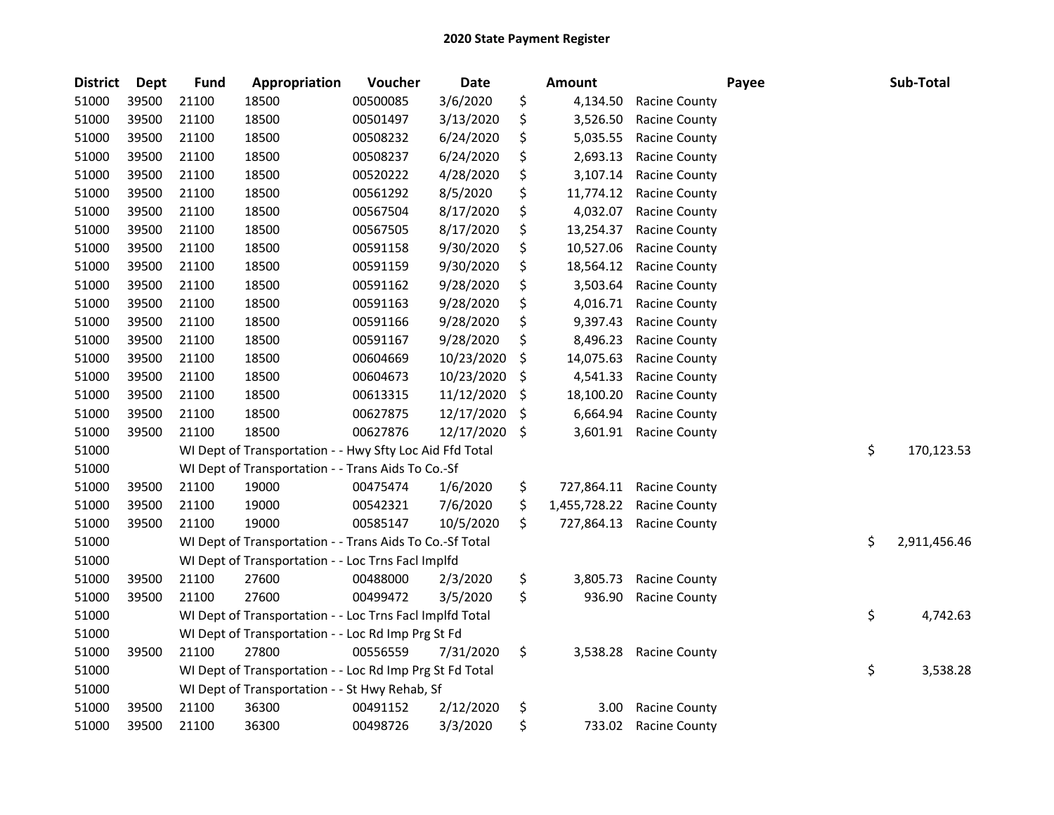| <b>District</b> | Dept  | <b>Fund</b> | Appropriation                                            | Voucher  | Date       | <b>Amount</b>      |                      | Payee | Sub-Total          |
|-----------------|-------|-------------|----------------------------------------------------------|----------|------------|--------------------|----------------------|-------|--------------------|
| 51000           | 39500 | 21100       | 18500                                                    | 00500085 | 3/6/2020   | \$<br>4,134.50     | <b>Racine County</b> |       |                    |
| 51000           | 39500 | 21100       | 18500                                                    | 00501497 | 3/13/2020  | \$<br>3,526.50     | <b>Racine County</b> |       |                    |
| 51000           | 39500 | 21100       | 18500                                                    | 00508232 | 6/24/2020  | \$<br>5,035.55     | <b>Racine County</b> |       |                    |
| 51000           | 39500 | 21100       | 18500                                                    | 00508237 | 6/24/2020  | \$<br>2,693.13     | <b>Racine County</b> |       |                    |
| 51000           | 39500 | 21100       | 18500                                                    | 00520222 | 4/28/2020  | \$<br>3,107.14     | Racine County        |       |                    |
| 51000           | 39500 | 21100       | 18500                                                    | 00561292 | 8/5/2020   | \$<br>11,774.12    | <b>Racine County</b> |       |                    |
| 51000           | 39500 | 21100       | 18500                                                    | 00567504 | 8/17/2020  | \$<br>4,032.07     | <b>Racine County</b> |       |                    |
| 51000           | 39500 | 21100       | 18500                                                    | 00567505 | 8/17/2020  | \$<br>13,254.37    | <b>Racine County</b> |       |                    |
| 51000           | 39500 | 21100       | 18500                                                    | 00591158 | 9/30/2020  | \$<br>10,527.06    | <b>Racine County</b> |       |                    |
| 51000           | 39500 | 21100       | 18500                                                    | 00591159 | 9/30/2020  | \$<br>18,564.12    | <b>Racine County</b> |       |                    |
| 51000           | 39500 | 21100       | 18500                                                    | 00591162 | 9/28/2020  | \$<br>3,503.64     | <b>Racine County</b> |       |                    |
| 51000           | 39500 | 21100       | 18500                                                    | 00591163 | 9/28/2020  | \$<br>4,016.71     | <b>Racine County</b> |       |                    |
| 51000           | 39500 | 21100       | 18500                                                    | 00591166 | 9/28/2020  | \$<br>9,397.43     | <b>Racine County</b> |       |                    |
| 51000           | 39500 | 21100       | 18500                                                    | 00591167 | 9/28/2020  | \$<br>8,496.23     | Racine County        |       |                    |
| 51000           | 39500 | 21100       | 18500                                                    | 00604669 | 10/23/2020 | \$<br>14,075.63    | <b>Racine County</b> |       |                    |
| 51000           | 39500 | 21100       | 18500                                                    | 00604673 | 10/23/2020 | \$<br>4,541.33     | <b>Racine County</b> |       |                    |
| 51000           | 39500 | 21100       | 18500                                                    | 00613315 | 11/12/2020 | \$<br>18,100.20    | <b>Racine County</b> |       |                    |
| 51000           | 39500 | 21100       | 18500                                                    | 00627875 | 12/17/2020 | \$<br>6,664.94     | <b>Racine County</b> |       |                    |
| 51000           | 39500 | 21100       | 18500                                                    | 00627876 | 12/17/2020 | \$<br>3,601.91     | <b>Racine County</b> |       |                    |
| 51000           |       |             | WI Dept of Transportation - - Hwy Sfty Loc Aid Ffd Total |          |            |                    |                      |       | \$<br>170,123.53   |
| 51000           |       |             | WI Dept of Transportation - - Trans Aids To Co.-Sf       |          |            |                    |                      |       |                    |
| 51000           | 39500 | 21100       | 19000                                                    | 00475474 | 1/6/2020   | \$<br>727,864.11   | <b>Racine County</b> |       |                    |
| 51000           | 39500 | 21100       | 19000                                                    | 00542321 | 7/6/2020   | \$<br>1,455,728.22 | Racine County        |       |                    |
| 51000           | 39500 | 21100       | 19000                                                    | 00585147 | 10/5/2020  | \$<br>727,864.13   | <b>Racine County</b> |       |                    |
| 51000           |       |             | WI Dept of Transportation - - Trans Aids To Co.-Sf Total |          |            |                    |                      |       | \$<br>2,911,456.46 |
| 51000           |       |             | WI Dept of Transportation - - Loc Trns Facl Implfd       |          |            |                    |                      |       |                    |
| 51000           | 39500 | 21100       | 27600                                                    | 00488000 | 2/3/2020   | \$<br>3,805.73     | <b>Racine County</b> |       |                    |
| 51000           | 39500 | 21100       | 27600                                                    | 00499472 | 3/5/2020   | \$<br>936.90       | <b>Racine County</b> |       |                    |
| 51000           |       |             | WI Dept of Transportation - - Loc Trns Facl Implfd Total |          |            |                    |                      |       | \$<br>4,742.63     |
| 51000           |       |             | WI Dept of Transportation - - Loc Rd Imp Prg St Fd       |          |            |                    |                      |       |                    |
| 51000           | 39500 | 21100       | 27800                                                    | 00556559 | 7/31/2020  | \$<br>3,538.28     | <b>Racine County</b> |       |                    |
| 51000           |       |             | WI Dept of Transportation - - Loc Rd Imp Prg St Fd Total |          |            |                    |                      |       | \$<br>3,538.28     |
| 51000           |       |             | WI Dept of Transportation - - St Hwy Rehab, Sf           |          |            |                    |                      |       |                    |
| 51000           | 39500 | 21100       | 36300                                                    | 00491152 | 2/12/2020  | \$<br>3.00         | <b>Racine County</b> |       |                    |
| 51000           | 39500 | 21100       | 36300                                                    | 00498726 | 3/3/2020   | \$<br>733.02       | <b>Racine County</b> |       |                    |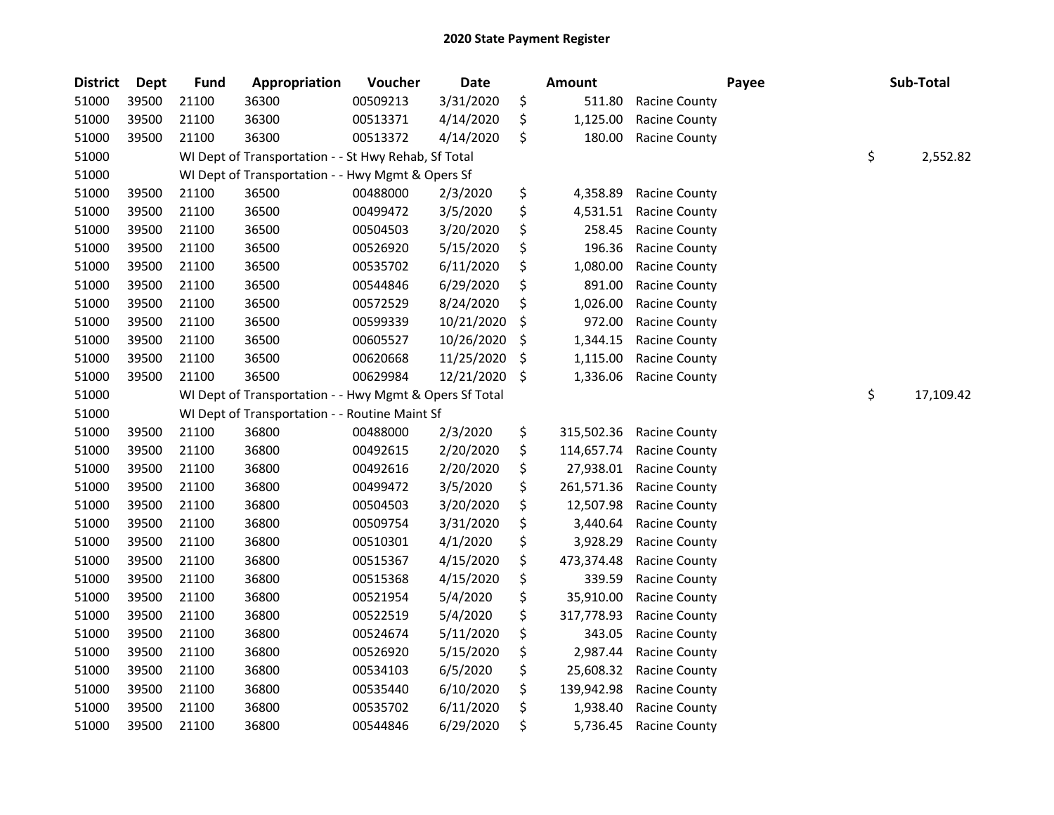| <b>District</b> | Dept  | <b>Fund</b> | Appropriation                                           | Voucher  | Date       | <b>Amount</b>    |                      | Payee | Sub-Total       |
|-----------------|-------|-------------|---------------------------------------------------------|----------|------------|------------------|----------------------|-------|-----------------|
| 51000           | 39500 | 21100       | 36300                                                   | 00509213 | 3/31/2020  | \$<br>511.80     | <b>Racine County</b> |       |                 |
| 51000           | 39500 | 21100       | 36300                                                   | 00513371 | 4/14/2020  | \$<br>1,125.00   | <b>Racine County</b> |       |                 |
| 51000           | 39500 | 21100       | 36300                                                   | 00513372 | 4/14/2020  | \$<br>180.00     | <b>Racine County</b> |       |                 |
| 51000           |       |             | WI Dept of Transportation - - St Hwy Rehab, Sf Total    |          |            |                  |                      |       | \$<br>2,552.82  |
| 51000           |       |             | WI Dept of Transportation - - Hwy Mgmt & Opers Sf       |          |            |                  |                      |       |                 |
| 51000           | 39500 | 21100       | 36500                                                   | 00488000 | 2/3/2020   | \$<br>4,358.89   | Racine County        |       |                 |
| 51000           | 39500 | 21100       | 36500                                                   | 00499472 | 3/5/2020   | \$<br>4,531.51   | Racine County        |       |                 |
| 51000           | 39500 | 21100       | 36500                                                   | 00504503 | 3/20/2020  | \$<br>258.45     | <b>Racine County</b> |       |                 |
| 51000           | 39500 | 21100       | 36500                                                   | 00526920 | 5/15/2020  | \$<br>196.36     | <b>Racine County</b> |       |                 |
| 51000           | 39500 | 21100       | 36500                                                   | 00535702 | 6/11/2020  | \$<br>1,080.00   | <b>Racine County</b> |       |                 |
| 51000           | 39500 | 21100       | 36500                                                   | 00544846 | 6/29/2020  | \$<br>891.00     | <b>Racine County</b> |       |                 |
| 51000           | 39500 | 21100       | 36500                                                   | 00572529 | 8/24/2020  | \$<br>1,026.00   | Racine County        |       |                 |
| 51000           | 39500 | 21100       | 36500                                                   | 00599339 | 10/21/2020 | \$<br>972.00     | <b>Racine County</b> |       |                 |
| 51000           | 39500 | 21100       | 36500                                                   | 00605527 | 10/26/2020 | \$<br>1,344.15   | <b>Racine County</b> |       |                 |
| 51000           | 39500 | 21100       | 36500                                                   | 00620668 | 11/25/2020 | \$<br>1,115.00   | Racine County        |       |                 |
| 51000           | 39500 | 21100       | 36500                                                   | 00629984 | 12/21/2020 | \$<br>1,336.06   | <b>Racine County</b> |       |                 |
| 51000           |       |             | WI Dept of Transportation - - Hwy Mgmt & Opers Sf Total |          |            |                  |                      |       | \$<br>17,109.42 |
| 51000           |       |             | WI Dept of Transportation - - Routine Maint Sf          |          |            |                  |                      |       |                 |
| 51000           | 39500 | 21100       | 36800                                                   | 00488000 | 2/3/2020   | \$<br>315,502.36 | <b>Racine County</b> |       |                 |
| 51000           | 39500 | 21100       | 36800                                                   | 00492615 | 2/20/2020  | \$<br>114,657.74 | Racine County        |       |                 |
| 51000           | 39500 | 21100       | 36800                                                   | 00492616 | 2/20/2020  | \$<br>27,938.01  | <b>Racine County</b> |       |                 |
| 51000           | 39500 | 21100       | 36800                                                   | 00499472 | 3/5/2020   | \$<br>261,571.36 | Racine County        |       |                 |
| 51000           | 39500 | 21100       | 36800                                                   | 00504503 | 3/20/2020  | \$<br>12,507.98  | <b>Racine County</b> |       |                 |
| 51000           | 39500 | 21100       | 36800                                                   | 00509754 | 3/31/2020  | \$<br>3,440.64   | Racine County        |       |                 |
| 51000           | 39500 | 21100       | 36800                                                   | 00510301 | 4/1/2020   | \$<br>3,928.29   | <b>Racine County</b> |       |                 |
| 51000           | 39500 | 21100       | 36800                                                   | 00515367 | 4/15/2020  | \$<br>473,374.48 | <b>Racine County</b> |       |                 |
| 51000           | 39500 | 21100       | 36800                                                   | 00515368 | 4/15/2020  | \$<br>339.59     | <b>Racine County</b> |       |                 |
| 51000           | 39500 | 21100       | 36800                                                   | 00521954 | 5/4/2020   | \$<br>35,910.00  | <b>Racine County</b> |       |                 |
| 51000           | 39500 | 21100       | 36800                                                   | 00522519 | 5/4/2020   | \$<br>317,778.93 | <b>Racine County</b> |       |                 |
| 51000           | 39500 | 21100       | 36800                                                   | 00524674 | 5/11/2020  | \$<br>343.05     | <b>Racine County</b> |       |                 |
| 51000           | 39500 | 21100       | 36800                                                   | 00526920 | 5/15/2020  | \$<br>2,987.44   | <b>Racine County</b> |       |                 |
| 51000           | 39500 | 21100       | 36800                                                   | 00534103 | 6/5/2020   | \$<br>25,608.32  | <b>Racine County</b> |       |                 |
| 51000           | 39500 | 21100       | 36800                                                   | 00535440 | 6/10/2020  | \$<br>139,942.98 | Racine County        |       |                 |
| 51000           | 39500 | 21100       | 36800                                                   | 00535702 | 6/11/2020  | \$<br>1,938.40   | <b>Racine County</b> |       |                 |
| 51000           | 39500 | 21100       | 36800                                                   | 00544846 | 6/29/2020  | \$<br>5,736.45   | <b>Racine County</b> |       |                 |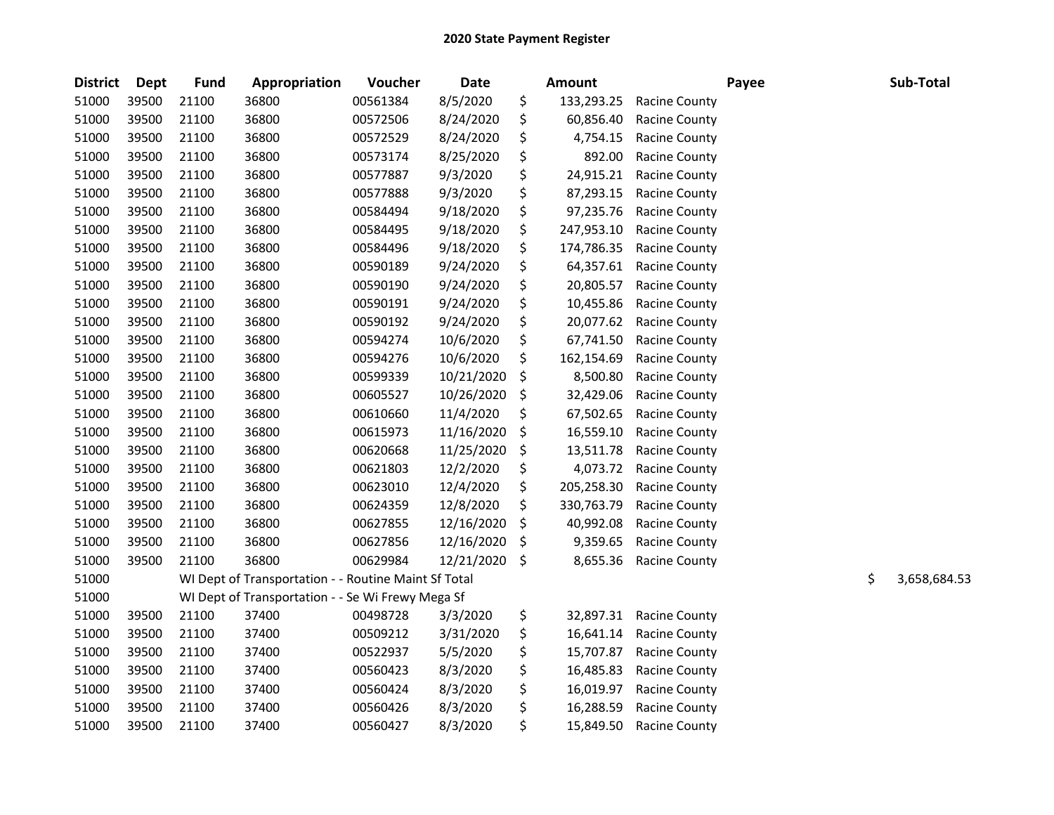| <b>District</b> | <b>Dept</b> | <b>Fund</b> | Appropriation                                        | Voucher  | <b>Date</b> | <b>Amount</b>    |                      | Payee | Sub-Total          |
|-----------------|-------------|-------------|------------------------------------------------------|----------|-------------|------------------|----------------------|-------|--------------------|
| 51000           | 39500       | 21100       | 36800                                                | 00561384 | 8/5/2020    | \$<br>133,293.25 | Racine County        |       |                    |
| 51000           | 39500       | 21100       | 36800                                                | 00572506 | 8/24/2020   | \$<br>60,856.40  | <b>Racine County</b> |       |                    |
| 51000           | 39500       | 21100       | 36800                                                | 00572529 | 8/24/2020   | \$<br>4,754.15   | Racine County        |       |                    |
| 51000           | 39500       | 21100       | 36800                                                | 00573174 | 8/25/2020   | \$<br>892.00     | <b>Racine County</b> |       |                    |
| 51000           | 39500       | 21100       | 36800                                                | 00577887 | 9/3/2020    | \$<br>24,915.21  | <b>Racine County</b> |       |                    |
| 51000           | 39500       | 21100       | 36800                                                | 00577888 | 9/3/2020    | \$<br>87,293.15  | <b>Racine County</b> |       |                    |
| 51000           | 39500       | 21100       | 36800                                                | 00584494 | 9/18/2020   | \$<br>97,235.76  | <b>Racine County</b> |       |                    |
| 51000           | 39500       | 21100       | 36800                                                | 00584495 | 9/18/2020   | \$<br>247,953.10 | Racine County        |       |                    |
| 51000           | 39500       | 21100       | 36800                                                | 00584496 | 9/18/2020   | \$<br>174,786.35 | <b>Racine County</b> |       |                    |
| 51000           | 39500       | 21100       | 36800                                                | 00590189 | 9/24/2020   | \$<br>64,357.61  | <b>Racine County</b> |       |                    |
| 51000           | 39500       | 21100       | 36800                                                | 00590190 | 9/24/2020   | \$<br>20,805.57  | <b>Racine County</b> |       |                    |
| 51000           | 39500       | 21100       | 36800                                                | 00590191 | 9/24/2020   | \$<br>10,455.86  | <b>Racine County</b> |       |                    |
| 51000           | 39500       | 21100       | 36800                                                | 00590192 | 9/24/2020   | \$<br>20,077.62  | <b>Racine County</b> |       |                    |
| 51000           | 39500       | 21100       | 36800                                                | 00594274 | 10/6/2020   | \$<br>67,741.50  | <b>Racine County</b> |       |                    |
| 51000           | 39500       | 21100       | 36800                                                | 00594276 | 10/6/2020   | \$<br>162,154.69 | Racine County        |       |                    |
| 51000           | 39500       | 21100       | 36800                                                | 00599339 | 10/21/2020  | \$<br>8,500.80   | Racine County        |       |                    |
| 51000           | 39500       | 21100       | 36800                                                | 00605527 | 10/26/2020  | \$<br>32,429.06  | <b>Racine County</b> |       |                    |
| 51000           | 39500       | 21100       | 36800                                                | 00610660 | 11/4/2020   | \$<br>67,502.65  | <b>Racine County</b> |       |                    |
| 51000           | 39500       | 21100       | 36800                                                | 00615973 | 11/16/2020  | \$<br>16,559.10  | <b>Racine County</b> |       |                    |
| 51000           | 39500       | 21100       | 36800                                                | 00620668 | 11/25/2020  | \$<br>13,511.78  | Racine County        |       |                    |
| 51000           | 39500       | 21100       | 36800                                                | 00621803 | 12/2/2020   | \$<br>4,073.72   | <b>Racine County</b> |       |                    |
| 51000           | 39500       | 21100       | 36800                                                | 00623010 | 12/4/2020   | \$<br>205,258.30 | Racine County        |       |                    |
| 51000           | 39500       | 21100       | 36800                                                | 00624359 | 12/8/2020   | \$<br>330,763.79 | Racine County        |       |                    |
| 51000           | 39500       | 21100       | 36800                                                | 00627855 | 12/16/2020  | \$<br>40,992.08  | <b>Racine County</b> |       |                    |
| 51000           | 39500       | 21100       | 36800                                                | 00627856 | 12/16/2020  | \$<br>9,359.65   | Racine County        |       |                    |
| 51000           | 39500       | 21100       | 36800                                                | 00629984 | 12/21/2020  | \$<br>8,655.36   | Racine County        |       |                    |
| 51000           |             |             | WI Dept of Transportation - - Routine Maint Sf Total |          |             |                  |                      |       | \$<br>3,658,684.53 |
| 51000           |             |             | WI Dept of Transportation - - Se Wi Frewy Mega Sf    |          |             |                  |                      |       |                    |
| 51000           | 39500       | 21100       | 37400                                                | 00498728 | 3/3/2020    | \$<br>32,897.31  | <b>Racine County</b> |       |                    |
| 51000           | 39500       | 21100       | 37400                                                | 00509212 | 3/31/2020   | \$<br>16,641.14  | <b>Racine County</b> |       |                    |
| 51000           | 39500       | 21100       | 37400                                                | 00522937 | 5/5/2020    | \$<br>15,707.87  | <b>Racine County</b> |       |                    |
| 51000           | 39500       | 21100       | 37400                                                | 00560423 | 8/3/2020    | \$<br>16,485.83  | <b>Racine County</b> |       |                    |
| 51000           | 39500       | 21100       | 37400                                                | 00560424 | 8/3/2020    | \$<br>16,019.97  | <b>Racine County</b> |       |                    |
| 51000           | 39500       | 21100       | 37400                                                | 00560426 | 8/3/2020    | \$<br>16,288.59  | <b>Racine County</b> |       |                    |
| 51000           | 39500       | 21100       | 37400                                                | 00560427 | 8/3/2020    | \$<br>15,849.50  | <b>Racine County</b> |       |                    |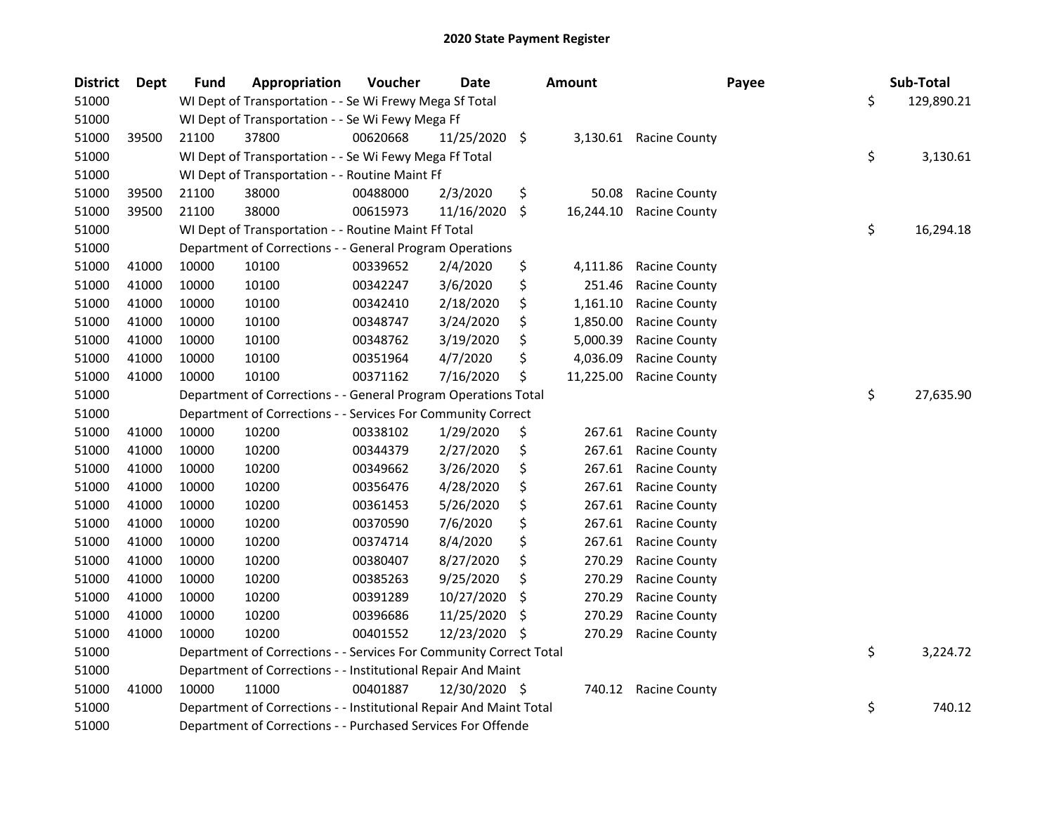| <b>District</b> | <b>Dept</b> | Fund  | Appropriation                                                      | Voucher  | <b>Date</b>   |     | <b>Amount</b> |                        | Payee | Sub-Total  |
|-----------------|-------------|-------|--------------------------------------------------------------------|----------|---------------|-----|---------------|------------------------|-------|------------|
| 51000           |             |       | WI Dept of Transportation - - Se Wi Frewy Mega Sf Total            |          |               |     |               |                        | \$    | 129,890.21 |
| 51000           |             |       | WI Dept of Transportation - - Se Wi Fewy Mega Ff                   |          |               |     |               |                        |       |            |
| 51000           | 39500       | 21100 | 37800                                                              | 00620668 | 11/25/2020 \$ |     |               | 3,130.61 Racine County |       |            |
| 51000           |             |       | WI Dept of Transportation - - Se Wi Fewy Mega Ff Total             |          |               |     |               |                        | \$    | 3,130.61   |
| 51000           |             |       | WI Dept of Transportation - - Routine Maint Ff                     |          |               |     |               |                        |       |            |
| 51000           | 39500       | 21100 | 38000                                                              | 00488000 | 2/3/2020      | \$  | 50.08         | <b>Racine County</b>   |       |            |
| 51000           | 39500       | 21100 | 38000                                                              | 00615973 | 11/16/2020    | \$  | 16,244.10     | <b>Racine County</b>   |       |            |
| 51000           |             |       | WI Dept of Transportation - - Routine Maint Ff Total               |          |               |     |               |                        | \$    | 16,294.18  |
| 51000           |             |       | Department of Corrections - - General Program Operations           |          |               |     |               |                        |       |            |
| 51000           | 41000       | 10000 | 10100                                                              | 00339652 | 2/4/2020      | \$  | 4,111.86      | Racine County          |       |            |
| 51000           | 41000       | 10000 | 10100                                                              | 00342247 | 3/6/2020      | \$  | 251.46        | Racine County          |       |            |
| 51000           | 41000       | 10000 | 10100                                                              | 00342410 | 2/18/2020     | \$  | 1,161.10      | Racine County          |       |            |
| 51000           | 41000       | 10000 | 10100                                                              | 00348747 | 3/24/2020     | \$  | 1,850.00      | Racine County          |       |            |
| 51000           | 41000       | 10000 | 10100                                                              | 00348762 | 3/19/2020     |     | 5,000.39      | Racine County          |       |            |
| 51000           | 41000       | 10000 | 10100                                                              | 00351964 | 4/7/2020      | \$  | 4,036.09      | Racine County          |       |            |
| 51000           | 41000       | 10000 | 10100                                                              | 00371162 | 7/16/2020     | \$  | 11,225.00     | <b>Racine County</b>   |       |            |
| 51000           |             |       | Department of Corrections - - General Program Operations Total     |          |               |     |               |                        | \$    | 27,635.90  |
| 51000           |             |       | Department of Corrections - - Services For Community Correct       |          |               |     |               |                        |       |            |
| 51000           | 41000       | 10000 | 10200                                                              | 00338102 | 1/29/2020     | \$  | 267.61        | <b>Racine County</b>   |       |            |
| 51000           | 41000       | 10000 | 10200                                                              | 00344379 | 2/27/2020     | \$  | 267.61        | <b>Racine County</b>   |       |            |
| 51000           | 41000       | 10000 | 10200                                                              | 00349662 | 3/26/2020     | \$  | 267.61        | <b>Racine County</b>   |       |            |
| 51000           | 41000       | 10000 | 10200                                                              | 00356476 | 4/28/2020     | \$  | 267.61        | <b>Racine County</b>   |       |            |
| 51000           | 41000       | 10000 | 10200                                                              | 00361453 | 5/26/2020     | \$  | 267.61        | <b>Racine County</b>   |       |            |
| 51000           | 41000       | 10000 | 10200                                                              | 00370590 | 7/6/2020      | \$  | 267.61        | Racine County          |       |            |
| 51000           | 41000       | 10000 | 10200                                                              | 00374714 | 8/4/2020      | \$  | 267.61        | Racine County          |       |            |
| 51000           | 41000       | 10000 | 10200                                                              | 00380407 | 8/27/2020     | \$  | 270.29        | Racine County          |       |            |
| 51000           | 41000       | 10000 | 10200                                                              | 00385263 | 9/25/2020     | \$  | 270.29        | Racine County          |       |            |
| 51000           | 41000       | 10000 | 10200                                                              | 00391289 | 10/27/2020    | \$  | 270.29        | <b>Racine County</b>   |       |            |
| 51000           | 41000       | 10000 | 10200                                                              | 00396686 | 11/25/2020    | \$  | 270.29        | <b>Racine County</b>   |       |            |
| 51000           | 41000       | 10000 | 10200                                                              | 00401552 | 12/23/2020    | -\$ | 270.29        | Racine County          |       |            |
| 51000           |             |       | Department of Corrections - - Services For Community Correct Total |          |               |     |               |                        | \$    | 3,224.72   |
| 51000           |             |       | Department of Corrections - - Institutional Repair And Maint       |          |               |     |               |                        |       |            |
| 51000           | 41000       | 10000 | 11000                                                              | 00401887 | 12/30/2020 \$ |     | 740.12        | <b>Racine County</b>   |       |            |
| 51000           |             |       | Department of Corrections - - Institutional Repair And Maint Total |          |               |     |               |                        | \$    | 740.12     |
| 51000           |             |       | Department of Corrections - - Purchased Services For Offende       |          |               |     |               |                        |       |            |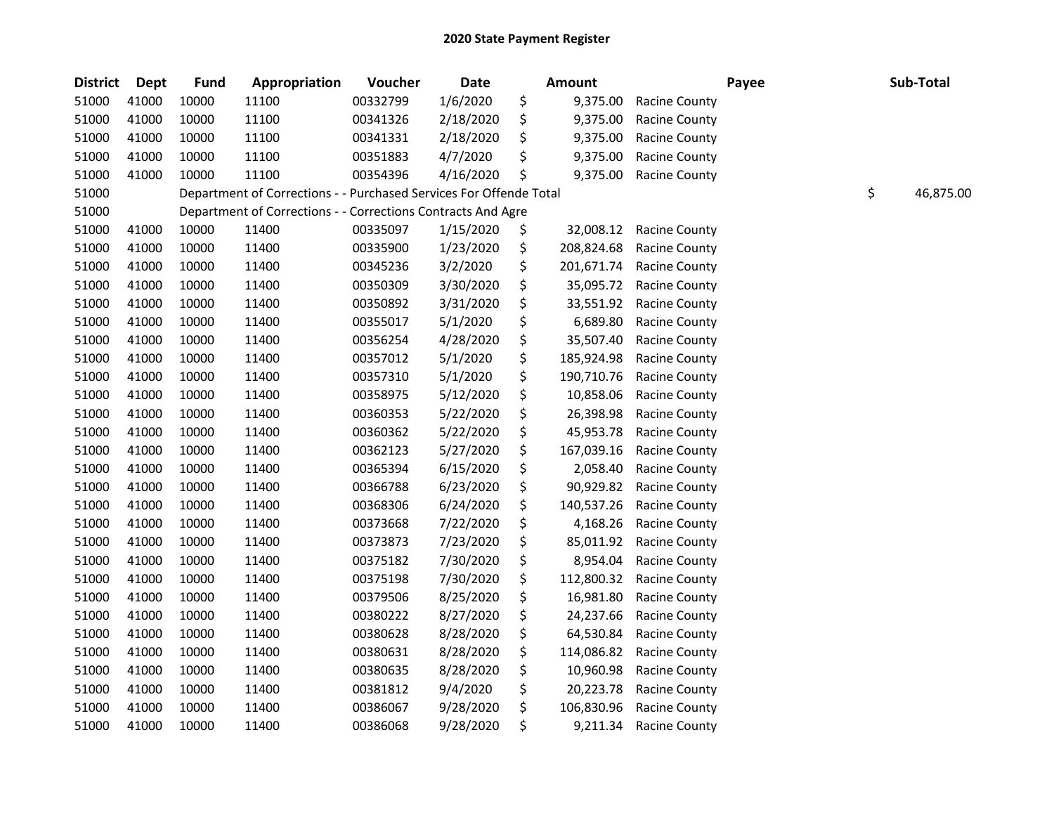| <b>District</b> | <b>Dept</b> | <b>Fund</b> | Appropriation                                                      | Voucher  | <b>Date</b> | Amount           |                      | Payee | Sub-Total       |
|-----------------|-------------|-------------|--------------------------------------------------------------------|----------|-------------|------------------|----------------------|-------|-----------------|
| 51000           | 41000       | 10000       | 11100                                                              | 00332799 | 1/6/2020    | \$<br>9,375.00   | Racine County        |       |                 |
| 51000           | 41000       | 10000       | 11100                                                              | 00341326 | 2/18/2020   | \$<br>9,375.00   | Racine County        |       |                 |
| 51000           | 41000       | 10000       | 11100                                                              | 00341331 | 2/18/2020   | \$<br>9,375.00   | Racine County        |       |                 |
| 51000           | 41000       | 10000       | 11100                                                              | 00351883 | 4/7/2020    | \$<br>9,375.00   | Racine County        |       |                 |
| 51000           | 41000       | 10000       | 11100                                                              | 00354396 | 4/16/2020   | \$<br>9,375.00   | Racine County        |       |                 |
| 51000           |             |             | Department of Corrections - - Purchased Services For Offende Total |          |             |                  |                      |       | \$<br>46,875.00 |
| 51000           |             |             | Department of Corrections - - Corrections Contracts And Agre       |          |             |                  |                      |       |                 |
| 51000           | 41000       | 10000       | 11400                                                              | 00335097 | 1/15/2020   | \$<br>32,008.12  | <b>Racine County</b> |       |                 |
| 51000           | 41000       | 10000       | 11400                                                              | 00335900 | 1/23/2020   | \$<br>208,824.68 | Racine County        |       |                 |
| 51000           | 41000       | 10000       | 11400                                                              | 00345236 | 3/2/2020    | \$<br>201,671.74 | Racine County        |       |                 |
| 51000           | 41000       | 10000       | 11400                                                              | 00350309 | 3/30/2020   | \$<br>35,095.72  | <b>Racine County</b> |       |                 |
| 51000           | 41000       | 10000       | 11400                                                              | 00350892 | 3/31/2020   | \$<br>33,551.92  | <b>Racine County</b> |       |                 |
| 51000           | 41000       | 10000       | 11400                                                              | 00355017 | 5/1/2020    | \$<br>6,689.80   | Racine County        |       |                 |
| 51000           | 41000       | 10000       | 11400                                                              | 00356254 | 4/28/2020   | \$<br>35,507.40  | <b>Racine County</b> |       |                 |
| 51000           | 41000       | 10000       | 11400                                                              | 00357012 | 5/1/2020    | \$<br>185,924.98 | Racine County        |       |                 |
| 51000           | 41000       | 10000       | 11400                                                              | 00357310 | 5/1/2020    | \$<br>190,710.76 | Racine County        |       |                 |
| 51000           | 41000       | 10000       | 11400                                                              | 00358975 | 5/12/2020   | \$<br>10,858.06  | <b>Racine County</b> |       |                 |
| 51000           | 41000       | 10000       | 11400                                                              | 00360353 | 5/22/2020   | \$<br>26,398.98  | <b>Racine County</b> |       |                 |
| 51000           | 41000       | 10000       | 11400                                                              | 00360362 | 5/22/2020   | \$<br>45,953.78  | <b>Racine County</b> |       |                 |
| 51000           | 41000       | 10000       | 11400                                                              | 00362123 | 5/27/2020   | \$<br>167,039.16 | Racine County        |       |                 |
| 51000           | 41000       | 10000       | 11400                                                              | 00365394 | 6/15/2020   | \$<br>2,058.40   | <b>Racine County</b> |       |                 |
| 51000           | 41000       | 10000       | 11400                                                              | 00366788 | 6/23/2020   | \$<br>90,929.82  | <b>Racine County</b> |       |                 |
| 51000           | 41000       | 10000       | 11400                                                              | 00368306 | 6/24/2020   | \$<br>140,537.26 | Racine County        |       |                 |
| 51000           | 41000       | 10000       | 11400                                                              | 00373668 | 7/22/2020   | \$<br>4,168.26   | Racine County        |       |                 |
| 51000           | 41000       | 10000       | 11400                                                              | 00373873 | 7/23/2020   | \$<br>85,011.92  | <b>Racine County</b> |       |                 |
| 51000           | 41000       | 10000       | 11400                                                              | 00375182 | 7/30/2020   | \$<br>8,954.04   | Racine County        |       |                 |
| 51000           | 41000       | 10000       | 11400                                                              | 00375198 | 7/30/2020   | \$<br>112,800.32 | Racine County        |       |                 |
| 51000           | 41000       | 10000       | 11400                                                              | 00379506 | 8/25/2020   | \$<br>16,981.80  | <b>Racine County</b> |       |                 |
| 51000           | 41000       | 10000       | 11400                                                              | 00380222 | 8/27/2020   | \$<br>24,237.66  | <b>Racine County</b> |       |                 |
| 51000           | 41000       | 10000       | 11400                                                              | 00380628 | 8/28/2020   | \$<br>64,530.84  | <b>Racine County</b> |       |                 |
| 51000           | 41000       | 10000       | 11400                                                              | 00380631 | 8/28/2020   | \$<br>114,086.82 | Racine County        |       |                 |
| 51000           | 41000       | 10000       | 11400                                                              | 00380635 | 8/28/2020   | \$<br>10,960.98  | <b>Racine County</b> |       |                 |
| 51000           | 41000       | 10000       | 11400                                                              | 00381812 | 9/4/2020    | \$<br>20,223.78  | <b>Racine County</b> |       |                 |
| 51000           | 41000       | 10000       | 11400                                                              | 00386067 | 9/28/2020   | \$<br>106,830.96 | Racine County        |       |                 |
| 51000           | 41000       | 10000       | 11400                                                              | 00386068 | 9/28/2020   | \$<br>9,211.34   | Racine County        |       |                 |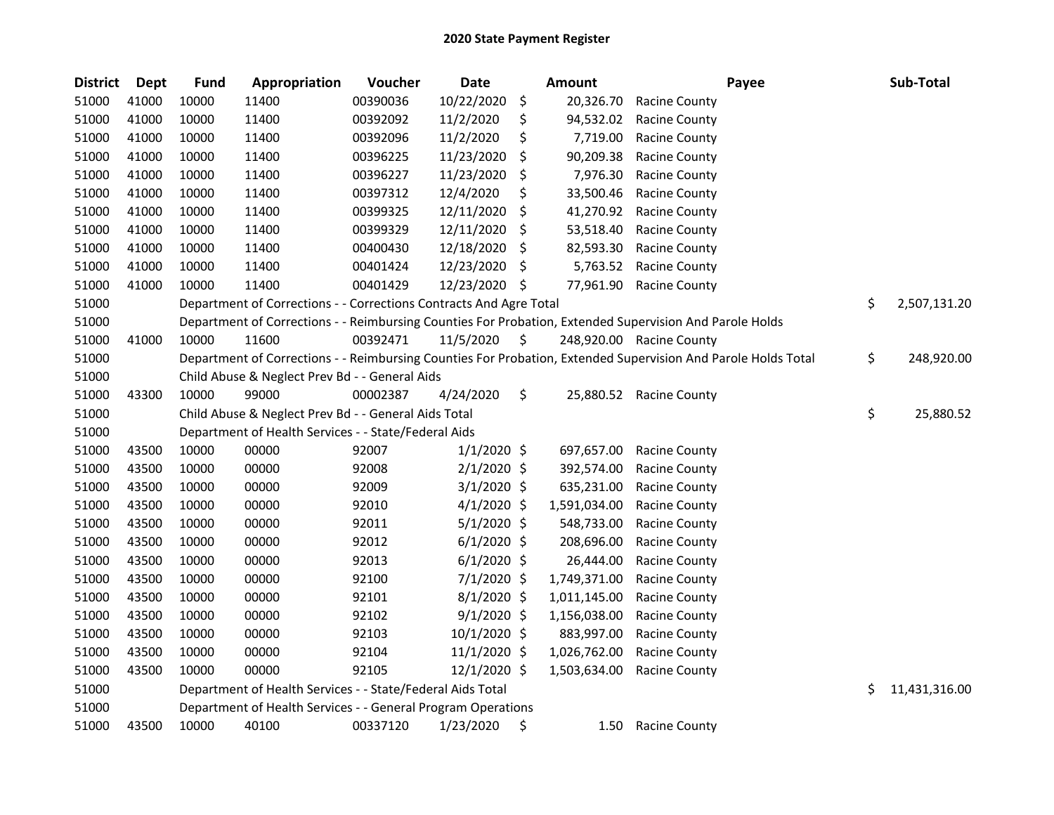| <b>District</b> | <b>Dept</b> | <b>Fund</b> | Appropriation                                                      | Voucher  | <b>Date</b>   |    | <b>Amount</b> | Payee                                                                                                         | Sub-Total           |
|-----------------|-------------|-------------|--------------------------------------------------------------------|----------|---------------|----|---------------|---------------------------------------------------------------------------------------------------------------|---------------------|
| 51000           | 41000       | 10000       | 11400                                                              | 00390036 | 10/22/2020    | \$ | 20,326.70     | <b>Racine County</b>                                                                                          |                     |
| 51000           | 41000       | 10000       | 11400                                                              | 00392092 | 11/2/2020     | \$ | 94,532.02     | <b>Racine County</b>                                                                                          |                     |
| 51000           | 41000       | 10000       | 11400                                                              | 00392096 | 11/2/2020     | \$ | 7,719.00      | <b>Racine County</b>                                                                                          |                     |
| 51000           | 41000       | 10000       | 11400                                                              | 00396225 | 11/23/2020    | \$ | 90,209.38     | <b>Racine County</b>                                                                                          |                     |
| 51000           | 41000       | 10000       | 11400                                                              | 00396227 | 11/23/2020    | \$ | 7,976.30      | <b>Racine County</b>                                                                                          |                     |
| 51000           | 41000       | 10000       | 11400                                                              | 00397312 | 12/4/2020     | \$ | 33,500.46     | <b>Racine County</b>                                                                                          |                     |
| 51000           | 41000       | 10000       | 11400                                                              | 00399325 | 12/11/2020    | \$ | 41,270.92     | <b>Racine County</b>                                                                                          |                     |
| 51000           | 41000       | 10000       | 11400                                                              | 00399329 | 12/11/2020    | \$ | 53,518.40     | <b>Racine County</b>                                                                                          |                     |
| 51000           | 41000       | 10000       | 11400                                                              | 00400430 | 12/18/2020    | \$ | 82,593.30     | <b>Racine County</b>                                                                                          |                     |
| 51000           | 41000       | 10000       | 11400                                                              | 00401424 | 12/23/2020    | \$ | 5,763.52      | <b>Racine County</b>                                                                                          |                     |
| 51000           | 41000       | 10000       | 11400                                                              | 00401429 | 12/23/2020    | -Ş | 77,961.90     | <b>Racine County</b>                                                                                          |                     |
| 51000           |             |             | Department of Corrections - - Corrections Contracts And Agre Total |          |               |    |               |                                                                                                               | \$<br>2,507,131.20  |
| 51000           |             |             |                                                                    |          |               |    |               | Department of Corrections - - Reimbursing Counties For Probation, Extended Supervision And Parole Holds       |                     |
| 51000           | 41000       | 10000       | 11600                                                              | 00392471 | 11/5/2020     | \$ |               | 248,920.00 Racine County                                                                                      |                     |
| 51000           |             |             |                                                                    |          |               |    |               | Department of Corrections - - Reimbursing Counties For Probation, Extended Supervision And Parole Holds Total | \$<br>248,920.00    |
| 51000           |             |             | Child Abuse & Neglect Prev Bd - - General Aids                     |          |               |    |               |                                                                                                               |                     |
| 51000           | 43300       | 10000       | 99000                                                              | 00002387 | 4/24/2020     | \$ | 25,880.52     | <b>Racine County</b>                                                                                          |                     |
| 51000           |             |             | Child Abuse & Neglect Prev Bd - - General Aids Total               |          |               |    |               |                                                                                                               | \$<br>25,880.52     |
| 51000           |             |             | Department of Health Services - - State/Federal Aids               |          |               |    |               |                                                                                                               |                     |
| 51000           | 43500       | 10000       | 00000                                                              | 92007    | $1/1/2020$ \$ |    | 697,657.00    | <b>Racine County</b>                                                                                          |                     |
| 51000           | 43500       | 10000       | 00000                                                              | 92008    | $2/1/2020$ \$ |    | 392,574.00    | <b>Racine County</b>                                                                                          |                     |
| 51000           | 43500       | 10000       | 00000                                                              | 92009    | $3/1/2020$ \$ |    | 635,231.00    | Racine County                                                                                                 |                     |
| 51000           | 43500       | 10000       | 00000                                                              | 92010    | $4/1/2020$ \$ |    | 1,591,034.00  | <b>Racine County</b>                                                                                          |                     |
| 51000           | 43500       | 10000       | 00000                                                              | 92011    | $5/1/2020$ \$ |    | 548,733.00    | <b>Racine County</b>                                                                                          |                     |
| 51000           | 43500       | 10000       | 00000                                                              | 92012    | $6/1/2020$ \$ |    | 208,696.00    | Racine County                                                                                                 |                     |
| 51000           | 43500       | 10000       | 00000                                                              | 92013    | $6/1/2020$ \$ |    | 26,444.00     | <b>Racine County</b>                                                                                          |                     |
| 51000           | 43500       | 10000       | 00000                                                              | 92100    | $7/1/2020$ \$ |    | 1,749,371.00  | Racine County                                                                                                 |                     |
| 51000           | 43500       | 10000       | 00000                                                              | 92101    | $8/1/2020$ \$ |    | 1,011,145.00  | <b>Racine County</b>                                                                                          |                     |
| 51000           | 43500       | 10000       | 00000                                                              | 92102    | $9/1/2020$ \$ |    | 1,156,038.00  | <b>Racine County</b>                                                                                          |                     |
| 51000           | 43500       | 10000       | 00000                                                              | 92103    | 10/1/2020 \$  |    | 883,997.00    | <b>Racine County</b>                                                                                          |                     |
| 51000           | 43500       | 10000       | 00000                                                              | 92104    | 11/1/2020 \$  |    | 1,026,762.00  | Racine County                                                                                                 |                     |
| 51000           | 43500       | 10000       | 00000                                                              | 92105    | 12/1/2020 \$  |    | 1,503,634.00  | <b>Racine County</b>                                                                                          |                     |
| 51000           |             |             | Department of Health Services - - State/Federal Aids Total         |          |               |    |               |                                                                                                               | \$<br>11,431,316.00 |
| 51000           |             |             | Department of Health Services - - General Program Operations       |          |               |    |               |                                                                                                               |                     |
| 51000           | 43500       | 10000       | 40100                                                              | 00337120 | 1/23/2020     | \$ | 1.50          | <b>Racine County</b>                                                                                          |                     |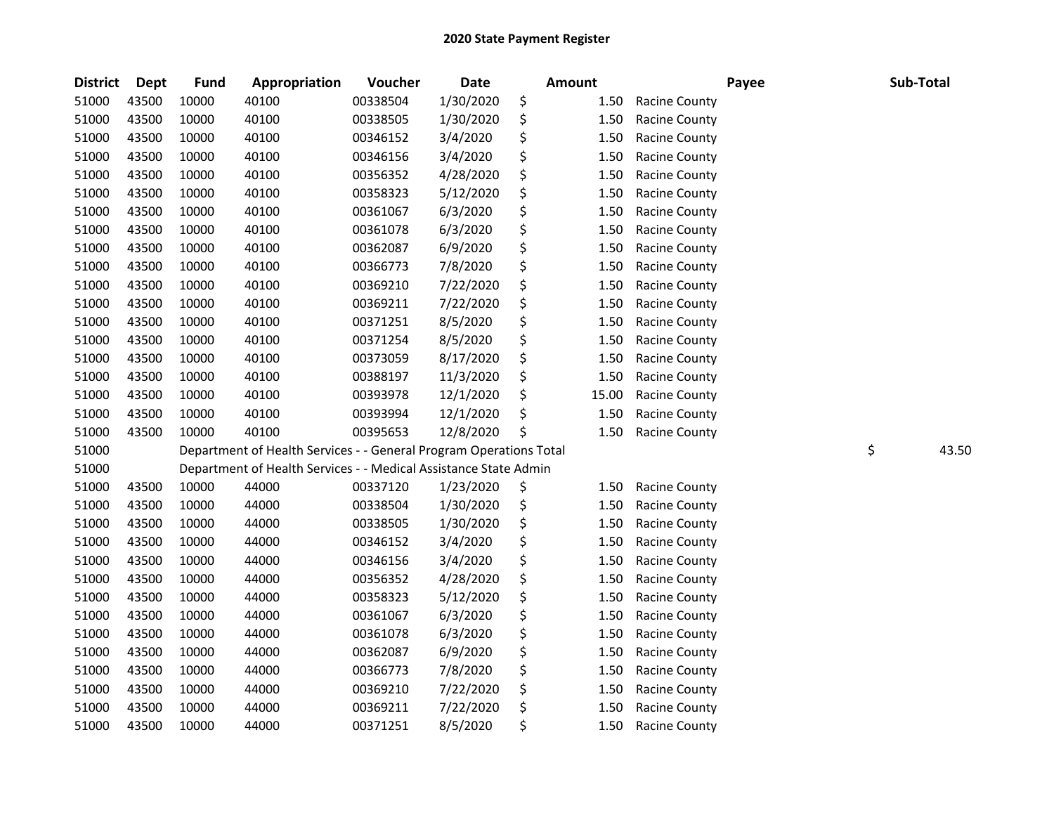| <b>District</b> | <b>Dept</b> | <b>Fund</b> | Appropriation                                                      | Voucher  | <b>Date</b> | <b>Amount</b> |       | Payee                | Sub-Total |       |
|-----------------|-------------|-------------|--------------------------------------------------------------------|----------|-------------|---------------|-------|----------------------|-----------|-------|
| 51000           | 43500       | 10000       | 40100                                                              | 00338504 | 1/30/2020   | \$            | 1.50  | Racine County        |           |       |
| 51000           | 43500       | 10000       | 40100                                                              | 00338505 | 1/30/2020   | \$            | 1.50  | Racine County        |           |       |
| 51000           | 43500       | 10000       | 40100                                                              | 00346152 | 3/4/2020    | \$            | 1.50  | Racine County        |           |       |
| 51000           | 43500       | 10000       | 40100                                                              | 00346156 | 3/4/2020    | \$            | 1.50  | <b>Racine County</b> |           |       |
| 51000           | 43500       | 10000       | 40100                                                              | 00356352 | 4/28/2020   | \$            | 1.50  | Racine County        |           |       |
| 51000           | 43500       | 10000       | 40100                                                              | 00358323 | 5/12/2020   | \$            | 1.50  | <b>Racine County</b> |           |       |
| 51000           | 43500       | 10000       | 40100                                                              | 00361067 | 6/3/2020    | \$            | 1.50  | <b>Racine County</b> |           |       |
| 51000           | 43500       | 10000       | 40100                                                              | 00361078 | 6/3/2020    | \$            | 1.50  | Racine County        |           |       |
| 51000           | 43500       | 10000       | 40100                                                              | 00362087 | 6/9/2020    | \$            | 1.50  | <b>Racine County</b> |           |       |
| 51000           | 43500       | 10000       | 40100                                                              | 00366773 | 7/8/2020    | \$            | 1.50  | Racine County        |           |       |
| 51000           | 43500       | 10000       | 40100                                                              | 00369210 | 7/22/2020   | \$            | 1.50  | <b>Racine County</b> |           |       |
| 51000           | 43500       | 10000       | 40100                                                              | 00369211 | 7/22/2020   | \$            | 1.50  | <b>Racine County</b> |           |       |
| 51000           | 43500       | 10000       | 40100                                                              | 00371251 | 8/5/2020    | \$            | 1.50  | Racine County        |           |       |
| 51000           | 43500       | 10000       | 40100                                                              | 00371254 | 8/5/2020    | \$            | 1.50  | Racine County        |           |       |
| 51000           | 43500       | 10000       | 40100                                                              | 00373059 | 8/17/2020   | \$            | 1.50  | Racine County        |           |       |
| 51000           | 43500       | 10000       | 40100                                                              | 00388197 | 11/3/2020   | \$            | 1.50  | Racine County        |           |       |
| 51000           | 43500       | 10000       | 40100                                                              | 00393978 | 12/1/2020   | \$            | 15.00 | <b>Racine County</b> |           |       |
| 51000           | 43500       | 10000       | 40100                                                              | 00393994 | 12/1/2020   | \$            | 1.50  | <b>Racine County</b> |           |       |
| 51000           | 43500       | 10000       | 40100                                                              | 00395653 | 12/8/2020   | \$            | 1.50  | <b>Racine County</b> |           |       |
| 51000           |             |             | Department of Health Services - - General Program Operations Total |          |             |               |       |                      | \$        | 43.50 |
| 51000           |             |             | Department of Health Services - - Medical Assistance State Admin   |          |             |               |       |                      |           |       |
| 51000           | 43500       | 10000       | 44000                                                              | 00337120 | 1/23/2020   | \$            | 1.50  | Racine County        |           |       |
| 51000           | 43500       | 10000       | 44000                                                              | 00338504 | 1/30/2020   | \$            | 1.50  | Racine County        |           |       |
| 51000           | 43500       | 10000       | 44000                                                              | 00338505 | 1/30/2020   | \$            | 1.50  | <b>Racine County</b> |           |       |
| 51000           | 43500       | 10000       | 44000                                                              | 00346152 | 3/4/2020    | \$            | 1.50  | Racine County        |           |       |
| 51000           | 43500       | 10000       | 44000                                                              | 00346156 | 3/4/2020    | \$            | 1.50  | Racine County        |           |       |
| 51000           | 43500       | 10000       | 44000                                                              | 00356352 | 4/28/2020   | \$            | 1.50  | Racine County        |           |       |
| 51000           | 43500       | 10000       | 44000                                                              | 00358323 | 5/12/2020   | \$            | 1.50  | Racine County        |           |       |
| 51000           | 43500       | 10000       | 44000                                                              | 00361067 | 6/3/2020    | \$            | 1.50  | Racine County        |           |       |
| 51000           | 43500       | 10000       | 44000                                                              | 00361078 | 6/3/2020    | \$            | 1.50  | Racine County        |           |       |
| 51000           | 43500       | 10000       | 44000                                                              | 00362087 | 6/9/2020    | \$            | 1.50  | <b>Racine County</b> |           |       |
| 51000           | 43500       | 10000       | 44000                                                              | 00366773 | 7/8/2020    | \$            | 1.50  | Racine County        |           |       |
| 51000           | 43500       | 10000       | 44000                                                              | 00369210 | 7/22/2020   | \$            | 1.50  | Racine County        |           |       |
| 51000           | 43500       | 10000       | 44000                                                              | 00369211 | 7/22/2020   | \$            | 1.50  | <b>Racine County</b> |           |       |
| 51000           | 43500       | 10000       | 44000                                                              | 00371251 | 8/5/2020    | \$            | 1.50  | Racine County        |           |       |
|                 |             |             |                                                                    |          |             |               |       |                      |           |       |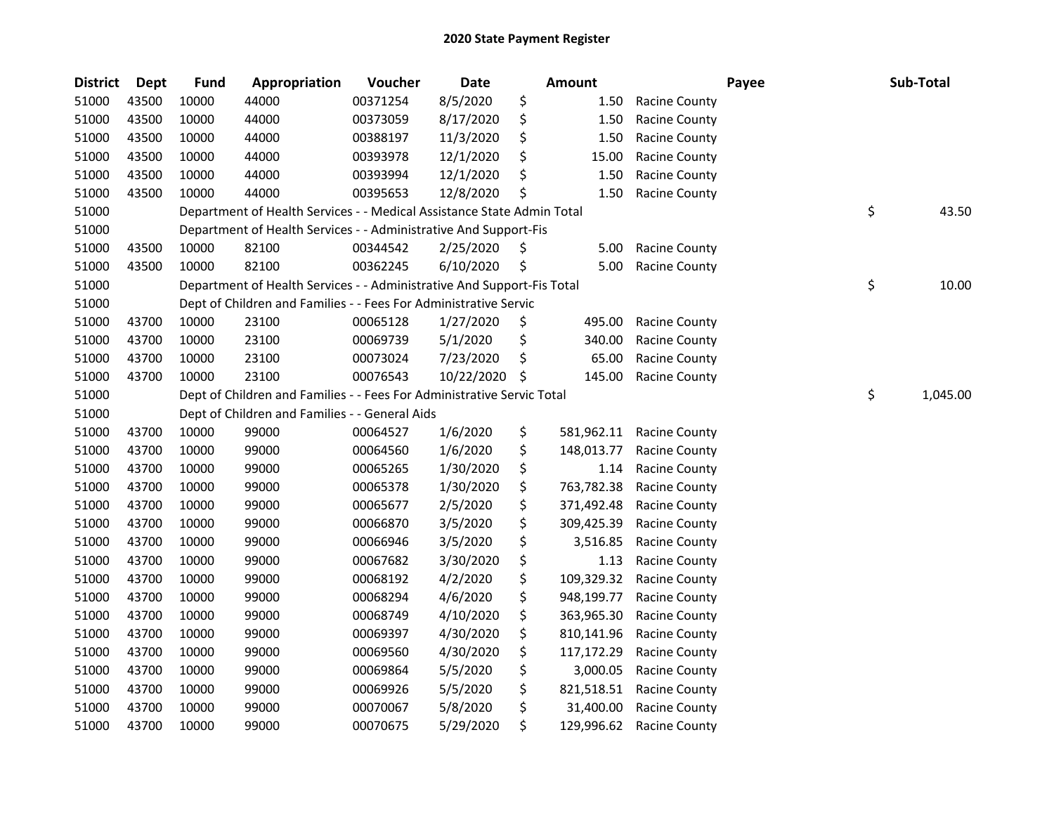| <b>District</b> | <b>Dept</b> | Fund  | Appropriation                                                          | Voucher  | <b>Date</b> |    | <b>Amount</b> |                      | Payee | Sub-Total      |
|-----------------|-------------|-------|------------------------------------------------------------------------|----------|-------------|----|---------------|----------------------|-------|----------------|
| 51000           | 43500       | 10000 | 44000                                                                  | 00371254 | 8/5/2020    | \$ | 1.50          | <b>Racine County</b> |       |                |
| 51000           | 43500       | 10000 | 44000                                                                  | 00373059 | 8/17/2020   | \$ | 1.50          | Racine County        |       |                |
| 51000           | 43500       | 10000 | 44000                                                                  | 00388197 | 11/3/2020   | \$ | 1.50          | Racine County        |       |                |
| 51000           | 43500       | 10000 | 44000                                                                  | 00393978 | 12/1/2020   | \$ | 15.00         | Racine County        |       |                |
| 51000           | 43500       | 10000 | 44000                                                                  | 00393994 | 12/1/2020   | \$ | 1.50          | <b>Racine County</b> |       |                |
| 51000           | 43500       | 10000 | 44000                                                                  | 00395653 | 12/8/2020   | \$ | 1.50          | <b>Racine County</b> |       |                |
| 51000           |             |       | Department of Health Services - - Medical Assistance State Admin Total |          |             |    |               |                      |       | \$<br>43.50    |
| 51000           |             |       | Department of Health Services - - Administrative And Support-Fis       |          |             |    |               |                      |       |                |
| 51000           | 43500       | 10000 | 82100                                                                  | 00344542 | 2/25/2020   | \$ | 5.00          | <b>Racine County</b> |       |                |
| 51000           | 43500       | 10000 | 82100                                                                  | 00362245 | 6/10/2020   | \$ | 5.00          | <b>Racine County</b> |       |                |
| 51000           |             |       | Department of Health Services - - Administrative And Support-Fis Total |          |             |    |               |                      |       | \$<br>10.00    |
| 51000           |             |       | Dept of Children and Families - - Fees For Administrative Servic       |          |             |    |               |                      |       |                |
| 51000           | 43700       | 10000 | 23100                                                                  | 00065128 | 1/27/2020   | \$ | 495.00        | <b>Racine County</b> |       |                |
| 51000           | 43700       | 10000 | 23100                                                                  | 00069739 | 5/1/2020    | \$ | 340.00        | <b>Racine County</b> |       |                |
| 51000           | 43700       | 10000 | 23100                                                                  | 00073024 | 7/23/2020   | \$ | 65.00         | Racine County        |       |                |
| 51000           | 43700       | 10000 | 23100                                                                  | 00076543 | 10/22/2020  | S. | 145.00        | <b>Racine County</b> |       |                |
| 51000           |             |       | Dept of Children and Families - - Fees For Administrative Servic Total |          |             |    |               |                      |       | \$<br>1,045.00 |
| 51000           |             |       | Dept of Children and Families - - General Aids                         |          |             |    |               |                      |       |                |
| 51000           | 43700       | 10000 | 99000                                                                  | 00064527 | 1/6/2020    | \$ | 581,962.11    | Racine County        |       |                |
| 51000           | 43700       | 10000 | 99000                                                                  | 00064560 | 1/6/2020    | \$ | 148,013.77    | <b>Racine County</b> |       |                |
| 51000           | 43700       | 10000 | 99000                                                                  | 00065265 | 1/30/2020   | \$ | 1.14          | <b>Racine County</b> |       |                |
| 51000           | 43700       | 10000 | 99000                                                                  | 00065378 | 1/30/2020   | \$ | 763,782.38    | Racine County        |       |                |
| 51000           | 43700       | 10000 | 99000                                                                  | 00065677 | 2/5/2020    | \$ | 371,492.48    | Racine County        |       |                |
| 51000           | 43700       | 10000 | 99000                                                                  | 00066870 | 3/5/2020    | \$ | 309,425.39    | <b>Racine County</b> |       |                |
| 51000           | 43700       | 10000 | 99000                                                                  | 00066946 | 3/5/2020    | \$ | 3,516.85      | <b>Racine County</b> |       |                |
| 51000           | 43700       | 10000 | 99000                                                                  | 00067682 | 3/30/2020   | \$ | 1.13          | <b>Racine County</b> |       |                |
| 51000           | 43700       | 10000 | 99000                                                                  | 00068192 | 4/2/2020    | \$ | 109,329.32    | <b>Racine County</b> |       |                |
| 51000           | 43700       | 10000 | 99000                                                                  | 00068294 | 4/6/2020    | \$ | 948,199.77    | <b>Racine County</b> |       |                |
| 51000           | 43700       | 10000 | 99000                                                                  | 00068749 | 4/10/2020   | \$ | 363,965.30    | Racine County        |       |                |
| 51000           | 43700       | 10000 | 99000                                                                  | 00069397 | 4/30/2020   | \$ | 810,141.96    | <b>Racine County</b> |       |                |
| 51000           | 43700       | 10000 | 99000                                                                  | 00069560 | 4/30/2020   | \$ | 117,172.29    | Racine County        |       |                |
| 51000           | 43700       | 10000 | 99000                                                                  | 00069864 | 5/5/2020    | \$ | 3,000.05      | Racine County        |       |                |
| 51000           | 43700       | 10000 | 99000                                                                  | 00069926 | 5/5/2020    | \$ | 821,518.51    | <b>Racine County</b> |       |                |
| 51000           | 43700       | 10000 | 99000                                                                  | 00070067 | 5/8/2020    | \$ | 31,400.00     | <b>Racine County</b> |       |                |
| 51000           | 43700       | 10000 | 99000                                                                  | 00070675 | 5/29/2020   | \$ | 129,996.62    | <b>Racine County</b> |       |                |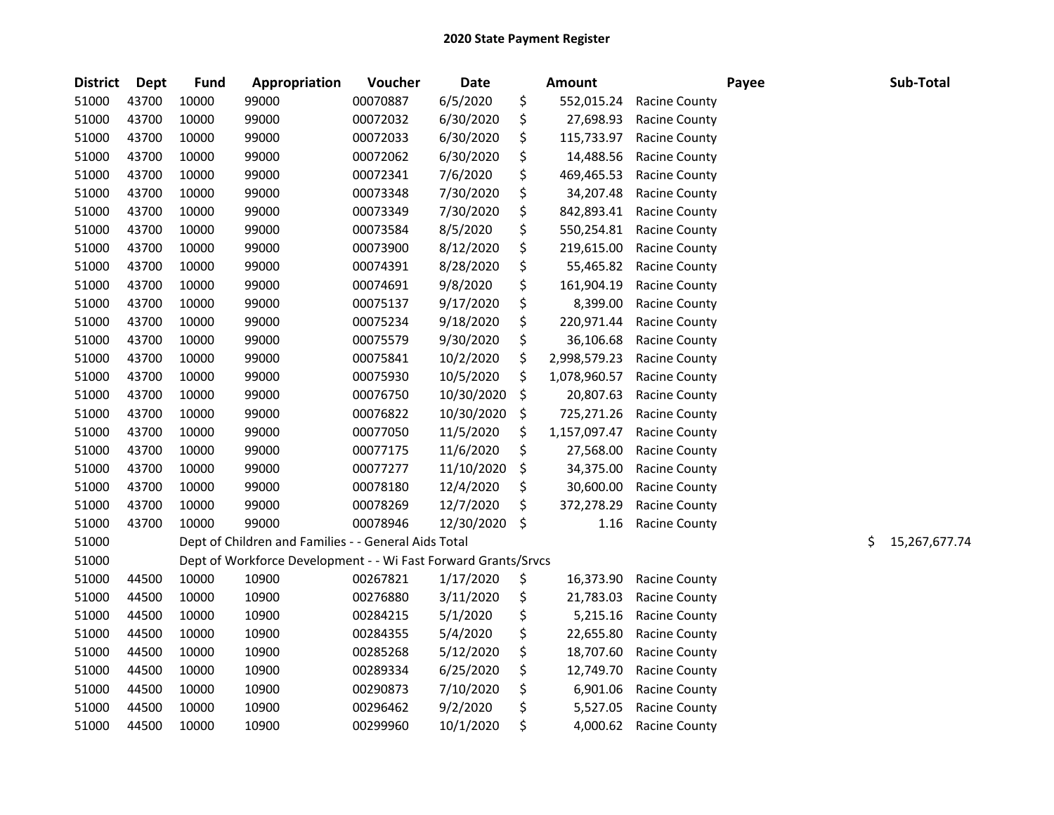| <b>District</b> | Dept  | <b>Fund</b> | Appropriation                                                  | Voucher  | <b>Date</b> | <b>Amount</b>      |                      | Payee | Sub-Total           |
|-----------------|-------|-------------|----------------------------------------------------------------|----------|-------------|--------------------|----------------------|-------|---------------------|
| 51000           | 43700 | 10000       | 99000                                                          | 00070887 | 6/5/2020    | \$<br>552,015.24   | <b>Racine County</b> |       |                     |
| 51000           | 43700 | 10000       | 99000                                                          | 00072032 | 6/30/2020   | \$<br>27,698.93    | <b>Racine County</b> |       |                     |
| 51000           | 43700 | 10000       | 99000                                                          | 00072033 | 6/30/2020   | \$<br>115,733.97   | Racine County        |       |                     |
| 51000           | 43700 | 10000       | 99000                                                          | 00072062 | 6/30/2020   | \$<br>14,488.56    | <b>Racine County</b> |       |                     |
| 51000           | 43700 | 10000       | 99000                                                          | 00072341 | 7/6/2020    | \$<br>469,465.53   | Racine County        |       |                     |
| 51000           | 43700 | 10000       | 99000                                                          | 00073348 | 7/30/2020   | \$<br>34,207.48    | <b>Racine County</b> |       |                     |
| 51000           | 43700 | 10000       | 99000                                                          | 00073349 | 7/30/2020   | \$<br>842,893.41   | Racine County        |       |                     |
| 51000           | 43700 | 10000       | 99000                                                          | 00073584 | 8/5/2020    | \$<br>550,254.81   | <b>Racine County</b> |       |                     |
| 51000           | 43700 | 10000       | 99000                                                          | 00073900 | 8/12/2020   | \$<br>219,615.00   | Racine County        |       |                     |
| 51000           | 43700 | 10000       | 99000                                                          | 00074391 | 8/28/2020   | \$<br>55,465.82    | <b>Racine County</b> |       |                     |
| 51000           | 43700 | 10000       | 99000                                                          | 00074691 | 9/8/2020    | \$<br>161,904.19   | Racine County        |       |                     |
| 51000           | 43700 | 10000       | 99000                                                          | 00075137 | 9/17/2020   | \$<br>8,399.00     | <b>Racine County</b> |       |                     |
| 51000           | 43700 | 10000       | 99000                                                          | 00075234 | 9/18/2020   | \$<br>220,971.44   | Racine County        |       |                     |
| 51000           | 43700 | 10000       | 99000                                                          | 00075579 | 9/30/2020   | \$<br>36,106.68    | <b>Racine County</b> |       |                     |
| 51000           | 43700 | 10000       | 99000                                                          | 00075841 | 10/2/2020   | \$<br>2,998,579.23 | <b>Racine County</b> |       |                     |
| 51000           | 43700 | 10000       | 99000                                                          | 00075930 | 10/5/2020   | \$<br>1,078,960.57 | Racine County        |       |                     |
| 51000           | 43700 | 10000       | 99000                                                          | 00076750 | 10/30/2020  | \$<br>20,807.63    | <b>Racine County</b> |       |                     |
| 51000           | 43700 | 10000       | 99000                                                          | 00076822 | 10/30/2020  | \$<br>725,271.26   | Racine County        |       |                     |
| 51000           | 43700 | 10000       | 99000                                                          | 00077050 | 11/5/2020   | \$<br>1,157,097.47 | Racine County        |       |                     |
| 51000           | 43700 | 10000       | 99000                                                          | 00077175 | 11/6/2020   | \$<br>27,568.00    | <b>Racine County</b> |       |                     |
| 51000           | 43700 | 10000       | 99000                                                          | 00077277 | 11/10/2020  | \$<br>34,375.00    | Racine County        |       |                     |
| 51000           | 43700 | 10000       | 99000                                                          | 00078180 | 12/4/2020   | \$<br>30,600.00    | <b>Racine County</b> |       |                     |
| 51000           | 43700 | 10000       | 99000                                                          | 00078269 | 12/7/2020   | \$<br>372,278.29   | Racine County        |       |                     |
| 51000           | 43700 | 10000       | 99000                                                          | 00078946 | 12/30/2020  | \$<br>1.16         | <b>Racine County</b> |       |                     |
| 51000           |       |             | Dept of Children and Families - - General Aids Total           |          |             |                    |                      |       | \$<br>15,267,677.74 |
| 51000           |       |             | Dept of Workforce Development - - Wi Fast Forward Grants/Srvcs |          |             |                    |                      |       |                     |
| 51000           | 44500 | 10000       | 10900                                                          | 00267821 | 1/17/2020   | \$<br>16,373.90    | <b>Racine County</b> |       |                     |
| 51000           | 44500 | 10000       | 10900                                                          | 00276880 | 3/11/2020   | \$<br>21,783.03    | <b>Racine County</b> |       |                     |
| 51000           | 44500 | 10000       | 10900                                                          | 00284215 | 5/1/2020    | \$<br>5,215.16     | <b>Racine County</b> |       |                     |
| 51000           | 44500 | 10000       | 10900                                                          | 00284355 | 5/4/2020    | \$<br>22,655.80    | <b>Racine County</b> |       |                     |
| 51000           | 44500 | 10000       | 10900                                                          | 00285268 | 5/12/2020   | \$<br>18,707.60    | <b>Racine County</b> |       |                     |
| 51000           | 44500 | 10000       | 10900                                                          | 00289334 | 6/25/2020   | \$<br>12,749.70    | <b>Racine County</b> |       |                     |
| 51000           | 44500 | 10000       | 10900                                                          | 00290873 | 7/10/2020   | \$<br>6,901.06     | Racine County        |       |                     |
| 51000           | 44500 | 10000       | 10900                                                          | 00296462 | 9/2/2020    | \$<br>5,527.05     | <b>Racine County</b> |       |                     |
| 51000           | 44500 | 10000       | 10900                                                          | 00299960 | 10/1/2020   | \$<br>4,000.62     | <b>Racine County</b> |       |                     |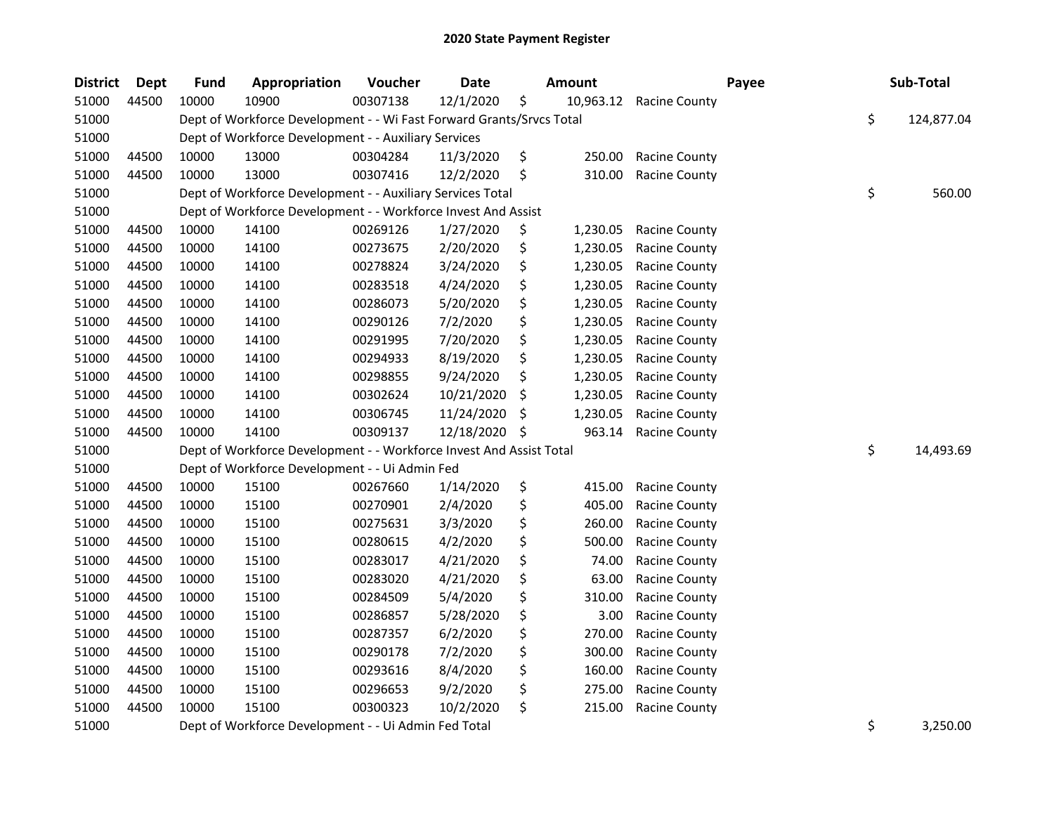| <b>District</b> | <b>Dept</b> | <b>Fund</b> | Appropriation                                                        | Voucher  | <b>Date</b> |     | <b>Amount</b> |                      | Payee | Sub-Total        |
|-----------------|-------------|-------------|----------------------------------------------------------------------|----------|-------------|-----|---------------|----------------------|-------|------------------|
| 51000           | 44500       | 10000       | 10900                                                                | 00307138 | 12/1/2020   | \$  | 10,963.12     | <b>Racine County</b> |       |                  |
| 51000           |             |             | Dept of Workforce Development - - Wi Fast Forward Grants/Srvcs Total |          |             |     |               |                      |       | \$<br>124,877.04 |
| 51000           |             |             | Dept of Workforce Development - - Auxiliary Services                 |          |             |     |               |                      |       |                  |
| 51000           | 44500       | 10000       | 13000                                                                | 00304284 | 11/3/2020   | \$  | 250.00        | <b>Racine County</b> |       |                  |
| 51000           | 44500       | 10000       | 13000                                                                | 00307416 | 12/2/2020   | \$  | 310.00        | <b>Racine County</b> |       |                  |
| 51000           |             |             | Dept of Workforce Development - - Auxiliary Services Total           |          |             |     |               |                      |       | \$<br>560.00     |
| 51000           |             |             | Dept of Workforce Development - - Workforce Invest And Assist        |          |             |     |               |                      |       |                  |
| 51000           | 44500       | 10000       | 14100                                                                | 00269126 | 1/27/2020   | \$  | 1,230.05      | <b>Racine County</b> |       |                  |
| 51000           | 44500       | 10000       | 14100                                                                | 00273675 | 2/20/2020   | \$  | 1,230.05      | <b>Racine County</b> |       |                  |
| 51000           | 44500       | 10000       | 14100                                                                | 00278824 | 3/24/2020   | \$  | 1,230.05      | <b>Racine County</b> |       |                  |
| 51000           | 44500       | 10000       | 14100                                                                | 00283518 | 4/24/2020   | \$  | 1,230.05      | <b>Racine County</b> |       |                  |
| 51000           | 44500       | 10000       | 14100                                                                | 00286073 | 5/20/2020   | \$  | 1,230.05      | <b>Racine County</b> |       |                  |
| 51000           | 44500       | 10000       | 14100                                                                | 00290126 | 7/2/2020    | \$  | 1,230.05      | <b>Racine County</b> |       |                  |
| 51000           | 44500       | 10000       | 14100                                                                | 00291995 | 7/20/2020   | \$  | 1,230.05      | <b>Racine County</b> |       |                  |
| 51000           | 44500       | 10000       | 14100                                                                | 00294933 | 8/19/2020   | \$  | 1,230.05      | <b>Racine County</b> |       |                  |
| 51000           | 44500       | 10000       | 14100                                                                | 00298855 | 9/24/2020   | \$  | 1,230.05      | Racine County        |       |                  |
| 51000           | 44500       | 10000       | 14100                                                                | 00302624 | 10/21/2020  | S   | 1,230.05      | <b>Racine County</b> |       |                  |
| 51000           | 44500       | 10000       | 14100                                                                | 00306745 | 11/24/2020  | \$, | 1,230.05      | Racine County        |       |                  |
| 51000           | 44500       | 10000       | 14100                                                                | 00309137 | 12/18/2020  | \$  | 963.14        | <b>Racine County</b> |       |                  |
| 51000           |             |             | Dept of Workforce Development - - Workforce Invest And Assist Total  |          |             |     |               |                      |       | \$<br>14,493.69  |
| 51000           |             |             | Dept of Workforce Development - - Ui Admin Fed                       |          |             |     |               |                      |       |                  |
| 51000           | 44500       | 10000       | 15100                                                                | 00267660 | 1/14/2020   | \$  | 415.00        | <b>Racine County</b> |       |                  |
| 51000           | 44500       | 10000       | 15100                                                                | 00270901 | 2/4/2020    | \$  | 405.00        | <b>Racine County</b> |       |                  |
| 51000           | 44500       | 10000       | 15100                                                                | 00275631 | 3/3/2020    | \$  | 260.00        | <b>Racine County</b> |       |                  |
| 51000           | 44500       | 10000       | 15100                                                                | 00280615 | 4/2/2020    | \$  | 500.00        | <b>Racine County</b> |       |                  |
| 51000           | 44500       | 10000       | 15100                                                                | 00283017 | 4/21/2020   | \$  | 74.00         | <b>Racine County</b> |       |                  |
| 51000           | 44500       | 10000       | 15100                                                                | 00283020 | 4/21/2020   | \$  | 63.00         | Racine County        |       |                  |
| 51000           | 44500       | 10000       | 15100                                                                | 00284509 | 5/4/2020    | \$  | 310.00        | Racine County        |       |                  |
| 51000           | 44500       | 10000       | 15100                                                                | 00286857 | 5/28/2020   | \$  | 3.00          | <b>Racine County</b> |       |                  |
| 51000           | 44500       | 10000       | 15100                                                                | 00287357 | 6/2/2020    | \$  | 270.00        | <b>Racine County</b> |       |                  |
| 51000           | 44500       | 10000       | 15100                                                                | 00290178 | 7/2/2020    | \$  | 300.00        | <b>Racine County</b> |       |                  |
| 51000           | 44500       | 10000       | 15100                                                                | 00293616 | 8/4/2020    | \$  | 160.00        | <b>Racine County</b> |       |                  |
| 51000           | 44500       | 10000       | 15100                                                                | 00296653 | 9/2/2020    | \$  | 275.00        | <b>Racine County</b> |       |                  |
| 51000           | 44500       | 10000       | 15100                                                                | 00300323 | 10/2/2020   | \$  | 215.00        | <b>Racine County</b> |       |                  |
| 51000           |             |             | Dept of Workforce Development - - Ui Admin Fed Total                 |          |             |     |               |                      |       | \$<br>3,250.00   |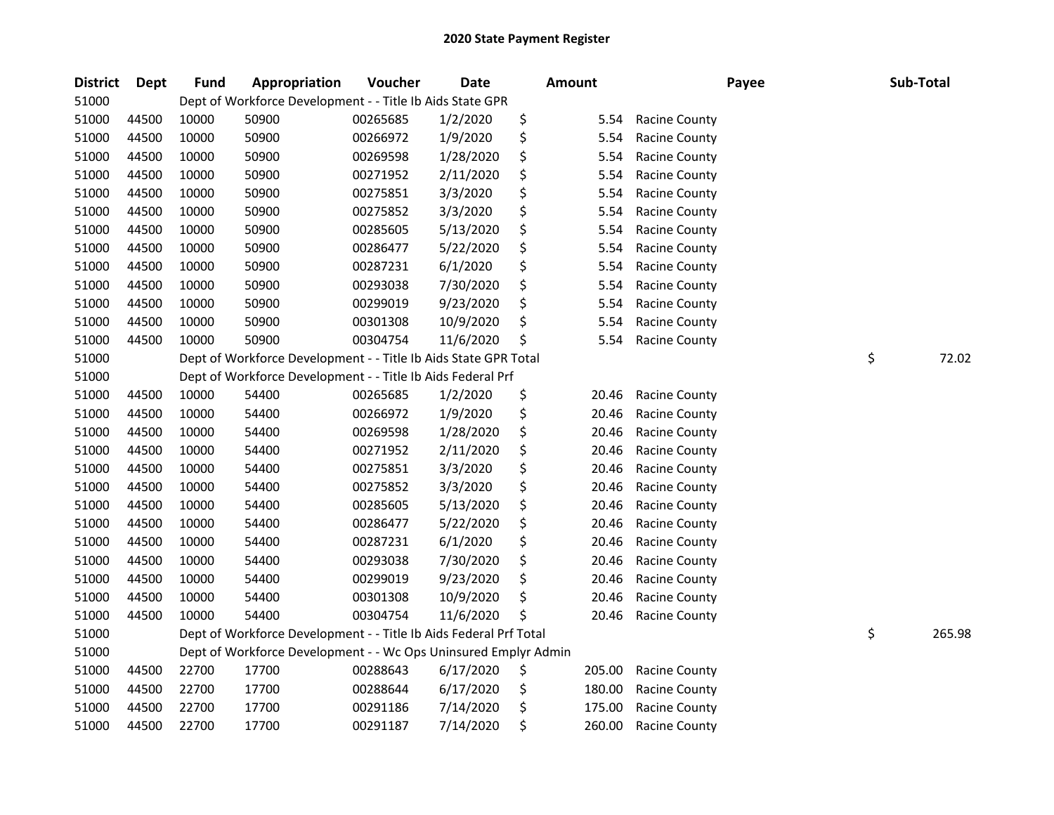| <b>District</b> | Dept  | <b>Fund</b> | Appropriation                                                     | Voucher  | <b>Date</b> | <b>Amount</b> |        |                      | Payee | Sub-Total |        |
|-----------------|-------|-------------|-------------------------------------------------------------------|----------|-------------|---------------|--------|----------------------|-------|-----------|--------|
| 51000           |       |             | Dept of Workforce Development - - Title Ib Aids State GPR         |          |             |               |        |                      |       |           |        |
| 51000           | 44500 | 10000       | 50900                                                             | 00265685 | 1/2/2020    | \$            | 5.54   | <b>Racine County</b> |       |           |        |
| 51000           | 44500 | 10000       | 50900                                                             | 00266972 | 1/9/2020    | \$            | 5.54   | Racine County        |       |           |        |
| 51000           | 44500 | 10000       | 50900                                                             | 00269598 | 1/28/2020   | \$            | 5.54   | Racine County        |       |           |        |
| 51000           | 44500 | 10000       | 50900                                                             | 00271952 | 2/11/2020   | \$            | 5.54   | Racine County        |       |           |        |
| 51000           | 44500 | 10000       | 50900                                                             | 00275851 | 3/3/2020    | \$            | 5.54   | Racine County        |       |           |        |
| 51000           | 44500 | 10000       | 50900                                                             | 00275852 | 3/3/2020    | \$            | 5.54   | Racine County        |       |           |        |
| 51000           | 44500 | 10000       | 50900                                                             | 00285605 | 5/13/2020   | \$            | 5.54   | Racine County        |       |           |        |
| 51000           | 44500 | 10000       | 50900                                                             | 00286477 | 5/22/2020   | \$            | 5.54   | Racine County        |       |           |        |
| 51000           | 44500 | 10000       | 50900                                                             | 00287231 | 6/1/2020    | \$            | 5.54   | Racine County        |       |           |        |
| 51000           | 44500 | 10000       | 50900                                                             | 00293038 | 7/30/2020   | \$            | 5.54   | Racine County        |       |           |        |
| 51000           | 44500 | 10000       | 50900                                                             | 00299019 | 9/23/2020   | \$            | 5.54   | Racine County        |       |           |        |
| 51000           | 44500 | 10000       | 50900                                                             | 00301308 | 10/9/2020   | \$            | 5.54   | <b>Racine County</b> |       |           |        |
| 51000           | 44500 | 10000       | 50900                                                             | 00304754 | 11/6/2020   | \$            | 5.54   | Racine County        |       |           |        |
| 51000           |       |             | Dept of Workforce Development - - Title Ib Aids State GPR Total   |          |             |               |        |                      |       | \$        | 72.02  |
| 51000           |       |             | Dept of Workforce Development - - Title Ib Aids Federal Prf       |          |             |               |        |                      |       |           |        |
| 51000           | 44500 | 10000       | 54400                                                             | 00265685 | 1/2/2020    | \$            | 20.46  | Racine County        |       |           |        |
| 51000           | 44500 | 10000       | 54400                                                             | 00266972 | 1/9/2020    | \$            | 20.46  | Racine County        |       |           |        |
| 51000           | 44500 | 10000       | 54400                                                             | 00269598 | 1/28/2020   | \$            | 20.46  | <b>Racine County</b> |       |           |        |
| 51000           | 44500 | 10000       | 54400                                                             | 00271952 | 2/11/2020   | \$            | 20.46  | <b>Racine County</b> |       |           |        |
| 51000           | 44500 | 10000       | 54400                                                             | 00275851 | 3/3/2020    | \$            | 20.46  | <b>Racine County</b> |       |           |        |
| 51000           | 44500 | 10000       | 54400                                                             | 00275852 | 3/3/2020    | \$            | 20.46  | <b>Racine County</b> |       |           |        |
| 51000           | 44500 | 10000       | 54400                                                             | 00285605 | 5/13/2020   | \$            | 20.46  | <b>Racine County</b> |       |           |        |
| 51000           | 44500 | 10000       | 54400                                                             | 00286477 | 5/22/2020   | \$            | 20.46  | Racine County        |       |           |        |
| 51000           | 44500 | 10000       | 54400                                                             | 00287231 | 6/1/2020    | \$            | 20.46  | Racine County        |       |           |        |
| 51000           | 44500 | 10000       | 54400                                                             | 00293038 | 7/30/2020   | \$            | 20.46  | <b>Racine County</b> |       |           |        |
| 51000           | 44500 | 10000       | 54400                                                             | 00299019 | 9/23/2020   | \$            | 20.46  | Racine County        |       |           |        |
| 51000           | 44500 | 10000       | 54400                                                             | 00301308 | 10/9/2020   | \$            | 20.46  | Racine County        |       |           |        |
| 51000           | 44500 | 10000       | 54400                                                             | 00304754 | 11/6/2020   | \$            | 20.46  | Racine County        |       |           |        |
| 51000           |       |             | Dept of Workforce Development - - Title Ib Aids Federal Prf Total |          |             |               |        |                      |       | \$        | 265.98 |
| 51000           |       |             | Dept of Workforce Development - - Wc Ops Uninsured Emplyr Admin   |          |             |               |        |                      |       |           |        |
| 51000           | 44500 | 22700       | 17700                                                             | 00288643 | 6/17/2020   | \$            | 205.00 | <b>Racine County</b> |       |           |        |
| 51000           | 44500 | 22700       | 17700                                                             | 00288644 | 6/17/2020   | \$            | 180.00 | <b>Racine County</b> |       |           |        |
| 51000           | 44500 | 22700       | 17700                                                             | 00291186 | 7/14/2020   | \$            | 175.00 | <b>Racine County</b> |       |           |        |
| 51000           | 44500 | 22700       | 17700                                                             | 00291187 | 7/14/2020   | \$            | 260.00 | Racine County        |       |           |        |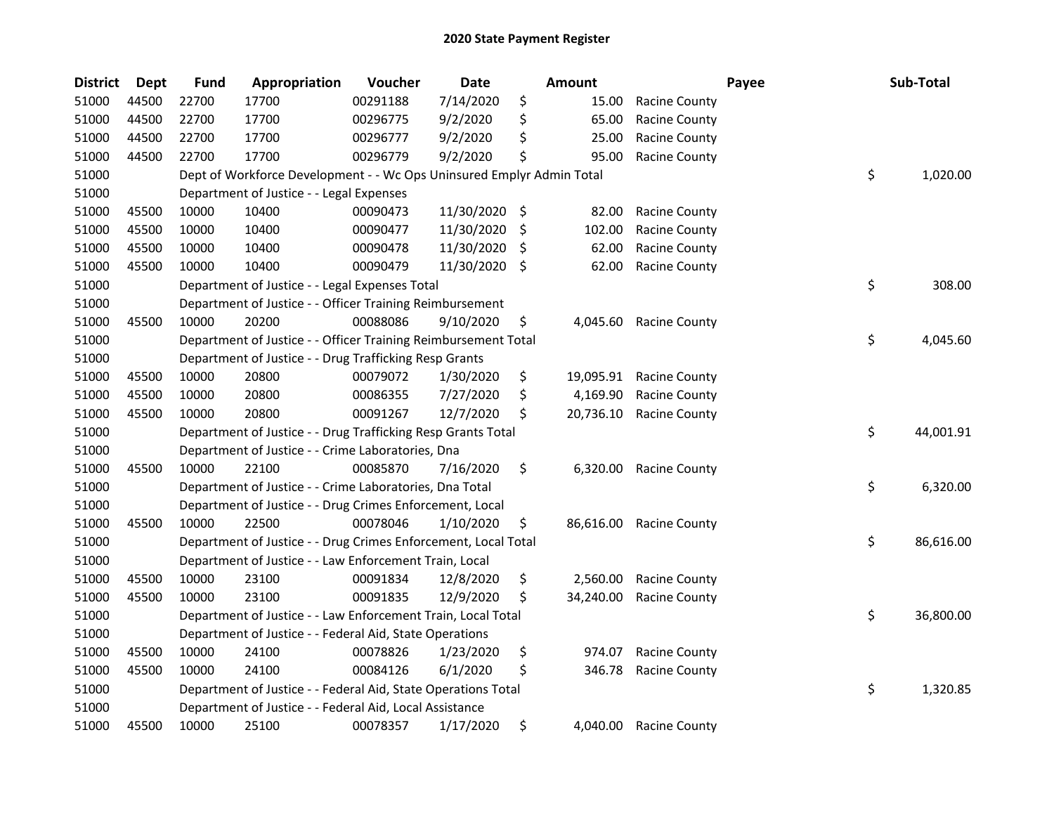| <b>District</b> | Dept  | <b>Fund</b> | Appropriation                                                         | Voucher  | <b>Date</b> |      | <b>Amount</b> |                      | Payee | Sub-Total       |
|-----------------|-------|-------------|-----------------------------------------------------------------------|----------|-------------|------|---------------|----------------------|-------|-----------------|
| 51000           | 44500 | 22700       | 17700                                                                 | 00291188 | 7/14/2020   | \$   | 15.00         | Racine County        |       |                 |
| 51000           | 44500 | 22700       | 17700                                                                 | 00296775 | 9/2/2020    | \$   | 65.00         | <b>Racine County</b> |       |                 |
| 51000           | 44500 | 22700       | 17700                                                                 | 00296777 | 9/2/2020    | \$   | 25.00         | <b>Racine County</b> |       |                 |
| 51000           | 44500 | 22700       | 17700                                                                 | 00296779 | 9/2/2020    | \$   | 95.00         | Racine County        |       |                 |
| 51000           |       |             | Dept of Workforce Development - - Wc Ops Uninsured Emplyr Admin Total |          |             |      |               |                      |       | \$<br>1,020.00  |
| 51000           |       |             | Department of Justice - - Legal Expenses                              |          |             |      |               |                      |       |                 |
| 51000           | 45500 | 10000       | 10400                                                                 | 00090473 | 11/30/2020  | \$   | 82.00         | <b>Racine County</b> |       |                 |
| 51000           | 45500 | 10000       | 10400                                                                 | 00090477 | 11/30/2020  | S    | 102.00        | <b>Racine County</b> |       |                 |
| 51000           | 45500 | 10000       | 10400                                                                 | 00090478 | 11/30/2020  | \$,  | 62.00         | <b>Racine County</b> |       |                 |
| 51000           | 45500 | 10000       | 10400                                                                 | 00090479 | 11/30/2020  | - \$ | 62.00         | <b>Racine County</b> |       |                 |
| 51000           |       |             | Department of Justice - - Legal Expenses Total                        |          |             |      |               |                      |       | \$<br>308.00    |
| 51000           |       |             | Department of Justice - - Officer Training Reimbursement              |          |             |      |               |                      |       |                 |
| 51000           | 45500 | 10000       | 20200                                                                 | 00088086 | 9/10/2020   | \$   | 4,045.60      | <b>Racine County</b> |       |                 |
| 51000           |       |             | Department of Justice - - Officer Training Reimbursement Total        |          |             |      |               |                      |       | \$<br>4,045.60  |
| 51000           |       |             | Department of Justice - - Drug Trafficking Resp Grants                |          |             |      |               |                      |       |                 |
| 51000           | 45500 | 10000       | 20800                                                                 | 00079072 | 1/30/2020   | \$   | 19,095.91     | <b>Racine County</b> |       |                 |
| 51000           | 45500 | 10000       | 20800                                                                 | 00086355 | 7/27/2020   | \$   | 4,169.90      | <b>Racine County</b> |       |                 |
| 51000           | 45500 | 10000       | 20800                                                                 | 00091267 | 12/7/2020   | S.   | 20,736.10     | <b>Racine County</b> |       |                 |
| 51000           |       |             | Department of Justice - - Drug Trafficking Resp Grants Total          |          |             |      |               |                      |       | \$<br>44,001.91 |
| 51000           |       |             | Department of Justice - - Crime Laboratories, Dna                     |          |             |      |               |                      |       |                 |
| 51000           | 45500 | 10000       | 22100                                                                 | 00085870 | 7/16/2020   | \$   | 6,320.00      | <b>Racine County</b> |       |                 |
| 51000           |       |             | Department of Justice - - Crime Laboratories, Dna Total               |          |             |      |               |                      |       | \$<br>6,320.00  |
| 51000           |       |             | Department of Justice - - Drug Crimes Enforcement, Local              |          |             |      |               |                      |       |                 |
| 51000           | 45500 | 10000       | 22500                                                                 | 00078046 | 1/10/2020   | \$   | 86,616.00     | <b>Racine County</b> |       |                 |
| 51000           |       |             | Department of Justice - - Drug Crimes Enforcement, Local Total        |          |             |      |               |                      |       | \$<br>86,616.00 |
| 51000           |       |             | Department of Justice - - Law Enforcement Train, Local                |          |             |      |               |                      |       |                 |
| 51000           | 45500 | 10000       | 23100                                                                 | 00091834 | 12/8/2020   | \$   | 2,560.00      | <b>Racine County</b> |       |                 |
| 51000           | 45500 | 10000       | 23100                                                                 | 00091835 | 12/9/2020   | \$   | 34,240.00     | <b>Racine County</b> |       |                 |
| 51000           |       |             | Department of Justice - - Law Enforcement Train, Local Total          |          |             |      |               |                      |       | \$<br>36,800.00 |
| 51000           |       |             | Department of Justice - - Federal Aid, State Operations               |          |             |      |               |                      |       |                 |
| 51000           | 45500 | 10000       | 24100                                                                 | 00078826 | 1/23/2020   | \$   | 974.07        | <b>Racine County</b> |       |                 |
| 51000           | 45500 | 10000       | 24100                                                                 | 00084126 | 6/1/2020    | \$   | 346.78        | <b>Racine County</b> |       |                 |
| 51000           |       |             | Department of Justice - - Federal Aid, State Operations Total         |          |             |      |               |                      |       | \$<br>1,320.85  |
| 51000           |       |             | Department of Justice - - Federal Aid, Local Assistance               |          |             |      |               |                      |       |                 |
| 51000           | 45500 | 10000       | 25100                                                                 | 00078357 | 1/17/2020   | \$   | 4,040.00      | <b>Racine County</b> |       |                 |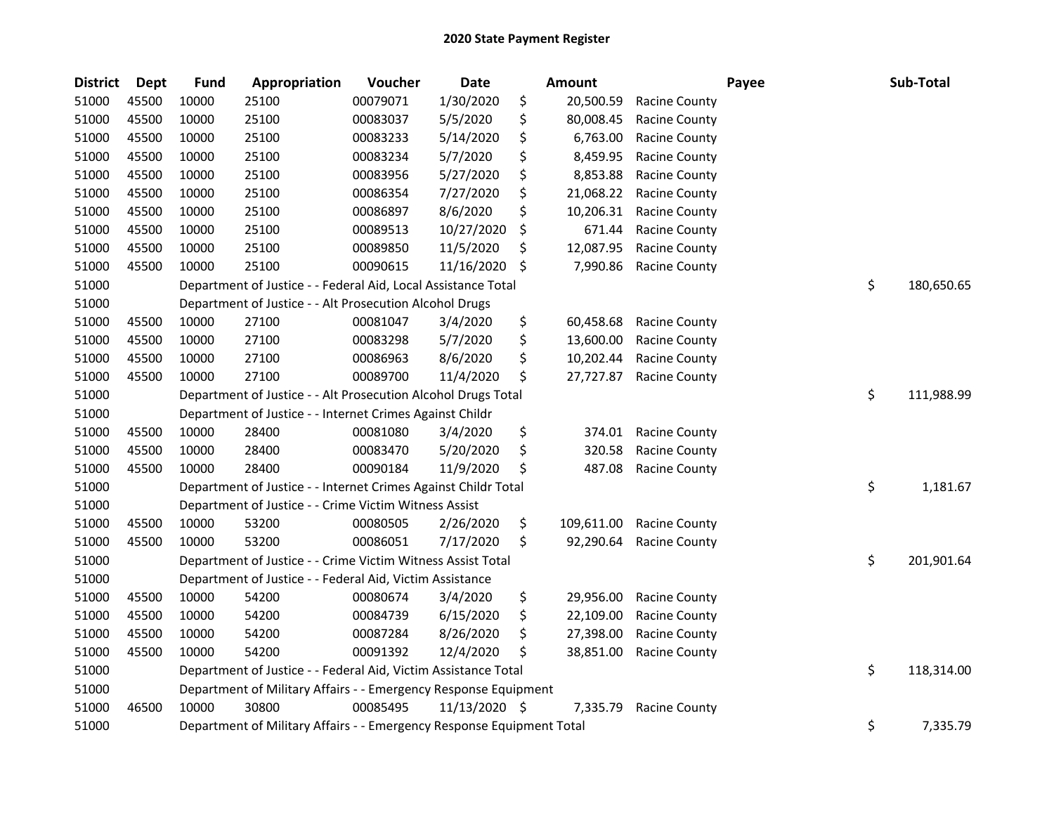| <b>District</b> | <b>Dept</b> | <b>Fund</b> | Appropriation                                                         | Voucher  | <b>Date</b>   | <b>Amount</b>    |                      | Payee | Sub-Total        |
|-----------------|-------------|-------------|-----------------------------------------------------------------------|----------|---------------|------------------|----------------------|-------|------------------|
| 51000           | 45500       | 10000       | 25100                                                                 | 00079071 | 1/30/2020     | \$<br>20,500.59  | <b>Racine County</b> |       |                  |
| 51000           | 45500       | 10000       | 25100                                                                 | 00083037 | 5/5/2020      | \$<br>80,008.45  | <b>Racine County</b> |       |                  |
| 51000           | 45500       | 10000       | 25100                                                                 | 00083233 | 5/14/2020     | \$<br>6,763.00   | <b>Racine County</b> |       |                  |
| 51000           | 45500       | 10000       | 25100                                                                 | 00083234 | 5/7/2020      | \$<br>8,459.95   | <b>Racine County</b> |       |                  |
| 51000           | 45500       | 10000       | 25100                                                                 | 00083956 | 5/27/2020     | \$<br>8,853.88   | Racine County        |       |                  |
| 51000           | 45500       | 10000       | 25100                                                                 | 00086354 | 7/27/2020     | \$<br>21,068.22  | <b>Racine County</b> |       |                  |
| 51000           | 45500       | 10000       | 25100                                                                 | 00086897 | 8/6/2020      | \$<br>10,206.31  | Racine County        |       |                  |
| 51000           | 45500       | 10000       | 25100                                                                 | 00089513 | 10/27/2020    | \$<br>671.44     | <b>Racine County</b> |       |                  |
| 51000           | 45500       | 10000       | 25100                                                                 | 00089850 | 11/5/2020     | \$<br>12,087.95  | <b>Racine County</b> |       |                  |
| 51000           | 45500       | 10000       | 25100                                                                 | 00090615 | 11/16/2020    | \$<br>7,990.86   | <b>Racine County</b> |       |                  |
| 51000           |             |             | Department of Justice - - Federal Aid, Local Assistance Total         |          |               |                  |                      |       | \$<br>180,650.65 |
| 51000           |             |             | Department of Justice - - Alt Prosecution Alcohol Drugs               |          |               |                  |                      |       |                  |
| 51000           | 45500       | 10000       | 27100                                                                 | 00081047 | 3/4/2020      | \$<br>60,458.68  | <b>Racine County</b> |       |                  |
| 51000           | 45500       | 10000       | 27100                                                                 | 00083298 | 5/7/2020      | \$<br>13,600.00  | <b>Racine County</b> |       |                  |
| 51000           | 45500       | 10000       | 27100                                                                 | 00086963 | 8/6/2020      | \$<br>10,202.44  | Racine County        |       |                  |
| 51000           | 45500       | 10000       | 27100                                                                 | 00089700 | 11/4/2020     | \$<br>27,727.87  | <b>Racine County</b> |       |                  |
| 51000           |             |             | Department of Justice - - Alt Prosecution Alcohol Drugs Total         |          |               |                  |                      |       | \$<br>111,988.99 |
| 51000           |             |             | Department of Justice - - Internet Crimes Against Childr              |          |               |                  |                      |       |                  |
| 51000           | 45500       | 10000       | 28400                                                                 | 00081080 | 3/4/2020      | \$<br>374.01     | <b>Racine County</b> |       |                  |
| 51000           | 45500       | 10000       | 28400                                                                 | 00083470 | 5/20/2020     | \$<br>320.58     | <b>Racine County</b> |       |                  |
| 51000           | 45500       | 10000       | 28400                                                                 | 00090184 | 11/9/2020     | \$<br>487.08     | <b>Racine County</b> |       |                  |
| 51000           |             |             | Department of Justice - - Internet Crimes Against Childr Total        |          |               |                  |                      |       | \$<br>1,181.67   |
| 51000           |             |             | Department of Justice - - Crime Victim Witness Assist                 |          |               |                  |                      |       |                  |
| 51000           | 45500       | 10000       | 53200                                                                 | 00080505 | 2/26/2020     | \$<br>109,611.00 | <b>Racine County</b> |       |                  |
| 51000           | 45500       | 10000       | 53200                                                                 | 00086051 | 7/17/2020     | \$<br>92,290.64  | <b>Racine County</b> |       |                  |
| 51000           |             |             | Department of Justice - - Crime Victim Witness Assist Total           |          |               |                  |                      |       | \$<br>201,901.64 |
| 51000           |             |             | Department of Justice - - Federal Aid, Victim Assistance              |          |               |                  |                      |       |                  |
| 51000           | 45500       | 10000       | 54200                                                                 | 00080674 | 3/4/2020      | \$<br>29,956.00  | <b>Racine County</b> |       |                  |
| 51000           | 45500       | 10000       | 54200                                                                 | 00084739 | 6/15/2020     | \$<br>22,109.00  | <b>Racine County</b> |       |                  |
| 51000           | 45500       | 10000       | 54200                                                                 | 00087284 | 8/26/2020     | \$<br>27,398.00  | <b>Racine County</b> |       |                  |
| 51000           | 45500       | 10000       | 54200                                                                 | 00091392 | 12/4/2020     | \$<br>38,851.00  | <b>Racine County</b> |       |                  |
| 51000           |             |             | Department of Justice - - Federal Aid, Victim Assistance Total        |          |               |                  |                      |       | \$<br>118,314.00 |
| 51000           |             |             | Department of Military Affairs - - Emergency Response Equipment       |          |               |                  |                      |       |                  |
| 51000           | 46500       | 10000       | 30800                                                                 | 00085495 | 11/13/2020 \$ | 7,335.79         | <b>Racine County</b> |       |                  |
| 51000           |             |             | Department of Military Affairs - - Emergency Response Equipment Total |          |               |                  |                      |       | \$<br>7,335.79   |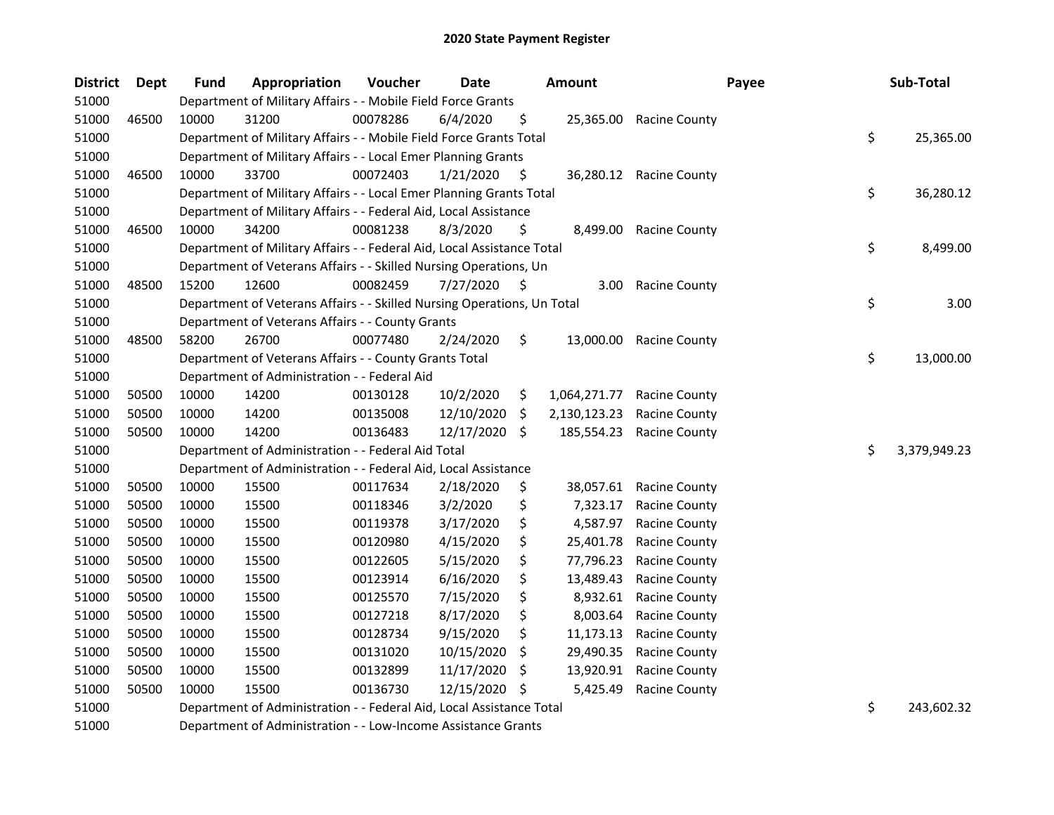| <b>District</b> | Dept  | <b>Fund</b> | Appropriation                                                           | Voucher  | <b>Date</b> |         | <b>Amount</b>     | Payee                   | Sub-Total          |
|-----------------|-------|-------------|-------------------------------------------------------------------------|----------|-------------|---------|-------------------|-------------------------|--------------------|
| 51000           |       |             | Department of Military Affairs - - Mobile Field Force Grants            |          |             |         |                   |                         |                    |
| 51000           | 46500 | 10000       | 31200                                                                   | 00078286 | 6/4/2020    | \$      | 25,365.00         | <b>Racine County</b>    |                    |
| 51000           |       |             | Department of Military Affairs - - Mobile Field Force Grants Total      |          |             |         |                   |                         | \$<br>25,365.00    |
| 51000           |       |             | Department of Military Affairs - - Local Emer Planning Grants           |          |             |         |                   |                         |                    |
| 51000           | 46500 | 10000       | 33700                                                                   | 00072403 | 1/21/2020   | \$      |                   | 36,280.12 Racine County |                    |
| 51000           |       |             | Department of Military Affairs - - Local Emer Planning Grants Total     |          |             |         |                   |                         | \$<br>36,280.12    |
| 51000           |       |             | Department of Military Affairs - - Federal Aid, Local Assistance        |          |             |         |                   |                         |                    |
| 51000           | 46500 | 10000       | 34200                                                                   | 00081238 | 8/3/2020    | \$      | 8,499.00          | <b>Racine County</b>    |                    |
| 51000           |       |             | Department of Military Affairs - - Federal Aid, Local Assistance Total  |          |             |         |                   |                         | \$<br>8,499.00     |
| 51000           |       |             | Department of Veterans Affairs - - Skilled Nursing Operations, Un       |          |             |         |                   |                         |                    |
| 51000           | 48500 | 15200       | 12600                                                                   | 00082459 | 7/27/2020   | \$.     | 3.00 <sub>1</sub> | <b>Racine County</b>    |                    |
| 51000           |       |             | Department of Veterans Affairs - - Skilled Nursing Operations, Un Total |          |             |         |                   |                         | \$<br>3.00         |
| 51000           |       |             | Department of Veterans Affairs - - County Grants                        |          |             |         |                   |                         |                    |
| 51000           | 48500 | 58200       | 26700                                                                   | 00077480 | 2/24/2020   | \$      | 13,000.00         | <b>Racine County</b>    |                    |
| 51000           |       |             | Department of Veterans Affairs - - County Grants Total                  |          |             |         |                   |                         | \$<br>13,000.00    |
| 51000           |       |             | Department of Administration - - Federal Aid                            |          |             |         |                   |                         |                    |
| 51000           | 50500 | 10000       | 14200                                                                   | 00130128 | 10/2/2020   | \$      | 1,064,271.77      | Racine County           |                    |
| 51000           | 50500 | 10000       | 14200                                                                   | 00135008 | 12/10/2020  | \$.     | 2,130,123.23      | <b>Racine County</b>    |                    |
| 51000           | 50500 | 10000       | 14200                                                                   | 00136483 | 12/17/2020  | $\zeta$ | 185,554.23        | <b>Racine County</b>    |                    |
| 51000           |       |             | Department of Administration - - Federal Aid Total                      |          |             |         |                   |                         | \$<br>3,379,949.23 |
| 51000           |       |             | Department of Administration - - Federal Aid, Local Assistance          |          |             |         |                   |                         |                    |
| 51000           | 50500 | 10000       | 15500                                                                   | 00117634 | 2/18/2020   | \$      | 38,057.61         | <b>Racine County</b>    |                    |
| 51000           | 50500 | 10000       | 15500                                                                   | 00118346 | 3/2/2020    | \$      | 7,323.17          | <b>Racine County</b>    |                    |
| 51000           | 50500 | 10000       | 15500                                                                   | 00119378 | 3/17/2020   | \$      | 4,587.97          | Racine County           |                    |
| 51000           | 50500 | 10000       | 15500                                                                   | 00120980 | 4/15/2020   | \$      | 25,401.78         | <b>Racine County</b>    |                    |
| 51000           | 50500 | 10000       | 15500                                                                   | 00122605 | 5/15/2020   | \$      | 77,796.23         | <b>Racine County</b>    |                    |
| 51000           | 50500 | 10000       | 15500                                                                   | 00123914 | 6/16/2020   | \$      | 13,489.43         | <b>Racine County</b>    |                    |
| 51000           | 50500 | 10000       | 15500                                                                   | 00125570 | 7/15/2020   | \$      | 8,932.61          | <b>Racine County</b>    |                    |
| 51000           | 50500 | 10000       | 15500                                                                   | 00127218 | 8/17/2020   | \$      | 8,003.64          | <b>Racine County</b>    |                    |
| 51000           | 50500 | 10000       | 15500                                                                   | 00128734 | 9/15/2020   | \$      | 11,173.13         | <b>Racine County</b>    |                    |
| 51000           | 50500 | 10000       | 15500                                                                   | 00131020 | 10/15/2020  | \$      | 29,490.35         | <b>Racine County</b>    |                    |
| 51000           | 50500 | 10000       | 15500                                                                   | 00132899 | 11/17/2020  | \$.     | 13,920.91         | <b>Racine County</b>    |                    |
| 51000           | 50500 | 10000       | 15500                                                                   | 00136730 | 12/15/2020  | -\$     | 5,425.49          | <b>Racine County</b>    |                    |
| 51000           |       |             | Department of Administration - - Federal Aid, Local Assistance Total    |          |             |         |                   |                         | \$<br>243,602.32   |
| 51000           |       |             | Department of Administration - - Low-Income Assistance Grants           |          |             |         |                   |                         |                    |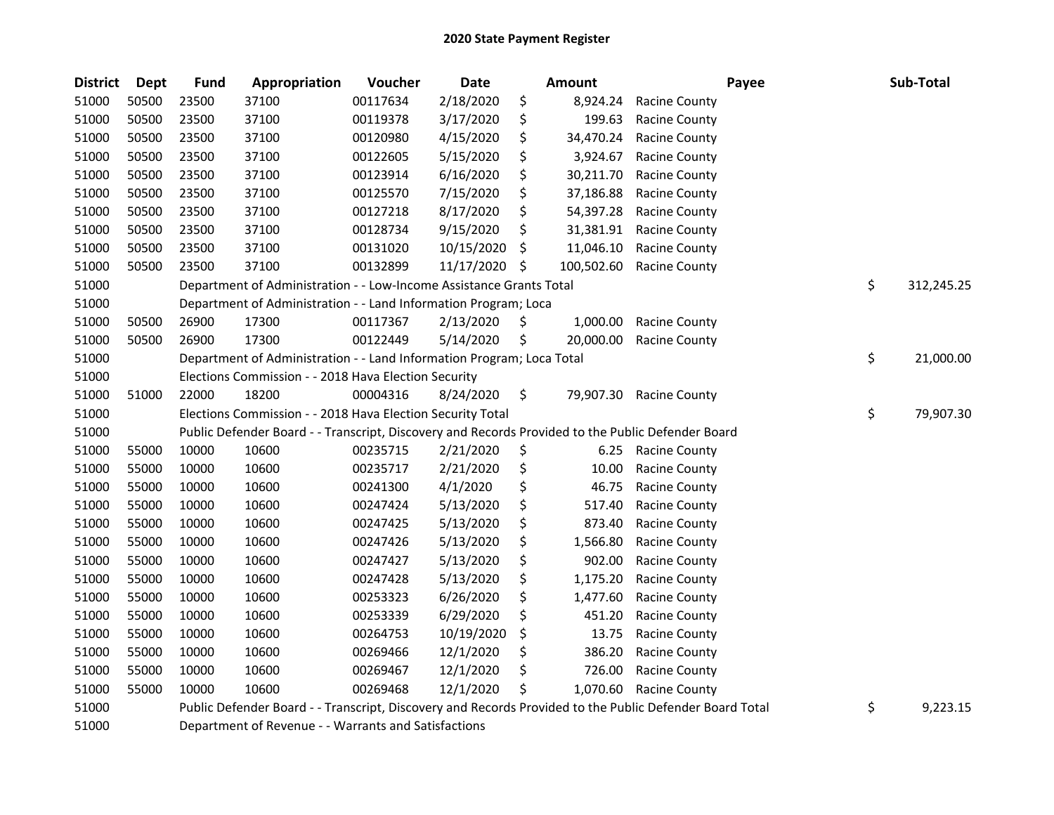| <b>District</b> | <b>Dept</b> | <b>Fund</b> | Appropriation                                                                                                                  | Voucher  | Date       |     | Amount     | Payee                                                                                                   | Sub-Total        |
|-----------------|-------------|-------------|--------------------------------------------------------------------------------------------------------------------------------|----------|------------|-----|------------|---------------------------------------------------------------------------------------------------------|------------------|
| 51000           | 50500       | 23500       | 37100                                                                                                                          | 00117634 | 2/18/2020  | \$  | 8,924.24   | Racine County                                                                                           |                  |
| 51000           | 50500       | 23500       | 37100                                                                                                                          | 00119378 | 3/17/2020  | \$  | 199.63     | <b>Racine County</b>                                                                                    |                  |
| 51000           | 50500       | 23500       | 37100                                                                                                                          | 00120980 | 4/15/2020  | \$  | 34,470.24  | <b>Racine County</b>                                                                                    |                  |
| 51000           | 50500       | 23500       | 37100                                                                                                                          | 00122605 | 5/15/2020  | \$  | 3,924.67   | Racine County                                                                                           |                  |
| 51000           | 50500       | 23500       | 37100                                                                                                                          | 00123914 | 6/16/2020  | \$  | 30,211.70  | <b>Racine County</b>                                                                                    |                  |
| 51000           | 50500       | 23500       | 37100                                                                                                                          | 00125570 | 7/15/2020  | \$  | 37,186.88  | <b>Racine County</b>                                                                                    |                  |
| 51000           | 50500       | 23500       | 37100                                                                                                                          | 00127218 | 8/17/2020  | \$  | 54,397.28  | <b>Racine County</b>                                                                                    |                  |
| 51000           | 50500       | 23500       | 37100                                                                                                                          | 00128734 | 9/15/2020  | \$  | 31,381.91  | <b>Racine County</b>                                                                                    |                  |
| 51000           | 50500       | 23500       | 37100                                                                                                                          | 00131020 | 10/15/2020 | \$  | 11,046.10  | <b>Racine County</b>                                                                                    |                  |
| 51000           | 50500       | 23500       | 37100                                                                                                                          | 00132899 | 11/17/2020 | \$  | 100,502.60 | <b>Racine County</b>                                                                                    |                  |
| 51000           |             |             | Department of Administration - - Low-Income Assistance Grants Total                                                            |          |            |     |            |                                                                                                         | \$<br>312,245.25 |
| 51000           |             |             | Department of Administration - - Land Information Program; Loca                                                                |          |            |     |            |                                                                                                         |                  |
| 51000           | 50500       | 26900       | 17300                                                                                                                          | 00117367 | 2/13/2020  | \$. | 1,000.00   | Racine County                                                                                           |                  |
| 51000           | 50500       | 26900       | 17300                                                                                                                          | 00122449 | 5/14/2020  | \$  | 20,000.00  | <b>Racine County</b>                                                                                    |                  |
| 51000           |             |             | Department of Administration - - Land Information Program; Loca Total                                                          |          |            |     |            |                                                                                                         | \$<br>21,000.00  |
| 51000           |             |             | Elections Commission - - 2018 Hava Election Security                                                                           |          |            |     |            |                                                                                                         |                  |
| 51000           | 51000       | 22000       | 18200                                                                                                                          | 00004316 | 8/24/2020  | \$  | 79,907.30  | <b>Racine County</b>                                                                                    |                  |
| 51000           |             |             | Elections Commission - - 2018 Hava Election Security Total                                                                     |          |            |     |            |                                                                                                         | \$<br>79,907.30  |
| 51000           |             |             | Public Defender Board - - Transcript, Discovery and Records Provided to the Public Defender Board                              |          |            |     |            |                                                                                                         |                  |
| 51000           | 55000       | 10000       | 10600                                                                                                                          | 00235715 | 2/21/2020  | \$  | 6.25       | <b>Racine County</b>                                                                                    |                  |
| 51000           | 55000       | 10000       | 10600                                                                                                                          | 00235717 | 2/21/2020  | \$  | 10.00      | Racine County                                                                                           |                  |
| 51000           | 55000       | 10000       | 10600                                                                                                                          | 00241300 | 4/1/2020   | \$  | 46.75      | Racine County                                                                                           |                  |
| 51000           | 55000       | 10000       | 10600                                                                                                                          | 00247424 | 5/13/2020  | \$  | 517.40     | <b>Racine County</b>                                                                                    |                  |
| 51000           | 55000       | 10000       | 10600                                                                                                                          | 00247425 | 5/13/2020  | \$  | 873.40     | <b>Racine County</b>                                                                                    |                  |
| 51000           | 55000       | 10000       | 10600                                                                                                                          | 00247426 | 5/13/2020  | \$  | 1,566.80   | Racine County                                                                                           |                  |
| 51000           | 55000       | 10000       | 10600                                                                                                                          | 00247427 | 5/13/2020  | \$  | 902.00     | <b>Racine County</b>                                                                                    |                  |
| 51000           | 55000       | 10000       | 10600                                                                                                                          | 00247428 | 5/13/2020  | \$  | 1,175.20   | <b>Racine County</b>                                                                                    |                  |
| 51000           | 55000       | 10000       | 10600                                                                                                                          | 00253323 | 6/26/2020  | \$  | 1,477.60   | <b>Racine County</b>                                                                                    |                  |
| 51000           | 55000       | 10000       | 10600                                                                                                                          | 00253339 | 6/29/2020  | \$  | 451.20     | <b>Racine County</b>                                                                                    |                  |
| 51000           | 55000       | 10000       | 10600                                                                                                                          | 00264753 | 10/19/2020 | \$  | 13.75      | <b>Racine County</b>                                                                                    |                  |
| 51000           | 55000       | 10000       | 10600                                                                                                                          | 00269466 | 12/1/2020  | \$  | 386.20     | <b>Racine County</b>                                                                                    |                  |
| 51000           | 55000       | 10000       | 10600                                                                                                                          | 00269467 | 12/1/2020  | \$  | 726.00     | <b>Racine County</b>                                                                                    |                  |
| 51000           | 55000       | 10000       | 10600                                                                                                                          | 00269468 | 12/1/2020  | \$. | 1,070.60   | <b>Racine County</b>                                                                                    |                  |
| 51000           |             |             |                                                                                                                                |          |            |     |            | Public Defender Board - - Transcript, Discovery and Records Provided to the Public Defender Board Total | \$<br>9,223.15   |
| F4000           |             |             | $\sim$ and $\sim$ CD $\sim$ and $\sim$ and $\sim$ 1.1 $\sim$ and $\sim$ 1.1 $\sim$ 1.1 $\sim$ 1.1 $\sim$ 1.1 $\sim$ 1.1 $\sim$ |          |            |     |            |                                                                                                         |                  |

51000 Department of Revenue - - Warrants and Satisfactions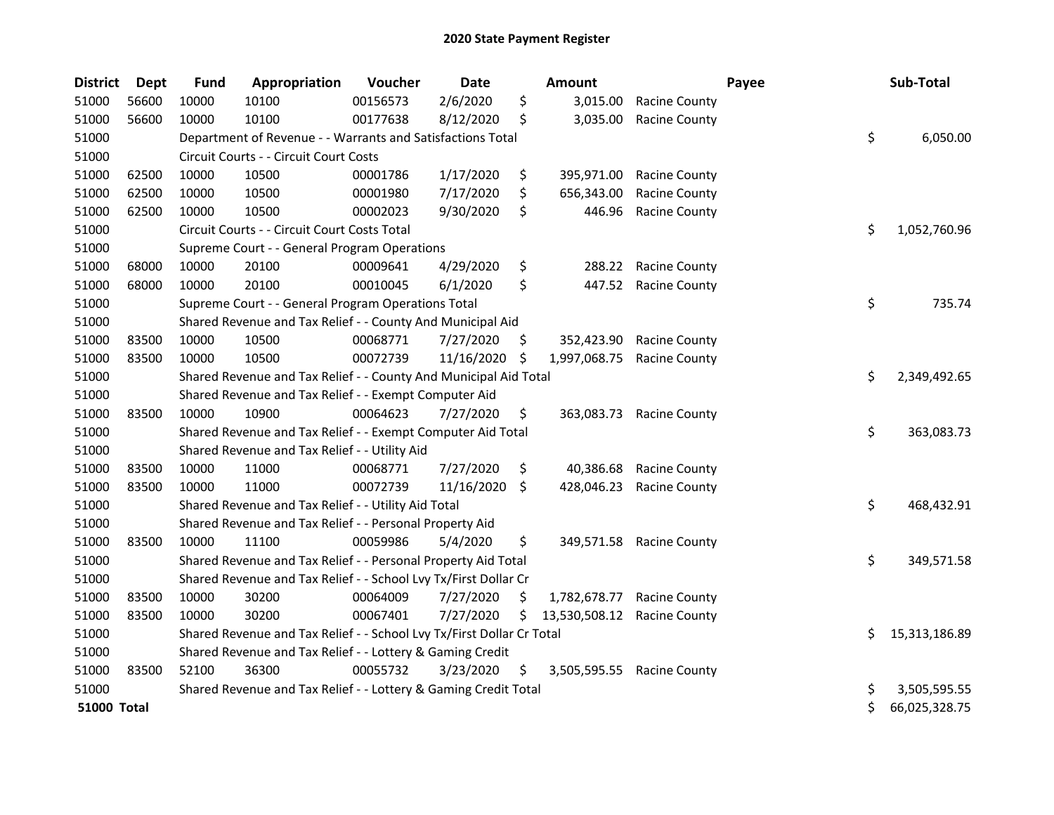| <b>District</b>    | Dept  | <b>Fund</b> | Appropriation                                                         | Voucher  | <b>Date</b> |     | <b>Amount</b> |                      | Payee |    | Sub-Total     |
|--------------------|-------|-------------|-----------------------------------------------------------------------|----------|-------------|-----|---------------|----------------------|-------|----|---------------|
| 51000              | 56600 | 10000       | 10100                                                                 | 00156573 | 2/6/2020    | \$  | 3,015.00      | <b>Racine County</b> |       |    |               |
| 51000              | 56600 | 10000       | 10100                                                                 | 00177638 | 8/12/2020   | \$  | 3,035.00      | <b>Racine County</b> |       |    |               |
| 51000              |       |             | Department of Revenue - - Warrants and Satisfactions Total            |          |             |     |               |                      |       | \$ | 6,050.00      |
| 51000              |       |             | Circuit Courts - - Circuit Court Costs                                |          |             |     |               |                      |       |    |               |
| 51000              | 62500 | 10000       | 10500                                                                 | 00001786 | 1/17/2020   | \$  | 395,971.00    | <b>Racine County</b> |       |    |               |
| 51000              | 62500 | 10000       | 10500                                                                 | 00001980 | 7/17/2020   | \$  | 656,343.00    | <b>Racine County</b> |       |    |               |
| 51000              | 62500 | 10000       | 10500                                                                 | 00002023 | 9/30/2020   | \$  | 446.96        | <b>Racine County</b> |       |    |               |
| 51000              |       |             | Circuit Courts - - Circuit Court Costs Total                          |          |             |     |               |                      |       | \$ | 1,052,760.96  |
| 51000              |       |             | Supreme Court - - General Program Operations                          |          |             |     |               |                      |       |    |               |
| 51000              | 68000 | 10000       | 20100                                                                 | 00009641 | 4/29/2020   | \$  | 288.22        | <b>Racine County</b> |       |    |               |
| 51000              | 68000 | 10000       | 20100                                                                 | 00010045 | 6/1/2020    | \$  | 447.52        | <b>Racine County</b> |       |    |               |
| 51000              |       |             | Supreme Court - - General Program Operations Total                    |          |             |     |               |                      |       | \$ | 735.74        |
| 51000              |       |             | Shared Revenue and Tax Relief - - County And Municipal Aid            |          |             |     |               |                      |       |    |               |
| 51000              | 83500 | 10000       | 10500                                                                 | 00068771 | 7/27/2020   | \$  | 352,423.90    | <b>Racine County</b> |       |    |               |
| 51000              | 83500 | 10000       | 10500                                                                 | 00072739 | 11/16/2020  | \$  | 1,997,068.75  | <b>Racine County</b> |       |    |               |
| 51000              |       |             | Shared Revenue and Tax Relief - - County And Municipal Aid Total      |          |             |     |               |                      |       | \$ | 2,349,492.65  |
| 51000              |       |             | Shared Revenue and Tax Relief - - Exempt Computer Aid                 |          |             |     |               |                      |       |    |               |
| 51000              | 83500 | 10000       | 10900                                                                 | 00064623 | 7/27/2020   | \$  | 363,083.73    | <b>Racine County</b> |       |    |               |
| 51000              |       |             | Shared Revenue and Tax Relief - - Exempt Computer Aid Total           |          |             |     |               |                      |       | \$ | 363,083.73    |
| 51000              |       |             | Shared Revenue and Tax Relief - - Utility Aid                         |          |             |     |               |                      |       |    |               |
| 51000              | 83500 | 10000       | 11000                                                                 | 00068771 | 7/27/2020   | \$. | 40,386.68     | <b>Racine County</b> |       |    |               |
| 51000              | 83500 | 10000       | 11000                                                                 | 00072739 | 11/16/2020  | \$  | 428,046.23    | <b>Racine County</b> |       |    |               |
| 51000              |       |             | Shared Revenue and Tax Relief - - Utility Aid Total                   |          |             |     |               |                      |       | \$ | 468,432.91    |
| 51000              |       |             | Shared Revenue and Tax Relief - - Personal Property Aid               |          |             |     |               |                      |       |    |               |
| 51000              | 83500 | 10000       | 11100                                                                 | 00059986 | 5/4/2020    | \$  | 349,571.58    | <b>Racine County</b> |       |    |               |
| 51000              |       |             | Shared Revenue and Tax Relief - - Personal Property Aid Total         |          |             |     |               |                      |       | \$ | 349,571.58    |
| 51000              |       |             | Shared Revenue and Tax Relief - - School Lvy Tx/First Dollar Cr       |          |             |     |               |                      |       |    |               |
| 51000              | 83500 | 10000       | 30200                                                                 | 00064009 | 7/27/2020   | S   | 1,782,678.77  | <b>Racine County</b> |       |    |               |
| 51000              | 83500 | 10000       | 30200                                                                 | 00067401 | 7/27/2020   | Ś.  | 13,530,508.12 | <b>Racine County</b> |       |    |               |
| 51000              |       |             | Shared Revenue and Tax Relief - - School Lvy Tx/First Dollar Cr Total |          |             |     |               |                      |       | S. | 15,313,186.89 |
| 51000              |       |             | Shared Revenue and Tax Relief - - Lottery & Gaming Credit             |          |             |     |               |                      |       |    |               |
| 51000              | 83500 | 52100       | 36300                                                                 | 00055732 | 3/23/2020   | \$  | 3,505,595.55  | <b>Racine County</b> |       |    |               |
| 51000              |       |             | Shared Revenue and Tax Relief - - Lottery & Gaming Credit Total       |          |             |     |               |                      |       | \$ | 3,505,595.55  |
| <b>51000 Total</b> |       |             |                                                                       |          |             |     |               |                      |       | \$ | 66,025,328.75 |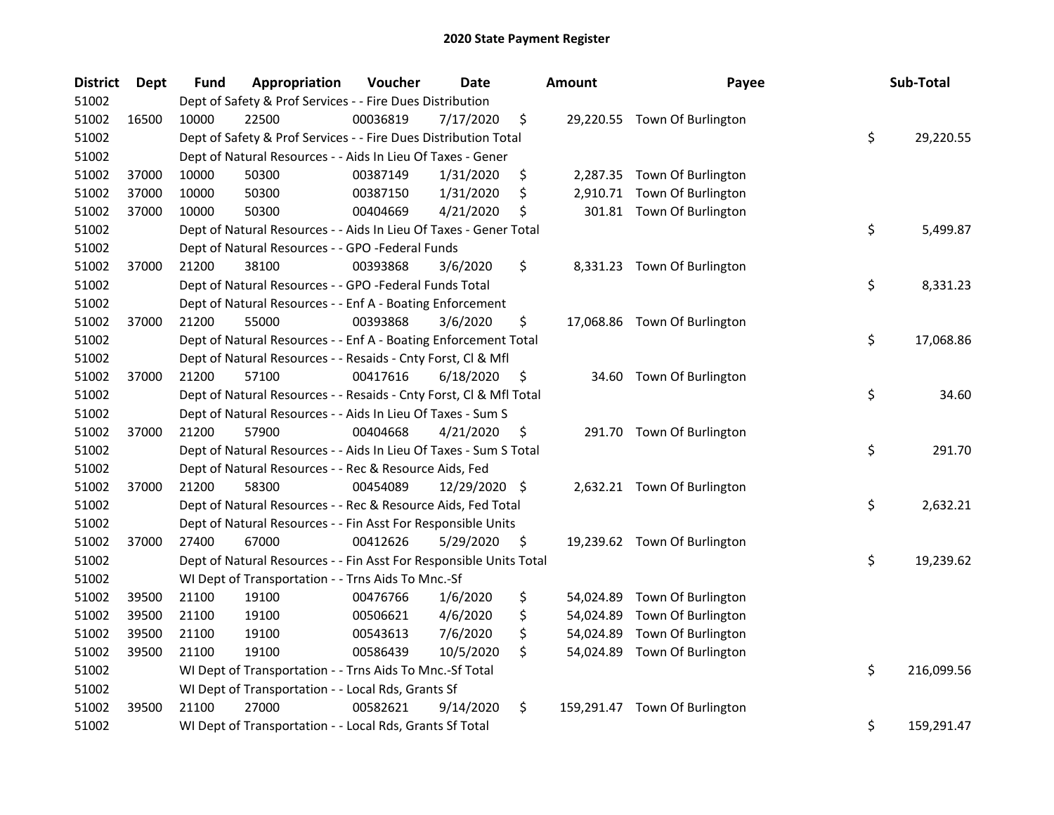| <b>District</b> | Dept  | <b>Fund</b> | Appropriation                                                      | Voucher  | <b>Date</b>   | <b>Amount</b>    | Payee                        | Sub-Total        |
|-----------------|-------|-------------|--------------------------------------------------------------------|----------|---------------|------------------|------------------------------|------------------|
| 51002           |       |             | Dept of Safety & Prof Services - - Fire Dues Distribution          |          |               |                  |                              |                  |
| 51002           | 16500 | 10000       | 22500                                                              | 00036819 | 7/17/2020     | \$               | 29,220.55 Town Of Burlington |                  |
| 51002           |       |             | Dept of Safety & Prof Services - - Fire Dues Distribution Total    |          |               |                  |                              | \$<br>29,220.55  |
| 51002           |       |             | Dept of Natural Resources - - Aids In Lieu Of Taxes - Gener        |          |               |                  |                              |                  |
| 51002           | 37000 | 10000       | 50300                                                              | 00387149 | 1/31/2020     | \$               | 2,287.35 Town Of Burlington  |                  |
| 51002           | 37000 | 10000       | 50300                                                              | 00387150 | 1/31/2020     | \$<br>2,910.71   | Town Of Burlington           |                  |
| 51002           | 37000 | 10000       | 50300                                                              | 00404669 | 4/21/2020     | \$               | 301.81 Town Of Burlington    |                  |
| 51002           |       |             | Dept of Natural Resources - - Aids In Lieu Of Taxes - Gener Total  |          |               |                  |                              | \$<br>5,499.87   |
| 51002           |       |             | Dept of Natural Resources - - GPO -Federal Funds                   |          |               |                  |                              |                  |
| 51002           | 37000 | 21200       | 38100                                                              | 00393868 | 3/6/2020      | \$               | 8,331.23 Town Of Burlington  |                  |
| 51002           |       |             | Dept of Natural Resources - - GPO -Federal Funds Total             |          |               |                  |                              | \$<br>8,331.23   |
| 51002           |       |             | Dept of Natural Resources - - Enf A - Boating Enforcement          |          |               |                  |                              |                  |
| 51002           | 37000 | 21200       | 55000                                                              | 00393868 | 3/6/2020      | \$               | 17,068.86 Town Of Burlington |                  |
| 51002           |       |             | Dept of Natural Resources - - Enf A - Boating Enforcement Total    |          |               |                  |                              | \$<br>17,068.86  |
| 51002           |       |             | Dept of Natural Resources - - Resaids - Cnty Forst, Cl & Mfl       |          |               |                  |                              |                  |
| 51002           | 37000 | 21200       | 57100                                                              | 00417616 | 6/18/2020     | \$<br>34.60      | Town Of Burlington           |                  |
| 51002           |       |             | Dept of Natural Resources - - Resaids - Cnty Forst, Cl & Mfl Total |          |               |                  |                              | \$<br>34.60      |
| 51002           |       |             | Dept of Natural Resources - - Aids In Lieu Of Taxes - Sum S        |          |               |                  |                              |                  |
| 51002           | 37000 | 21200       | 57900                                                              | 00404668 | 4/21/2020     | \$               | 291.70 Town Of Burlington    |                  |
| 51002           |       |             | Dept of Natural Resources - - Aids In Lieu Of Taxes - Sum S Total  |          |               |                  |                              | \$<br>291.70     |
| 51002           |       |             | Dept of Natural Resources - - Rec & Resource Aids, Fed             |          |               |                  |                              |                  |
| 51002           | 37000 | 21200       | 58300                                                              | 00454089 | 12/29/2020 \$ |                  | 2,632.21 Town Of Burlington  |                  |
| 51002           |       |             | Dept of Natural Resources - - Rec & Resource Aids, Fed Total       |          |               |                  |                              | \$<br>2,632.21   |
| 51002           |       |             | Dept of Natural Resources - - Fin Asst For Responsible Units       |          |               |                  |                              |                  |
| 51002           | 37000 | 27400       | 67000                                                              | 00412626 | 5/29/2020     | \$               | 19,239.62 Town Of Burlington |                  |
| 51002           |       |             | Dept of Natural Resources - - Fin Asst For Responsible Units Total |          |               |                  |                              | \$<br>19,239.62  |
| 51002           |       |             | WI Dept of Transportation - - Trns Aids To Mnc.-Sf                 |          |               |                  |                              |                  |
| 51002           | 39500 | 21100       | 19100                                                              | 00476766 | 1/6/2020      | \$               | 54,024.89 Town Of Burlington |                  |
| 51002           | 39500 | 21100       | 19100                                                              | 00506621 | 4/6/2020      | \$<br>54,024.89  | Town Of Burlington           |                  |
| 51002           | 39500 | 21100       | 19100                                                              | 00543613 | 7/6/2020      | \$<br>54,024.89  | Town Of Burlington           |                  |
| 51002           | 39500 | 21100       | 19100                                                              | 00586439 | 10/5/2020     | \$               | 54,024.89 Town Of Burlington |                  |
| 51002           |       |             | WI Dept of Transportation - - Trns Aids To Mnc.-Sf Total           |          |               |                  |                              | \$<br>216,099.56 |
| 51002           |       |             | WI Dept of Transportation - - Local Rds, Grants Sf                 |          |               |                  |                              |                  |
| 51002           | 39500 | 21100       | 27000                                                              | 00582621 | 9/14/2020     | \$<br>159,291.47 | Town Of Burlington           |                  |
| 51002           |       |             | WI Dept of Transportation - - Local Rds, Grants Sf Total           |          |               |                  |                              | \$<br>159,291.47 |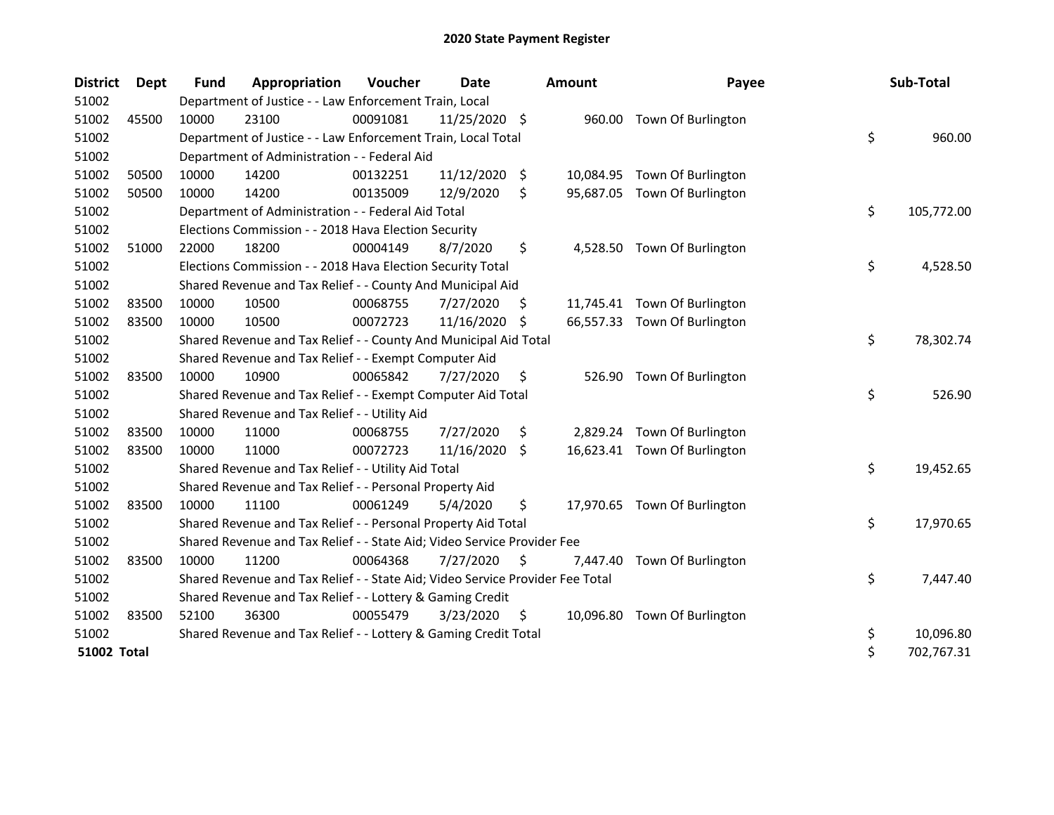| <b>District</b>    | Dept  | <b>Fund</b> | Appropriation                                                                 | Voucher  | Date          |     | <b>Amount</b> | Payee                        | Sub-Total        |
|--------------------|-------|-------------|-------------------------------------------------------------------------------|----------|---------------|-----|---------------|------------------------------|------------------|
| 51002              |       |             | Department of Justice - - Law Enforcement Train, Local                        |          |               |     |               |                              |                  |
| 51002              | 45500 | 10000       | 23100                                                                         | 00091081 | 11/25/2020 \$ |     |               | 960.00 Town Of Burlington    |                  |
| 51002              |       |             | Department of Justice - - Law Enforcement Train, Local Total                  |          |               |     |               |                              | \$<br>960.00     |
| 51002              |       |             | Department of Administration - - Federal Aid                                  |          |               |     |               |                              |                  |
| 51002              | 50500 | 10000       | 14200                                                                         | 00132251 | 11/12/2020    | \$  |               | 10,084.95 Town Of Burlington |                  |
| 51002              | 50500 | 10000       | 14200                                                                         | 00135009 | 12/9/2020     | \$  |               | 95,687.05 Town Of Burlington |                  |
| 51002              |       |             | Department of Administration - - Federal Aid Total                            |          |               |     |               |                              | \$<br>105,772.00 |
| 51002              |       |             | Elections Commission - - 2018 Hava Election Security                          |          |               |     |               |                              |                  |
| 51002              | 51000 | 22000       | 18200                                                                         | 00004149 | 8/7/2020      | \$  | 4,528.50      | Town Of Burlington           |                  |
| 51002              |       |             | Elections Commission - - 2018 Hava Election Security Total                    |          |               |     |               |                              | \$<br>4,528.50   |
| 51002              |       |             | Shared Revenue and Tax Relief - - County And Municipal Aid                    |          |               |     |               |                              |                  |
| 51002              | 83500 | 10000       | 10500                                                                         | 00068755 | 7/27/2020     | \$. |               | 11,745.41 Town Of Burlington |                  |
| 51002              | 83500 | 10000       | 10500                                                                         | 00072723 | 11/16/2020    | -S  |               | 66,557.33 Town Of Burlington |                  |
| 51002              |       |             | Shared Revenue and Tax Relief - - County And Municipal Aid Total              |          |               |     |               |                              | \$<br>78,302.74  |
| 51002              |       |             | Shared Revenue and Tax Relief - - Exempt Computer Aid                         |          |               |     |               |                              |                  |
| 51002              | 83500 | 10000       | 10900                                                                         | 00065842 | 7/27/2020     | \$  | 526.90        | Town Of Burlington           |                  |
| 51002              |       |             | Shared Revenue and Tax Relief - - Exempt Computer Aid Total                   |          |               |     |               |                              | \$<br>526.90     |
| 51002              |       |             | Shared Revenue and Tax Relief - - Utility Aid                                 |          |               |     |               |                              |                  |
| 51002              | 83500 | 10000       | 11000                                                                         | 00068755 | 7/27/2020     | \$  |               | 2,829.24 Town Of Burlington  |                  |
| 51002              | 83500 | 10000       | 11000                                                                         | 00072723 | 11/16/2020    | \$  |               | 16,623.41 Town Of Burlington |                  |
| 51002              |       |             | Shared Revenue and Tax Relief - - Utility Aid Total                           |          |               |     |               |                              | \$<br>19,452.65  |
| 51002              |       |             | Shared Revenue and Tax Relief - - Personal Property Aid                       |          |               |     |               |                              |                  |
| 51002              | 83500 | 10000       | 11100                                                                         | 00061249 | 5/4/2020      | \$  |               | 17,970.65 Town Of Burlington |                  |
| 51002              |       |             | Shared Revenue and Tax Relief - - Personal Property Aid Total                 |          |               |     |               |                              | \$<br>17,970.65  |
| 51002              |       |             | Shared Revenue and Tax Relief - - State Aid; Video Service Provider Fee       |          |               |     |               |                              |                  |
| 51002              | 83500 | 10000       | 11200                                                                         | 00064368 | 7/27/2020     | \$. |               | 7,447.40 Town Of Burlington  |                  |
| 51002              |       |             | Shared Revenue and Tax Relief - - State Aid; Video Service Provider Fee Total |          |               |     |               |                              | \$<br>7,447.40   |
| 51002              |       |             | Shared Revenue and Tax Relief - - Lottery & Gaming Credit                     |          |               |     |               |                              |                  |
| 51002              | 83500 | 52100       | 36300                                                                         | 00055479 | 3/23/2020     | \$  |               | 10,096.80 Town Of Burlington |                  |
| 51002              |       |             | Shared Revenue and Tax Relief - - Lottery & Gaming Credit Total               |          |               |     |               |                              | \$<br>10,096.80  |
| <b>51002 Total</b> |       |             |                                                                               |          |               |     |               |                              | \$<br>702,767.31 |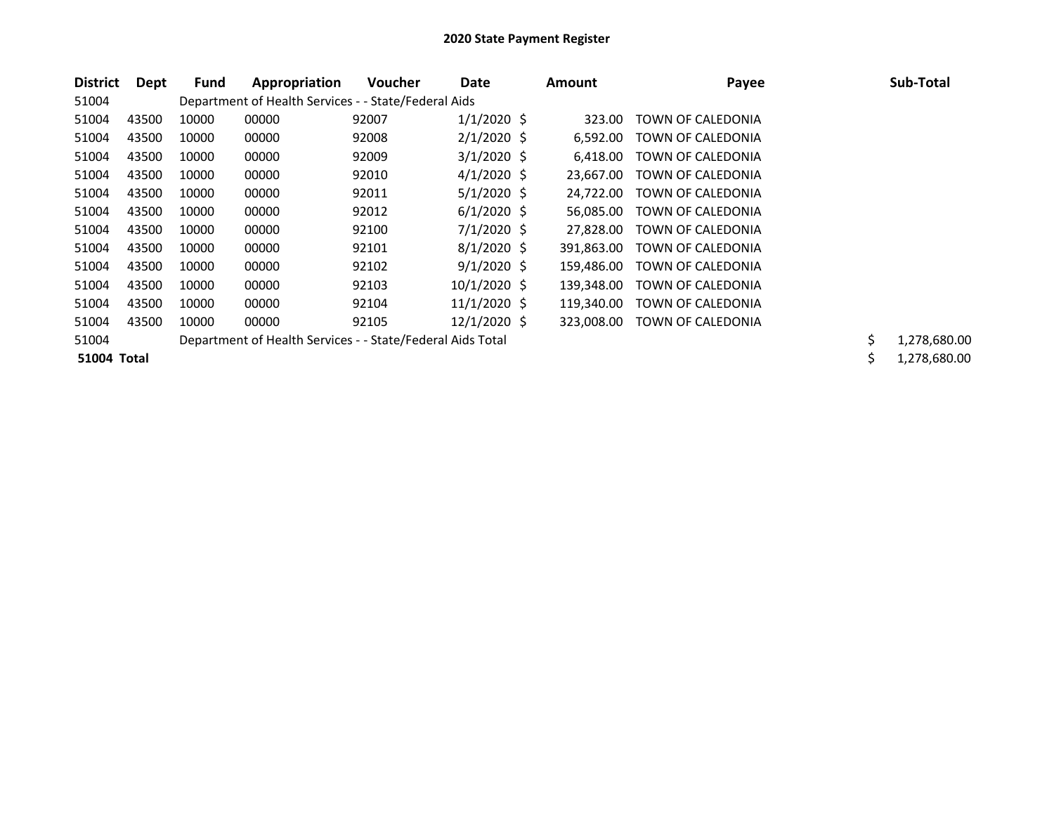| <b>District</b> | Dept  | Fund  | Appropriation                                              | Voucher | Date           | Amount     | Payee             |     | Sub-Total    |
|-----------------|-------|-------|------------------------------------------------------------|---------|----------------|------------|-------------------|-----|--------------|
| 51004           |       |       | Department of Health Services - - State/Federal Aids       |         |                |            |                   |     |              |
| 51004           | 43500 | 10000 | 00000                                                      | 92007   | $1/1/2020$ \$  | 323.00     | TOWN OF CALEDONIA |     |              |
| 51004           | 43500 | 10000 | 00000                                                      | 92008   | $2/1/2020$ \$  | 6.592.00   | TOWN OF CALEDONIA |     |              |
| 51004           | 43500 | 10000 | 00000                                                      | 92009   | $3/1/2020$ \$  | 6,418.00   | TOWN OF CALEDONIA |     |              |
| 51004           | 43500 | 10000 | 00000                                                      | 92010   | $4/1/2020$ \$  | 23,667.00  | TOWN OF CALEDONIA |     |              |
| 51004           | 43500 | 10000 | 00000                                                      | 92011   | $5/1/2020$ \$  | 24.722.00  | TOWN OF CALEDONIA |     |              |
| 51004           | 43500 | 10000 | 00000                                                      | 92012   | $6/1/2020$ \$  | 56,085.00  | TOWN OF CALEDONIA |     |              |
| 51004           | 43500 | 10000 | 00000                                                      | 92100   | $7/1/2020$ \$  | 27.828.00  | TOWN OF CALEDONIA |     |              |
| 51004           | 43500 | 10000 | 00000                                                      | 92101   | $8/1/2020$ \$  | 391.863.00 | TOWN OF CALEDONIA |     |              |
| 51004           | 43500 | 10000 | 00000                                                      | 92102   | $9/1/2020$ \$  | 159,486.00 | TOWN OF CALEDONIA |     |              |
| 51004           | 43500 | 10000 | 00000                                                      | 92103   | $10/1/2020$ \$ | 139.348.00 | TOWN OF CALEDONIA |     |              |
| 51004           | 43500 | 10000 | 00000                                                      | 92104   | $11/1/2020$ \$ | 119.340.00 | TOWN OF CALEDONIA |     |              |
| 51004           | 43500 | 10000 | 00000                                                      | 92105   | $12/1/2020$ \$ | 323,008.00 | TOWN OF CALEDONIA |     |              |
| 51004           |       |       | Department of Health Services - - State/Federal Aids Total |         |                |            |                   | \$. | 1,278,680.00 |
| 51004 Total     |       |       |                                                            |         |                |            |                   |     | 1,278,680.00 |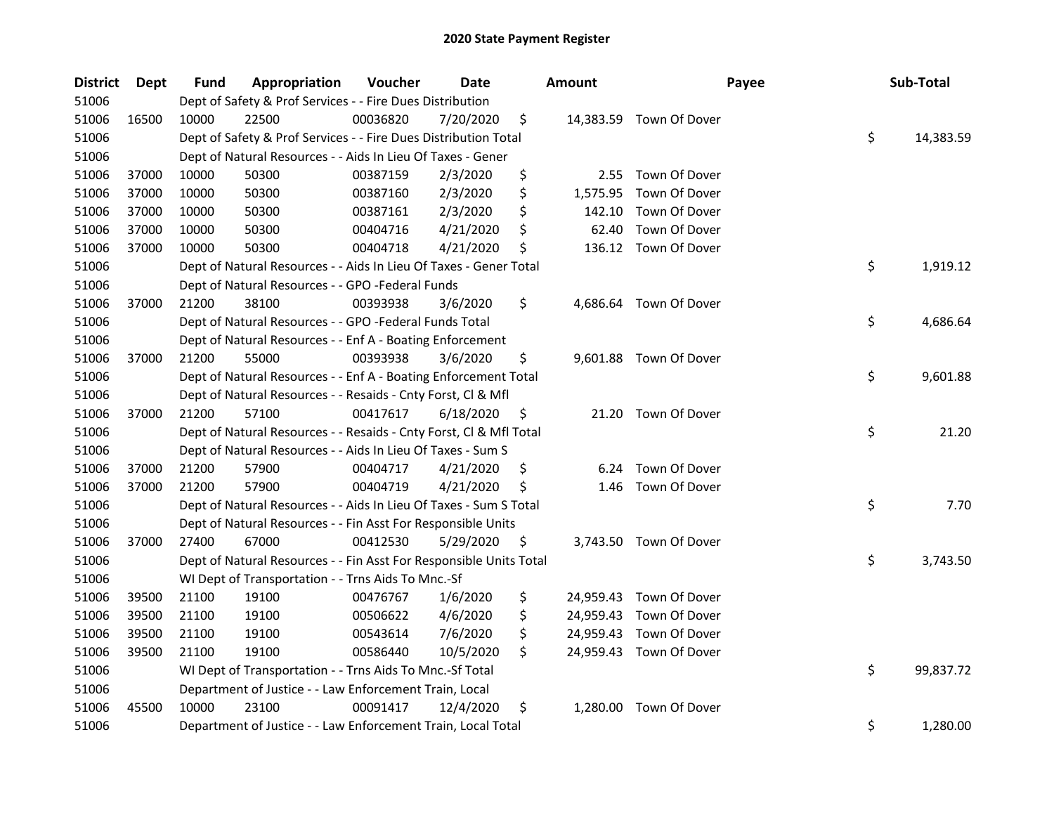| <b>District</b> | Dept  | <b>Fund</b> | Appropriation                                                      | Voucher  | Date      | <b>Amount</b>  | Payee                   | Sub-Total       |
|-----------------|-------|-------------|--------------------------------------------------------------------|----------|-----------|----------------|-------------------------|-----------------|
| 51006           |       |             | Dept of Safety & Prof Services - - Fire Dues Distribution          |          |           |                |                         |                 |
| 51006           | 16500 | 10000       | 22500                                                              | 00036820 | 7/20/2020 | \$             | 14,383.59 Town Of Dover |                 |
| 51006           |       |             | Dept of Safety & Prof Services - - Fire Dues Distribution Total    |          |           |                |                         | \$<br>14,383.59 |
| 51006           |       |             | Dept of Natural Resources - - Aids In Lieu Of Taxes - Gener        |          |           |                |                         |                 |
| 51006           | 37000 | 10000       | 50300                                                              | 00387159 | 2/3/2020  | \$             | 2.55 Town Of Dover      |                 |
| 51006           | 37000 | 10000       | 50300                                                              | 00387160 | 2/3/2020  | \$<br>1,575.95 | Town Of Dover           |                 |
| 51006           | 37000 | 10000       | 50300                                                              | 00387161 | 2/3/2020  | \$<br>142.10   | Town Of Dover           |                 |
| 51006           | 37000 | 10000       | 50300                                                              | 00404716 | 4/21/2020 | \$<br>62.40    | Town Of Dover           |                 |
| 51006           | 37000 | 10000       | 50300                                                              | 00404718 | 4/21/2020 | \$             | 136.12 Town Of Dover    |                 |
| 51006           |       |             | Dept of Natural Resources - - Aids In Lieu Of Taxes - Gener Total  |          |           |                |                         | \$<br>1,919.12  |
| 51006           |       |             | Dept of Natural Resources - - GPO -Federal Funds                   |          |           |                |                         |                 |
| 51006           | 37000 | 21200       | 38100                                                              | 00393938 | 3/6/2020  | \$             | 4,686.64 Town Of Dover  |                 |
| 51006           |       |             | Dept of Natural Resources - - GPO -Federal Funds Total             |          |           |                |                         | \$<br>4,686.64  |
| 51006           |       |             | Dept of Natural Resources - - Enf A - Boating Enforcement          |          |           |                |                         |                 |
| 51006           | 37000 | 21200       | 55000                                                              | 00393938 | 3/6/2020  | \$             | 9,601.88 Town Of Dover  |                 |
| 51006           |       |             | Dept of Natural Resources - - Enf A - Boating Enforcement Total    |          |           |                |                         | \$<br>9,601.88  |
| 51006           |       |             | Dept of Natural Resources - - Resaids - Cnty Forst, Cl & Mfl       |          |           |                |                         |                 |
| 51006           | 37000 | 21200       | 57100                                                              | 00417617 | 6/18/2020 | \$<br>21.20    | Town Of Dover           |                 |
| 51006           |       |             | Dept of Natural Resources - - Resaids - Cnty Forst, Cl & Mfl Total |          |           |                |                         | \$<br>21.20     |
| 51006           |       |             | Dept of Natural Resources - - Aids In Lieu Of Taxes - Sum S        |          |           |                |                         |                 |
| 51006           | 37000 | 21200       | 57900                                                              | 00404717 | 4/21/2020 | \$<br>6.24     | Town Of Dover           |                 |
| 51006           | 37000 | 21200       | 57900                                                              | 00404719 | 4/21/2020 | \$<br>1.46     | Town Of Dover           |                 |
| 51006           |       |             | Dept of Natural Resources - - Aids In Lieu Of Taxes - Sum S Total  |          |           |                |                         | \$<br>7.70      |
| 51006           |       |             | Dept of Natural Resources - - Fin Asst For Responsible Units       |          |           |                |                         |                 |
| 51006           | 37000 | 27400       | 67000                                                              | 00412530 | 5/29/2020 | \$             | 3,743.50 Town Of Dover  |                 |
| 51006           |       |             | Dept of Natural Resources - - Fin Asst For Responsible Units Total |          |           |                |                         | \$<br>3,743.50  |
| 51006           |       |             | WI Dept of Transportation - - Trns Aids To Mnc.-Sf                 |          |           |                |                         |                 |
| 51006           | 39500 | 21100       | 19100                                                              | 00476767 | 1/6/2020  | \$             | 24,959.43 Town Of Dover |                 |
| 51006           | 39500 | 21100       | 19100                                                              | 00506622 | 4/6/2020  | \$             | 24,959.43 Town Of Dover |                 |
| 51006           | 39500 | 21100       | 19100                                                              | 00543614 | 7/6/2020  | \$             | 24,959.43 Town Of Dover |                 |
| 51006           | 39500 | 21100       | 19100                                                              | 00586440 | 10/5/2020 | \$             | 24,959.43 Town Of Dover |                 |
| 51006           |       |             | WI Dept of Transportation - - Trns Aids To Mnc.-Sf Total           |          |           |                |                         | \$<br>99,837.72 |
| 51006           |       |             | Department of Justice - - Law Enforcement Train, Local             |          |           |                |                         |                 |
| 51006           | 45500 | 10000       | 23100                                                              | 00091417 | 12/4/2020 | \$<br>1.280.00 | Town Of Dover           |                 |
| 51006           |       |             | Department of Justice - - Law Enforcement Train, Local Total       |          |           |                |                         | \$<br>1,280.00  |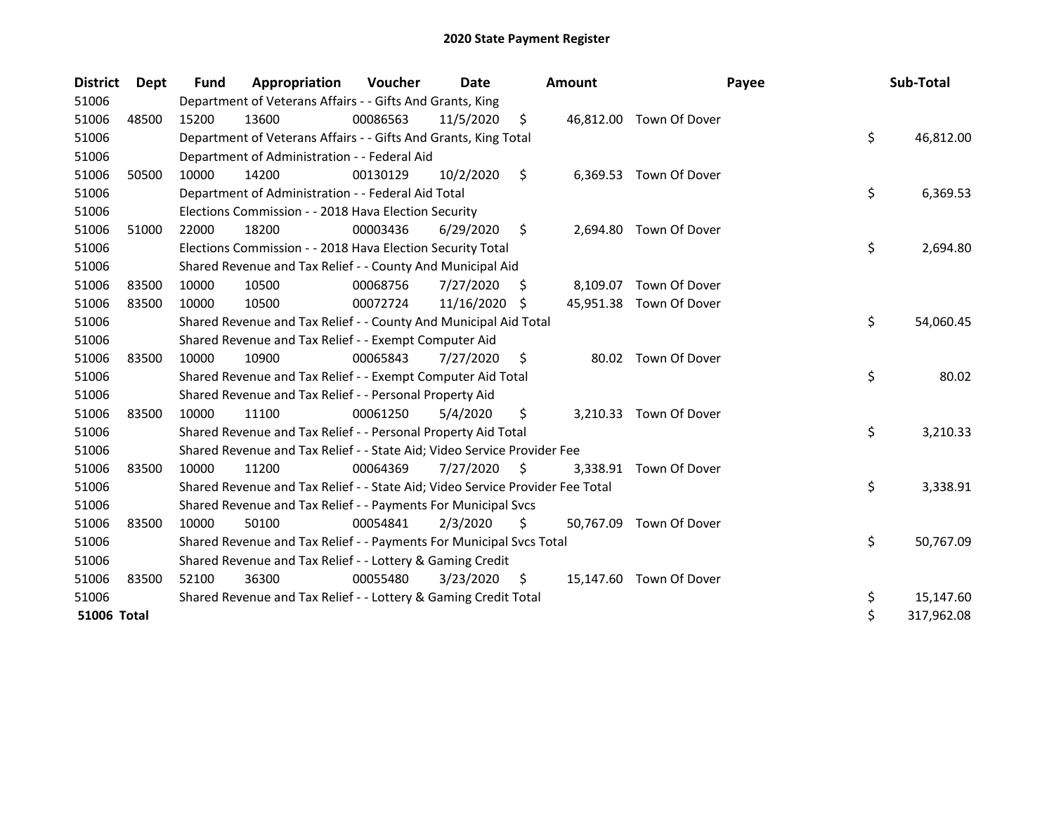| <b>District</b>    | <b>Dept</b> | <b>Fund</b> | Appropriation                                                                 | <b>Voucher</b> | Date       |     | <b>Amount</b> | Payee                   | Sub-Total        |
|--------------------|-------------|-------------|-------------------------------------------------------------------------------|----------------|------------|-----|---------------|-------------------------|------------------|
| 51006              |             |             | Department of Veterans Affairs - - Gifts And Grants, King                     |                |            |     |               |                         |                  |
| 51006              | 48500       | 15200       | 13600                                                                         | 00086563       | 11/5/2020  | \$  |               | 46,812.00 Town Of Dover |                  |
| 51006              |             |             | Department of Veterans Affairs - - Gifts And Grants, King Total               |                |            |     |               |                         | \$<br>46,812.00  |
| 51006              |             |             | Department of Administration - - Federal Aid                                  |                |            |     |               |                         |                  |
| 51006              | 50500       | 10000       | 14200                                                                         | 00130129       | 10/2/2020  | \$  |               | 6,369.53 Town Of Dover  |                  |
| 51006              |             |             | Department of Administration - - Federal Aid Total                            |                |            |     |               |                         | \$<br>6,369.53   |
| 51006              |             |             | Elections Commission - - 2018 Hava Election Security                          |                |            |     |               |                         |                  |
| 51006              | 51000       | 22000       | 18200                                                                         | 00003436       | 6/29/2020  | \$  | 2,694.80      | Town Of Dover           |                  |
| 51006              |             |             | Elections Commission - - 2018 Hava Election Security Total                    |                |            |     |               |                         | \$<br>2,694.80   |
| 51006              |             |             | Shared Revenue and Tax Relief - - County And Municipal Aid                    |                |            |     |               |                         |                  |
| 51006              | 83500       | 10000       | 10500                                                                         | 00068756       | 7/27/2020  | \$  | 8,109.07      | Town Of Dover           |                  |
| 51006              | 83500       | 10000       | 10500                                                                         | 00072724       | 11/16/2020 | -S  |               | 45,951.38 Town Of Dover |                  |
| 51006              |             |             | Shared Revenue and Tax Relief - - County And Municipal Aid Total              |                |            |     |               |                         | \$<br>54,060.45  |
| 51006              |             |             | Shared Revenue and Tax Relief - - Exempt Computer Aid                         |                |            |     |               |                         |                  |
| 51006              | 83500       | 10000       | 10900                                                                         | 00065843       | 7/27/2020  | \$  |               | 80.02 Town Of Dover     |                  |
| 51006              |             |             | Shared Revenue and Tax Relief - - Exempt Computer Aid Total                   |                |            |     |               |                         | \$<br>80.02      |
| 51006              |             |             | Shared Revenue and Tax Relief - - Personal Property Aid                       |                |            |     |               |                         |                  |
| 51006              | 83500       | 10000       | 11100                                                                         | 00061250       | 5/4/2020   | \$  | 3,210.33      | Town Of Dover           |                  |
| 51006              |             |             | Shared Revenue and Tax Relief - - Personal Property Aid Total                 |                |            |     |               |                         | \$<br>3,210.33   |
| 51006              |             |             | Shared Revenue and Tax Relief - - State Aid; Video Service Provider Fee       |                |            |     |               |                         |                  |
| 51006              | 83500       | 10000       | 11200                                                                         | 00064369       | 7/27/2020  | \$  |               | 3,338.91 Town Of Dover  |                  |
| 51006              |             |             | Shared Revenue and Tax Relief - - State Aid; Video Service Provider Fee Total |                |            |     |               |                         | \$<br>3,338.91   |
| 51006              |             |             | Shared Revenue and Tax Relief - - Payments For Municipal Svcs                 |                |            |     |               |                         |                  |
| 51006              | 83500       | 10000       | 50100                                                                         | 00054841       | 2/3/2020   | Ś.  | 50,767.09     | Town Of Dover           |                  |
| 51006              |             |             | Shared Revenue and Tax Relief - - Payments For Municipal Svcs Total           |                |            |     |               |                         | \$<br>50,767.09  |
| 51006              |             |             | Shared Revenue and Tax Relief - - Lottery & Gaming Credit                     |                |            |     |               |                         |                  |
| 51006              | 83500       | 52100       | 36300                                                                         | 00055480       | 3/23/2020  | \$. |               | 15,147.60 Town Of Dover |                  |
| 51006              |             |             | Shared Revenue and Tax Relief - - Lottery & Gaming Credit Total               |                |            |     |               |                         | \$<br>15,147.60  |
| <b>51006 Total</b> |             |             |                                                                               |                |            |     |               |                         | \$<br>317,962.08 |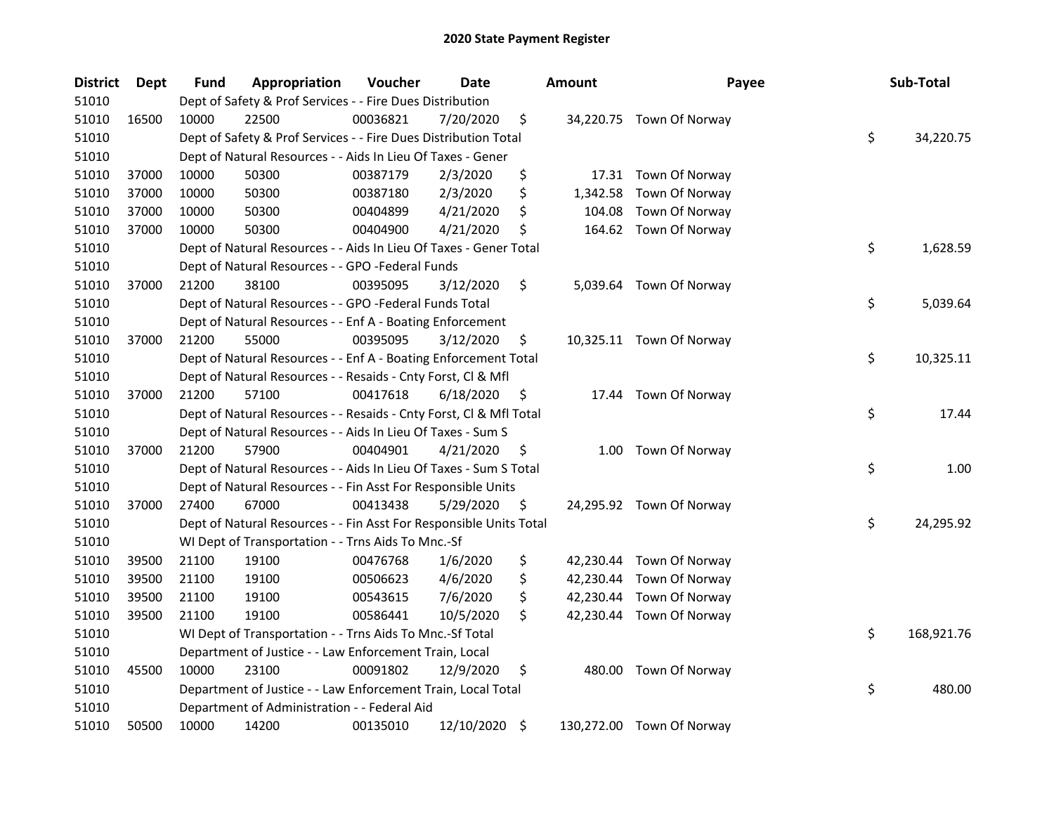| <b>District</b> | Dept  | <b>Fund</b> | Appropriation                                                      | Voucher  | Date          | <b>Amount</b>  | Payee                     | Sub-Total        |
|-----------------|-------|-------------|--------------------------------------------------------------------|----------|---------------|----------------|---------------------------|------------------|
| 51010           |       |             | Dept of Safety & Prof Services - - Fire Dues Distribution          |          |               |                |                           |                  |
| 51010           | 16500 | 10000       | 22500                                                              | 00036821 | 7/20/2020     | \$             | 34,220.75 Town Of Norway  |                  |
| 51010           |       |             | Dept of Safety & Prof Services - - Fire Dues Distribution Total    |          |               |                |                           | \$<br>34,220.75  |
| 51010           |       |             | Dept of Natural Resources - - Aids In Lieu Of Taxes - Gener        |          |               |                |                           |                  |
| 51010           | 37000 | 10000       | 50300                                                              | 00387179 | 2/3/2020      | \$             | 17.31 Town Of Norway      |                  |
| 51010           | 37000 | 10000       | 50300                                                              | 00387180 | 2/3/2020      | \$<br>1,342.58 | Town Of Norway            |                  |
| 51010           | 37000 | 10000       | 50300                                                              | 00404899 | 4/21/2020     | \$<br>104.08   | Town Of Norway            |                  |
| 51010           | 37000 | 10000       | 50300                                                              | 00404900 | 4/21/2020     | \$             | 164.62 Town Of Norway     |                  |
| 51010           |       |             | Dept of Natural Resources - - Aids In Lieu Of Taxes - Gener Total  |          |               |                |                           | \$<br>1,628.59   |
| 51010           |       |             | Dept of Natural Resources - - GPO -Federal Funds                   |          |               |                |                           |                  |
| 51010           | 37000 | 21200       | 38100                                                              | 00395095 | 3/12/2020     | \$             | 5,039.64 Town Of Norway   |                  |
| 51010           |       |             | Dept of Natural Resources - - GPO -Federal Funds Total             |          |               |                |                           | \$<br>5,039.64   |
| 51010           |       |             | Dept of Natural Resources - - Enf A - Boating Enforcement          |          |               |                |                           |                  |
| 51010           | 37000 | 21200       | 55000                                                              | 00395095 | 3/12/2020     | \$             | 10,325.11 Town Of Norway  |                  |
| 51010           |       |             | Dept of Natural Resources - - Enf A - Boating Enforcement Total    |          |               |                |                           | \$<br>10,325.11  |
| 51010           |       |             | Dept of Natural Resources - - Resaids - Cnty Forst, Cl & Mfl       |          |               |                |                           |                  |
| 51010           | 37000 | 21200       | 57100                                                              | 00417618 | 6/18/2020     | \$<br>17.44    | Town Of Norway            |                  |
| 51010           |       |             | Dept of Natural Resources - - Resaids - Cnty Forst, Cl & Mfl Total |          |               |                |                           | \$<br>17.44      |
| 51010           |       |             | Dept of Natural Resources - - Aids In Lieu Of Taxes - Sum S        |          |               |                |                           |                  |
| 51010           | 37000 | 21200       | 57900                                                              | 00404901 | 4/21/2020     | \$<br>1.00     | Town Of Norway            |                  |
| 51010           |       |             | Dept of Natural Resources - - Aids In Lieu Of Taxes - Sum S Total  |          |               |                |                           | \$<br>1.00       |
| 51010           |       |             | Dept of Natural Resources - - Fin Asst For Responsible Units       |          |               |                |                           |                  |
| 51010           | 37000 | 27400       | 67000                                                              | 00413438 | 5/29/2020     | \$             | 24,295.92 Town Of Norway  |                  |
| 51010           |       |             | Dept of Natural Resources - - Fin Asst For Responsible Units Total |          |               |                |                           | \$<br>24,295.92  |
| 51010           |       |             | WI Dept of Transportation - - Trns Aids To Mnc.-Sf                 |          |               |                |                           |                  |
| 51010           | 39500 | 21100       | 19100                                                              | 00476768 | 1/6/2020      | \$             | 42,230.44 Town Of Norway  |                  |
| 51010           | 39500 | 21100       | 19100                                                              | 00506623 | 4/6/2020      | \$             | 42,230.44 Town Of Norway  |                  |
| 51010           | 39500 | 21100       | 19100                                                              | 00543615 | 7/6/2020      | \$             | 42,230.44 Town Of Norway  |                  |
| 51010           | 39500 | 21100       | 19100                                                              | 00586441 | 10/5/2020     | \$             | 42,230.44 Town Of Norway  |                  |
| 51010           |       |             | WI Dept of Transportation - - Trns Aids To Mnc.-Sf Total           |          |               |                |                           | \$<br>168,921.76 |
| 51010           |       |             | Department of Justice - - Law Enforcement Train, Local             |          |               |                |                           |                  |
| 51010           | 45500 | 10000       | 23100                                                              | 00091802 | 12/9/2020     | \$             | 480.00 Town Of Norway     |                  |
| 51010           |       |             | Department of Justice - - Law Enforcement Train, Local Total       |          |               |                |                           | \$<br>480.00     |
| 51010           |       |             | Department of Administration - - Federal Aid                       |          |               |                |                           |                  |
| 51010           | 50500 | 10000       | 14200                                                              | 00135010 | 12/10/2020 \$ |                | 130,272.00 Town Of Norway |                  |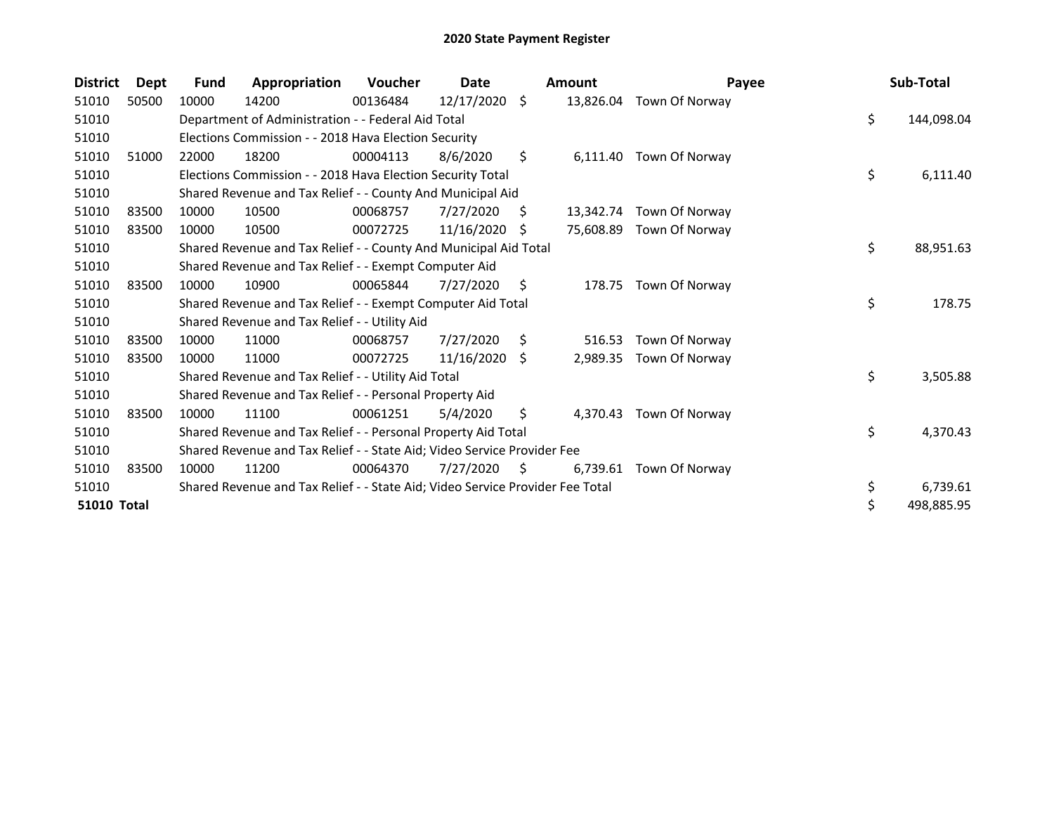| <b>District</b> | <b>Dept</b> | Fund  | Appropriation                                                                 | <b>Voucher</b> | Date          |    | <b>Amount</b> | Payee                    | Sub-Total        |
|-----------------|-------------|-------|-------------------------------------------------------------------------------|----------------|---------------|----|---------------|--------------------------|------------------|
| 51010           | 50500       | 10000 | 14200                                                                         | 00136484       | 12/17/2020 \$ |    |               | 13,826.04 Town Of Norway |                  |
| 51010           |             |       | Department of Administration - - Federal Aid Total                            |                |               |    |               |                          | \$<br>144,098.04 |
| 51010           |             |       | Elections Commission - - 2018 Hava Election Security                          |                |               |    |               |                          |                  |
| 51010           | 51000       | 22000 | 18200                                                                         | 00004113       | 8/6/2020      | \$ | 6,111.40      | Town Of Norway           |                  |
| 51010           |             |       | Elections Commission - - 2018 Hava Election Security Total                    |                |               |    |               |                          | \$<br>6,111.40   |
| 51010           |             |       | Shared Revenue and Tax Relief - - County And Municipal Aid                    |                |               |    |               |                          |                  |
| 51010           | 83500       | 10000 | 10500                                                                         | 00068757       | 7/27/2020     | S  |               | 13,342.74 Town Of Norway |                  |
| 51010           | 83500       | 10000 | 10500                                                                         | 00072725       | 11/16/2020    | -S | 75,608.89     | Town Of Norway           |                  |
| 51010           |             |       | Shared Revenue and Tax Relief - - County And Municipal Aid Total              |                |               |    |               |                          | \$<br>88,951.63  |
| 51010           |             |       | Shared Revenue and Tax Relief - - Exempt Computer Aid                         |                |               |    |               |                          |                  |
| 51010           | 83500       | 10000 | 10900                                                                         | 00065844       | 7/27/2020     | \$ | 178.75        | Town Of Norway           |                  |
| 51010           |             |       | Shared Revenue and Tax Relief - - Exempt Computer Aid Total                   |                |               |    |               |                          | \$<br>178.75     |
| 51010           |             |       | Shared Revenue and Tax Relief - - Utility Aid                                 |                |               |    |               |                          |                  |
| 51010           | 83500       | 10000 | 11000                                                                         | 00068757       | 7/27/2020     | Ŝ. | 516.53        | Town Of Norway           |                  |
| 51010           | 83500       | 10000 | 11000                                                                         | 00072725       | 11/16/2020    | S. | 2,989.35      | Town Of Norway           |                  |
| 51010           |             |       | Shared Revenue and Tax Relief - - Utility Aid Total                           |                |               |    |               |                          | \$<br>3,505.88   |
| 51010           |             |       | Shared Revenue and Tax Relief - - Personal Property Aid                       |                |               |    |               |                          |                  |
| 51010           | 83500       | 10000 | 11100                                                                         | 00061251       | 5/4/2020      | \$ | 4,370.43      | Town Of Norway           |                  |
| 51010           |             |       | Shared Revenue and Tax Relief - - Personal Property Aid Total                 |                |               |    |               |                          | \$<br>4,370.43   |
| 51010           |             |       | Shared Revenue and Tax Relief - - State Aid; Video Service Provider Fee       |                |               |    |               |                          |                  |
| 51010           | 83500       | 10000 | 11200                                                                         | 00064370       | 7/27/2020     | S. | 6.739.61      | Town Of Norway           |                  |
| 51010           |             |       | Shared Revenue and Tax Relief - - State Aid; Video Service Provider Fee Total |                |               |    |               |                          | \$<br>6,739.61   |
| 51010 Total     |             |       |                                                                               |                |               |    |               |                          | \$<br>498,885.95 |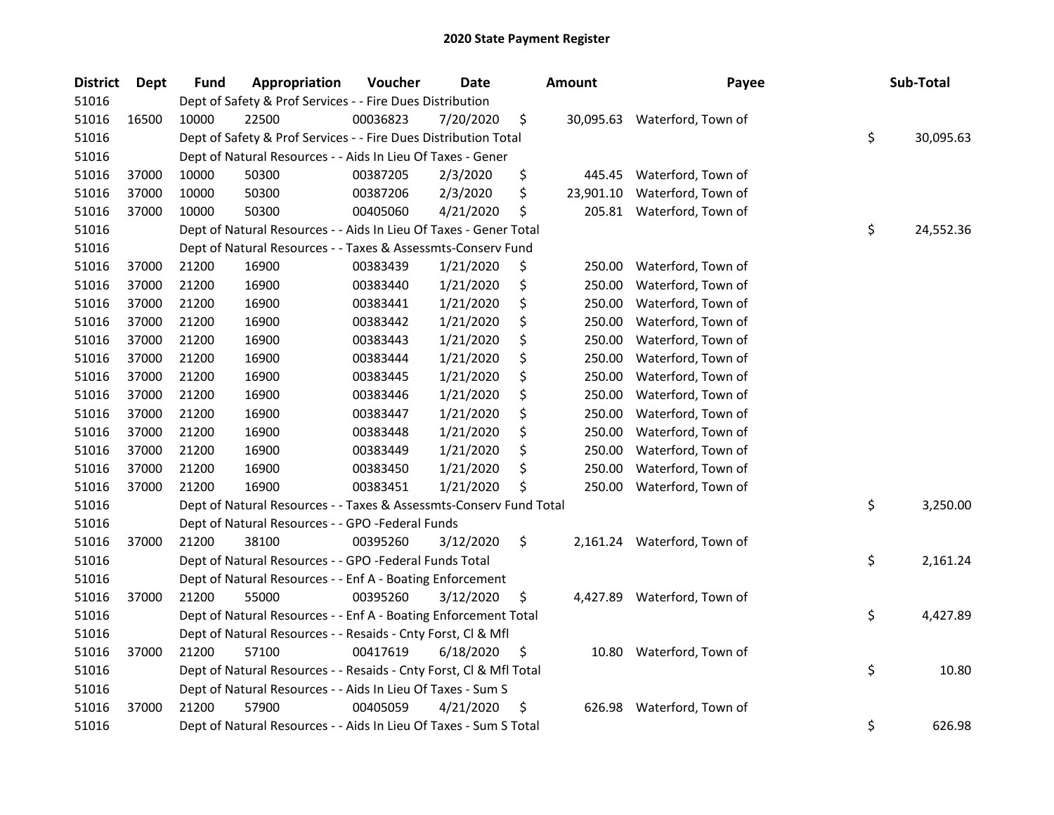| <b>District</b> | <b>Dept</b> | <b>Fund</b> | Appropriation                                                      | Voucher  | <b>Date</b> | <b>Amount</b>   | Payee                        | Sub-Total       |
|-----------------|-------------|-------------|--------------------------------------------------------------------|----------|-------------|-----------------|------------------------------|-----------------|
| 51016           |             |             | Dept of Safety & Prof Services - - Fire Dues Distribution          |          |             |                 |                              |                 |
| 51016           | 16500       | 10000       | 22500                                                              | 00036823 | 7/20/2020   | \$              | 30,095.63 Waterford, Town of |                 |
| 51016           |             |             | Dept of Safety & Prof Services - - Fire Dues Distribution Total    |          |             |                 |                              | \$<br>30,095.63 |
| 51016           |             |             | Dept of Natural Resources - - Aids In Lieu Of Taxes - Gener        |          |             |                 |                              |                 |
| 51016           | 37000       | 10000       | 50300                                                              | 00387205 | 2/3/2020    | \$<br>445.45    | Waterford, Town of           |                 |
| 51016           | 37000       | 10000       | 50300                                                              | 00387206 | 2/3/2020    | \$<br>23,901.10 | Waterford, Town of           |                 |
| 51016           | 37000       | 10000       | 50300                                                              | 00405060 | 4/21/2020   | \$              | 205.81 Waterford, Town of    |                 |
| 51016           |             |             | Dept of Natural Resources - - Aids In Lieu Of Taxes - Gener Total  |          |             |                 |                              | \$<br>24,552.36 |
| 51016           |             |             | Dept of Natural Resources - - Taxes & Assessmts-Conserv Fund       |          |             |                 |                              |                 |
| 51016           | 37000       | 21200       | 16900                                                              | 00383439 | 1/21/2020   | \$<br>250.00    | Waterford, Town of           |                 |
| 51016           | 37000       | 21200       | 16900                                                              | 00383440 | 1/21/2020   | \$<br>250.00    | Waterford, Town of           |                 |
| 51016           | 37000       | 21200       | 16900                                                              | 00383441 | 1/21/2020   | \$<br>250.00    | Waterford, Town of           |                 |
| 51016           | 37000       | 21200       | 16900                                                              | 00383442 | 1/21/2020   | \$<br>250.00    | Waterford, Town of           |                 |
| 51016           | 37000       | 21200       | 16900                                                              | 00383443 | 1/21/2020   | \$<br>250.00    | Waterford, Town of           |                 |
| 51016           | 37000       | 21200       | 16900                                                              | 00383444 | 1/21/2020   | \$<br>250.00    | Waterford, Town of           |                 |
| 51016           | 37000       | 21200       | 16900                                                              | 00383445 | 1/21/2020   | \$<br>250.00    | Waterford, Town of           |                 |
| 51016           | 37000       | 21200       | 16900                                                              | 00383446 | 1/21/2020   | \$<br>250.00    | Waterford, Town of           |                 |
| 51016           | 37000       | 21200       | 16900                                                              | 00383447 | 1/21/2020   | \$<br>250.00    | Waterford, Town of           |                 |
| 51016           | 37000       | 21200       | 16900                                                              | 00383448 | 1/21/2020   | \$<br>250.00    | Waterford, Town of           |                 |
| 51016           | 37000       | 21200       | 16900                                                              | 00383449 | 1/21/2020   | \$<br>250.00    | Waterford, Town of           |                 |
| 51016           | 37000       | 21200       | 16900                                                              | 00383450 | 1/21/2020   | \$<br>250.00    | Waterford, Town of           |                 |
| 51016           | 37000       | 21200       | 16900                                                              | 00383451 | 1/21/2020   | \$<br>250.00    | Waterford, Town of           |                 |
| 51016           |             |             | Dept of Natural Resources - - Taxes & Assessmts-Conserv Fund Total |          |             |                 |                              | \$<br>3,250.00  |
| 51016           |             |             | Dept of Natural Resources - - GPO -Federal Funds                   |          |             |                 |                              |                 |
| 51016           | 37000       | 21200       | 38100                                                              | 00395260 | 3/12/2020   | \$              | 2,161.24 Waterford, Town of  |                 |
| 51016           |             |             | Dept of Natural Resources - - GPO -Federal Funds Total             |          |             |                 |                              | \$<br>2,161.24  |
| 51016           |             |             | Dept of Natural Resources - - Enf A - Boating Enforcement          |          |             |                 |                              |                 |
| 51016           | 37000       | 21200       | 55000                                                              | 00395260 | 3/12/2020   | \$              | 4,427.89 Waterford, Town of  |                 |
| 51016           |             |             | Dept of Natural Resources - - Enf A - Boating Enforcement Total    |          |             |                 |                              | \$<br>4,427.89  |
| 51016           |             |             | Dept of Natural Resources - - Resaids - Cnty Forst, Cl & Mfl       |          |             |                 |                              |                 |
| 51016           | 37000       | 21200       | 57100                                                              | 00417619 | 6/18/2020   | \$<br>10.80     | Waterford, Town of           |                 |
| 51016           |             |             | Dept of Natural Resources - - Resaids - Cnty Forst, Cl & Mfl Total |          |             |                 |                              | \$<br>10.80     |
| 51016           |             |             | Dept of Natural Resources - - Aids In Lieu Of Taxes - Sum S        |          |             |                 |                              |                 |
| 51016           | 37000       | 21200       | 57900                                                              | 00405059 | 4/21/2020   | \$<br>626.98    | Waterford, Town of           |                 |
| 51016           |             |             | Dept of Natural Resources - - Aids In Lieu Of Taxes - Sum S Total  |          |             |                 |                              | \$<br>626.98    |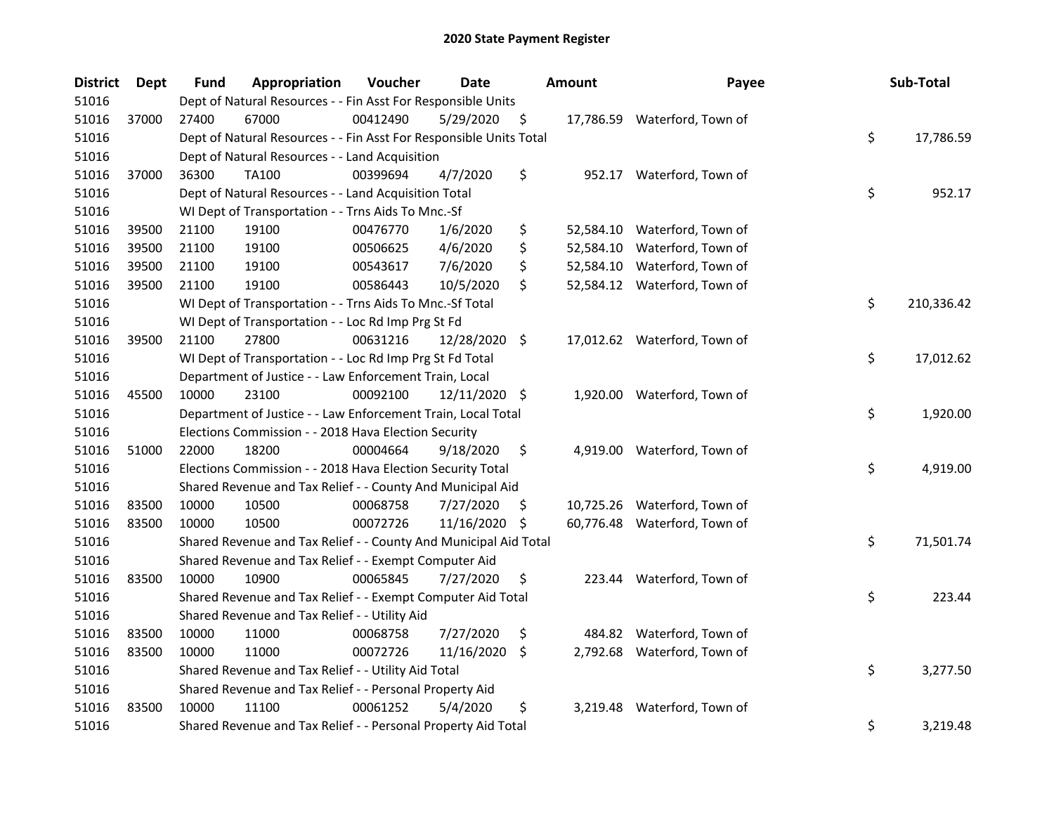| <b>District</b> | Dept  | <b>Fund</b> | Appropriation                                                      | Voucher  | Date          |     | <b>Amount</b> | Payee                        | Sub-Total        |
|-----------------|-------|-------------|--------------------------------------------------------------------|----------|---------------|-----|---------------|------------------------------|------------------|
| 51016           |       |             | Dept of Natural Resources - - Fin Asst For Responsible Units       |          |               |     |               |                              |                  |
| 51016           | 37000 | 27400       | 67000                                                              | 00412490 | 5/29/2020     | \$  |               | 17,786.59 Waterford, Town of |                  |
| 51016           |       |             | Dept of Natural Resources - - Fin Asst For Responsible Units Total |          |               |     |               |                              | \$<br>17,786.59  |
| 51016           |       |             | Dept of Natural Resources - - Land Acquisition                     |          |               |     |               |                              |                  |
| 51016           | 37000 | 36300       | <b>TA100</b>                                                       | 00399694 | 4/7/2020      | \$  |               | 952.17 Waterford, Town of    |                  |
| 51016           |       |             | Dept of Natural Resources - - Land Acquisition Total               |          |               |     |               |                              | \$<br>952.17     |
| 51016           |       |             | WI Dept of Transportation - - Trns Aids To Mnc.-Sf                 |          |               |     |               |                              |                  |
| 51016           | 39500 | 21100       | 19100                                                              | 00476770 | 1/6/2020      | \$  |               | 52,584.10 Waterford, Town of |                  |
| 51016           | 39500 | 21100       | 19100                                                              | 00506625 | 4/6/2020      | \$  | 52,584.10     | Waterford, Town of           |                  |
| 51016           | 39500 | 21100       | 19100                                                              | 00543617 | 7/6/2020      | \$  |               | 52,584.10 Waterford, Town of |                  |
| 51016           | 39500 | 21100       | 19100                                                              | 00586443 | 10/5/2020     | \$  |               | 52,584.12 Waterford, Town of |                  |
| 51016           |       |             | WI Dept of Transportation - - Trns Aids To Mnc.-Sf Total           |          |               |     |               |                              | \$<br>210,336.42 |
| 51016           |       |             | WI Dept of Transportation - - Loc Rd Imp Prg St Fd                 |          |               |     |               |                              |                  |
| 51016           | 39500 | 21100       | 27800                                                              | 00631216 | 12/28/2020 \$ |     |               | 17,012.62 Waterford, Town of |                  |
| 51016           |       |             | WI Dept of Transportation - - Loc Rd Imp Prg St Fd Total           |          |               |     |               |                              | \$<br>17,012.62  |
| 51016           |       |             | Department of Justice - - Law Enforcement Train, Local             |          |               |     |               |                              |                  |
| 51016           | 45500 | 10000       | 23100                                                              | 00092100 | 12/11/2020 \$ |     |               | 1,920.00 Waterford, Town of  |                  |
| 51016           |       |             | Department of Justice - - Law Enforcement Train, Local Total       |          |               |     |               |                              | \$<br>1,920.00   |
| 51016           |       |             | Elections Commission - - 2018 Hava Election Security               |          |               |     |               |                              |                  |
| 51016           | 51000 | 22000       | 18200                                                              | 00004664 | 9/18/2020     | \$  | 4,919.00      | Waterford, Town of           |                  |
| 51016           |       |             | Elections Commission - - 2018 Hava Election Security Total         |          |               |     |               |                              | \$<br>4,919.00   |
| 51016           |       |             | Shared Revenue and Tax Relief - - County And Municipal Aid         |          |               |     |               |                              |                  |
| 51016           | 83500 | 10000       | 10500                                                              | 00068758 | 7/27/2020     | \$. |               | 10,725.26 Waterford, Town of |                  |
| 51016           | 83500 | 10000       | 10500                                                              | 00072726 | 11/16/2020 \$ |     |               | 60,776.48 Waterford, Town of |                  |
| 51016           |       |             | Shared Revenue and Tax Relief - - County And Municipal Aid Total   |          |               |     |               |                              | \$<br>71,501.74  |
| 51016           |       |             | Shared Revenue and Tax Relief - - Exempt Computer Aid              |          |               |     |               |                              |                  |
| 51016           | 83500 | 10000       | 10900                                                              | 00065845 | 7/27/2020     | \$  |               | 223.44 Waterford, Town of    |                  |
| 51016           |       |             | Shared Revenue and Tax Relief - - Exempt Computer Aid Total        |          |               |     |               |                              | \$<br>223.44     |
| 51016           |       |             | Shared Revenue and Tax Relief - - Utility Aid                      |          |               |     |               |                              |                  |
| 51016           | 83500 | 10000       | 11000                                                              | 00068758 | 7/27/2020     | \$  |               | 484.82 Waterford, Town of    |                  |
| 51016           | 83500 | 10000       | 11000                                                              | 00072726 | 11/16/2020    | S.  | 2,792.68      | Waterford, Town of           |                  |
| 51016           |       |             | Shared Revenue and Tax Relief - - Utility Aid Total                |          |               |     |               |                              | \$<br>3,277.50   |
| 51016           |       |             | Shared Revenue and Tax Relief - - Personal Property Aid            |          |               |     |               |                              |                  |
| 51016           | 83500 | 10000       | 11100                                                              | 00061252 | 5/4/2020      | \$  | 3,219.48      | Waterford, Town of           |                  |
| 51016           |       |             | Shared Revenue and Tax Relief - - Personal Property Aid Total      |          |               |     |               |                              | \$<br>3,219.48   |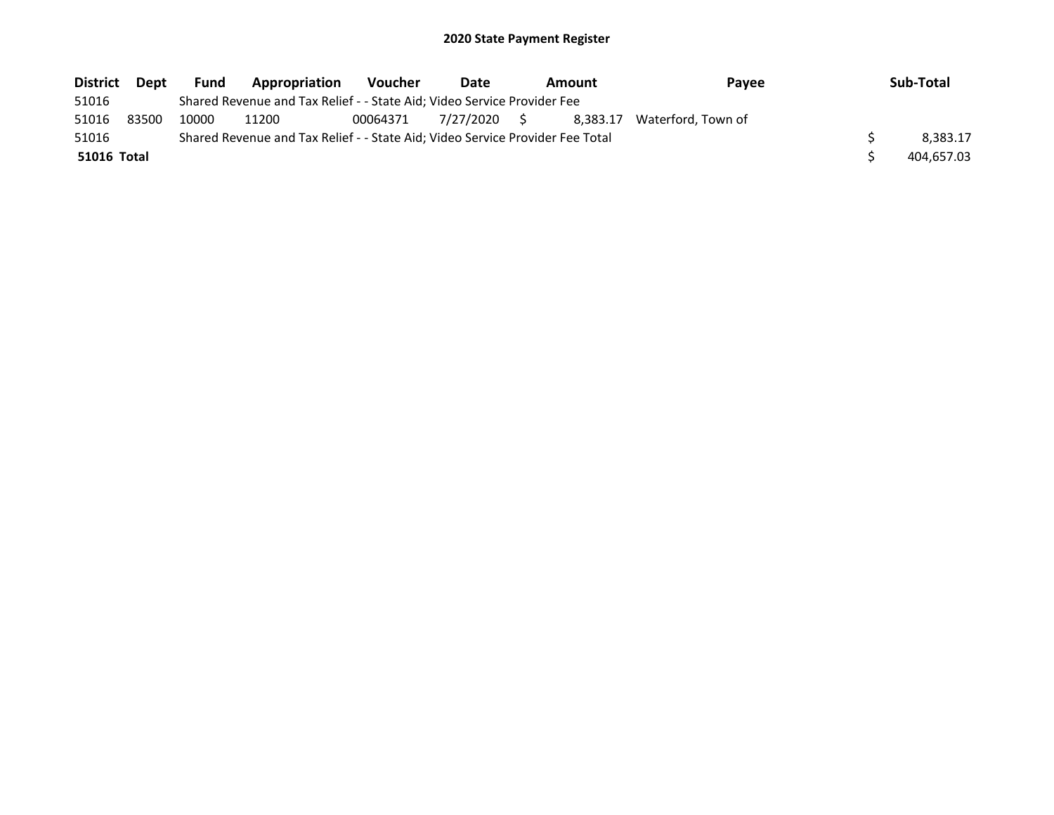| <b>District</b>    | Dept  | <b>Fund</b> | Appropriation                                                                 | <b>Voucher</b> | Date         | Amount   | Pavee              | Sub-Total  |
|--------------------|-------|-------------|-------------------------------------------------------------------------------|----------------|--------------|----------|--------------------|------------|
| 51016              |       |             | Shared Revenue and Tax Relief - - State Aid; Video Service Provider Fee       |                |              |          |                    |            |
| 51016              | 83500 | 10000       | 11200                                                                         | 00064371       | 7/27/2020 \$ | 8.383.17 | Waterford. Town of |            |
| 51016              |       |             | Shared Revenue and Tax Relief - - State Aid; Video Service Provider Fee Total |                |              |          |                    | 8.383.17   |
| <b>51016 Total</b> |       |             |                                                                               |                |              |          |                    | 404.657.03 |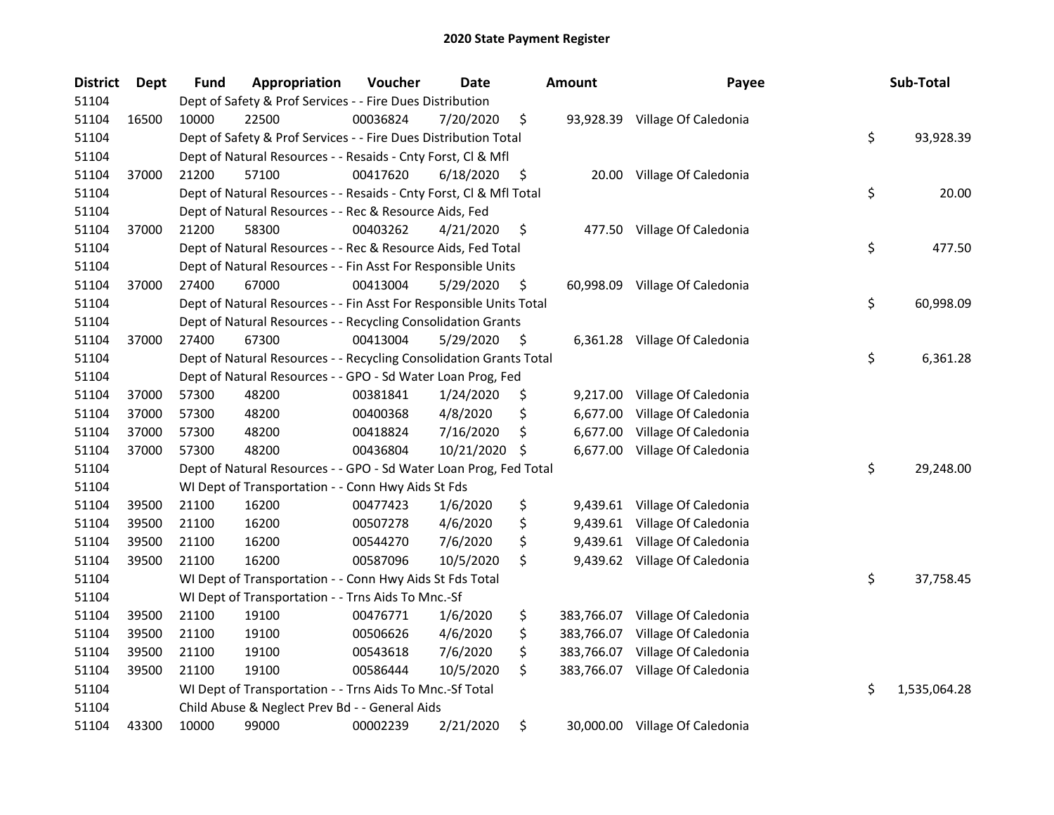| <b>District</b> | <b>Dept</b> | <b>Fund</b> | Appropriation                                                      | Voucher  | <b>Date</b> | <b>Amount</b>    | Payee                          | Sub-Total          |
|-----------------|-------------|-------------|--------------------------------------------------------------------|----------|-------------|------------------|--------------------------------|--------------------|
| 51104           |             |             | Dept of Safety & Prof Services - - Fire Dues Distribution          |          |             |                  |                                |                    |
| 51104           | 16500       | 10000       | 22500                                                              | 00036824 | 7/20/2020   | \$               | 93,928.39 Village Of Caledonia |                    |
| 51104           |             |             | Dept of Safety & Prof Services - - Fire Dues Distribution Total    |          |             |                  |                                | \$<br>93,928.39    |
| 51104           |             |             | Dept of Natural Resources - - Resaids - Cnty Forst, Cl & Mfl       |          |             |                  |                                |                    |
| 51104           | 37000       | 21200       | 57100                                                              | 00417620 | 6/18/2020   | \$<br>20.00      | Village Of Caledonia           |                    |
| 51104           |             |             | Dept of Natural Resources - - Resaids - Cnty Forst, CI & Mfl Total |          |             |                  |                                | \$<br>20.00        |
| 51104           |             |             | Dept of Natural Resources - - Rec & Resource Aids, Fed             |          |             |                  |                                |                    |
| 51104           | 37000       | 21200       | 58300                                                              | 00403262 | 4/21/2020   | \$               | 477.50 Village Of Caledonia    |                    |
| 51104           |             |             | Dept of Natural Resources - - Rec & Resource Aids, Fed Total       |          |             |                  |                                | \$<br>477.50       |
| 51104           |             |             | Dept of Natural Resources - - Fin Asst For Responsible Units       |          |             |                  |                                |                    |
| 51104           | 37000       | 27400       | 67000                                                              | 00413004 | 5/29/2020   | \$<br>60,998.09  | Village Of Caledonia           |                    |
| 51104           |             |             | Dept of Natural Resources - - Fin Asst For Responsible Units Total |          |             |                  |                                | \$<br>60,998.09    |
| 51104           |             |             | Dept of Natural Resources - - Recycling Consolidation Grants       |          |             |                  |                                |                    |
| 51104           | 37000       | 27400       | 67300                                                              | 00413004 | 5/29/2020   | \$<br>6,361.28   | Village Of Caledonia           |                    |
| 51104           |             |             | Dept of Natural Resources - - Recycling Consolidation Grants Total |          |             |                  |                                | \$<br>6,361.28     |
| 51104           |             |             | Dept of Natural Resources - - GPO - Sd Water Loan Prog, Fed        |          |             |                  |                                |                    |
| 51104           | 37000       | 57300       | 48200                                                              | 00381841 | 1/24/2020   | \$<br>9,217.00   | Village Of Caledonia           |                    |
| 51104           | 37000       | 57300       | 48200                                                              | 00400368 | 4/8/2020    | \$<br>6,677.00   | Village Of Caledonia           |                    |
| 51104           | 37000       | 57300       | 48200                                                              | 00418824 | 7/16/2020   | \$<br>6,677.00   | Village Of Caledonia           |                    |
| 51104           | 37000       | 57300       | 48200                                                              | 00436804 | 10/21/2020  | \$<br>6,677.00   | Village Of Caledonia           |                    |
| 51104           |             |             | Dept of Natural Resources - - GPO - Sd Water Loan Prog, Fed Total  |          |             |                  |                                | \$<br>29,248.00    |
| 51104           |             |             | WI Dept of Transportation - - Conn Hwy Aids St Fds                 |          |             |                  |                                |                    |
| 51104           | 39500       | 21100       | 16200                                                              | 00477423 | 1/6/2020    | \$               | 9,439.61 Village Of Caledonia  |                    |
| 51104           | 39500       | 21100       | 16200                                                              | 00507278 | 4/6/2020    | \$               | 9,439.61 Village Of Caledonia  |                    |
| 51104           | 39500       | 21100       | 16200                                                              | 00544270 | 7/6/2020    | \$<br>9,439.61   | Village Of Caledonia           |                    |
| 51104           | 39500       | 21100       | 16200                                                              | 00587096 | 10/5/2020   | \$               | 9,439.62 Village Of Caledonia  |                    |
| 51104           |             |             | WI Dept of Transportation - - Conn Hwy Aids St Fds Total           |          |             |                  |                                | \$<br>37,758.45    |
| 51104           |             |             | WI Dept of Transportation - - Trns Aids To Mnc.-Sf                 |          |             |                  |                                |                    |
| 51104           | 39500       | 21100       | 19100                                                              | 00476771 | 1/6/2020    | \$<br>383,766.07 | Village Of Caledonia           |                    |
| 51104           | 39500       | 21100       | 19100                                                              | 00506626 | 4/6/2020    | \$<br>383,766.07 | Village Of Caledonia           |                    |
| 51104           | 39500       | 21100       | 19100                                                              | 00543618 | 7/6/2020    | \$<br>383,766.07 | Village Of Caledonia           |                    |
| 51104           | 39500       | 21100       | 19100                                                              | 00586444 | 10/5/2020   | \$<br>383,766.07 | Village Of Caledonia           |                    |
| 51104           |             |             | WI Dept of Transportation - - Trns Aids To Mnc.-Sf Total           |          |             |                  |                                | \$<br>1,535,064.28 |
| 51104           |             |             | Child Abuse & Neglect Prev Bd - - General Aids                     |          |             |                  |                                |                    |
| 51104           | 43300       | 10000       | 99000                                                              | 00002239 | 2/21/2020   | \$               | 30,000.00 Village Of Caledonia |                    |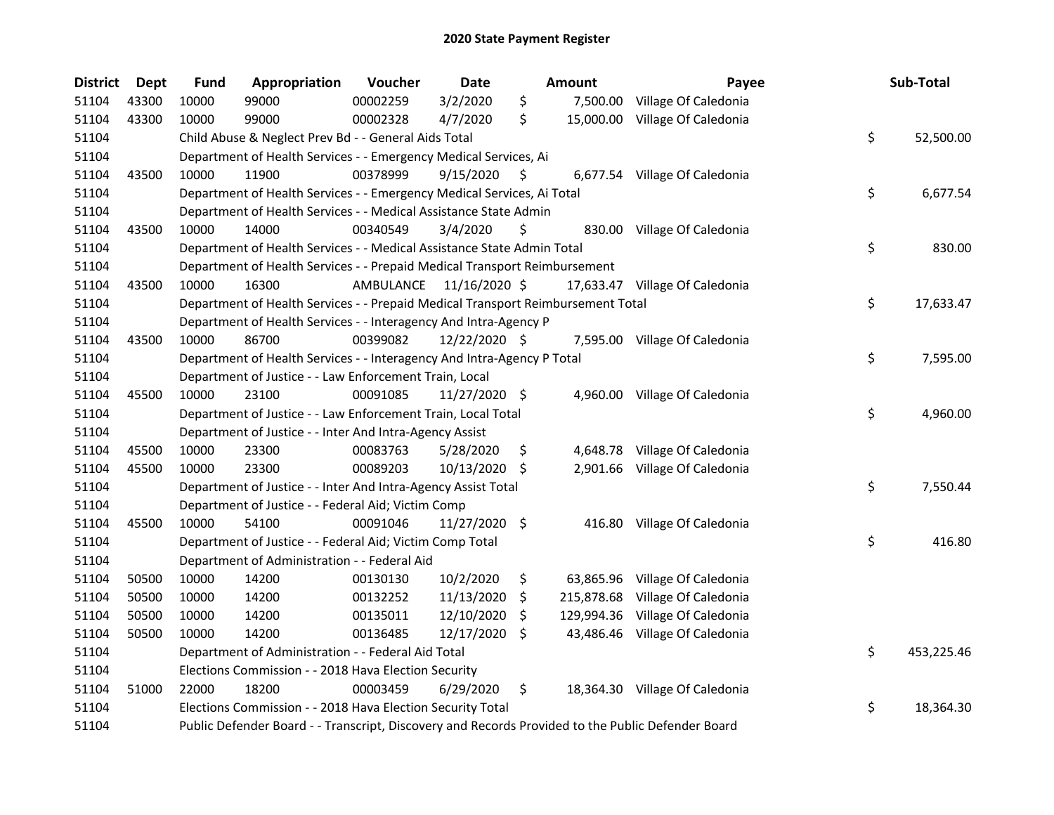| <b>District</b> | Dept  | <b>Fund</b> | Appropriation                                                                                     | Voucher   | Date          |     | <b>Amount</b> | Payee                          | Sub-Total        |
|-----------------|-------|-------------|---------------------------------------------------------------------------------------------------|-----------|---------------|-----|---------------|--------------------------------|------------------|
| 51104           | 43300 | 10000       | 99000                                                                                             | 00002259  | 3/2/2020      | \$  | 7,500.00      | Village Of Caledonia           |                  |
| 51104           | 43300 | 10000       | 99000                                                                                             | 00002328  | 4/7/2020      | \$  | 15,000.00     | Village Of Caledonia           |                  |
| 51104           |       |             | Child Abuse & Neglect Prev Bd - - General Aids Total                                              |           |               |     |               |                                | \$<br>52,500.00  |
| 51104           |       |             | Department of Health Services - - Emergency Medical Services, Ai                                  |           |               |     |               |                                |                  |
| 51104           | 43500 | 10000       | 11900                                                                                             | 00378999  | 9/15/2020     | S   |               | 6,677.54 Village Of Caledonia  |                  |
| 51104           |       |             | Department of Health Services - - Emergency Medical Services, Ai Total                            |           |               |     |               |                                | \$<br>6,677.54   |
| 51104           |       |             | Department of Health Services - - Medical Assistance State Admin                                  |           |               |     |               |                                |                  |
| 51104           | 43500 | 10000       | 14000                                                                                             | 00340549  | 3/4/2020      | \$  |               | 830.00 Village Of Caledonia    |                  |
| 51104           |       |             | Department of Health Services - - Medical Assistance State Admin Total                            |           |               |     |               |                                | \$<br>830.00     |
| 51104           |       |             | Department of Health Services - - Prepaid Medical Transport Reimbursement                         |           |               |     |               |                                |                  |
| 51104           | 43500 | 10000       | 16300                                                                                             | AMBULANCE | 11/16/2020 \$ |     |               | 17,633.47 Village Of Caledonia |                  |
| 51104           |       |             | Department of Health Services - - Prepaid Medical Transport Reimbursement Total                   |           |               |     |               |                                | \$<br>17,633.47  |
| 51104           |       |             | Department of Health Services - - Interagency And Intra-Agency P                                  |           |               |     |               |                                |                  |
| 51104           | 43500 | 10000       | 86700                                                                                             | 00399082  | 12/22/2020 \$ |     |               | 7,595.00 Village Of Caledonia  |                  |
| 51104           |       |             | Department of Health Services - - Interagency And Intra-Agency P Total                            |           |               |     |               |                                | \$<br>7,595.00   |
| 51104           |       |             | Department of Justice - - Law Enforcement Train, Local                                            |           |               |     |               |                                |                  |
| 51104           | 45500 | 10000       | 23100                                                                                             | 00091085  | 11/27/2020 \$ |     | 4,960.00      | Village Of Caledonia           |                  |
| 51104           |       |             | Department of Justice - - Law Enforcement Train, Local Total                                      |           |               |     |               |                                | \$<br>4,960.00   |
| 51104           |       |             | Department of Justice - - Inter And Intra-Agency Assist                                           |           |               |     |               |                                |                  |
| 51104           | 45500 | 10000       | 23300                                                                                             | 00083763  | 5/28/2020     | \$. |               | 4,648.78 Village Of Caledonia  |                  |
| 51104           | 45500 | 10000       | 23300                                                                                             | 00089203  | 10/13/2020 \$ |     |               | 2,901.66 Village Of Caledonia  |                  |
| 51104           |       |             | Department of Justice - - Inter And Intra-Agency Assist Total                                     |           |               |     |               |                                | \$<br>7,550.44   |
| 51104           |       |             | Department of Justice - - Federal Aid; Victim Comp                                                |           |               |     |               |                                |                  |
| 51104           | 45500 | 10000       | 54100                                                                                             | 00091046  | 11/27/2020 \$ |     |               | 416.80 Village Of Caledonia    |                  |
| 51104           |       |             | Department of Justice - - Federal Aid; Victim Comp Total                                          |           |               |     |               |                                | \$<br>416.80     |
| 51104           |       |             | Department of Administration - - Federal Aid                                                      |           |               |     |               |                                |                  |
| 51104           | 50500 | 10000       | 14200                                                                                             | 00130130  | 10/2/2020     | \$  |               | 63,865.96 Village Of Caledonia |                  |
| 51104           | 50500 | 10000       | 14200                                                                                             | 00132252  | 11/13/2020    | S.  | 215,878.68    | Village Of Caledonia           |                  |
| 51104           | 50500 | 10000       | 14200                                                                                             | 00135011  | 12/10/2020    | \$  | 129,994.36    | Village Of Caledonia           |                  |
| 51104           | 50500 | 10000       | 14200                                                                                             | 00136485  | 12/17/2020 \$ |     | 43,486.46     | Village Of Caledonia           |                  |
| 51104           |       |             | Department of Administration - - Federal Aid Total                                                |           |               |     |               |                                | \$<br>453,225.46 |
| 51104           |       |             | Elections Commission - - 2018 Hava Election Security                                              |           |               |     |               |                                |                  |
| 51104           | 51000 | 22000       | 18200                                                                                             | 00003459  | 6/29/2020     | \$  |               | 18,364.30 Village Of Caledonia |                  |
| 51104           |       |             | Elections Commission - - 2018 Hava Election Security Total                                        |           |               |     |               |                                | \$<br>18,364.30  |
| 51104           |       |             | Public Defender Board - - Transcript, Discovery and Records Provided to the Public Defender Board |           |               |     |               |                                |                  |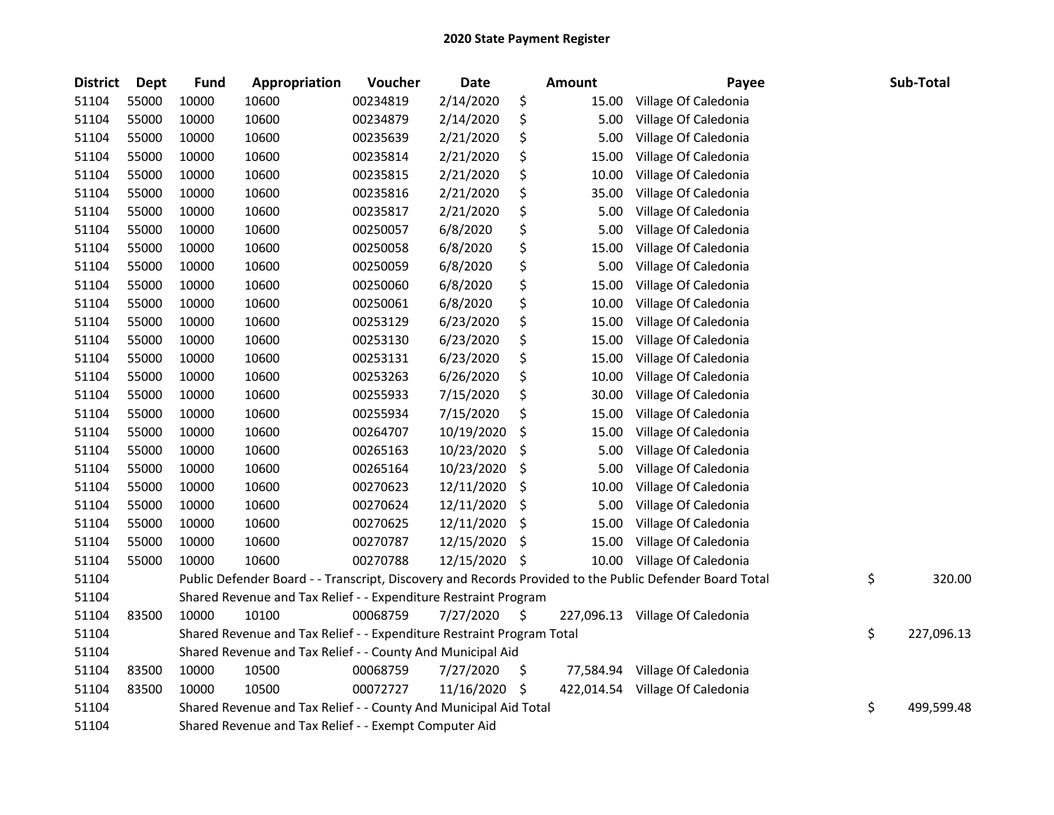| <b>District</b> | Dept  | Fund  | Appropriation                                                         | Voucher  | <b>Date</b> |     | <b>Amount</b> | Payee                                                                                                   | Sub-Total        |
|-----------------|-------|-------|-----------------------------------------------------------------------|----------|-------------|-----|---------------|---------------------------------------------------------------------------------------------------------|------------------|
| 51104           | 55000 | 10000 | 10600                                                                 | 00234819 | 2/14/2020   | \$  | 15.00         | Village Of Caledonia                                                                                    |                  |
| 51104           | 55000 | 10000 | 10600                                                                 | 00234879 | 2/14/2020   | \$  | 5.00          | Village Of Caledonia                                                                                    |                  |
| 51104           | 55000 | 10000 | 10600                                                                 | 00235639 | 2/21/2020   | \$  | 5.00          | Village Of Caledonia                                                                                    |                  |
| 51104           | 55000 | 10000 | 10600                                                                 | 00235814 | 2/21/2020   | \$  | 15.00         | Village Of Caledonia                                                                                    |                  |
| 51104           | 55000 | 10000 | 10600                                                                 | 00235815 | 2/21/2020   | \$  | 10.00         | Village Of Caledonia                                                                                    |                  |
| 51104           | 55000 | 10000 | 10600                                                                 | 00235816 | 2/21/2020   | \$  | 35.00         | Village Of Caledonia                                                                                    |                  |
| 51104           | 55000 | 10000 | 10600                                                                 | 00235817 | 2/21/2020   | \$  | 5.00          | Village Of Caledonia                                                                                    |                  |
| 51104           | 55000 | 10000 | 10600                                                                 | 00250057 | 6/8/2020    | \$  | 5.00          | Village Of Caledonia                                                                                    |                  |
| 51104           | 55000 | 10000 | 10600                                                                 | 00250058 | 6/8/2020    | \$  | 15.00         | Village Of Caledonia                                                                                    |                  |
| 51104           | 55000 | 10000 | 10600                                                                 | 00250059 | 6/8/2020    | \$  | 5.00          | Village Of Caledonia                                                                                    |                  |
| 51104           | 55000 | 10000 | 10600                                                                 | 00250060 | 6/8/2020    | \$  | 15.00         | Village Of Caledonia                                                                                    |                  |
| 51104           | 55000 | 10000 | 10600                                                                 | 00250061 | 6/8/2020    | \$  | 10.00         | Village Of Caledonia                                                                                    |                  |
| 51104           | 55000 | 10000 | 10600                                                                 | 00253129 | 6/23/2020   | \$  | 15.00         | Village Of Caledonia                                                                                    |                  |
| 51104           | 55000 | 10000 | 10600                                                                 | 00253130 | 6/23/2020   | \$  | 15.00         | Village Of Caledonia                                                                                    |                  |
| 51104           | 55000 | 10000 | 10600                                                                 | 00253131 | 6/23/2020   | \$  | 15.00         | Village Of Caledonia                                                                                    |                  |
| 51104           | 55000 | 10000 | 10600                                                                 | 00253263 | 6/26/2020   | \$  | 10.00         | Village Of Caledonia                                                                                    |                  |
| 51104           | 55000 | 10000 | 10600                                                                 | 00255933 | 7/15/2020   | \$  | 30.00         | Village Of Caledonia                                                                                    |                  |
| 51104           | 55000 | 10000 | 10600                                                                 | 00255934 | 7/15/2020   | \$  | 15.00         | Village Of Caledonia                                                                                    |                  |
| 51104           | 55000 | 10000 | 10600                                                                 | 00264707 | 10/19/2020  | \$  | 15.00         | Village Of Caledonia                                                                                    |                  |
| 51104           | 55000 | 10000 | 10600                                                                 | 00265163 | 10/23/2020  | \$  | 5.00          | Village Of Caledonia                                                                                    |                  |
| 51104           | 55000 | 10000 | 10600                                                                 | 00265164 | 10/23/2020  | \$  | 5.00          | Village Of Caledonia                                                                                    |                  |
| 51104           | 55000 | 10000 | 10600                                                                 | 00270623 | 12/11/2020  | \$  | 10.00         | Village Of Caledonia                                                                                    |                  |
| 51104           | 55000 | 10000 | 10600                                                                 | 00270624 | 12/11/2020  | \$  | 5.00          | Village Of Caledonia                                                                                    |                  |
| 51104           | 55000 | 10000 | 10600                                                                 | 00270625 | 12/11/2020  | \$  | 15.00         | Village Of Caledonia                                                                                    |                  |
| 51104           | 55000 | 10000 | 10600                                                                 | 00270787 | 12/15/2020  | \$  | 15.00         | Village Of Caledonia                                                                                    |                  |
| 51104           | 55000 | 10000 | 10600                                                                 | 00270788 | 12/15/2020  | \$  |               | 10.00 Village Of Caledonia                                                                              |                  |
| 51104           |       |       |                                                                       |          |             |     |               | Public Defender Board - - Transcript, Discovery and Records Provided to the Public Defender Board Total | \$<br>320.00     |
| 51104           |       |       | Shared Revenue and Tax Relief - - Expenditure Restraint Program       |          |             |     |               |                                                                                                         |                  |
| 51104           | 83500 | 10000 | 10100                                                                 | 00068759 | 7/27/2020   | \$. |               | 227,096.13 Village Of Caledonia                                                                         |                  |
| 51104           |       |       | Shared Revenue and Tax Relief - - Expenditure Restraint Program Total |          |             |     |               |                                                                                                         | \$<br>227,096.13 |
| 51104           |       |       | Shared Revenue and Tax Relief - - County And Municipal Aid            |          |             |     |               |                                                                                                         |                  |
| 51104           | 83500 | 10000 | 10500                                                                 | 00068759 | 7/27/2020   | \$  | 77,584.94     | Village Of Caledonia                                                                                    |                  |
| 51104           | 83500 | 10000 | 10500                                                                 | 00072727 | 11/16/2020  | -\$ |               | 422,014.54 Village Of Caledonia                                                                         |                  |
| 51104           |       |       | Shared Revenue and Tax Relief - - County And Municipal Aid Total      |          |             |     |               |                                                                                                         | \$<br>499,599.48 |
| 51104           |       |       | Shared Revenue and Tax Relief - - Exempt Computer Aid                 |          |             |     |               |                                                                                                         |                  |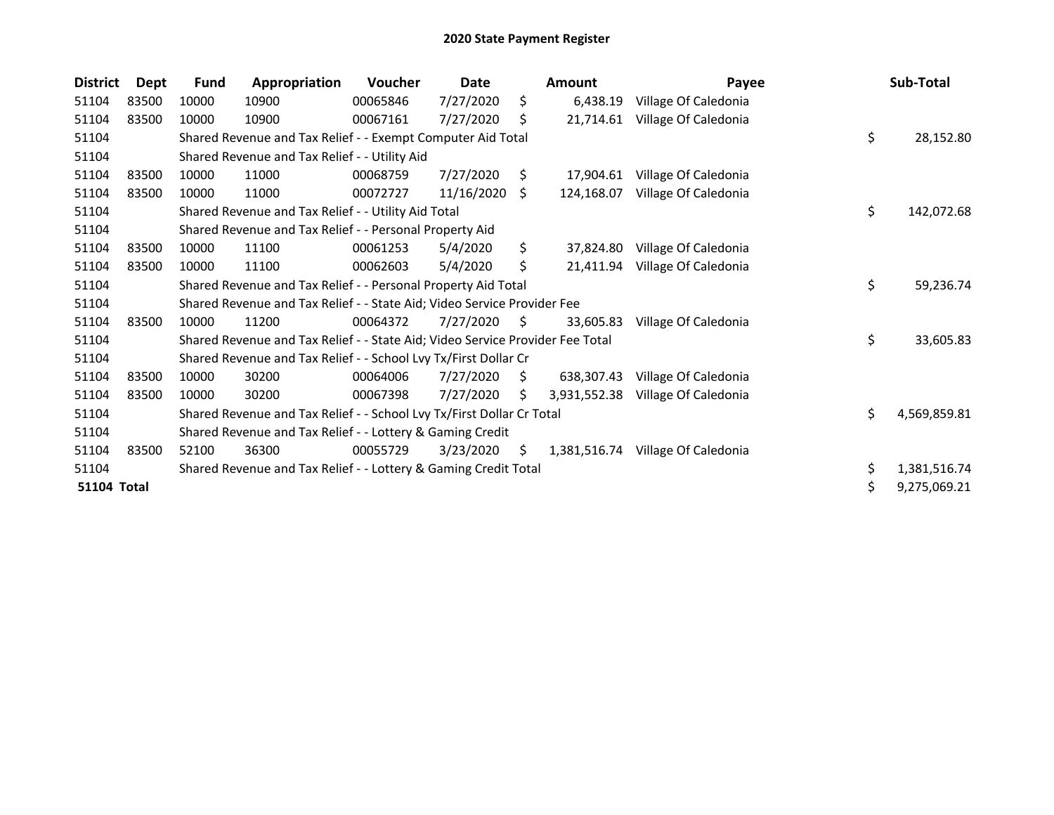| <b>District</b> | <b>Dept</b> | Fund  | Appropriation                                                                 | <b>Voucher</b> | <b>Date</b> |     | <b>Amount</b> | Payee                | Sub-Total          |
|-----------------|-------------|-------|-------------------------------------------------------------------------------|----------------|-------------|-----|---------------|----------------------|--------------------|
| 51104           | 83500       | 10000 | 10900                                                                         | 00065846       | 7/27/2020   | \$  | 6,438.19      | Village Of Caledonia |                    |
| 51104           | 83500       | 10000 | 10900                                                                         | 00067161       | 7/27/2020   | Ś   | 21,714.61     | Village Of Caledonia |                    |
| 51104           |             |       | Shared Revenue and Tax Relief - - Exempt Computer Aid Total                   |                |             |     |               |                      | \$<br>28,152.80    |
| 51104           |             |       | Shared Revenue and Tax Relief - - Utility Aid                                 |                |             |     |               |                      |                    |
| 51104           | 83500       | 10000 | 11000                                                                         | 00068759       | 7/27/2020   | \$  | 17.904.61     | Village Of Caledonia |                    |
| 51104           | 83500       | 10000 | 11000                                                                         | 00072727       | 11/16/2020  | S.  | 124,168.07    | Village Of Caledonia |                    |
| 51104           |             |       | Shared Revenue and Tax Relief - - Utility Aid Total                           |                |             |     |               |                      | \$<br>142,072.68   |
| 51104           |             |       | Shared Revenue and Tax Relief - - Personal Property Aid                       |                |             |     |               |                      |                    |
| 51104           | 83500       | 10000 | 11100                                                                         | 00061253       | 5/4/2020    | \$  | 37,824.80     | Village Of Caledonia |                    |
| 51104           | 83500       | 10000 | 11100                                                                         | 00062603       | 5/4/2020    | \$  | 21,411.94     | Village Of Caledonia |                    |
| 51104           |             |       | Shared Revenue and Tax Relief - - Personal Property Aid Total                 |                |             |     |               |                      | \$<br>59,236.74    |
| 51104           |             |       | Shared Revenue and Tax Relief - - State Aid; Video Service Provider Fee       |                |             |     |               |                      |                    |
| 51104           | 83500       | 10000 | 11200                                                                         | 00064372       | 7/27/2020   | S.  | 33.605.83     | Village Of Caledonia |                    |
| 51104           |             |       | Shared Revenue and Tax Relief - - State Aid; Video Service Provider Fee Total |                |             |     |               |                      | \$<br>33,605.83    |
| 51104           |             |       | Shared Revenue and Tax Relief - - School Lvy Tx/First Dollar Cr               |                |             |     |               |                      |                    |
| 51104           | 83500       | 10000 | 30200                                                                         | 00064006       | 7/27/2020   | S.  | 638,307.43    | Village Of Caledonia |                    |
| 51104           | 83500       | 10000 | 30200                                                                         | 00067398       | 7/27/2020   | \$. | 3,931,552.38  | Village Of Caledonia |                    |
| 51104           |             |       | Shared Revenue and Tax Relief - - School Lvy Tx/First Dollar Cr Total         |                |             |     |               |                      | \$<br>4,569,859.81 |
| 51104           |             |       | Shared Revenue and Tax Relief - - Lottery & Gaming Credit                     |                |             |     |               |                      |                    |
| 51104           | 83500       | 52100 | 36300                                                                         | 00055729       | 3/23/2020   | S.  | 1,381,516.74  | Village Of Caledonia |                    |
| 51104           |             |       | Shared Revenue and Tax Relief - - Lottery & Gaming Credit Total               |                |             |     |               |                      | \$<br>1,381,516.74 |
| 51104 Total     |             |       |                                                                               |                |             |     |               |                      | \$<br>9,275,069.21 |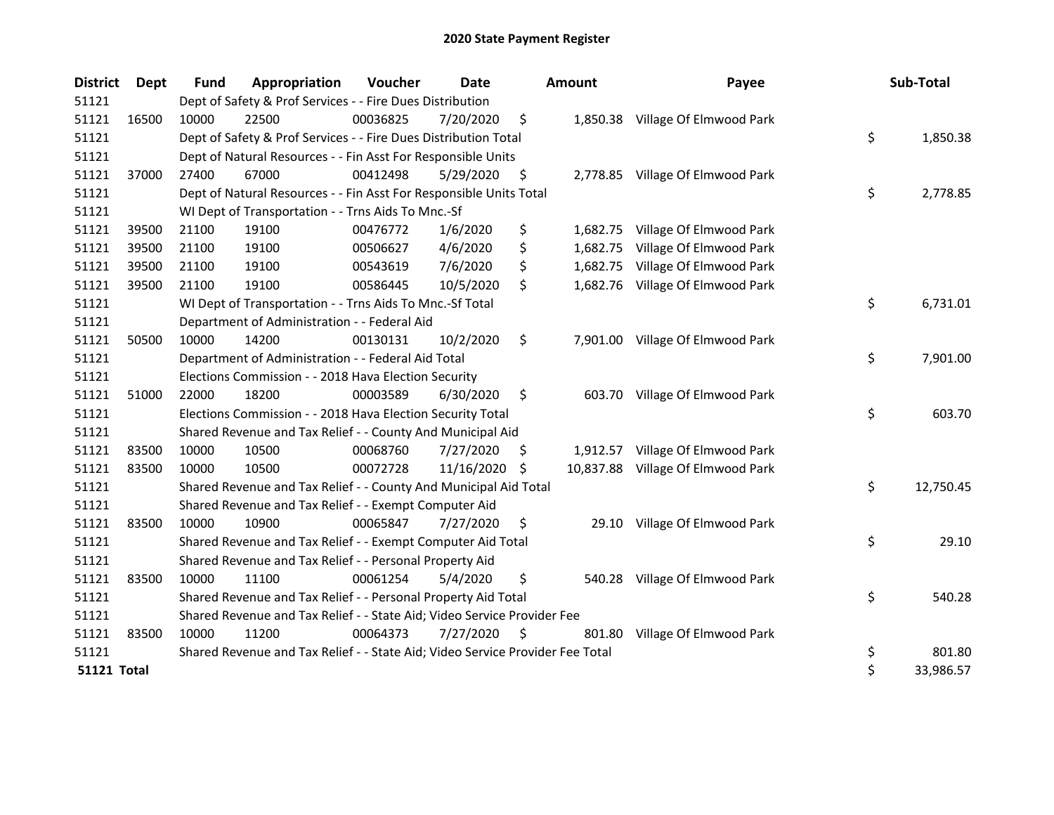| <b>District</b>    | <b>Dept</b> | Fund  | Appropriation                                                                 | Voucher  | Date          |     | <b>Amount</b> | Payee                             | Sub-Total       |
|--------------------|-------------|-------|-------------------------------------------------------------------------------|----------|---------------|-----|---------------|-----------------------------------|-----------------|
| 51121              |             |       | Dept of Safety & Prof Services - - Fire Dues Distribution                     |          |               |     |               |                                   |                 |
| 51121              | 16500       | 10000 | 22500                                                                         | 00036825 | 7/20/2020     | \$  |               | 1,850.38 Village Of Elmwood Park  |                 |
| 51121              |             |       | Dept of Safety & Prof Services - - Fire Dues Distribution Total               |          |               |     |               |                                   | \$<br>1,850.38  |
| 51121              |             |       | Dept of Natural Resources - - Fin Asst For Responsible Units                  |          |               |     |               |                                   |                 |
| 51121              | 37000       | 27400 | 67000                                                                         | 00412498 | 5/29/2020     | \$  |               | 2,778.85 Village Of Elmwood Park  |                 |
| 51121              |             |       | Dept of Natural Resources - - Fin Asst For Responsible Units Total            |          |               |     |               |                                   | \$<br>2,778.85  |
| 51121              |             |       | WI Dept of Transportation - - Trns Aids To Mnc.-Sf                            |          |               |     |               |                                   |                 |
| 51121              | 39500       | 21100 | 19100                                                                         | 00476772 | 1/6/2020      | \$  |               | 1,682.75 Village Of Elmwood Park  |                 |
| 51121              | 39500       | 21100 | 19100                                                                         | 00506627 | 4/6/2020      | \$  | 1,682.75      | Village Of Elmwood Park           |                 |
| 51121              | 39500       | 21100 | 19100                                                                         | 00543619 | 7/6/2020      | \$  |               | 1,682.75 Village Of Elmwood Park  |                 |
| 51121              | 39500       | 21100 | 19100                                                                         | 00586445 | 10/5/2020     | \$  |               | 1,682.76 Village Of Elmwood Park  |                 |
| 51121              |             |       | WI Dept of Transportation - - Trns Aids To Mnc.-Sf Total                      |          |               |     |               |                                   | \$<br>6,731.01  |
| 51121              |             |       | Department of Administration - - Federal Aid                                  |          |               |     |               |                                   |                 |
| 51121              | 50500       | 10000 | 14200                                                                         | 00130131 | 10/2/2020     | \$  |               | 7,901.00 Village Of Elmwood Park  |                 |
| 51121              |             |       | Department of Administration - - Federal Aid Total                            |          |               |     |               |                                   | \$<br>7,901.00  |
| 51121              |             |       | Elections Commission - - 2018 Hava Election Security                          |          |               |     |               |                                   |                 |
| 51121              | 51000       | 22000 | 18200                                                                         | 00003589 | 6/30/2020     | \$  |               | 603.70 Village Of Elmwood Park    |                 |
| 51121              |             |       | Elections Commission - - 2018 Hava Election Security Total                    |          |               |     |               |                                   | \$<br>603.70    |
| 51121              |             |       | Shared Revenue and Tax Relief - - County And Municipal Aid                    |          |               |     |               |                                   |                 |
| 51121              | 83500       | 10000 | 10500                                                                         | 00068760 | 7/27/2020     | \$. | 1,912.57      | Village Of Elmwood Park           |                 |
| 51121              | 83500       | 10000 | 10500                                                                         | 00072728 | 11/16/2020 \$ |     |               | 10,837.88 Village Of Elmwood Park |                 |
| 51121              |             |       | Shared Revenue and Tax Relief - - County And Municipal Aid Total              |          |               |     |               |                                   | \$<br>12,750.45 |
| 51121              |             |       | Shared Revenue and Tax Relief - - Exempt Computer Aid                         |          |               |     |               |                                   |                 |
| 51121              | 83500       | 10000 | 10900                                                                         | 00065847 | 7/27/2020     | \$  | 29.10         | Village Of Elmwood Park           |                 |
| 51121              |             |       | Shared Revenue and Tax Relief - - Exempt Computer Aid Total                   |          |               |     |               |                                   | \$<br>29.10     |
| 51121              |             |       | Shared Revenue and Tax Relief - - Personal Property Aid                       |          |               |     |               |                                   |                 |
| 51121              | 83500       | 10000 | 11100                                                                         | 00061254 | 5/4/2020      | \$  | 540.28        | Village Of Elmwood Park           |                 |
| 51121              |             |       | Shared Revenue and Tax Relief - - Personal Property Aid Total                 |          |               |     |               |                                   | \$<br>540.28    |
| 51121              |             |       | Shared Revenue and Tax Relief - - State Aid; Video Service Provider Fee       |          |               |     |               |                                   |                 |
| 51121              | 83500       | 10000 | 11200                                                                         | 00064373 | 7/27/2020     | \$  | 801.80        | Village Of Elmwood Park           |                 |
| 51121              |             |       | Shared Revenue and Tax Relief - - State Aid; Video Service Provider Fee Total |          |               |     |               |                                   | \$<br>801.80    |
| <b>51121 Total</b> |             |       |                                                                               |          |               |     |               |                                   | \$<br>33,986.57 |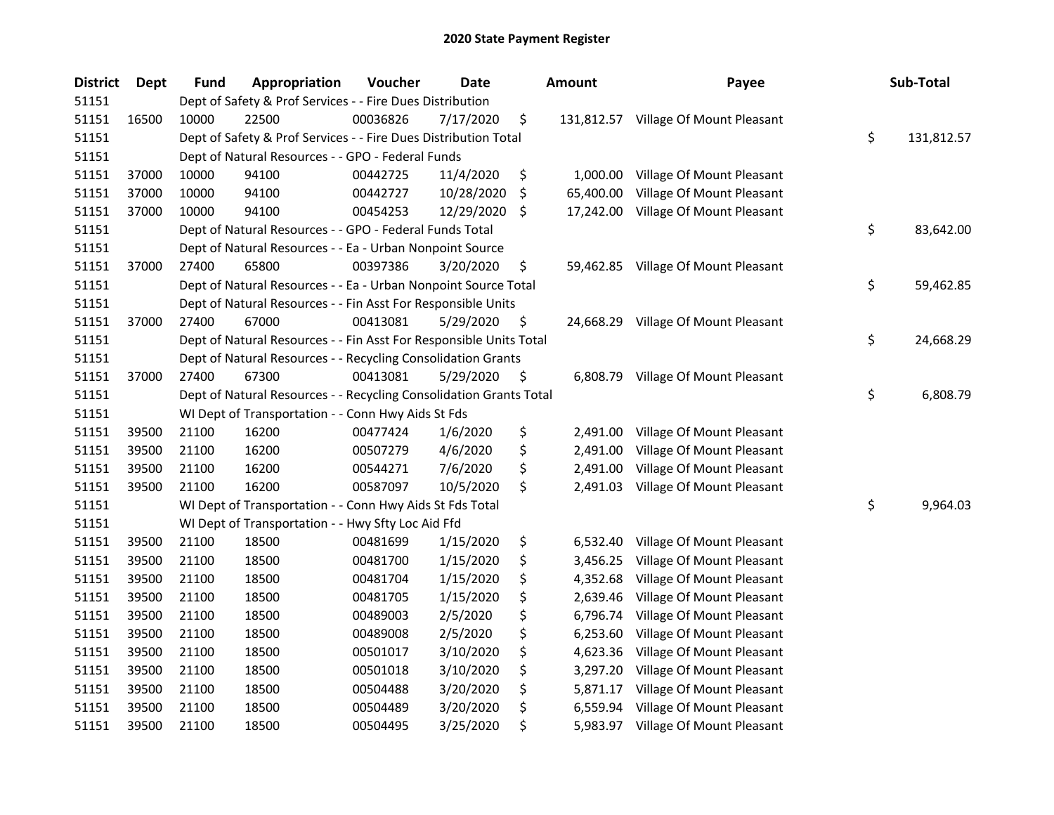| <b>District</b> | Dept  | Fund  | Appropriation                                                      | Voucher  | Date       |     | <b>Amount</b> | Payee                                | Sub-Total        |
|-----------------|-------|-------|--------------------------------------------------------------------|----------|------------|-----|---------------|--------------------------------------|------------------|
| 51151           |       |       | Dept of Safety & Prof Services - - Fire Dues Distribution          |          |            |     |               |                                      |                  |
| 51151           | 16500 | 10000 | 22500                                                              | 00036826 | 7/17/2020  | \$  |               | 131,812.57 Village Of Mount Pleasant |                  |
| 51151           |       |       | Dept of Safety & Prof Services - - Fire Dues Distribution Total    |          |            |     |               |                                      | \$<br>131,812.57 |
| 51151           |       |       | Dept of Natural Resources - - GPO - Federal Funds                  |          |            |     |               |                                      |                  |
| 51151           | 37000 | 10000 | 94100                                                              | 00442725 | 11/4/2020  | \$  | 1,000.00      | Village Of Mount Pleasant            |                  |
| 51151           | 37000 | 10000 | 94100                                                              | 00442727 | 10/28/2020 | \$  | 65,400.00     | Village Of Mount Pleasant            |                  |
| 51151           | 37000 | 10000 | 94100                                                              | 00454253 | 12/29/2020 | \$. |               | 17,242.00 Village Of Mount Pleasant  |                  |
| 51151           |       |       | Dept of Natural Resources - - GPO - Federal Funds Total            |          |            |     |               |                                      | \$<br>83,642.00  |
| 51151           |       |       | Dept of Natural Resources - - Ea - Urban Nonpoint Source           |          |            |     |               |                                      |                  |
| 51151           | 37000 | 27400 | 65800                                                              | 00397386 | 3/20/2020  | \$  |               | 59,462.85 Village Of Mount Pleasant  |                  |
| 51151           |       |       | Dept of Natural Resources - - Ea - Urban Nonpoint Source Total     |          |            |     |               |                                      | \$<br>59,462.85  |
| 51151           |       |       | Dept of Natural Resources - - Fin Asst For Responsible Units       |          |            |     |               |                                      |                  |
| 51151           | 37000 | 27400 | 67000                                                              | 00413081 | 5/29/2020  | \$. |               | 24,668.29 Village Of Mount Pleasant  |                  |
| 51151           |       |       | Dept of Natural Resources - - Fin Asst For Responsible Units Total |          |            |     |               |                                      | \$<br>24,668.29  |
| 51151           |       |       | Dept of Natural Resources - - Recycling Consolidation Grants       |          |            |     |               |                                      |                  |
| 51151           | 37000 | 27400 | 67300                                                              | 00413081 | 5/29/2020  | \$  | 6,808.79      | Village Of Mount Pleasant            |                  |
| 51151           |       |       | Dept of Natural Resources - - Recycling Consolidation Grants Total |          |            |     |               |                                      | \$<br>6,808.79   |
| 51151           |       |       | WI Dept of Transportation - - Conn Hwy Aids St Fds                 |          |            |     |               |                                      |                  |
| 51151           | 39500 | 21100 | 16200                                                              | 00477424 | 1/6/2020   | \$  | 2,491.00      | Village Of Mount Pleasant            |                  |
| 51151           | 39500 | 21100 | 16200                                                              | 00507279 | 4/6/2020   | \$  | 2,491.00      | Village Of Mount Pleasant            |                  |
| 51151           | 39500 | 21100 | 16200                                                              | 00544271 | 7/6/2020   | \$  | 2,491.00      | Village Of Mount Pleasant            |                  |
| 51151           | 39500 | 21100 | 16200                                                              | 00587097 | 10/5/2020  | \$  |               | 2,491.03 Village Of Mount Pleasant   |                  |
| 51151           |       |       | WI Dept of Transportation - - Conn Hwy Aids St Fds Total           |          |            |     |               |                                      | \$<br>9,964.03   |
| 51151           |       |       | WI Dept of Transportation - - Hwy Sfty Loc Aid Ffd                 |          |            |     |               |                                      |                  |
| 51151           | 39500 | 21100 | 18500                                                              | 00481699 | 1/15/2020  | \$  | 6,532.40      | Village Of Mount Pleasant            |                  |
| 51151           | 39500 | 21100 | 18500                                                              | 00481700 | 1/15/2020  | \$  | 3,456.25      | Village Of Mount Pleasant            |                  |
| 51151           | 39500 | 21100 | 18500                                                              | 00481704 | 1/15/2020  | \$  | 4,352.68      | Village Of Mount Pleasant            |                  |
| 51151           | 39500 | 21100 | 18500                                                              | 00481705 | 1/15/2020  | \$  | 2,639.46      | Village Of Mount Pleasant            |                  |
| 51151           | 39500 | 21100 | 18500                                                              | 00489003 | 2/5/2020   | \$  | 6,796.74      | Village Of Mount Pleasant            |                  |
| 51151           | 39500 | 21100 | 18500                                                              | 00489008 | 2/5/2020   | \$  | 6,253.60      | Village Of Mount Pleasant            |                  |
| 51151           | 39500 | 21100 | 18500                                                              | 00501017 | 3/10/2020  | \$  | 4,623.36      | Village Of Mount Pleasant            |                  |
| 51151           | 39500 | 21100 | 18500                                                              | 00501018 | 3/10/2020  | \$  | 3,297.20      | Village Of Mount Pleasant            |                  |
| 51151           | 39500 | 21100 | 18500                                                              | 00504488 | 3/20/2020  | \$  | 5,871.17      | Village Of Mount Pleasant            |                  |
| 51151           | 39500 | 21100 | 18500                                                              | 00504489 | 3/20/2020  | \$  | 6,559.94      | Village Of Mount Pleasant            |                  |
| 51151           | 39500 | 21100 | 18500                                                              | 00504495 | 3/25/2020  | \$  |               | 5,983.97 Village Of Mount Pleasant   |                  |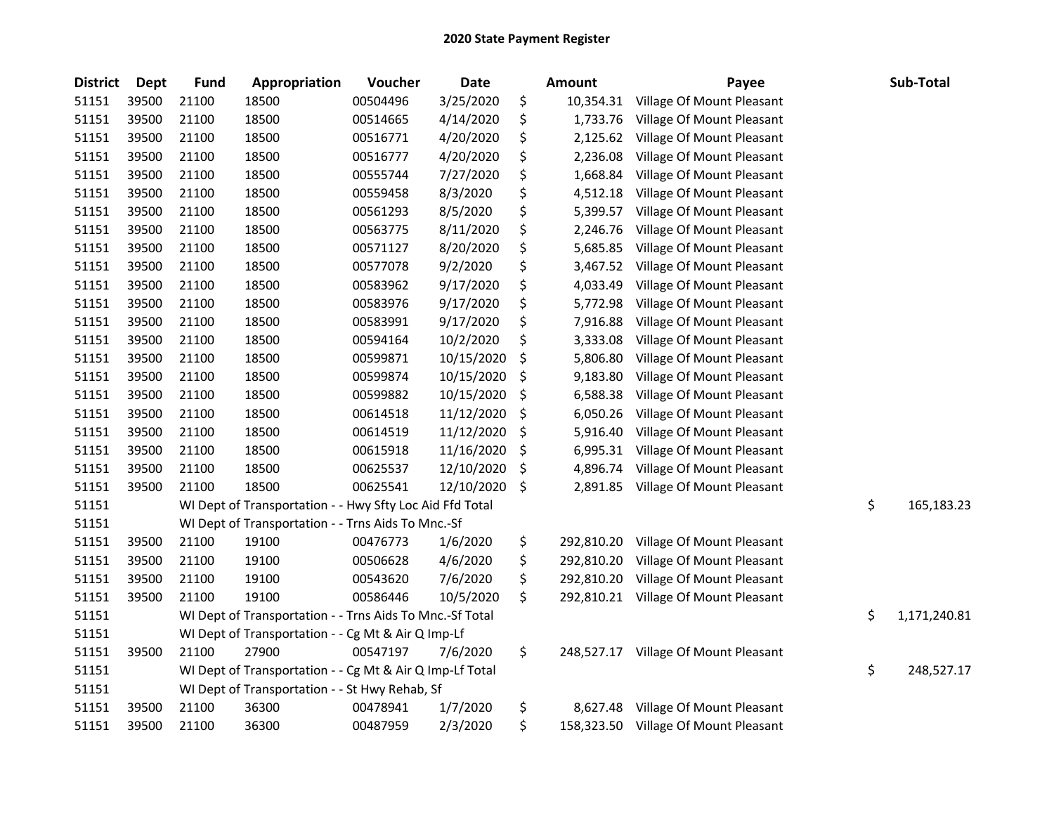| <b>District</b> | <b>Dept</b> | <b>Fund</b> | Appropriation                                            | Voucher  | <b>Date</b> | <b>Amount</b>    | Payee                                | Sub-Total          |
|-----------------|-------------|-------------|----------------------------------------------------------|----------|-------------|------------------|--------------------------------------|--------------------|
| 51151           | 39500       | 21100       | 18500                                                    | 00504496 | 3/25/2020   | \$<br>10,354.31  | Village Of Mount Pleasant            |                    |
| 51151           | 39500       | 21100       | 18500                                                    | 00514665 | 4/14/2020   | \$<br>1,733.76   | Village Of Mount Pleasant            |                    |
| 51151           | 39500       | 21100       | 18500                                                    | 00516771 | 4/20/2020   | \$<br>2,125.62   | Village Of Mount Pleasant            |                    |
| 51151           | 39500       | 21100       | 18500                                                    | 00516777 | 4/20/2020   | \$<br>2,236.08   | Village Of Mount Pleasant            |                    |
| 51151           | 39500       | 21100       | 18500                                                    | 00555744 | 7/27/2020   | \$<br>1,668.84   | Village Of Mount Pleasant            |                    |
| 51151           | 39500       | 21100       | 18500                                                    | 00559458 | 8/3/2020    | \$<br>4,512.18   | Village Of Mount Pleasant            |                    |
| 51151           | 39500       | 21100       | 18500                                                    | 00561293 | 8/5/2020    | \$<br>5,399.57   | Village Of Mount Pleasant            |                    |
| 51151           | 39500       | 21100       | 18500                                                    | 00563775 | 8/11/2020   | \$<br>2,246.76   | Village Of Mount Pleasant            |                    |
| 51151           | 39500       | 21100       | 18500                                                    | 00571127 | 8/20/2020   | \$<br>5,685.85   | Village Of Mount Pleasant            |                    |
| 51151           | 39500       | 21100       | 18500                                                    | 00577078 | 9/2/2020    | \$<br>3,467.52   | Village Of Mount Pleasant            |                    |
| 51151           | 39500       | 21100       | 18500                                                    | 00583962 | 9/17/2020   | \$<br>4,033.49   | Village Of Mount Pleasant            |                    |
| 51151           | 39500       | 21100       | 18500                                                    | 00583976 | 9/17/2020   | \$<br>5,772.98   | Village Of Mount Pleasant            |                    |
| 51151           | 39500       | 21100       | 18500                                                    | 00583991 | 9/17/2020   | \$<br>7,916.88   | Village Of Mount Pleasant            |                    |
| 51151           | 39500       | 21100       | 18500                                                    | 00594164 | 10/2/2020   | \$<br>3,333.08   | Village Of Mount Pleasant            |                    |
| 51151           | 39500       | 21100       | 18500                                                    | 00599871 | 10/15/2020  | \$<br>5,806.80   | Village Of Mount Pleasant            |                    |
| 51151           | 39500       | 21100       | 18500                                                    | 00599874 | 10/15/2020  | \$<br>9,183.80   | Village Of Mount Pleasant            |                    |
| 51151           | 39500       | 21100       | 18500                                                    | 00599882 | 10/15/2020  | \$<br>6,588.38   | Village Of Mount Pleasant            |                    |
| 51151           | 39500       | 21100       | 18500                                                    | 00614518 | 11/12/2020  | \$<br>6,050.26   | Village Of Mount Pleasant            |                    |
| 51151           | 39500       | 21100       | 18500                                                    | 00614519 | 11/12/2020  | \$<br>5,916.40   | Village Of Mount Pleasant            |                    |
| 51151           | 39500       | 21100       | 18500                                                    | 00615918 | 11/16/2020  | \$<br>6,995.31   | Village Of Mount Pleasant            |                    |
| 51151           | 39500       | 21100       | 18500                                                    | 00625537 | 12/10/2020  | \$<br>4,896.74   | Village Of Mount Pleasant            |                    |
| 51151           | 39500       | 21100       | 18500                                                    | 00625541 | 12/10/2020  | \$<br>2,891.85   | Village Of Mount Pleasant            |                    |
| 51151           |             |             | WI Dept of Transportation - - Hwy Sfty Loc Aid Ffd Total |          |             |                  |                                      | \$<br>165,183.23   |
| 51151           |             |             | WI Dept of Transportation - - Trns Aids To Mnc.-Sf       |          |             |                  |                                      |                    |
| 51151           | 39500       | 21100       | 19100                                                    | 00476773 | 1/6/2020    | \$<br>292,810.20 | Village Of Mount Pleasant            |                    |
| 51151           | 39500       | 21100       | 19100                                                    | 00506628 | 4/6/2020    | \$<br>292,810.20 | Village Of Mount Pleasant            |                    |
| 51151           | 39500       | 21100       | 19100                                                    | 00543620 | 7/6/2020    | \$<br>292,810.20 | Village Of Mount Pleasant            |                    |
| 51151           | 39500       | 21100       | 19100                                                    | 00586446 | 10/5/2020   | \$<br>292,810.21 | Village Of Mount Pleasant            |                    |
| 51151           |             |             | WI Dept of Transportation - - Trns Aids To Mnc.-Sf Total |          |             |                  |                                      | \$<br>1,171,240.81 |
| 51151           |             |             | WI Dept of Transportation - - Cg Mt & Air Q Imp-Lf       |          |             |                  |                                      |                    |
| 51151           | 39500       | 21100       | 27900                                                    | 00547197 | 7/6/2020    | \$<br>248,527.17 | Village Of Mount Pleasant            |                    |
| 51151           |             |             | WI Dept of Transportation - - Cg Mt & Air Q Imp-Lf Total |          |             |                  |                                      | \$<br>248,527.17   |
| 51151           |             |             | WI Dept of Transportation - - St Hwy Rehab, Sf           |          |             |                  |                                      |                    |
| 51151           | 39500       | 21100       | 36300                                                    | 00478941 | 1/7/2020    | \$<br>8,627.48   | Village Of Mount Pleasant            |                    |
| 51151           | 39500       | 21100       | 36300                                                    | 00487959 | 2/3/2020    | \$               | 158,323.50 Village Of Mount Pleasant |                    |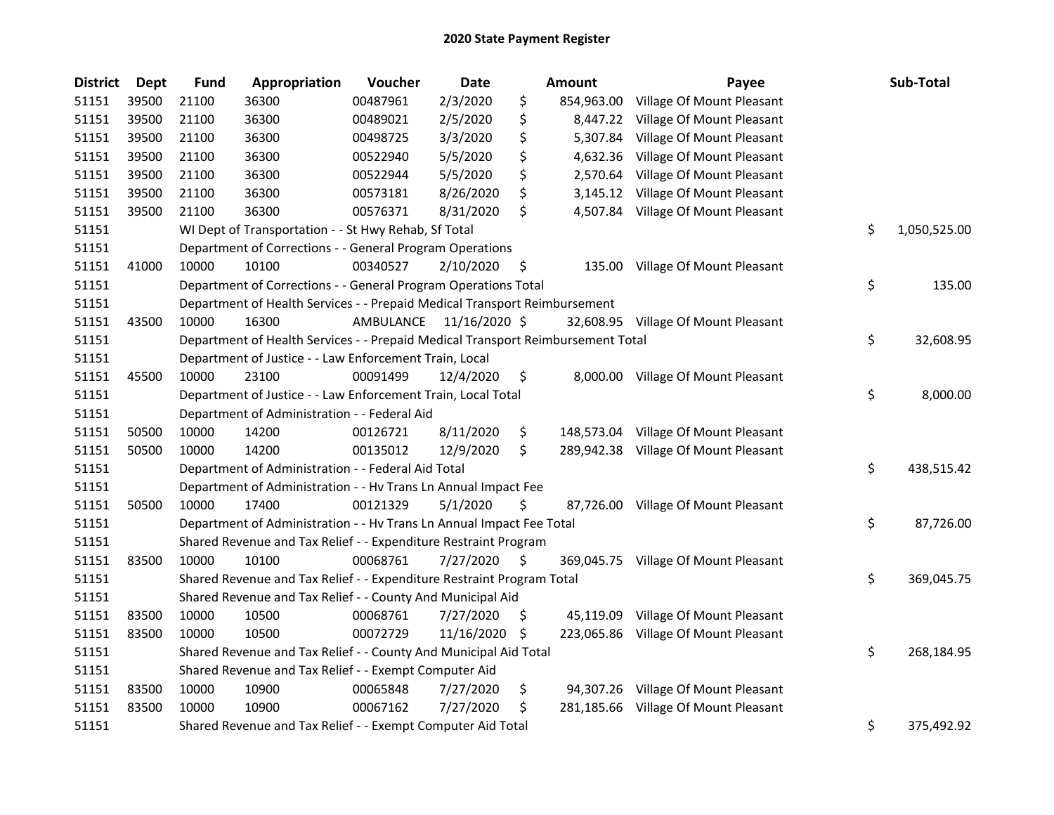| <b>District</b> | <b>Dept</b> | <b>Fund</b> | Appropriation                                                                   | Voucher   | <b>Date</b>   |     | Amount     | Payee                                | Sub-Total          |
|-----------------|-------------|-------------|---------------------------------------------------------------------------------|-----------|---------------|-----|------------|--------------------------------------|--------------------|
| 51151           | 39500       | 21100       | 36300                                                                           | 00487961  | 2/3/2020      | \$  | 854,963.00 | Village Of Mount Pleasant            |                    |
| 51151           | 39500       | 21100       | 36300                                                                           | 00489021  | 2/5/2020      | \$  | 8,447.22   | Village Of Mount Pleasant            |                    |
| 51151           | 39500       | 21100       | 36300                                                                           | 00498725  | 3/3/2020      | \$  | 5,307.84   | Village Of Mount Pleasant            |                    |
| 51151           | 39500       | 21100       | 36300                                                                           | 00522940  | 5/5/2020      | \$  | 4,632.36   | Village Of Mount Pleasant            |                    |
| 51151           | 39500       | 21100       | 36300                                                                           | 00522944  | 5/5/2020      | \$  | 2,570.64   | Village Of Mount Pleasant            |                    |
| 51151           | 39500       | 21100       | 36300                                                                           | 00573181  | 8/26/2020     | \$  | 3,145.12   | Village Of Mount Pleasant            |                    |
| 51151           | 39500       | 21100       | 36300                                                                           | 00576371  | 8/31/2020     | \$  |            | 4,507.84 Village Of Mount Pleasant   |                    |
| 51151           |             |             | WI Dept of Transportation - - St Hwy Rehab, Sf Total                            |           |               |     |            |                                      | \$<br>1,050,525.00 |
| 51151           |             |             | Department of Corrections - - General Program Operations                        |           |               |     |            |                                      |                    |
| 51151           | 41000       | 10000       | 10100                                                                           | 00340527  | 2/10/2020     | \$  |            | 135.00 Village Of Mount Pleasant     |                    |
| 51151           |             |             | Department of Corrections - - General Program Operations Total                  |           |               |     |            |                                      | \$<br>135.00       |
| 51151           |             |             | Department of Health Services - - Prepaid Medical Transport Reimbursement       |           |               |     |            |                                      |                    |
| 51151           | 43500       | 10000       | 16300                                                                           | AMBULANCE | 11/16/2020 \$ |     |            | 32,608.95 Village Of Mount Pleasant  |                    |
| 51151           |             |             | Department of Health Services - - Prepaid Medical Transport Reimbursement Total |           |               |     |            |                                      | \$<br>32,608.95    |
| 51151           |             |             | Department of Justice - - Law Enforcement Train, Local                          |           |               |     |            |                                      |                    |
| 51151           | 45500       | 10000       | 23100                                                                           | 00091499  | 12/4/2020     | \$  |            | 8,000.00 Village Of Mount Pleasant   |                    |
| 51151           |             |             | Department of Justice - - Law Enforcement Train, Local Total                    |           |               |     |            |                                      | \$<br>8,000.00     |
| 51151           |             |             | Department of Administration - - Federal Aid                                    |           |               |     |            |                                      |                    |
| 51151           | 50500       | 10000       | 14200                                                                           | 00126721  | 8/11/2020     | \$  | 148,573.04 | Village Of Mount Pleasant            |                    |
| 51151           | 50500       | 10000       | 14200                                                                           | 00135012  | 12/9/2020     | \$  |            | 289,942.38 Village Of Mount Pleasant |                    |
| 51151           |             |             | Department of Administration - - Federal Aid Total                              |           |               |     |            |                                      | \$<br>438,515.42   |
| 51151           |             |             | Department of Administration - - Hv Trans Ln Annual Impact Fee                  |           |               |     |            |                                      |                    |
| 51151           | 50500       | 10000       | 17400                                                                           | 00121329  | 5/1/2020      | \$  |            | 87,726.00 Village Of Mount Pleasant  |                    |
| 51151           |             |             | Department of Administration - - Hv Trans Ln Annual Impact Fee Total            |           |               |     |            |                                      | \$<br>87,726.00    |
| 51151           |             |             | Shared Revenue and Tax Relief - - Expenditure Restraint Program                 |           |               |     |            |                                      |                    |
| 51151           | 83500       | 10000       | 10100                                                                           | 00068761  | 7/27/2020     | \$. | 369,045.75 | Village Of Mount Pleasant            |                    |
| 51151           |             |             | Shared Revenue and Tax Relief - - Expenditure Restraint Program Total           |           |               |     |            |                                      | \$<br>369,045.75   |
| 51151           |             |             | Shared Revenue and Tax Relief - - County And Municipal Aid                      |           |               |     |            |                                      |                    |
| 51151           | 83500       | 10000       | 10500                                                                           | 00068761  | 7/27/2020     | \$. |            | 45,119.09 Village Of Mount Pleasant  |                    |
| 51151           | 83500       | 10000       | 10500                                                                           | 00072729  | 11/16/2020    | \$  |            | 223,065.86 Village Of Mount Pleasant |                    |
| 51151           |             |             | Shared Revenue and Tax Relief - - County And Municipal Aid Total                |           |               |     |            |                                      | \$<br>268,184.95   |
| 51151           |             |             | Shared Revenue and Tax Relief - - Exempt Computer Aid                           |           |               |     |            |                                      |                    |
| 51151           | 83500       | 10000       | 10900                                                                           | 00065848  | 7/27/2020     | \$  |            | 94,307.26 Village Of Mount Pleasant  |                    |
| 51151           | 83500       | 10000       | 10900                                                                           | 00067162  | 7/27/2020     | \$  | 281,185.66 | Village Of Mount Pleasant            |                    |
| 51151           |             |             | Shared Revenue and Tax Relief - - Exempt Computer Aid Total                     |           |               |     |            |                                      | \$<br>375,492.92   |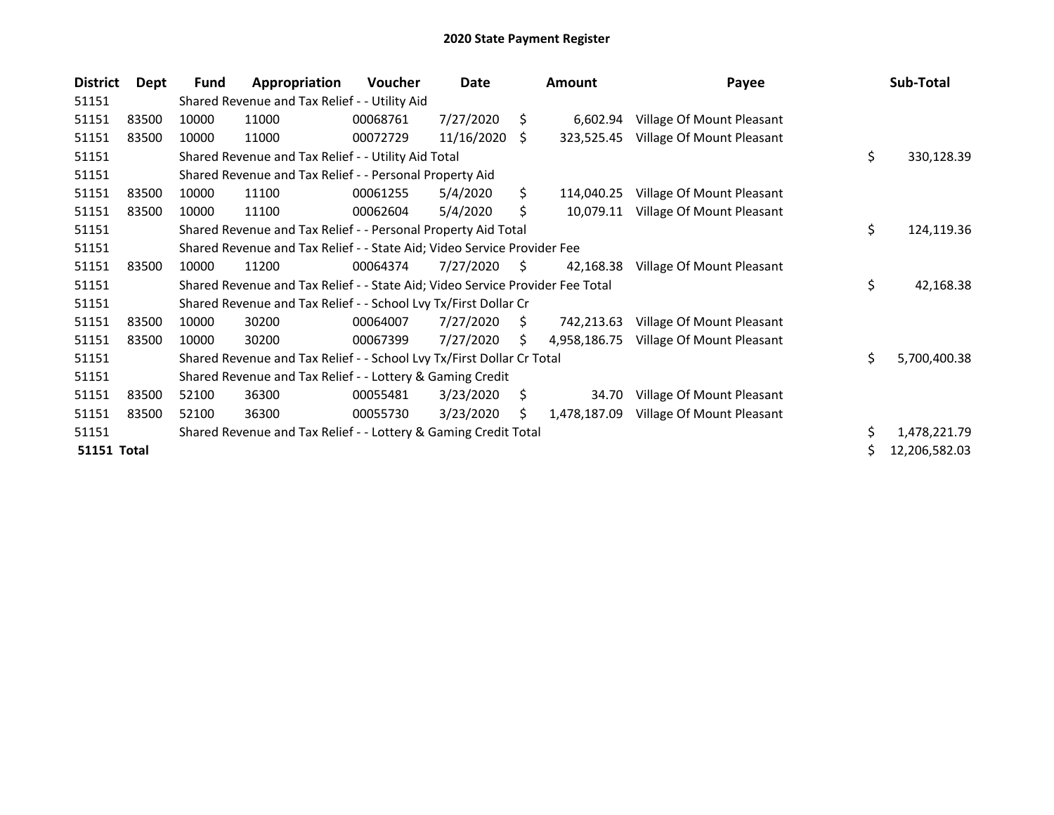| <b>District</b>    | Dept  | <b>Fund</b> | Appropriation                                                                 | <b>Voucher</b> | Date       |     | Amount       | Payee                     |    | Sub-Total     |
|--------------------|-------|-------------|-------------------------------------------------------------------------------|----------------|------------|-----|--------------|---------------------------|----|---------------|
| 51151              |       |             | Shared Revenue and Tax Relief - - Utility Aid                                 |                |            |     |              |                           |    |               |
| 51151              | 83500 | 10000       | 11000                                                                         | 00068761       | 7/27/2020  | S   | 6,602.94     | Village Of Mount Pleasant |    |               |
| 51151              | 83500 | 10000       | 11000                                                                         | 00072729       | 11/16/2020 | S.  | 323,525.45   | Village Of Mount Pleasant |    |               |
| 51151              |       |             | Shared Revenue and Tax Relief - - Utility Aid Total                           |                |            |     |              |                           | \$ | 330,128.39    |
| 51151              |       |             | Shared Revenue and Tax Relief - - Personal Property Aid                       |                |            |     |              |                           |    |               |
| 51151              | 83500 | 10000       | 11100                                                                         | 00061255       | 5/4/2020   | S.  | 114,040.25   | Village Of Mount Pleasant |    |               |
| 51151              | 83500 | 10000       | 11100                                                                         | 00062604       | 5/4/2020   | Ś.  | 10,079.11    | Village Of Mount Pleasant |    |               |
| 51151              |       |             | Shared Revenue and Tax Relief - - Personal Property Aid Total                 |                |            |     |              |                           | \$ | 124,119.36    |
| 51151              |       |             | Shared Revenue and Tax Relief - - State Aid; Video Service Provider Fee       |                |            |     |              |                           |    |               |
| 51151              | 83500 | 10000       | 11200                                                                         | 00064374       | 7/27/2020  | S.  | 42,168.38    | Village Of Mount Pleasant |    |               |
| 51151              |       |             | Shared Revenue and Tax Relief - - State Aid; Video Service Provider Fee Total |                |            |     |              |                           | \$ | 42,168.38     |
| 51151              |       |             | Shared Revenue and Tax Relief - - School Lvy Tx/First Dollar Cr               |                |            |     |              |                           |    |               |
| 51151              | 83500 | 10000       | 30200                                                                         | 00064007       | 7/27/2020  | S.  | 742,213.63   | Village Of Mount Pleasant |    |               |
| 51151              | 83500 | 10000       | 30200                                                                         | 00067399       | 7/27/2020  | \$. | 4,958,186.75 | Village Of Mount Pleasant |    |               |
| 51151              |       |             | Shared Revenue and Tax Relief - - School Lvy Tx/First Dollar Cr Total         |                |            |     |              |                           | Ś. | 5,700,400.38  |
| 51151              |       |             | Shared Revenue and Tax Relief - - Lottery & Gaming Credit                     |                |            |     |              |                           |    |               |
| 51151              | 83500 | 52100       | 36300                                                                         | 00055481       | 3/23/2020  | \$  | 34.70        | Village Of Mount Pleasant |    |               |
| 51151              | 83500 | 52100       | 36300                                                                         | 00055730       | 3/23/2020  | S.  | 1,478,187.09 | Village Of Mount Pleasant |    |               |
| 51151              |       |             | Shared Revenue and Tax Relief - - Lottery & Gaming Credit Total               |                |            |     |              |                           | \$ | 1,478,221.79  |
| <b>51151 Total</b> |       |             |                                                                               |                |            |     |              |                           |    | 12,206,582.03 |
|                    |       |             |                                                                               |                |            |     |              |                           |    |               |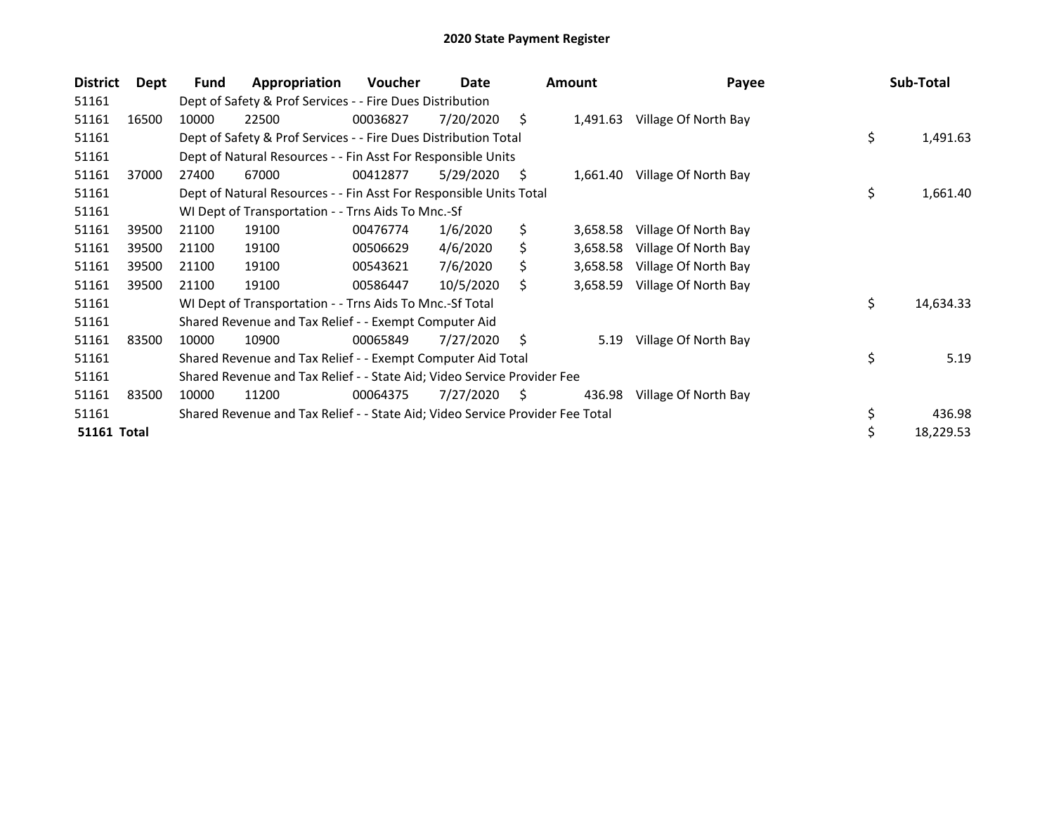| <b>District</b>    | Dept  | Fund  | Appropriation                                                                 | <b>Voucher</b> | Date      |     | <b>Amount</b> | Payee                | Sub-Total       |
|--------------------|-------|-------|-------------------------------------------------------------------------------|----------------|-----------|-----|---------------|----------------------|-----------------|
| 51161              |       |       | Dept of Safety & Prof Services - - Fire Dues Distribution                     |                |           |     |               |                      |                 |
| 51161              | 16500 | 10000 | 22500                                                                         | 00036827       | 7/20/2020 | \$. | 1,491.63      | Village Of North Bay |                 |
| 51161              |       |       | Dept of Safety & Prof Services - - Fire Dues Distribution Total               |                |           |     |               |                      | \$<br>1,491.63  |
| 51161              |       |       | Dept of Natural Resources - - Fin Asst For Responsible Units                  |                |           |     |               |                      |                 |
| 51161              | 37000 | 27400 | 67000                                                                         | 00412877       | 5/29/2020 | \$. | 1,661.40      | Village Of North Bay |                 |
| 51161              |       |       | Dept of Natural Resources - - Fin Asst For Responsible Units Total            |                |           |     |               |                      | \$<br>1,661.40  |
| 51161              |       |       | WI Dept of Transportation - - Trns Aids To Mnc.-Sf                            |                |           |     |               |                      |                 |
| 51161              | 39500 | 21100 | 19100                                                                         | 00476774       | 1/6/2020  | \$  | 3,658.58      | Village Of North Bay |                 |
| 51161              | 39500 | 21100 | 19100                                                                         | 00506629       | 4/6/2020  | \$  | 3,658.58      | Village Of North Bay |                 |
| 51161              | 39500 | 21100 | 19100                                                                         | 00543621       | 7/6/2020  | \$  | 3,658.58      | Village Of North Bay |                 |
| 51161              | 39500 | 21100 | 19100                                                                         | 00586447       | 10/5/2020 | S   | 3,658.59      | Village Of North Bay |                 |
| 51161              |       |       | WI Dept of Transportation - - Trns Aids To Mnc.-Sf Total                      |                |           |     |               |                      | \$<br>14,634.33 |
| 51161              |       |       | Shared Revenue and Tax Relief - - Exempt Computer Aid                         |                |           |     |               |                      |                 |
| 51161              | 83500 | 10000 | 10900                                                                         | 00065849       | 7/27/2020 | S.  | 5.19          | Village Of North Bay |                 |
| 51161              |       |       | Shared Revenue and Tax Relief - - Exempt Computer Aid Total                   |                |           |     |               |                      | \$<br>5.19      |
| 51161              |       |       | Shared Revenue and Tax Relief - - State Aid; Video Service Provider Fee       |                |           |     |               |                      |                 |
| 51161              | 83500 | 10000 | 11200                                                                         | 00064375       | 7/27/2020 | S   | 436.98        | Village Of North Bay |                 |
| 51161              |       |       | Shared Revenue and Tax Relief - - State Aid; Video Service Provider Fee Total |                |           |     |               |                      | \$<br>436.98    |
| <b>51161 Total</b> |       |       |                                                                               |                |           |     |               |                      | 18,229.53       |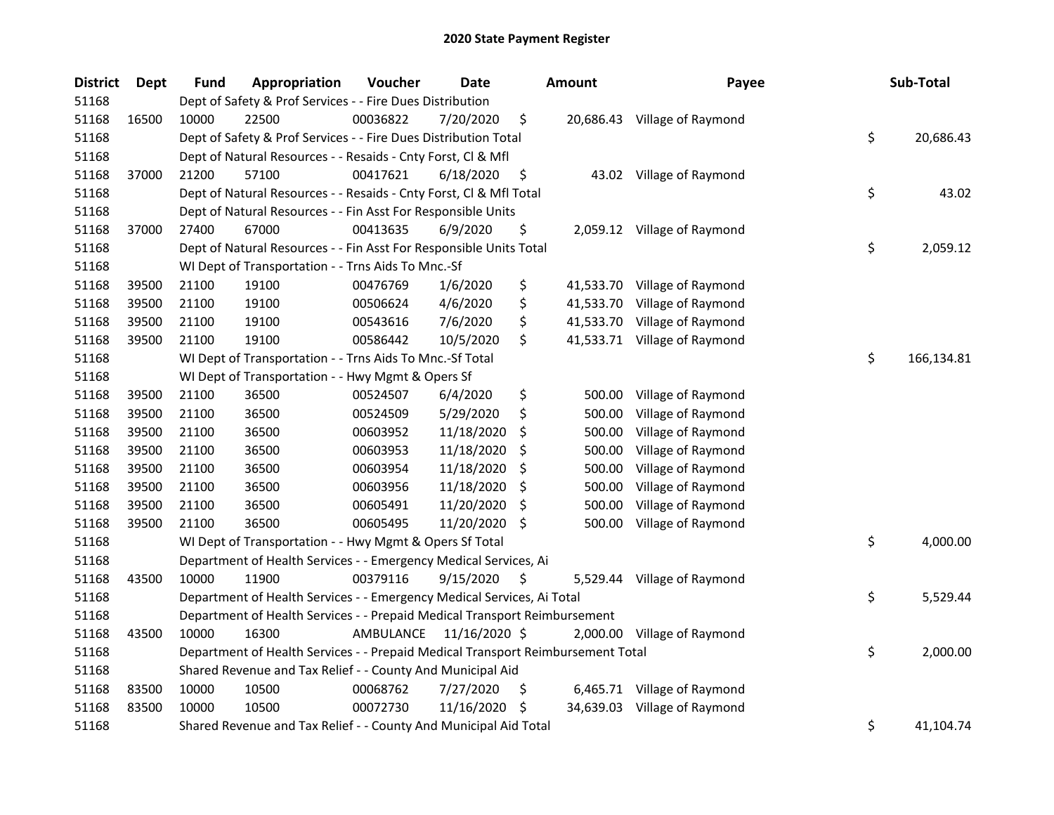| <b>District</b> | Dept  | <b>Fund</b> | Appropriation                                                                   | Voucher   | Date          |     | <b>Amount</b> | Payee                        | Sub-Total        |
|-----------------|-------|-------------|---------------------------------------------------------------------------------|-----------|---------------|-----|---------------|------------------------------|------------------|
| 51168           |       |             | Dept of Safety & Prof Services - - Fire Dues Distribution                       |           |               |     |               |                              |                  |
| 51168           | 16500 | 10000       | 22500                                                                           | 00036822  | 7/20/2020     | \$  |               | 20,686.43 Village of Raymond |                  |
| 51168           |       |             | Dept of Safety & Prof Services - - Fire Dues Distribution Total                 |           |               |     |               |                              | \$<br>20,686.43  |
| 51168           |       |             | Dept of Natural Resources - - Resaids - Cnty Forst, Cl & Mfl                    |           |               |     |               |                              |                  |
| 51168           | 37000 | 21200       | 57100                                                                           | 00417621  | 6/18/2020     | \$  |               | 43.02 Village of Raymond     |                  |
| 51168           |       |             | Dept of Natural Resources - - Resaids - Cnty Forst, Cl & Mfl Total              |           |               |     |               |                              | \$<br>43.02      |
| 51168           |       |             | Dept of Natural Resources - - Fin Asst For Responsible Units                    |           |               |     |               |                              |                  |
| 51168           | 37000 | 27400       | 67000                                                                           | 00413635  | 6/9/2020      | \$  |               | 2,059.12 Village of Raymond  |                  |
| 51168           |       |             | Dept of Natural Resources - - Fin Asst For Responsible Units Total              |           |               |     |               |                              | \$<br>2,059.12   |
| 51168           |       |             | WI Dept of Transportation - - Trns Aids To Mnc.-Sf                              |           |               |     |               |                              |                  |
| 51168           | 39500 | 21100       | 19100                                                                           | 00476769  | 1/6/2020      | \$  |               | 41,533.70 Village of Raymond |                  |
| 51168           | 39500 | 21100       | 19100                                                                           | 00506624  | 4/6/2020      | \$  |               | 41,533.70 Village of Raymond |                  |
| 51168           | 39500 | 21100       | 19100                                                                           | 00543616  | 7/6/2020      | \$  |               | 41,533.70 Village of Raymond |                  |
| 51168           | 39500 | 21100       | 19100                                                                           | 00586442  | 10/5/2020     | \$  |               | 41,533.71 Village of Raymond |                  |
| 51168           |       |             | WI Dept of Transportation - - Trns Aids To Mnc.-Sf Total                        |           |               |     |               |                              | \$<br>166,134.81 |
| 51168           |       |             | WI Dept of Transportation - - Hwy Mgmt & Opers Sf                               |           |               |     |               |                              |                  |
| 51168           | 39500 | 21100       | 36500                                                                           | 00524507  | 6/4/2020      | \$  | 500.00        | Village of Raymond           |                  |
| 51168           | 39500 | 21100       | 36500                                                                           | 00524509  | 5/29/2020     | \$  | 500.00        | Village of Raymond           |                  |
| 51168           | 39500 | 21100       | 36500                                                                           | 00603952  | 11/18/2020    | \$  | 500.00        | Village of Raymond           |                  |
| 51168           | 39500 | 21100       | 36500                                                                           | 00603953  | 11/18/2020    | \$  | 500.00        | Village of Raymond           |                  |
| 51168           | 39500 | 21100       | 36500                                                                           | 00603954  | 11/18/2020    | \$. | 500.00        | Village of Raymond           |                  |
| 51168           | 39500 | 21100       | 36500                                                                           | 00603956  | 11/18/2020    | \$  | 500.00        | Village of Raymond           |                  |
| 51168           | 39500 | 21100       | 36500                                                                           | 00605491  | 11/20/2020    | \$  | 500.00        | Village of Raymond           |                  |
| 51168           | 39500 | 21100       | 36500                                                                           | 00605495  | 11/20/2020 \$ |     | 500.00        | Village of Raymond           |                  |
| 51168           |       |             | WI Dept of Transportation - - Hwy Mgmt & Opers Sf Total                         |           |               |     |               |                              | \$<br>4,000.00   |
| 51168           |       |             | Department of Health Services - - Emergency Medical Services, Ai                |           |               |     |               |                              |                  |
| 51168           | 43500 | 10000       | 11900                                                                           | 00379116  | 9/15/2020     | \$  |               | 5,529.44 Village of Raymond  |                  |
| 51168           |       |             | Department of Health Services - - Emergency Medical Services, Ai Total          |           |               |     |               |                              | \$<br>5,529.44   |
| 51168           |       |             | Department of Health Services - - Prepaid Medical Transport Reimbursement       |           |               |     |               |                              |                  |
| 51168           | 43500 | 10000       | 16300                                                                           | AMBULANCE | 11/16/2020 \$ |     |               | 2,000.00 Village of Raymond  |                  |
| 51168           |       |             | Department of Health Services - - Prepaid Medical Transport Reimbursement Total |           |               |     |               |                              | \$<br>2,000.00   |
| 51168           |       |             | Shared Revenue and Tax Relief - - County And Municipal Aid                      |           |               |     |               |                              |                  |
| 51168           | 83500 | 10000       | 10500                                                                           | 00068762  | 7/27/2020     | \$  |               | 6,465.71 Village of Raymond  |                  |
| 51168           | 83500 | 10000       | 10500                                                                           | 00072730  | 11/16/2020    | \$. |               | 34,639.03 Village of Raymond |                  |
| 51168           |       |             | Shared Revenue and Tax Relief - - County And Municipal Aid Total                |           |               |     |               |                              | \$<br>41,104.74  |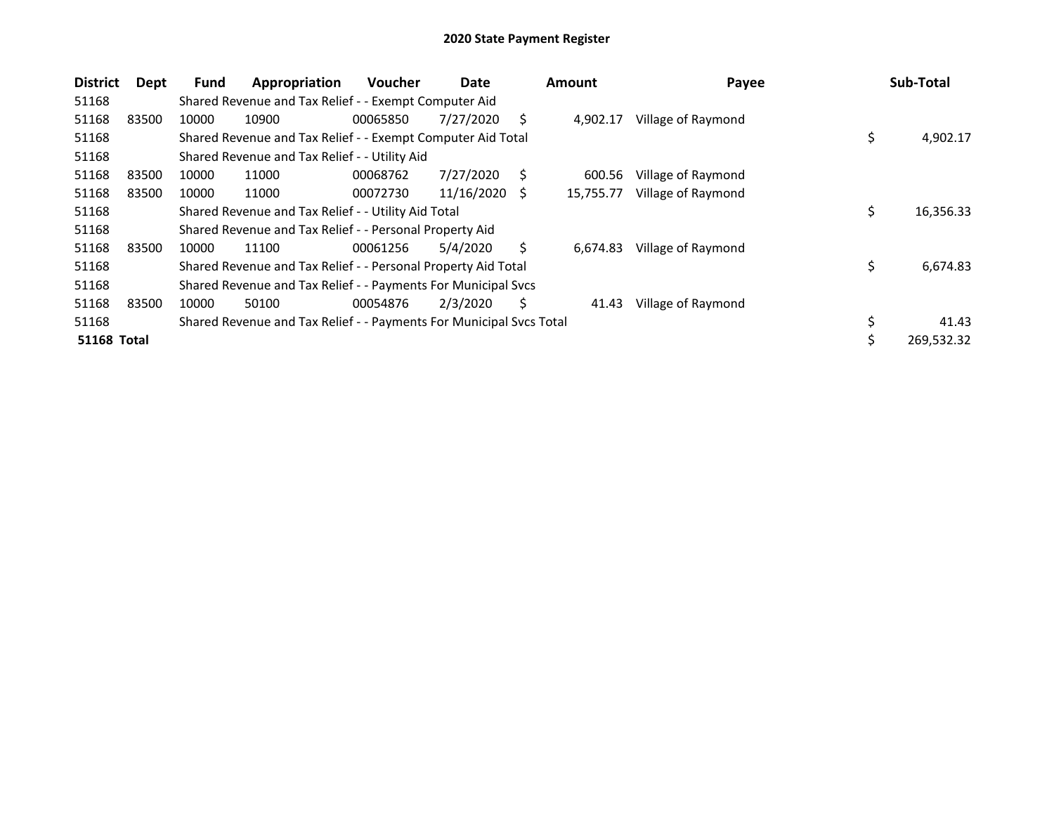| <b>District</b>    | Dept  | <b>Fund</b> | Appropriation                                                       | <b>Voucher</b> | Date       |    | <b>Amount</b> | Payee              | Sub-Total        |
|--------------------|-------|-------------|---------------------------------------------------------------------|----------------|------------|----|---------------|--------------------|------------------|
| 51168              |       |             | Shared Revenue and Tax Relief - - Exempt Computer Aid               |                |            |    |               |                    |                  |
| 51168              | 83500 | 10000       | 10900                                                               | 00065850       | 7/27/2020  | S  | 4.902.17      | Village of Raymond |                  |
| 51168              |       |             | Shared Revenue and Tax Relief - - Exempt Computer Aid Total         |                |            |    |               |                    | \$<br>4,902.17   |
| 51168              |       |             | Shared Revenue and Tax Relief - - Utility Aid                       |                |            |    |               |                    |                  |
| 51168              | 83500 | 10000       | 11000                                                               | 00068762       | 7/27/2020  | S  | 600.56        | Village of Raymond |                  |
| 51168              | 83500 | 10000       | 11000                                                               | 00072730       | 11/16/2020 | -S | 15,755.77     | Village of Raymond |                  |
| 51168              |       |             | Shared Revenue and Tax Relief - - Utility Aid Total                 |                |            |    |               |                    | \$<br>16,356.33  |
| 51168              |       |             | Shared Revenue and Tax Relief - - Personal Property Aid             |                |            |    |               |                    |                  |
| 51168              | 83500 | 10000       | 11100                                                               | 00061256       | 5/4/2020   | Ś. | 6,674.83      | Village of Raymond |                  |
| 51168              |       |             | Shared Revenue and Tax Relief - - Personal Property Aid Total       |                |            |    |               |                    | \$<br>6,674.83   |
| 51168              |       |             | Shared Revenue and Tax Relief - - Payments For Municipal Svcs       |                |            |    |               |                    |                  |
| 51168              | 83500 | 10000       | 50100                                                               | 00054876       | 2/3/2020   | S  | 41.43         | Village of Raymond |                  |
| 51168              |       |             | Shared Revenue and Tax Relief - - Payments For Municipal Svcs Total |                |            |    |               |                    | \$<br>41.43      |
| <b>51168 Total</b> |       |             |                                                                     |                |            |    |               |                    | \$<br>269,532.32 |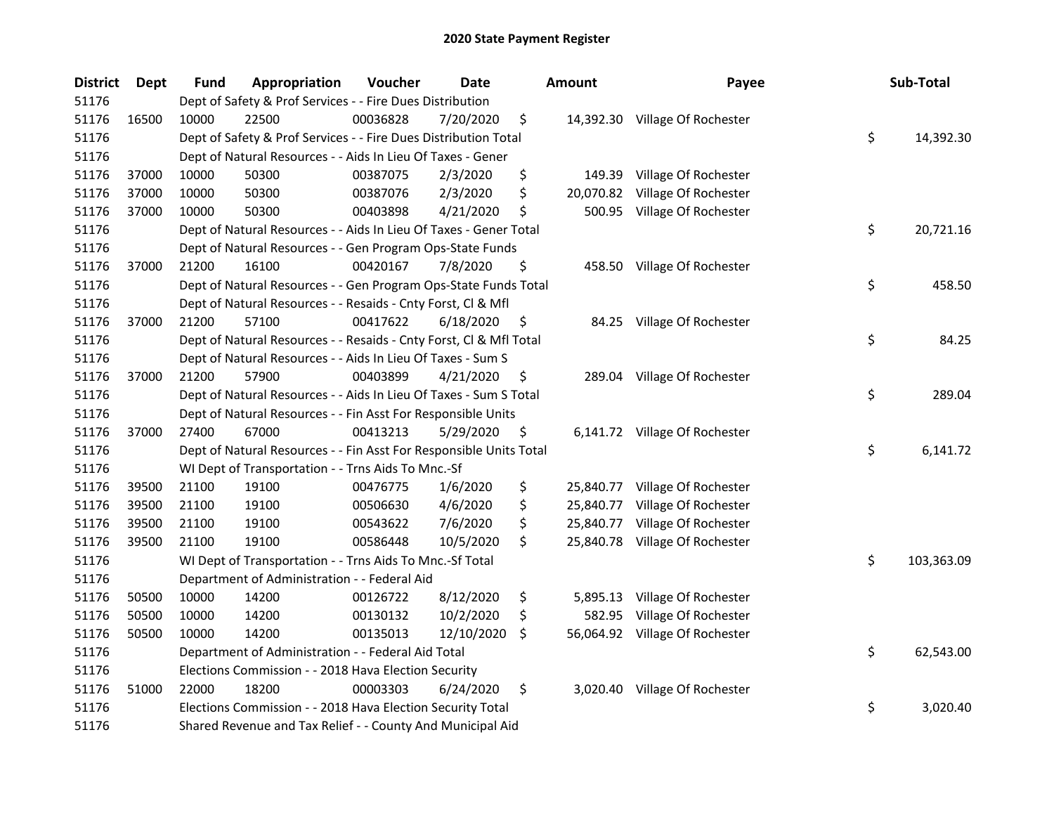| <b>District</b> | Dept  | Fund  | Appropriation                                                      | Voucher  | <b>Date</b> |     | <b>Amount</b> | Payee                          | Sub-Total        |
|-----------------|-------|-------|--------------------------------------------------------------------|----------|-------------|-----|---------------|--------------------------------|------------------|
| 51176           |       |       | Dept of Safety & Prof Services - - Fire Dues Distribution          |          |             |     |               |                                |                  |
| 51176           | 16500 | 10000 | 22500                                                              | 00036828 | 7/20/2020   | \$  |               | 14,392.30 Village Of Rochester |                  |
| 51176           |       |       | Dept of Safety & Prof Services - - Fire Dues Distribution Total    |          |             |     |               |                                | \$<br>14,392.30  |
| 51176           |       |       | Dept of Natural Resources - - Aids In Lieu Of Taxes - Gener        |          |             |     |               |                                |                  |
| 51176           | 37000 | 10000 | 50300                                                              | 00387075 | 2/3/2020    | \$  | 149.39        | Village Of Rochester           |                  |
| 51176           | 37000 | 10000 | 50300                                                              | 00387076 | 2/3/2020    | \$  | 20,070.82     | Village Of Rochester           |                  |
| 51176           | 37000 | 10000 | 50300                                                              | 00403898 | 4/21/2020   | \$  | 500.95        | Village Of Rochester           |                  |
| 51176           |       |       | Dept of Natural Resources - - Aids In Lieu Of Taxes - Gener Total  |          |             |     |               |                                | \$<br>20,721.16  |
| 51176           |       |       | Dept of Natural Resources - - Gen Program Ops-State Funds          |          |             |     |               |                                |                  |
| 51176           | 37000 | 21200 | 16100                                                              | 00420167 | 7/8/2020    | \$  |               | 458.50 Village Of Rochester    |                  |
| 51176           |       |       | Dept of Natural Resources - - Gen Program Ops-State Funds Total    |          |             |     |               |                                | \$<br>458.50     |
| 51176           |       |       | Dept of Natural Resources - - Resaids - Cnty Forst, Cl & Mfl       |          |             |     |               |                                |                  |
| 51176           | 37000 | 21200 | 57100                                                              | 00417622 | 6/18/2020   | \$  |               | 84.25 Village Of Rochester     |                  |
| 51176           |       |       | Dept of Natural Resources - - Resaids - Cnty Forst, Cl & Mfl Total |          |             |     |               |                                | \$<br>84.25      |
| 51176           |       |       | Dept of Natural Resources - - Aids In Lieu Of Taxes - Sum S        |          |             |     |               |                                |                  |
| 51176           | 37000 | 21200 | 57900                                                              | 00403899 | 4/21/2020   | \$. | 289.04        | Village Of Rochester           |                  |
| 51176           |       |       | Dept of Natural Resources - - Aids In Lieu Of Taxes - Sum S Total  |          |             |     |               |                                | \$<br>289.04     |
| 51176           |       |       | Dept of Natural Resources - - Fin Asst For Responsible Units       |          |             |     |               |                                |                  |
| 51176           | 37000 | 27400 | 67000                                                              | 00413213 | 5/29/2020   | \$  |               | 6,141.72 Village Of Rochester  |                  |
| 51176           |       |       | Dept of Natural Resources - - Fin Asst For Responsible Units Total |          |             |     |               |                                | \$<br>6,141.72   |
| 51176           |       |       | WI Dept of Transportation - - Trns Aids To Mnc.-Sf                 |          |             |     |               |                                |                  |
| 51176           | 39500 | 21100 | 19100                                                              | 00476775 | 1/6/2020    | \$  | 25,840.77     | Village Of Rochester           |                  |
| 51176           | 39500 | 21100 | 19100                                                              | 00506630 | 4/6/2020    | \$  | 25,840.77     | Village Of Rochester           |                  |
| 51176           | 39500 | 21100 | 19100                                                              | 00543622 | 7/6/2020    | \$  | 25,840.77     | Village Of Rochester           |                  |
| 51176           | 39500 | 21100 | 19100                                                              | 00586448 | 10/5/2020   | \$  | 25,840.78     | Village Of Rochester           |                  |
| 51176           |       |       | WI Dept of Transportation - - Trns Aids To Mnc.-Sf Total           |          |             |     |               |                                | \$<br>103,363.09 |
| 51176           |       |       | Department of Administration - - Federal Aid                       |          |             |     |               |                                |                  |
| 51176           | 50500 | 10000 | 14200                                                              | 00126722 | 8/12/2020   | \$  | 5,895.13      | Village Of Rochester           |                  |
| 51176           | 50500 | 10000 | 14200                                                              | 00130132 | 10/2/2020   | \$  | 582.95        | Village Of Rochester           |                  |
| 51176           | 50500 | 10000 | 14200                                                              | 00135013 | 12/10/2020  | \$  | 56,064.92     | Village Of Rochester           |                  |
| 51176           |       |       | Department of Administration - - Federal Aid Total                 |          |             |     |               |                                | \$<br>62,543.00  |
| 51176           |       |       | Elections Commission - - 2018 Hava Election Security               |          |             |     |               |                                |                  |
| 51176           | 51000 | 22000 | 18200                                                              | 00003303 | 6/24/2020   | \$  |               | 3,020.40 Village Of Rochester  |                  |
| 51176           |       |       | Elections Commission - - 2018 Hava Election Security Total         |          |             |     |               |                                | \$<br>3,020.40   |
| 51176           |       |       | Shared Revenue and Tax Relief - - County And Municipal Aid         |          |             |     |               |                                |                  |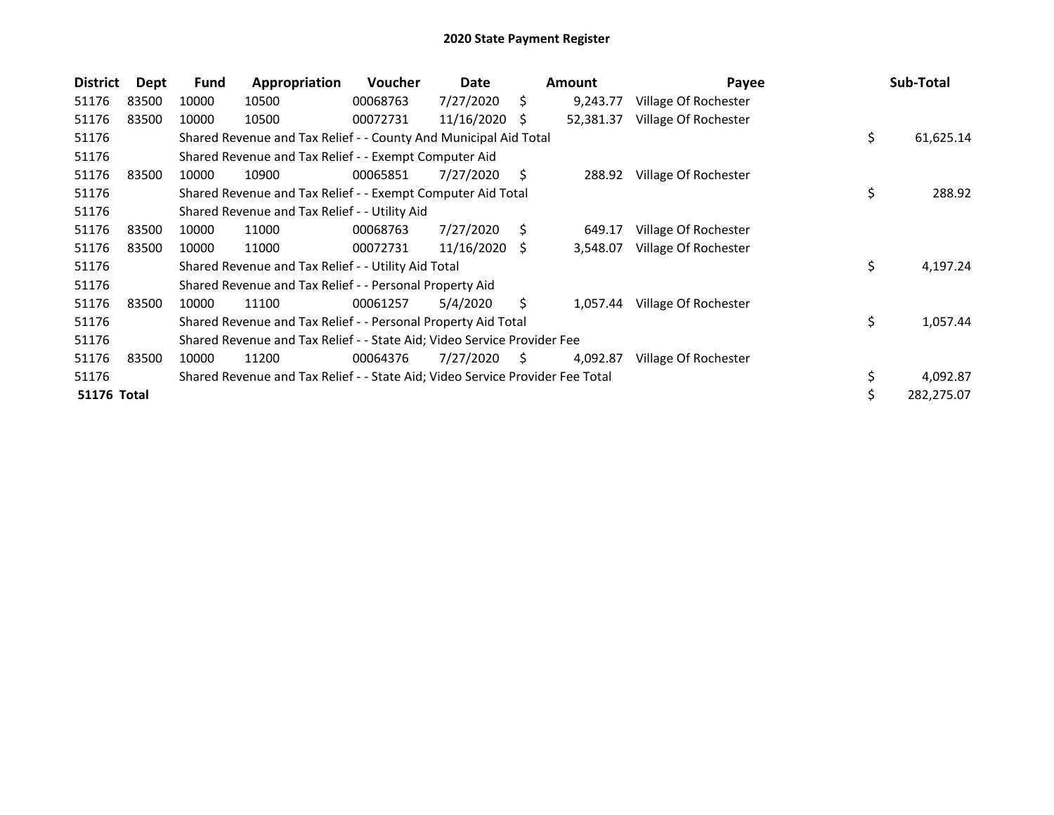| <b>District</b>    | Dept  | Fund  | Appropriation                                                                 | <b>Voucher</b> | Date          |    | <b>Amount</b> | Payee                | Sub-Total        |
|--------------------|-------|-------|-------------------------------------------------------------------------------|----------------|---------------|----|---------------|----------------------|------------------|
| 51176              | 83500 | 10000 | 10500                                                                         | 00068763       | 7/27/2020     | Ś. | 9,243.77      | Village Of Rochester |                  |
| 51176              | 83500 | 10000 | 10500                                                                         | 00072731       | 11/16/2020    | S  | 52,381.37     | Village Of Rochester |                  |
| 51176              |       |       | Shared Revenue and Tax Relief - - County And Municipal Aid Total              |                |               |    |               |                      | \$<br>61,625.14  |
| 51176              |       |       | Shared Revenue and Tax Relief - - Exempt Computer Aid                         |                |               |    |               |                      |                  |
| 51176              | 83500 | 10000 | 10900                                                                         | 00065851       | 7/27/2020     | S  | 288.92        | Village Of Rochester |                  |
| 51176              |       |       | Shared Revenue and Tax Relief - - Exempt Computer Aid Total                   |                |               |    |               |                      | \$<br>288.92     |
| 51176              |       |       | Shared Revenue and Tax Relief - - Utility Aid                                 |                |               |    |               |                      |                  |
| 51176              | 83500 | 10000 | 11000                                                                         | 00068763       | 7/27/2020     | S. | 649.17        | Village Of Rochester |                  |
| 51176              | 83500 | 10000 | 11000                                                                         | 00072731       | 11/16/2020 \$ |    | 3,548.07      | Village Of Rochester |                  |
| 51176              |       |       | Shared Revenue and Tax Relief - - Utility Aid Total                           |                |               |    |               |                      | \$<br>4,197.24   |
| 51176              |       |       | Shared Revenue and Tax Relief - - Personal Property Aid                       |                |               |    |               |                      |                  |
| 51176              | 83500 | 10000 | 11100                                                                         | 00061257       | 5/4/2020      | Ś. | 1,057.44      | Village Of Rochester |                  |
| 51176              |       |       | Shared Revenue and Tax Relief - - Personal Property Aid Total                 |                |               |    |               |                      | \$<br>1,057.44   |
| 51176              |       |       | Shared Revenue and Tax Relief - - State Aid; Video Service Provider Fee       |                |               |    |               |                      |                  |
| 51176              | 83500 | 10000 | 11200                                                                         | 00064376       | 7/27/2020     | S  | 4,092.87      | Village Of Rochester |                  |
| 51176              |       |       | Shared Revenue and Tax Relief - - State Aid; Video Service Provider Fee Total |                |               |    |               |                      | \$<br>4,092.87   |
| <b>51176 Total</b> |       |       |                                                                               |                |               |    |               |                      | \$<br>282,275.07 |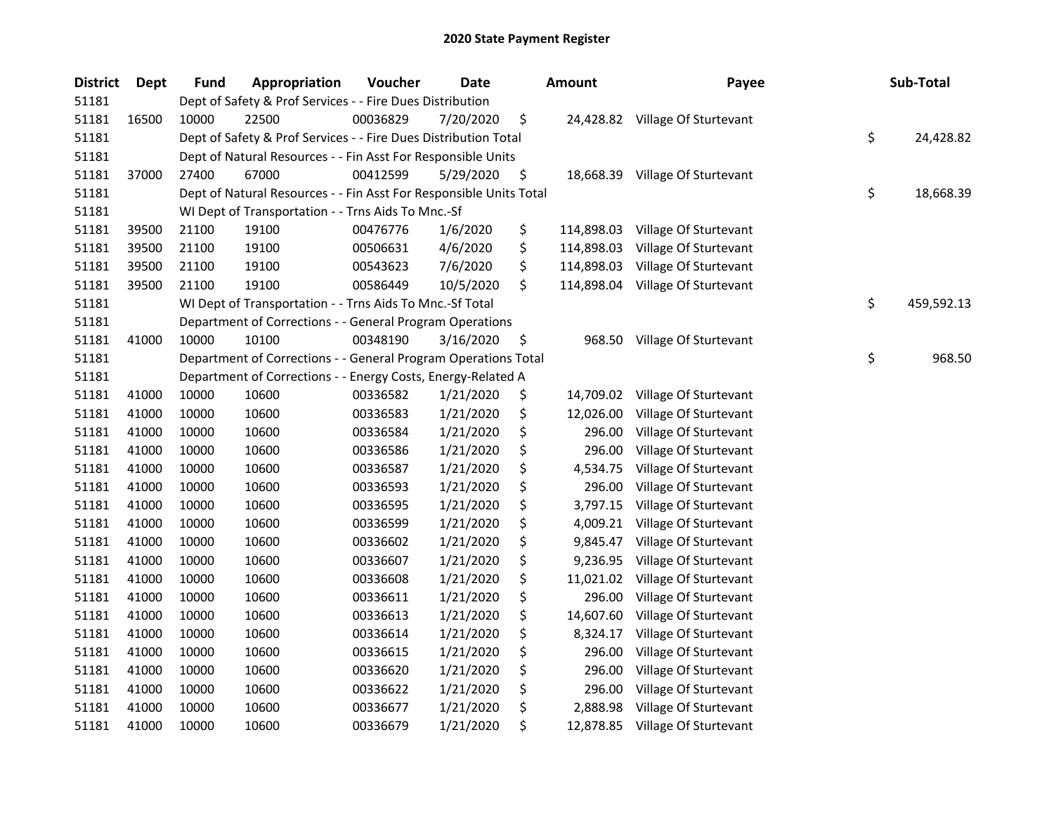| <b>District</b> | Dept  | <b>Fund</b> | Appropriation                                                      | Voucher  | Date      | <b>Amount</b>    | Payee                           | Sub-Total        |
|-----------------|-------|-------------|--------------------------------------------------------------------|----------|-----------|------------------|---------------------------------|------------------|
| 51181           |       |             | Dept of Safety & Prof Services - - Fire Dues Distribution          |          |           |                  |                                 |                  |
| 51181           | 16500 | 10000       | 22500                                                              | 00036829 | 7/20/2020 | \$               | 24,428.82 Village Of Sturtevant |                  |
| 51181           |       |             | Dept of Safety & Prof Services - - Fire Dues Distribution Total    |          |           |                  |                                 | \$<br>24,428.82  |
| 51181           |       |             | Dept of Natural Resources - - Fin Asst For Responsible Units       |          |           |                  |                                 |                  |
| 51181           | 37000 | 27400       | 67000                                                              | 00412599 | 5/29/2020 | \$               | 18,668.39 Village Of Sturtevant |                  |
| 51181           |       |             | Dept of Natural Resources - - Fin Asst For Responsible Units Total |          |           |                  |                                 | \$<br>18,668.39  |
| 51181           |       |             | WI Dept of Transportation - - Trns Aids To Mnc.-Sf                 |          |           |                  |                                 |                  |
| 51181           | 39500 | 21100       | 19100                                                              | 00476776 | 1/6/2020  | \$<br>114,898.03 | Village Of Sturtevant           |                  |
| 51181           | 39500 | 21100       | 19100                                                              | 00506631 | 4/6/2020  | \$<br>114,898.03 | Village Of Sturtevant           |                  |
| 51181           | 39500 | 21100       | 19100                                                              | 00543623 | 7/6/2020  | \$<br>114,898.03 | Village Of Sturtevant           |                  |
| 51181           | 39500 | 21100       | 19100                                                              | 00586449 | 10/5/2020 | \$<br>114,898.04 | Village Of Sturtevant           |                  |
| 51181           |       |             | WI Dept of Transportation - - Trns Aids To Mnc.-Sf Total           |          |           |                  |                                 | \$<br>459,592.13 |
| 51181           |       |             | Department of Corrections - - General Program Operations           |          |           |                  |                                 |                  |
| 51181           | 41000 | 10000       | 10100                                                              | 00348190 | 3/16/2020 | \$<br>968.50     | Village Of Sturtevant           |                  |
| 51181           |       |             | Department of Corrections - - General Program Operations Total     |          |           |                  |                                 | \$<br>968.50     |
| 51181           |       |             | Department of Corrections - - Energy Costs, Energy-Related A       |          |           |                  |                                 |                  |
| 51181           | 41000 | 10000       | 10600                                                              | 00336582 | 1/21/2020 | \$<br>14,709.02  | Village Of Sturtevant           |                  |
| 51181           | 41000 | 10000       | 10600                                                              | 00336583 | 1/21/2020 | \$<br>12,026.00  | Village Of Sturtevant           |                  |
| 51181           | 41000 | 10000       | 10600                                                              | 00336584 | 1/21/2020 | \$<br>296.00     | Village Of Sturtevant           |                  |
| 51181           | 41000 | 10000       | 10600                                                              | 00336586 | 1/21/2020 | \$<br>296.00     | Village Of Sturtevant           |                  |
| 51181           | 41000 | 10000       | 10600                                                              | 00336587 | 1/21/2020 | \$<br>4,534.75   | Village Of Sturtevant           |                  |
| 51181           | 41000 | 10000       | 10600                                                              | 00336593 | 1/21/2020 | \$<br>296.00     | Village Of Sturtevant           |                  |
| 51181           | 41000 | 10000       | 10600                                                              | 00336595 | 1/21/2020 | \$<br>3,797.15   | Village Of Sturtevant           |                  |
| 51181           | 41000 | 10000       | 10600                                                              | 00336599 | 1/21/2020 | \$<br>4,009.21   | Village Of Sturtevant           |                  |
| 51181           | 41000 | 10000       | 10600                                                              | 00336602 | 1/21/2020 | \$<br>9,845.47   | Village Of Sturtevant           |                  |
| 51181           | 41000 | 10000       | 10600                                                              | 00336607 | 1/21/2020 | \$<br>9,236.95   | Village Of Sturtevant           |                  |
| 51181           | 41000 | 10000       | 10600                                                              | 00336608 | 1/21/2020 | \$<br>11,021.02  | Village Of Sturtevant           |                  |
| 51181           | 41000 | 10000       | 10600                                                              | 00336611 | 1/21/2020 | \$<br>296.00     | Village Of Sturtevant           |                  |
| 51181           | 41000 | 10000       | 10600                                                              | 00336613 | 1/21/2020 | \$<br>14,607.60  | Village Of Sturtevant           |                  |
| 51181           | 41000 | 10000       | 10600                                                              | 00336614 | 1/21/2020 | \$<br>8,324.17   | Village Of Sturtevant           |                  |
| 51181           | 41000 | 10000       | 10600                                                              | 00336615 | 1/21/2020 | \$<br>296.00     | Village Of Sturtevant           |                  |
| 51181           | 41000 | 10000       | 10600                                                              | 00336620 | 1/21/2020 | \$<br>296.00     | Village Of Sturtevant           |                  |
| 51181           | 41000 | 10000       | 10600                                                              | 00336622 | 1/21/2020 | \$<br>296.00     | Village Of Sturtevant           |                  |
| 51181           | 41000 | 10000       | 10600                                                              | 00336677 | 1/21/2020 | \$<br>2,888.98   | Village Of Sturtevant           |                  |
| 51181           | 41000 | 10000       | 10600                                                              | 00336679 | 1/21/2020 | \$               | 12,878.85 Village Of Sturtevant |                  |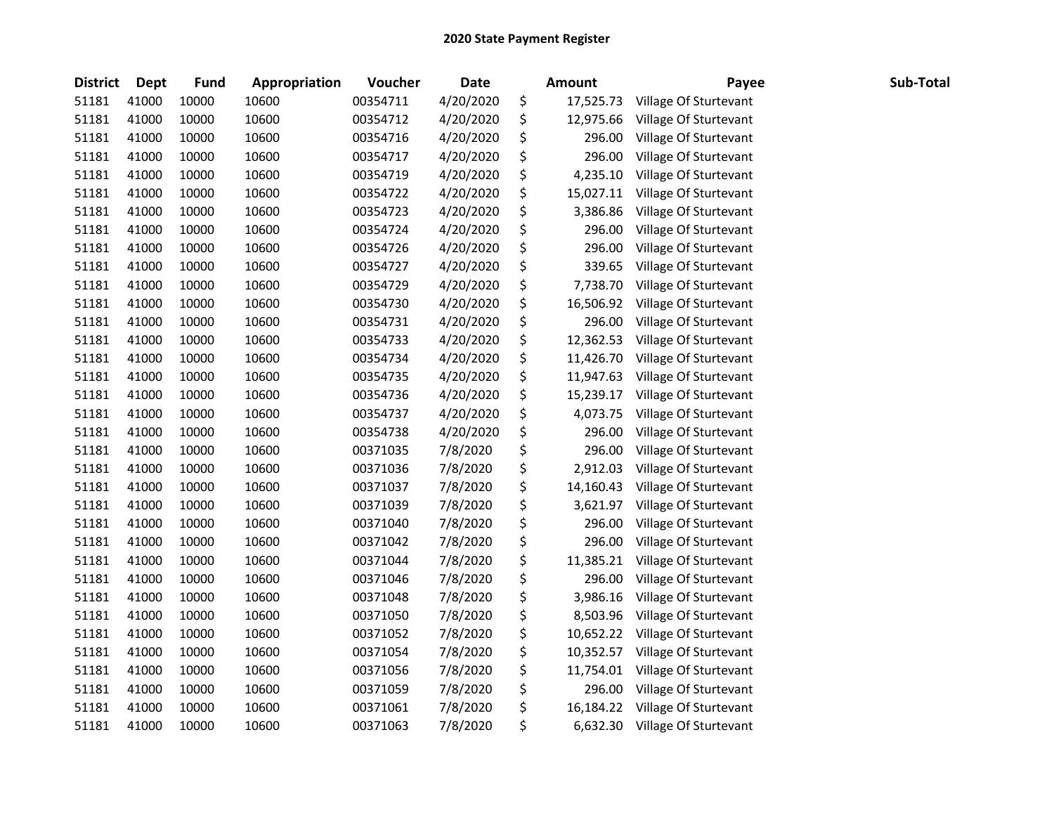| <b>District</b> | <b>Dept</b> | <b>Fund</b> | Appropriation | Voucher  | <b>Date</b> | <b>Amount</b>   | Payee                 | Sub-Total |
|-----------------|-------------|-------------|---------------|----------|-------------|-----------------|-----------------------|-----------|
| 51181           | 41000       | 10000       | 10600         | 00354711 | 4/20/2020   | \$<br>17,525.73 | Village Of Sturtevant |           |
| 51181           | 41000       | 10000       | 10600         | 00354712 | 4/20/2020   | \$<br>12,975.66 | Village Of Sturtevant |           |
| 51181           | 41000       | 10000       | 10600         | 00354716 | 4/20/2020   | \$<br>296.00    | Village Of Sturtevant |           |
| 51181           | 41000       | 10000       | 10600         | 00354717 | 4/20/2020   | \$<br>296.00    | Village Of Sturtevant |           |
| 51181           | 41000       | 10000       | 10600         | 00354719 | 4/20/2020   | \$<br>4,235.10  | Village Of Sturtevant |           |
| 51181           | 41000       | 10000       | 10600         | 00354722 | 4/20/2020   | \$<br>15,027.11 | Village Of Sturtevant |           |
| 51181           | 41000       | 10000       | 10600         | 00354723 | 4/20/2020   | \$<br>3,386.86  | Village Of Sturtevant |           |
| 51181           | 41000       | 10000       | 10600         | 00354724 | 4/20/2020   | \$<br>296.00    | Village Of Sturtevant |           |
| 51181           | 41000       | 10000       | 10600         | 00354726 | 4/20/2020   | \$<br>296.00    | Village Of Sturtevant |           |
| 51181           | 41000       | 10000       | 10600         | 00354727 | 4/20/2020   | \$<br>339.65    | Village Of Sturtevant |           |
| 51181           | 41000       | 10000       | 10600         | 00354729 | 4/20/2020   | \$<br>7,738.70  | Village Of Sturtevant |           |
| 51181           | 41000       | 10000       | 10600         | 00354730 | 4/20/2020   | \$<br>16,506.92 | Village Of Sturtevant |           |
| 51181           | 41000       | 10000       | 10600         | 00354731 | 4/20/2020   | \$<br>296.00    | Village Of Sturtevant |           |
| 51181           | 41000       | 10000       | 10600         | 00354733 | 4/20/2020   | \$<br>12,362.53 | Village Of Sturtevant |           |
| 51181           | 41000       | 10000       | 10600         | 00354734 | 4/20/2020   | \$<br>11,426.70 | Village Of Sturtevant |           |
| 51181           | 41000       | 10000       | 10600         | 00354735 | 4/20/2020   | \$<br>11,947.63 | Village Of Sturtevant |           |
| 51181           | 41000       | 10000       | 10600         | 00354736 | 4/20/2020   | \$<br>15,239.17 | Village Of Sturtevant |           |
| 51181           | 41000       | 10000       | 10600         | 00354737 | 4/20/2020   | \$<br>4,073.75  | Village Of Sturtevant |           |
| 51181           | 41000       | 10000       | 10600         | 00354738 | 4/20/2020   | \$<br>296.00    | Village Of Sturtevant |           |
| 51181           | 41000       | 10000       | 10600         | 00371035 | 7/8/2020    | \$<br>296.00    | Village Of Sturtevant |           |
| 51181           | 41000       | 10000       | 10600         | 00371036 | 7/8/2020    | \$<br>2,912.03  | Village Of Sturtevant |           |
| 51181           | 41000       | 10000       | 10600         | 00371037 | 7/8/2020    | \$<br>14,160.43 | Village Of Sturtevant |           |
| 51181           | 41000       | 10000       | 10600         | 00371039 | 7/8/2020    | \$<br>3,621.97  | Village Of Sturtevant |           |
| 51181           | 41000       | 10000       | 10600         | 00371040 | 7/8/2020    | \$<br>296.00    | Village Of Sturtevant |           |
| 51181           | 41000       | 10000       | 10600         | 00371042 | 7/8/2020    | \$<br>296.00    | Village Of Sturtevant |           |
| 51181           | 41000       | 10000       | 10600         | 00371044 | 7/8/2020    | \$<br>11,385.21 | Village Of Sturtevant |           |
| 51181           | 41000       | 10000       | 10600         | 00371046 | 7/8/2020    | \$<br>296.00    | Village Of Sturtevant |           |
| 51181           | 41000       | 10000       | 10600         | 00371048 | 7/8/2020    | \$<br>3,986.16  | Village Of Sturtevant |           |
| 51181           | 41000       | 10000       | 10600         | 00371050 | 7/8/2020    | \$<br>8,503.96  | Village Of Sturtevant |           |
| 51181           | 41000       | 10000       | 10600         | 00371052 | 7/8/2020    | \$<br>10,652.22 | Village Of Sturtevant |           |
| 51181           | 41000       | 10000       | 10600         | 00371054 | 7/8/2020    | \$<br>10,352.57 | Village Of Sturtevant |           |
| 51181           | 41000       | 10000       | 10600         | 00371056 | 7/8/2020    | \$<br>11,754.01 | Village Of Sturtevant |           |
| 51181           | 41000       | 10000       | 10600         | 00371059 | 7/8/2020    | \$<br>296.00    | Village Of Sturtevant |           |
| 51181           | 41000       | 10000       | 10600         | 00371061 | 7/8/2020    | \$<br>16,184.22 | Village Of Sturtevant |           |
| 51181           | 41000       | 10000       | 10600         | 00371063 | 7/8/2020    | \$<br>6,632.30  | Village Of Sturtevant |           |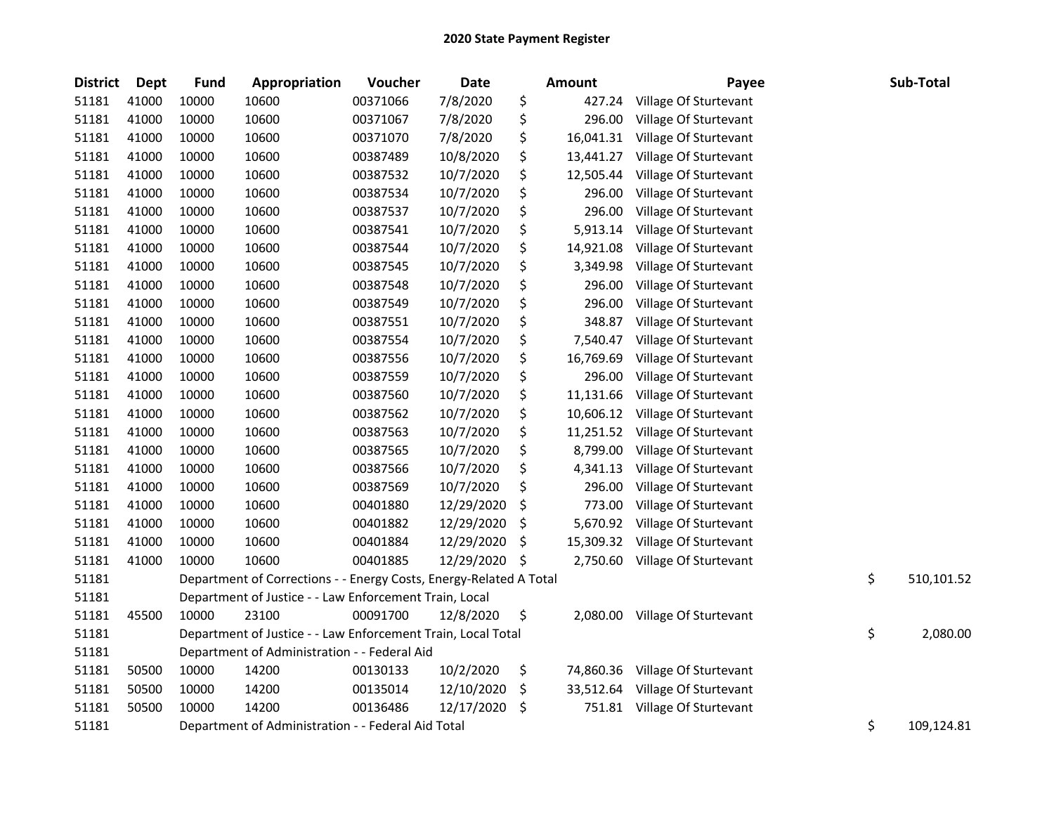| <b>District</b> | Dept  | <b>Fund</b> | Appropriation                                                      | Voucher  | <b>Date</b> | Amount          | Payee                        | Sub-Total        |
|-----------------|-------|-------------|--------------------------------------------------------------------|----------|-------------|-----------------|------------------------------|------------------|
| 51181           | 41000 | 10000       | 10600                                                              | 00371066 | 7/8/2020    | \$<br>427.24    | Village Of Sturtevant        |                  |
| 51181           | 41000 | 10000       | 10600                                                              | 00371067 | 7/8/2020    | \$<br>296.00    | Village Of Sturtevant        |                  |
| 51181           | 41000 | 10000       | 10600                                                              | 00371070 | 7/8/2020    | \$<br>16,041.31 | Village Of Sturtevant        |                  |
| 51181           | 41000 | 10000       | 10600                                                              | 00387489 | 10/8/2020   | \$<br>13,441.27 | Village Of Sturtevant        |                  |
| 51181           | 41000 | 10000       | 10600                                                              | 00387532 | 10/7/2020   | \$<br>12,505.44 | Village Of Sturtevant        |                  |
| 51181           | 41000 | 10000       | 10600                                                              | 00387534 | 10/7/2020   | \$<br>296.00    | Village Of Sturtevant        |                  |
| 51181           | 41000 | 10000       | 10600                                                              | 00387537 | 10/7/2020   | \$<br>296.00    | Village Of Sturtevant        |                  |
| 51181           | 41000 | 10000       | 10600                                                              | 00387541 | 10/7/2020   | \$<br>5,913.14  | Village Of Sturtevant        |                  |
| 51181           | 41000 | 10000       | 10600                                                              | 00387544 | 10/7/2020   | \$<br>14,921.08 | Village Of Sturtevant        |                  |
| 51181           | 41000 | 10000       | 10600                                                              | 00387545 | 10/7/2020   | \$<br>3,349.98  | Village Of Sturtevant        |                  |
| 51181           | 41000 | 10000       | 10600                                                              | 00387548 | 10/7/2020   | \$<br>296.00    | Village Of Sturtevant        |                  |
| 51181           | 41000 | 10000       | 10600                                                              | 00387549 | 10/7/2020   | \$<br>296.00    | Village Of Sturtevant        |                  |
| 51181           | 41000 | 10000       | 10600                                                              | 00387551 | 10/7/2020   | \$<br>348.87    | Village Of Sturtevant        |                  |
| 51181           | 41000 | 10000       | 10600                                                              | 00387554 | 10/7/2020   | \$<br>7,540.47  | Village Of Sturtevant        |                  |
| 51181           | 41000 | 10000       | 10600                                                              | 00387556 | 10/7/2020   | \$<br>16,769.69 | Village Of Sturtevant        |                  |
| 51181           | 41000 | 10000       | 10600                                                              | 00387559 | 10/7/2020   | \$<br>296.00    | Village Of Sturtevant        |                  |
| 51181           | 41000 | 10000       | 10600                                                              | 00387560 | 10/7/2020   | \$<br>11,131.66 | Village Of Sturtevant        |                  |
| 51181           | 41000 | 10000       | 10600                                                              | 00387562 | 10/7/2020   | \$<br>10,606.12 | Village Of Sturtevant        |                  |
| 51181           | 41000 | 10000       | 10600                                                              | 00387563 | 10/7/2020   | \$<br>11,251.52 | Village Of Sturtevant        |                  |
| 51181           | 41000 | 10000       | 10600                                                              | 00387565 | 10/7/2020   | \$<br>8,799.00  | Village Of Sturtevant        |                  |
| 51181           | 41000 | 10000       | 10600                                                              | 00387566 | 10/7/2020   | \$<br>4,341.13  | Village Of Sturtevant        |                  |
| 51181           | 41000 | 10000       | 10600                                                              | 00387569 | 10/7/2020   | \$<br>296.00    | Village Of Sturtevant        |                  |
| 51181           | 41000 | 10000       | 10600                                                              | 00401880 | 12/29/2020  | \$<br>773.00    | Village Of Sturtevant        |                  |
| 51181           | 41000 | 10000       | 10600                                                              | 00401882 | 12/29/2020  | \$<br>5,670.92  | Village Of Sturtevant        |                  |
| 51181           | 41000 | 10000       | 10600                                                              | 00401884 | 12/29/2020  | \$<br>15,309.32 | Village Of Sturtevant        |                  |
| 51181           | 41000 | 10000       | 10600                                                              | 00401885 | 12/29/2020  | \$<br>2,750.60  | Village Of Sturtevant        |                  |
| 51181           |       |             | Department of Corrections - - Energy Costs, Energy-Related A Total |          |             |                 |                              | \$<br>510,101.52 |
| 51181           |       |             | Department of Justice - - Law Enforcement Train, Local             |          |             |                 |                              |                  |
| 51181           | 45500 | 10000       | 23100                                                              | 00091700 | 12/8/2020   | \$<br>2,080.00  | Village Of Sturtevant        |                  |
| 51181           |       |             | Department of Justice - - Law Enforcement Train, Local Total       |          |             |                 |                              | \$<br>2,080.00   |
| 51181           |       |             | Department of Administration - - Federal Aid                       |          |             |                 |                              |                  |
| 51181           | 50500 | 10000       | 14200                                                              | 00130133 | 10/2/2020   | \$<br>74,860.36 | Village Of Sturtevant        |                  |
| 51181           | 50500 | 10000       | 14200                                                              | 00135014 | 12/10/2020  | \$<br>33,512.64 | Village Of Sturtevant        |                  |
| 51181           | 50500 | 10000       | 14200                                                              | 00136486 | 12/17/2020  | \$              | 751.81 Village Of Sturtevant |                  |
| 51181           |       |             | Department of Administration - - Federal Aid Total                 |          |             |                 |                              | \$<br>109,124.81 |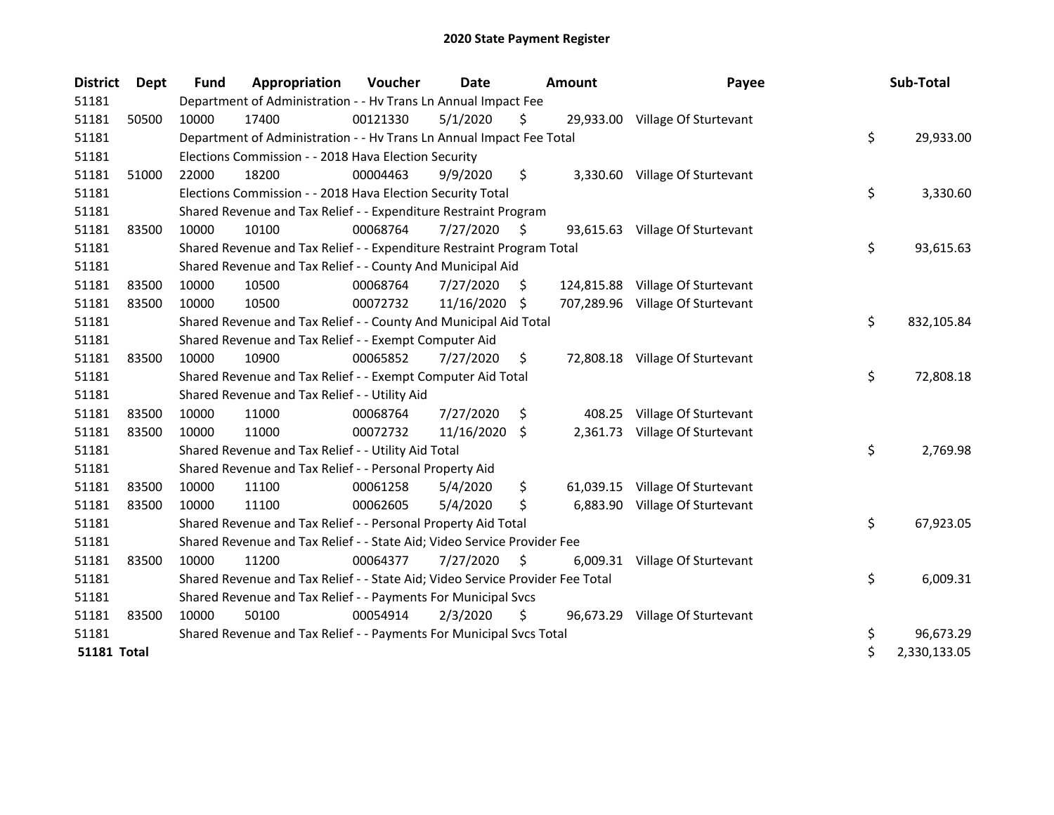| <b>District</b>    | Dept  | <b>Fund</b> | Appropriation                                                                 | Voucher  | <b>Date</b>    |     | Amount    | Payee                            | Sub-Total          |
|--------------------|-------|-------------|-------------------------------------------------------------------------------|----------|----------------|-----|-----------|----------------------------------|--------------------|
| 51181              |       |             | Department of Administration - - Hv Trans Ln Annual Impact Fee                |          |                |     |           |                                  |                    |
| 51181              | 50500 | 10000       | 17400                                                                         | 00121330 | 5/1/2020       | \$  |           | 29,933.00 Village Of Sturtevant  |                    |
| 51181              |       |             | Department of Administration - - Hv Trans Ln Annual Impact Fee Total          |          |                |     |           |                                  | \$<br>29,933.00    |
| 51181              |       |             | Elections Commission - - 2018 Hava Election Security                          |          |                |     |           |                                  |                    |
| 51181              | 51000 | 22000       | 18200                                                                         | 00004463 | 9/9/2020       | \$  |           | 3,330.60 Village Of Sturtevant   |                    |
| 51181              |       |             | Elections Commission - - 2018 Hava Election Security Total                    |          |                |     |           |                                  | \$<br>3,330.60     |
| 51181              |       |             | Shared Revenue and Tax Relief - - Expenditure Restraint Program               |          |                |     |           |                                  |                    |
| 51181              | 83500 | 10000       | 10100                                                                         | 00068764 | $7/27/2020$ \$ |     |           | 93,615.63 Village Of Sturtevant  |                    |
| 51181              |       |             | Shared Revenue and Tax Relief - - Expenditure Restraint Program Total         |          |                |     |           |                                  | \$<br>93,615.63    |
| 51181              |       |             | Shared Revenue and Tax Relief - - County And Municipal Aid                    |          |                |     |           |                                  |                    |
| 51181              | 83500 | 10000       | 10500                                                                         | 00068764 | 7/27/2020      | \$. |           | 124,815.88 Village Of Sturtevant |                    |
| 51181              | 83500 | 10000       | 10500                                                                         | 00072732 | 11/16/2020     | -\$ |           | 707,289.96 Village Of Sturtevant |                    |
| 51181              |       |             | Shared Revenue and Tax Relief - - County And Municipal Aid Total              |          |                |     |           |                                  | \$<br>832,105.84   |
| 51181              |       |             | Shared Revenue and Tax Relief - - Exempt Computer Aid                         |          |                |     |           |                                  |                    |
| 51181              | 83500 | 10000       | 10900                                                                         | 00065852 | 7/27/2020      | \$  |           | 72,808.18 Village Of Sturtevant  |                    |
| 51181              |       |             | Shared Revenue and Tax Relief - - Exempt Computer Aid Total                   |          |                |     |           |                                  | \$<br>72,808.18    |
| 51181              |       |             | Shared Revenue and Tax Relief - - Utility Aid                                 |          |                |     |           |                                  |                    |
| 51181              | 83500 | 10000       | 11000                                                                         | 00068764 | 7/27/2020      | \$. | 408.25    | Village Of Sturtevant            |                    |
| 51181              | 83500 | 10000       | 11000                                                                         | 00072732 | 11/16/2020     | S.  | 2,361.73  | Village Of Sturtevant            |                    |
| 51181              |       |             | Shared Revenue and Tax Relief - - Utility Aid Total                           |          |                |     |           |                                  | \$<br>2,769.98     |
| 51181              |       |             | Shared Revenue and Tax Relief - - Personal Property Aid                       |          |                |     |           |                                  |                    |
| 51181              | 83500 | 10000       | 11100                                                                         | 00061258 | 5/4/2020       | \$  | 61,039.15 | Village Of Sturtevant            |                    |
| 51181              | 83500 | 10000       | 11100                                                                         | 00062605 | 5/4/2020       | \$  | 6,883.90  | Village Of Sturtevant            |                    |
| 51181              |       |             | Shared Revenue and Tax Relief - - Personal Property Aid Total                 |          |                |     |           |                                  | \$<br>67,923.05    |
| 51181              |       |             | Shared Revenue and Tax Relief - - State Aid; Video Service Provider Fee       |          |                |     |           |                                  |                    |
| 51181              | 83500 | 10000       | 11200                                                                         | 00064377 | 7/27/2020      | \$  | 6,009.31  | Village Of Sturtevant            |                    |
| 51181              |       |             | Shared Revenue and Tax Relief - - State Aid; Video Service Provider Fee Total |          |                |     |           |                                  | \$<br>6,009.31     |
| 51181              |       |             | Shared Revenue and Tax Relief - - Payments For Municipal Svcs                 |          |                |     |           |                                  |                    |
| 51181              | 83500 | 10000       | 50100                                                                         | 00054914 | 2/3/2020       | \$  |           | 96,673.29 Village Of Sturtevant  |                    |
| 51181              |       |             | Shared Revenue and Tax Relief - - Payments For Municipal Svcs Total           |          |                |     |           |                                  | \$<br>96,673.29    |
| <b>51181 Total</b> |       |             |                                                                               |          |                |     |           |                                  | \$<br>2,330,133.05 |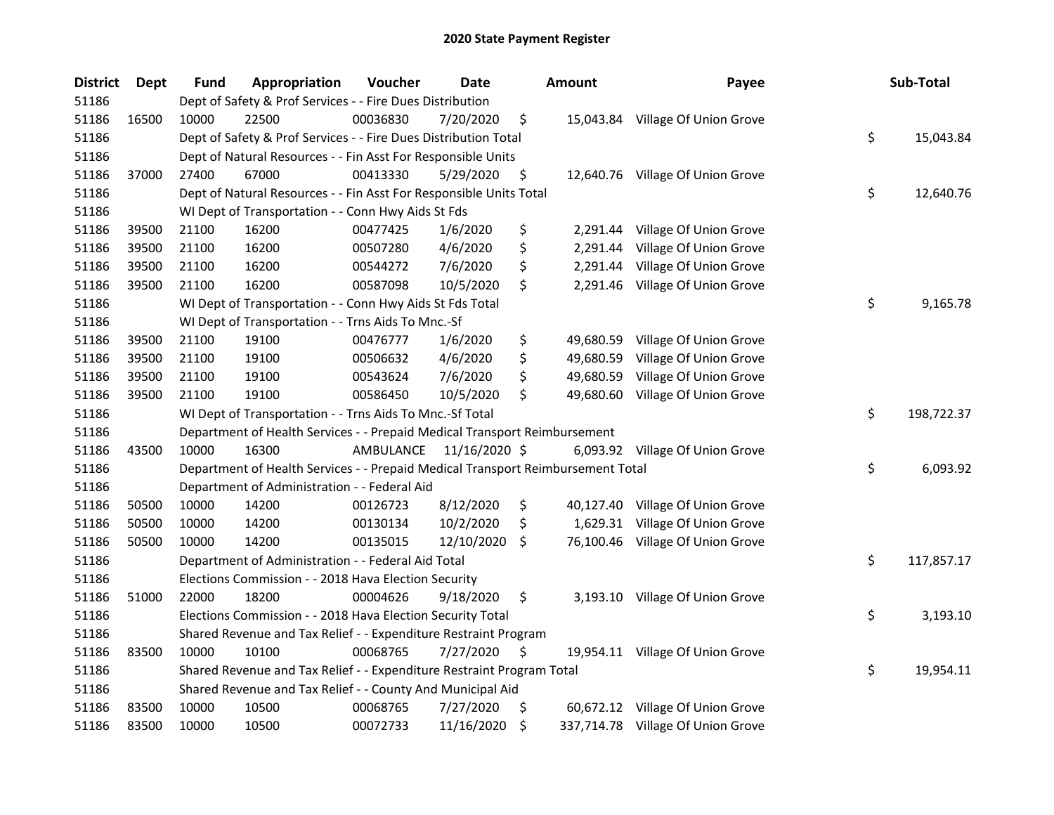| <b>District</b> | <b>Dept</b> | <b>Fund</b> | Appropriation                                                                   | Voucher   | Date          |     | <b>Amount</b> | Payee                             | Sub-Total        |
|-----------------|-------------|-------------|---------------------------------------------------------------------------------|-----------|---------------|-----|---------------|-----------------------------------|------------------|
| 51186           |             |             | Dept of Safety & Prof Services - - Fire Dues Distribution                       |           |               |     |               |                                   |                  |
| 51186           | 16500       | 10000       | 22500                                                                           | 00036830  | 7/20/2020     | \$  |               | 15,043.84 Village Of Union Grove  |                  |
| 51186           |             |             | Dept of Safety & Prof Services - - Fire Dues Distribution Total                 |           |               |     |               |                                   | \$<br>15,043.84  |
| 51186           |             |             | Dept of Natural Resources - - Fin Asst For Responsible Units                    |           |               |     |               |                                   |                  |
| 51186           | 37000       | 27400       | 67000                                                                           | 00413330  | 5/29/2020     | \$  |               | 12,640.76 Village Of Union Grove  |                  |
| 51186           |             |             | Dept of Natural Resources - - Fin Asst For Responsible Units Total              |           |               |     |               |                                   | \$<br>12,640.76  |
| 51186           |             |             | WI Dept of Transportation - - Conn Hwy Aids St Fds                              |           |               |     |               |                                   |                  |
| 51186           | 39500       | 21100       | 16200                                                                           | 00477425  | 1/6/2020      | \$  |               | 2,291.44 Village Of Union Grove   |                  |
| 51186           | 39500       | 21100       | 16200                                                                           | 00507280  | 4/6/2020      | \$  | 2,291.44      | Village Of Union Grove            |                  |
| 51186           | 39500       | 21100       | 16200                                                                           | 00544272  | 7/6/2020      | \$  | 2,291.44      | Village Of Union Grove            |                  |
| 51186           | 39500       | 21100       | 16200                                                                           | 00587098  | 10/5/2020     | \$  |               | 2,291.46 Village Of Union Grove   |                  |
| 51186           |             |             | WI Dept of Transportation - - Conn Hwy Aids St Fds Total                        |           |               |     |               |                                   | \$<br>9,165.78   |
| 51186           |             |             | WI Dept of Transportation - - Trns Aids To Mnc.-Sf                              |           |               |     |               |                                   |                  |
| 51186           | 39500       | 21100       | 19100                                                                           | 00476777  | 1/6/2020      | \$  | 49,680.59     | Village Of Union Grove            |                  |
| 51186           | 39500       | 21100       | 19100                                                                           | 00506632  | 4/6/2020      | \$  | 49,680.59     | Village Of Union Grove            |                  |
| 51186           | 39500       | 21100       | 19100                                                                           | 00543624  | 7/6/2020      | \$  | 49,680.59     | Village Of Union Grove            |                  |
| 51186           | 39500       | 21100       | 19100                                                                           | 00586450  | 10/5/2020     | \$  | 49,680.60     | Village Of Union Grove            |                  |
| 51186           |             |             | WI Dept of Transportation - - Trns Aids To Mnc.-Sf Total                        |           |               |     |               |                                   | \$<br>198,722.37 |
| 51186           |             |             | Department of Health Services - - Prepaid Medical Transport Reimbursement       |           |               |     |               |                                   |                  |
| 51186           | 43500       | 10000       | 16300                                                                           | AMBULANCE | 11/16/2020 \$ |     |               | 6,093.92 Village Of Union Grove   |                  |
| 51186           |             |             | Department of Health Services - - Prepaid Medical Transport Reimbursement Total |           |               |     |               |                                   | \$<br>6,093.92   |
| 51186           |             |             | Department of Administration - - Federal Aid                                    |           |               |     |               |                                   |                  |
| 51186           | 50500       | 10000       | 14200                                                                           | 00126723  | 8/12/2020     | \$  |               | 40,127.40 Village Of Union Grove  |                  |
| 51186           | 50500       | 10000       | 14200                                                                           | 00130134  | 10/2/2020     | \$  |               | 1,629.31 Village Of Union Grove   |                  |
| 51186           | 50500       | 10000       | 14200                                                                           | 00135015  | 12/10/2020    | \$. |               | 76,100.46 Village Of Union Grove  |                  |
| 51186           |             |             | Department of Administration - - Federal Aid Total                              |           |               |     |               |                                   | \$<br>117,857.17 |
| 51186           |             |             | Elections Commission - - 2018 Hava Election Security                            |           |               |     |               |                                   |                  |
| 51186           | 51000       | 22000       | 18200                                                                           | 00004626  | 9/18/2020     | \$  |               | 3,193.10 Village Of Union Grove   |                  |
| 51186           |             |             | Elections Commission - - 2018 Hava Election Security Total                      |           |               |     |               |                                   | \$<br>3,193.10   |
| 51186           |             |             | Shared Revenue and Tax Relief - - Expenditure Restraint Program                 |           |               |     |               |                                   |                  |
| 51186           | 83500       | 10000       | 10100                                                                           | 00068765  | 7/27/2020     | \$, |               | 19,954.11 Village Of Union Grove  |                  |
| 51186           |             |             | Shared Revenue and Tax Relief - - Expenditure Restraint Program Total           |           |               |     |               |                                   | \$<br>19,954.11  |
| 51186           |             |             | Shared Revenue and Tax Relief - - County And Municipal Aid                      |           |               |     |               |                                   |                  |
| 51186           | 83500       | 10000       | 10500                                                                           | 00068765  | 7/27/2020     | \$  |               | 60,672.12 Village Of Union Grove  |                  |
| 51186           | 83500       | 10000       | 10500                                                                           | 00072733  | 11/16/2020    | \$  |               | 337,714.78 Village Of Union Grove |                  |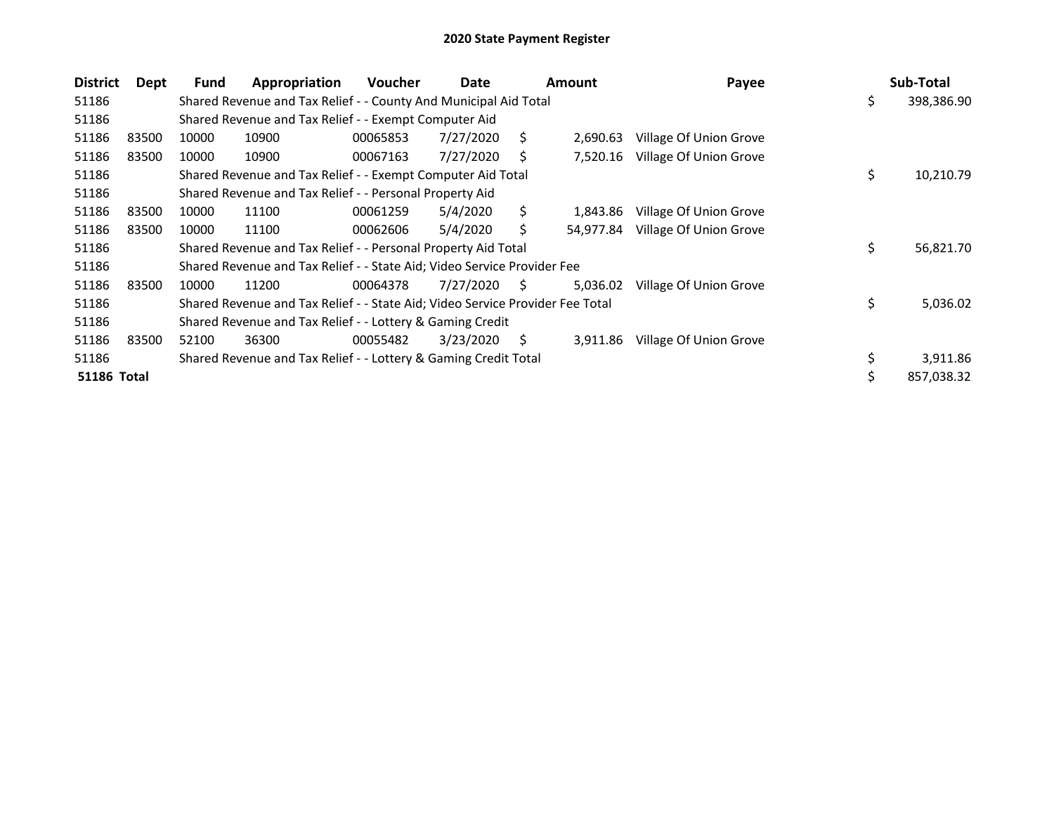| <b>District</b>    | Dept  | <b>Fund</b> | Appropriation                                                                 | <b>Voucher</b> | Date      |    | Amount    | Payee                  | Sub-Total        |
|--------------------|-------|-------------|-------------------------------------------------------------------------------|----------------|-----------|----|-----------|------------------------|------------------|
| 51186              |       |             | Shared Revenue and Tax Relief - - County And Municipal Aid Total              |                |           |    |           |                        | \$<br>398,386.90 |
| 51186              |       |             | Shared Revenue and Tax Relief - - Exempt Computer Aid                         |                |           |    |           |                        |                  |
| 51186              | 83500 | 10000       | 10900                                                                         | 00065853       | 7/27/2020 | S. | 2,690.63  | Village Of Union Grove |                  |
| 51186              | 83500 | 10000       | 10900                                                                         | 00067163       | 7/27/2020 | S  | 7,520.16  | Village Of Union Grove |                  |
| 51186              |       |             | Shared Revenue and Tax Relief - - Exempt Computer Aid Total                   |                |           |    |           |                        | \$<br>10,210.79  |
| 51186              |       |             | Shared Revenue and Tax Relief - - Personal Property Aid                       |                |           |    |           |                        |                  |
| 51186              | 83500 | 10000       | 11100                                                                         | 00061259       | 5/4/2020  | Ś. | 1,843.86  | Village Of Union Grove |                  |
| 51186              | 83500 | 10000       | 11100                                                                         | 00062606       | 5/4/2020  | S  | 54.977.84 | Village Of Union Grove |                  |
| 51186              |       |             | Shared Revenue and Tax Relief - - Personal Property Aid Total                 |                |           |    |           |                        | \$<br>56,821.70  |
| 51186              |       |             | Shared Revenue and Tax Relief - - State Aid; Video Service Provider Fee       |                |           |    |           |                        |                  |
| 51186              | 83500 | 10000       | 11200                                                                         | 00064378       | 7/27/2020 | S. | 5,036.02  | Village Of Union Grove |                  |
| 51186              |       |             | Shared Revenue and Tax Relief - - State Aid; Video Service Provider Fee Total |                |           |    |           |                        | \$<br>5,036.02   |
| 51186              |       |             | Shared Revenue and Tax Relief - - Lottery & Gaming Credit                     |                |           |    |           |                        |                  |
| 51186              | 83500 | 52100       | 36300                                                                         | 00055482       | 3/23/2020 | S. | 3,911.86  | Village Of Union Grove |                  |
| 51186              |       |             | Shared Revenue and Tax Relief - - Lottery & Gaming Credit Total               |                |           |    |           |                        | 3,911.86         |
| <b>51186 Total</b> |       |             |                                                                               |                |           |    |           |                        | 857,038.32       |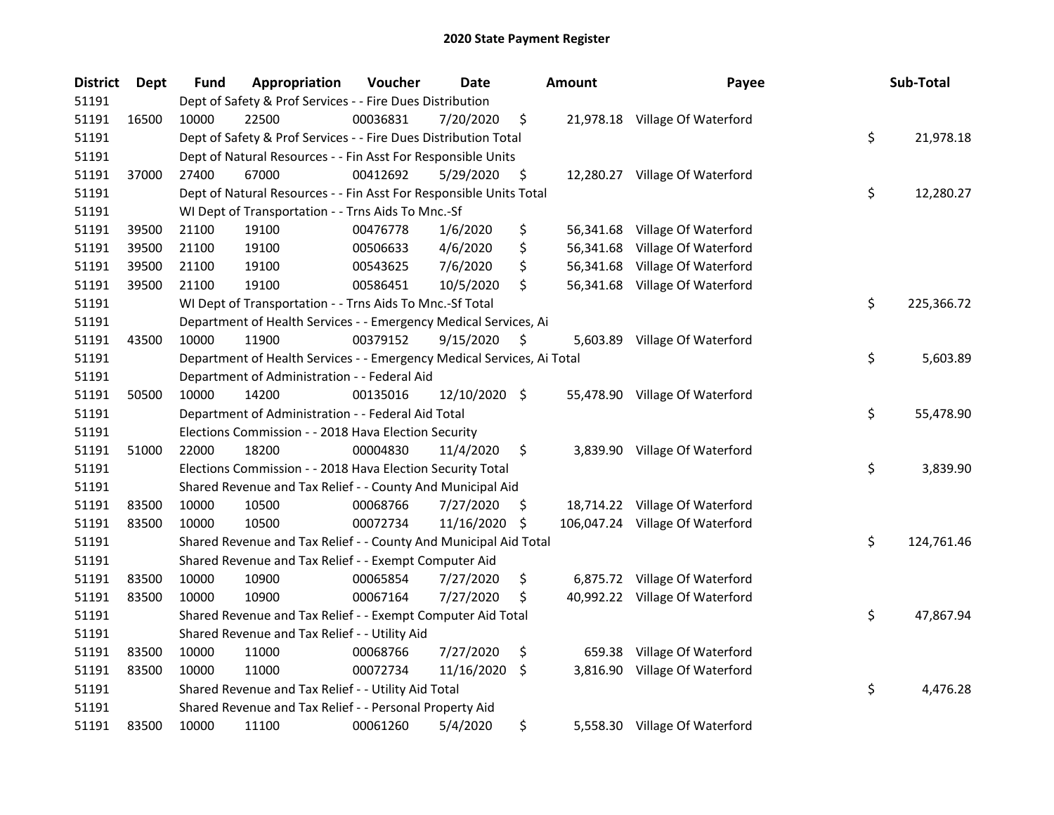| <b>District</b> | Dept  | <b>Fund</b> | Appropriation                                                          | Voucher  | Date          |    | <b>Amount</b> | Payee                           | Sub-Total        |
|-----------------|-------|-------------|------------------------------------------------------------------------|----------|---------------|----|---------------|---------------------------------|------------------|
| 51191           |       |             | Dept of Safety & Prof Services - - Fire Dues Distribution              |          |               |    |               |                                 |                  |
| 51191           | 16500 | 10000       | 22500                                                                  | 00036831 | 7/20/2020     | \$ |               | 21,978.18 Village Of Waterford  |                  |
| 51191           |       |             | Dept of Safety & Prof Services - - Fire Dues Distribution Total        |          |               |    |               |                                 | \$<br>21,978.18  |
| 51191           |       |             | Dept of Natural Resources - - Fin Asst For Responsible Units           |          |               |    |               |                                 |                  |
| 51191           | 37000 | 27400       | 67000                                                                  | 00412692 | 5/29/2020     | \$ |               | 12,280.27 Village Of Waterford  |                  |
| 51191           |       |             | Dept of Natural Resources - - Fin Asst For Responsible Units Total     |          |               |    |               |                                 | \$<br>12,280.27  |
| 51191           |       |             | WI Dept of Transportation - - Trns Aids To Mnc.-Sf                     |          |               |    |               |                                 |                  |
| 51191           | 39500 | 21100       | 19100                                                                  | 00476778 | 1/6/2020      | \$ |               | 56,341.68 Village Of Waterford  |                  |
| 51191           | 39500 | 21100       | 19100                                                                  | 00506633 | 4/6/2020      | \$ |               | 56,341.68 Village Of Waterford  |                  |
| 51191           | 39500 | 21100       | 19100                                                                  | 00543625 | 7/6/2020      | \$ |               | 56,341.68 Village Of Waterford  |                  |
| 51191           | 39500 | 21100       | 19100                                                                  | 00586451 | 10/5/2020     | \$ |               | 56,341.68 Village Of Waterford  |                  |
| 51191           |       |             | WI Dept of Transportation - - Trns Aids To Mnc.-Sf Total               |          |               |    |               |                                 | \$<br>225,366.72 |
| 51191           |       |             | Department of Health Services - - Emergency Medical Services, Ai       |          |               |    |               |                                 |                  |
| 51191           | 43500 | 10000       | 11900                                                                  | 00379152 | 9/15/2020     | \$ | 5,603.89      | Village Of Waterford            |                  |
| 51191           |       |             | Department of Health Services - - Emergency Medical Services, Ai Total |          |               |    |               |                                 | \$<br>5,603.89   |
| 51191           |       |             | Department of Administration - - Federal Aid                           |          |               |    |               |                                 |                  |
| 51191           | 50500 | 10000       | 14200                                                                  | 00135016 | 12/10/2020 \$ |    |               | 55,478.90 Village Of Waterford  |                  |
| 51191           |       |             | Department of Administration - - Federal Aid Total                     |          |               |    |               |                                 | \$<br>55,478.90  |
| 51191           |       |             | Elections Commission - - 2018 Hava Election Security                   |          |               |    |               |                                 |                  |
| 51191           | 51000 | 22000       | 18200                                                                  | 00004830 | 11/4/2020     | \$ | 3,839.90      | Village Of Waterford            |                  |
| 51191           |       |             | Elections Commission - - 2018 Hava Election Security Total             |          |               |    |               |                                 | \$<br>3,839.90   |
| 51191           |       |             | Shared Revenue and Tax Relief - - County And Municipal Aid             |          |               |    |               |                                 |                  |
| 51191           | 83500 | 10000       | 10500                                                                  | 00068766 | 7/27/2020     | Ş. |               | 18,714.22 Village Of Waterford  |                  |
| 51191           | 83500 | 10000       | 10500                                                                  | 00072734 | 11/16/2020    | \$ |               | 106,047.24 Village Of Waterford |                  |
| 51191           |       |             | Shared Revenue and Tax Relief - - County And Municipal Aid Total       |          |               |    |               |                                 | \$<br>124,761.46 |
| 51191           |       |             | Shared Revenue and Tax Relief - - Exempt Computer Aid                  |          |               |    |               |                                 |                  |
| 51191           | 83500 | 10000       | 10900                                                                  | 00065854 | 7/27/2020     | \$ |               | 6,875.72 Village Of Waterford   |                  |
| 51191           | 83500 | 10000       | 10900                                                                  | 00067164 | 7/27/2020     | \$ |               | 40,992.22 Village Of Waterford  |                  |
| 51191           |       |             | Shared Revenue and Tax Relief - - Exempt Computer Aid Total            |          |               |    |               |                                 | \$<br>47,867.94  |
| 51191           |       |             | Shared Revenue and Tax Relief - - Utility Aid                          |          |               |    |               |                                 |                  |
| 51191           | 83500 | 10000       | 11000                                                                  | 00068766 | 7/27/2020     | \$ | 659.38        | Village Of Waterford            |                  |
| 51191           | 83500 | 10000       | 11000                                                                  | 00072734 | 11/16/2020    | \$ | 3,816.90      | Village Of Waterford            |                  |
| 51191           |       |             | Shared Revenue and Tax Relief - - Utility Aid Total                    |          |               |    |               |                                 | \$<br>4,476.28   |
| 51191           |       |             | Shared Revenue and Tax Relief - - Personal Property Aid                |          |               |    |               |                                 |                  |
| 51191           | 83500 | 10000       | 11100                                                                  | 00061260 | 5/4/2020      | \$ |               | 5,558.30 Village Of Waterford   |                  |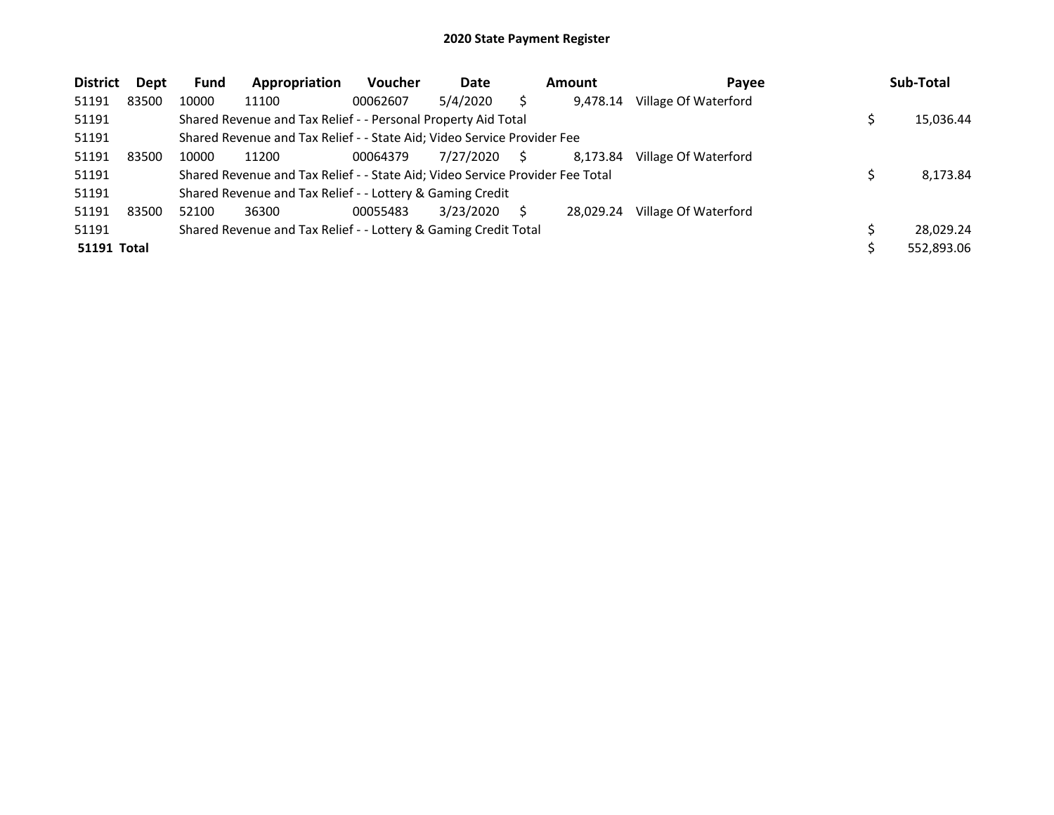| <b>District</b>    | Dept  | Fund  | Appropriation                                                                 | <b>Voucher</b> | Date      |   | <b>Amount</b> | Payee                | Sub-Total  |
|--------------------|-------|-------|-------------------------------------------------------------------------------|----------------|-----------|---|---------------|----------------------|------------|
| 51191              | 83500 | 10000 | 11100                                                                         | 00062607       | 5/4/2020  |   | 9.478.14      | Village Of Waterford |            |
| 51191              |       |       | Shared Revenue and Tax Relief - - Personal Property Aid Total                 |                |           |   |               |                      | 15,036.44  |
| 51191              |       |       | Shared Revenue and Tax Relief - - State Aid; Video Service Provider Fee       |                |           |   |               |                      |            |
| 51191              | 83500 | 10000 | 11200                                                                         | 00064379       | 7/27/2020 | S | 8,173.84      | Village Of Waterford |            |
| 51191              |       |       | Shared Revenue and Tax Relief - - State Aid; Video Service Provider Fee Total |                |           |   |               |                      | 8,173.84   |
| 51191              |       |       | Shared Revenue and Tax Relief - - Lottery & Gaming Credit                     |                |           |   |               |                      |            |
| 51191              | 83500 | 52100 | 36300                                                                         | 00055483       | 3/23/2020 |   | 28.029.24     | Village Of Waterford |            |
| 51191              |       |       | Shared Revenue and Tax Relief - - Lottery & Gaming Credit Total               |                |           |   |               |                      | 28.029.24  |
| <b>51191 Total</b> |       |       |                                                                               |                |           |   |               |                      | 552,893.06 |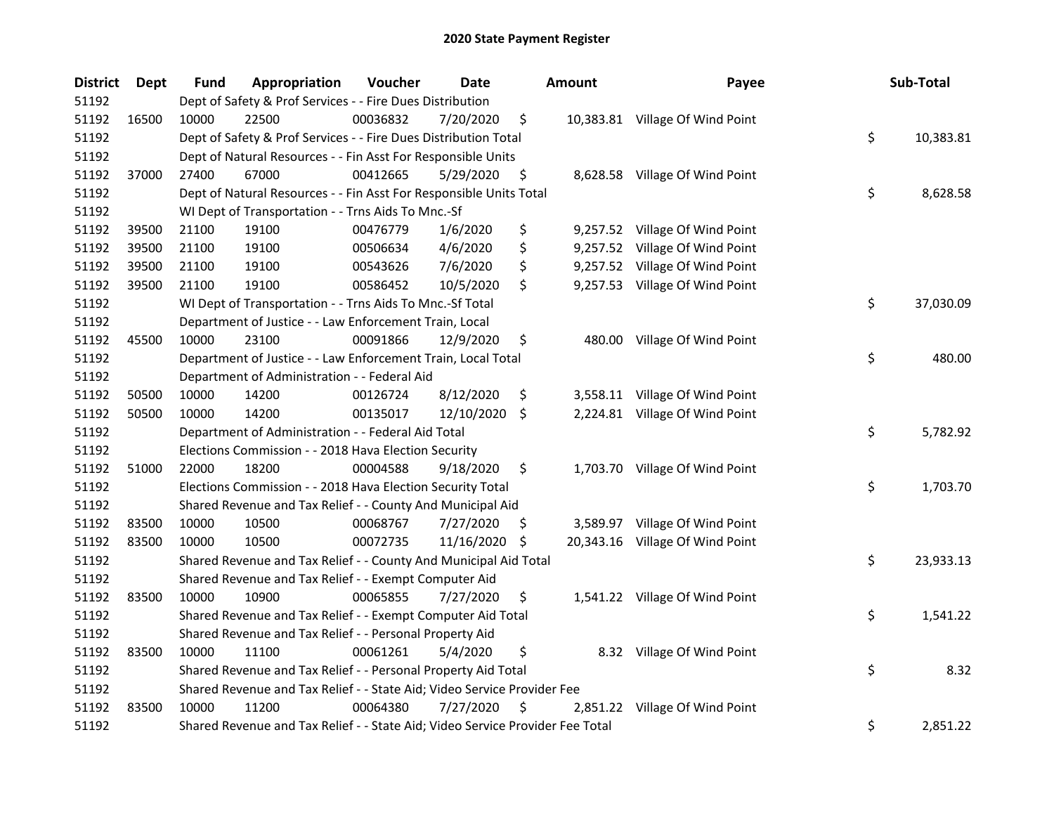| <b>District</b> | Dept  | <b>Fund</b> | Appropriation                                                                 | Voucher  | Date          |     | <b>Amount</b> | Payee                           | Sub-Total       |
|-----------------|-------|-------------|-------------------------------------------------------------------------------|----------|---------------|-----|---------------|---------------------------------|-----------------|
| 51192           |       |             | Dept of Safety & Prof Services - - Fire Dues Distribution                     |          |               |     |               |                                 |                 |
| 51192           | 16500 | 10000       | 22500                                                                         | 00036832 | 7/20/2020     | \$  |               | 10,383.81 Village Of Wind Point |                 |
| 51192           |       |             | Dept of Safety & Prof Services - - Fire Dues Distribution Total               |          |               |     |               |                                 | \$<br>10,383.81 |
| 51192           |       |             | Dept of Natural Resources - - Fin Asst For Responsible Units                  |          |               |     |               |                                 |                 |
| 51192           | 37000 | 27400       | 67000                                                                         | 00412665 | 5/29/2020     | \$  |               | 8,628.58 Village Of Wind Point  |                 |
| 51192           |       |             | Dept of Natural Resources - - Fin Asst For Responsible Units Total            |          |               |     |               |                                 | \$<br>8,628.58  |
| 51192           |       |             | WI Dept of Transportation - - Trns Aids To Mnc.-Sf                            |          |               |     |               |                                 |                 |
| 51192           | 39500 | 21100       | 19100                                                                         | 00476779 | 1/6/2020      | \$  |               | 9,257.52 Village Of Wind Point  |                 |
| 51192           | 39500 | 21100       | 19100                                                                         | 00506634 | 4/6/2020      | \$  |               | 9,257.52 Village Of Wind Point  |                 |
| 51192           | 39500 | 21100       | 19100                                                                         | 00543626 | 7/6/2020      | \$  |               | 9,257.52 Village Of Wind Point  |                 |
| 51192           | 39500 | 21100       | 19100                                                                         | 00586452 | 10/5/2020     | \$  |               | 9,257.53 Village Of Wind Point  |                 |
| 51192           |       |             | WI Dept of Transportation - - Trns Aids To Mnc.-Sf Total                      |          |               |     |               |                                 | \$<br>37,030.09 |
| 51192           |       |             | Department of Justice - - Law Enforcement Train, Local                        |          |               |     |               |                                 |                 |
| 51192           | 45500 | 10000       | 23100                                                                         | 00091866 | 12/9/2020     | \$  |               | 480.00 Village Of Wind Point    |                 |
| 51192           |       |             | Department of Justice - - Law Enforcement Train, Local Total                  |          |               |     |               |                                 | \$<br>480.00    |
| 51192           |       |             | Department of Administration - - Federal Aid                                  |          |               |     |               |                                 |                 |
| 51192           | 50500 | 10000       | 14200                                                                         | 00126724 | 8/12/2020     | \$  |               | 3,558.11 Village Of Wind Point  |                 |
| 51192           | 50500 | 10000       | 14200                                                                         | 00135017 | 12/10/2020 \$ |     |               | 2,224.81 Village Of Wind Point  |                 |
| 51192           |       |             | Department of Administration - - Federal Aid Total                            |          |               |     |               |                                 | \$<br>5,782.92  |
| 51192           |       |             | Elections Commission - - 2018 Hava Election Security                          |          |               |     |               |                                 |                 |
| 51192           | 51000 | 22000       | 18200                                                                         | 00004588 | 9/18/2020     | \$  |               | 1,703.70 Village Of Wind Point  |                 |
| 51192           |       |             | Elections Commission - - 2018 Hava Election Security Total                    |          |               |     |               |                                 | \$<br>1,703.70  |
| 51192           |       |             | Shared Revenue and Tax Relief - - County And Municipal Aid                    |          |               |     |               |                                 |                 |
| 51192           | 83500 | 10000       | 10500                                                                         | 00068767 | 7/27/2020     | \$. |               | 3,589.97 Village Of Wind Point  |                 |
| 51192           | 83500 | 10000       | 10500                                                                         | 00072735 | 11/16/2020    | -\$ |               | 20,343.16 Village Of Wind Point |                 |
| 51192           |       |             | Shared Revenue and Tax Relief - - County And Municipal Aid Total              |          |               |     |               |                                 | \$<br>23,933.13 |
| 51192           |       |             | Shared Revenue and Tax Relief - - Exempt Computer Aid                         |          |               |     |               |                                 |                 |
| 51192           | 83500 | 10000       | 10900                                                                         | 00065855 | 7/27/2020     | \$. |               | 1,541.22 Village Of Wind Point  |                 |
| 51192           |       |             | Shared Revenue and Tax Relief - - Exempt Computer Aid Total                   |          |               |     |               |                                 | \$<br>1,541.22  |
| 51192           |       |             | Shared Revenue and Tax Relief - - Personal Property Aid                       |          |               |     |               |                                 |                 |
| 51192           | 83500 | 10000       | 11100                                                                         | 00061261 | 5/4/2020      | \$  |               | 8.32 Village Of Wind Point      |                 |
| 51192           |       |             | Shared Revenue and Tax Relief - - Personal Property Aid Total                 |          |               |     |               |                                 | \$<br>8.32      |
| 51192           |       |             | Shared Revenue and Tax Relief - - State Aid; Video Service Provider Fee       |          |               |     |               |                                 |                 |
| 51192           | 83500 | 10000       | 11200                                                                         | 00064380 | 7/27/2020     | \$  |               | 2,851.22 Village Of Wind Point  |                 |
| 51192           |       |             | Shared Revenue and Tax Relief - - State Aid; Video Service Provider Fee Total |          |               |     |               |                                 | \$<br>2,851.22  |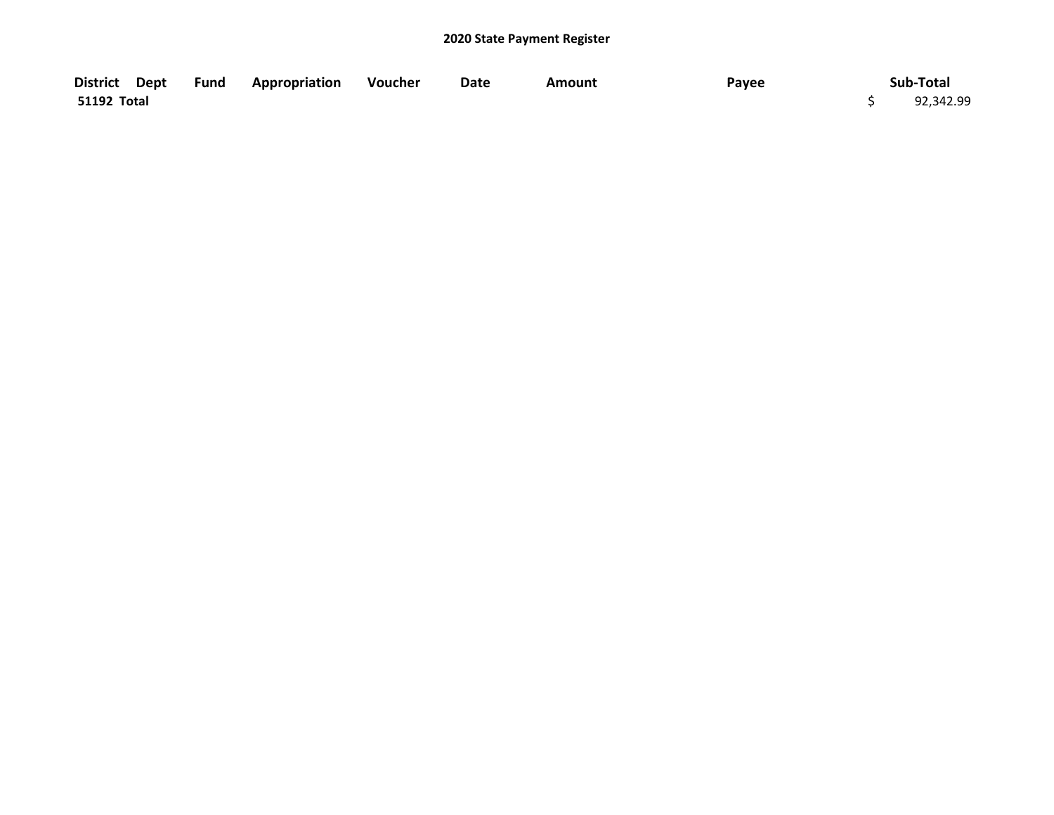|             | District Dept Fund Appropriation Voucher | Date | <b>Amount</b> | Payee | Sub-Total |
|-------------|------------------------------------------|------|---------------|-------|-----------|
| 51192 Total |                                          |      |               |       | 92,342.99 |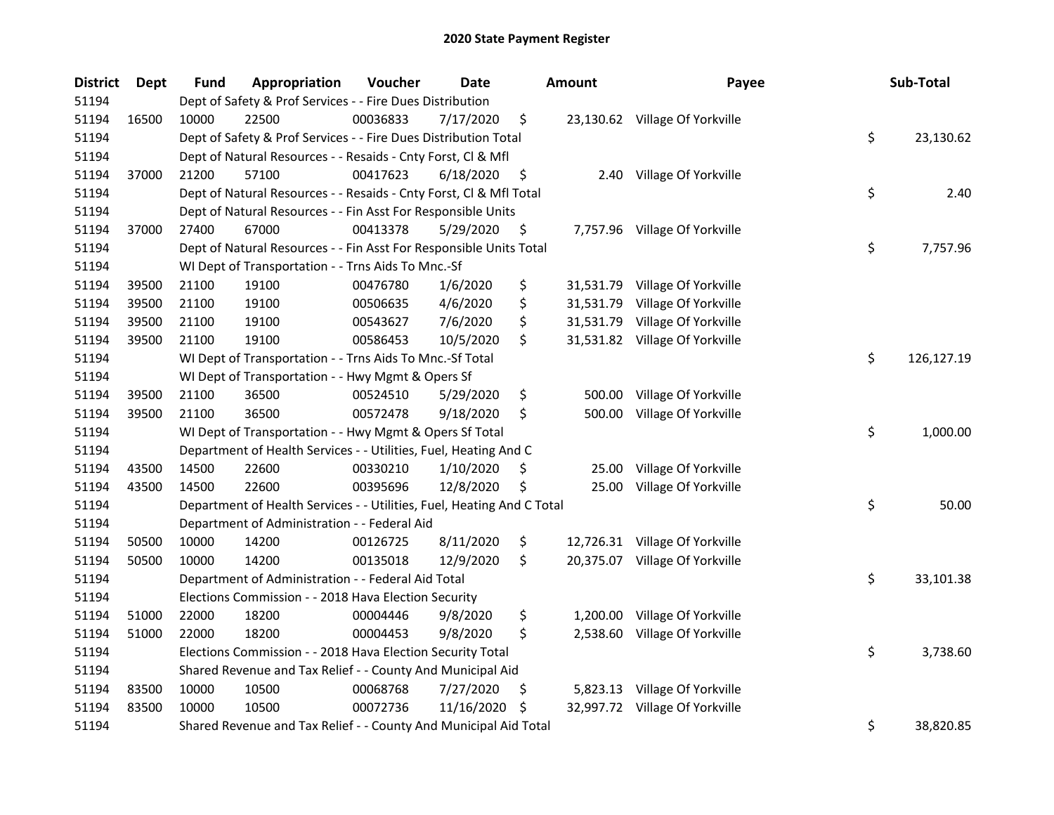| <b>District</b> | <b>Dept</b> | <b>Fund</b> | Appropriation                                                          | Voucher  | Date       |     | <b>Amount</b> | Payee                          | Sub-Total        |
|-----------------|-------------|-------------|------------------------------------------------------------------------|----------|------------|-----|---------------|--------------------------------|------------------|
| 51194           |             |             | Dept of Safety & Prof Services - - Fire Dues Distribution              |          |            |     |               |                                |                  |
| 51194           | 16500       | 10000       | 22500                                                                  | 00036833 | 7/17/2020  | \$  |               | 23,130.62 Village Of Yorkville |                  |
| 51194           |             |             | Dept of Safety & Prof Services - - Fire Dues Distribution Total        |          |            |     |               |                                | \$<br>23,130.62  |
| 51194           |             |             | Dept of Natural Resources - - Resaids - Cnty Forst, Cl & Mfl           |          |            |     |               |                                |                  |
| 51194           | 37000       | 21200       | 57100                                                                  | 00417623 | 6/18/2020  | \$  | 2.40          | Village Of Yorkville           |                  |
| 51194           |             |             | Dept of Natural Resources - - Resaids - Cnty Forst, Cl & Mfl Total     |          |            |     |               |                                | \$<br>2.40       |
| 51194           |             |             | Dept of Natural Resources - - Fin Asst For Responsible Units           |          |            |     |               |                                |                  |
| 51194           | 37000       | 27400       | 67000                                                                  | 00413378 | 5/29/2020  | \$  |               | 7,757.96 Village Of Yorkville  |                  |
| 51194           |             |             | Dept of Natural Resources - - Fin Asst For Responsible Units Total     |          |            |     |               |                                | \$<br>7,757.96   |
| 51194           |             |             | WI Dept of Transportation - - Trns Aids To Mnc.-Sf                     |          |            |     |               |                                |                  |
| 51194           | 39500       | 21100       | 19100                                                                  | 00476780 | 1/6/2020   | \$  |               | 31,531.79 Village Of Yorkville |                  |
| 51194           | 39500       | 21100       | 19100                                                                  | 00506635 | 4/6/2020   | \$  |               | 31,531.79 Village Of Yorkville |                  |
| 51194           | 39500       | 21100       | 19100                                                                  | 00543627 | 7/6/2020   | \$  |               | 31,531.79 Village Of Yorkville |                  |
| 51194           | 39500       | 21100       | 19100                                                                  | 00586453 | 10/5/2020  | \$  |               | 31,531.82 Village Of Yorkville |                  |
| 51194           |             |             | WI Dept of Transportation - - Trns Aids To Mnc.-Sf Total               |          |            |     |               |                                | \$<br>126,127.19 |
| 51194           |             |             | WI Dept of Transportation - - Hwy Mgmt & Opers Sf                      |          |            |     |               |                                |                  |
| 51194           | 39500       | 21100       | 36500                                                                  | 00524510 | 5/29/2020  | \$  | 500.00        | Village Of Yorkville           |                  |
| 51194           | 39500       | 21100       | 36500                                                                  | 00572478 | 9/18/2020  | \$  | 500.00        | Village Of Yorkville           |                  |
| 51194           |             |             | WI Dept of Transportation - - Hwy Mgmt & Opers Sf Total                |          |            |     |               |                                | \$<br>1,000.00   |
| 51194           |             |             | Department of Health Services - - Utilities, Fuel, Heating And C       |          |            |     |               |                                |                  |
| 51194           | 43500       | 14500       | 22600                                                                  | 00330210 | 1/10/2020  | \$  | 25.00         | Village Of Yorkville           |                  |
| 51194           | 43500       | 14500       | 22600                                                                  | 00395696 | 12/8/2020  | \$  | 25.00         | Village Of Yorkville           |                  |
| 51194           |             |             | Department of Health Services - - Utilities, Fuel, Heating And C Total |          |            |     |               |                                | \$<br>50.00      |
| 51194           |             |             | Department of Administration - - Federal Aid                           |          |            |     |               |                                |                  |
| 51194           | 50500       | 10000       | 14200                                                                  | 00126725 | 8/11/2020  | \$  |               | 12,726.31 Village Of Yorkville |                  |
| 51194           | 50500       | 10000       | 14200                                                                  | 00135018 | 12/9/2020  | \$  |               | 20,375.07 Village Of Yorkville |                  |
| 51194           |             |             | Department of Administration - - Federal Aid Total                     |          |            |     |               |                                | \$<br>33,101.38  |
| 51194           |             |             | Elections Commission - - 2018 Hava Election Security                   |          |            |     |               |                                |                  |
| 51194           | 51000       | 22000       | 18200                                                                  | 00004446 | 9/8/2020   | \$  | 1,200.00      | Village Of Yorkville           |                  |
| 51194           | 51000       | 22000       | 18200                                                                  | 00004453 | 9/8/2020   | \$  | 2,538.60      | Village Of Yorkville           |                  |
| 51194           |             |             | Elections Commission - - 2018 Hava Election Security Total             |          |            |     |               |                                | \$<br>3,738.60   |
| 51194           |             |             | Shared Revenue and Tax Relief - - County And Municipal Aid             |          |            |     |               |                                |                  |
| 51194           | 83500       | 10000       | 10500                                                                  | 00068768 | 7/27/2020  | \$. | 5,823.13      | Village Of Yorkville           |                  |
| 51194           | 83500       | 10000       | 10500                                                                  | 00072736 | 11/16/2020 | \$, | 32,997.72     | Village Of Yorkville           |                  |
| 51194           |             |             | Shared Revenue and Tax Relief - - County And Municipal Aid Total       |          |            |     |               |                                | \$<br>38,820.85  |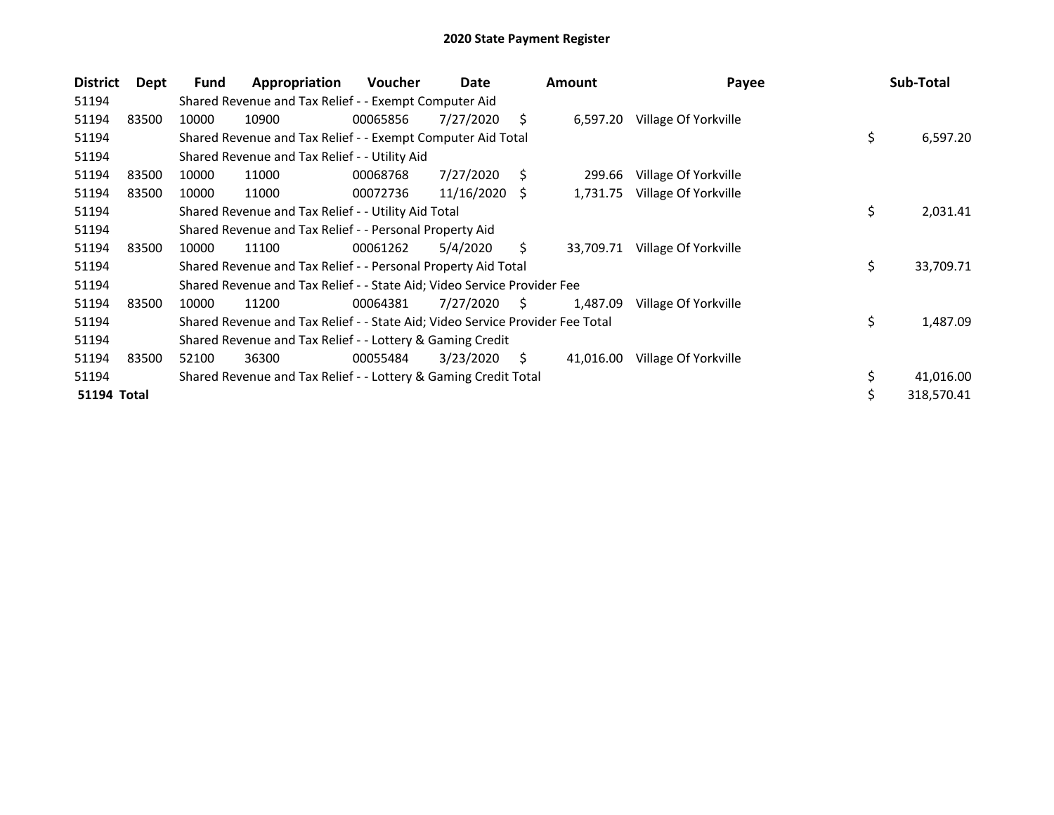| <b>District</b>    | Dept  | Fund  | Appropriation                                                                 | <b>Voucher</b> | Date       |    | <b>Amount</b> | Payee                | Sub-Total        |
|--------------------|-------|-------|-------------------------------------------------------------------------------|----------------|------------|----|---------------|----------------------|------------------|
| 51194              |       |       | Shared Revenue and Tax Relief - - Exempt Computer Aid                         |                |            |    |               |                      |                  |
| 51194              | 83500 | 10000 | 10900                                                                         | 00065856       | 7/27/2020  | Ś. | 6,597.20      | Village Of Yorkville |                  |
| 51194              |       |       | Shared Revenue and Tax Relief - - Exempt Computer Aid Total                   |                |            |    |               |                      | \$<br>6,597.20   |
| 51194              |       |       | Shared Revenue and Tax Relief - - Utility Aid                                 |                |            |    |               |                      |                  |
| 51194              | 83500 | 10000 | 11000                                                                         | 00068768       | 7/27/2020  | S  | 299.66        | Village Of Yorkville |                  |
| 51194              | 83500 | 10000 | 11000                                                                         | 00072736       | 11/16/2020 | -S | 1,731.75      | Village Of Yorkville |                  |
| 51194              |       |       | Shared Revenue and Tax Relief - - Utility Aid Total                           |                |            |    |               |                      | \$<br>2,031.41   |
| 51194              |       |       | Shared Revenue and Tax Relief - - Personal Property Aid                       |                |            |    |               |                      |                  |
| 51194              | 83500 | 10000 | 11100                                                                         | 00061262       | 5/4/2020   | S. | 33,709.71     | Village Of Yorkville |                  |
| 51194              |       |       | Shared Revenue and Tax Relief - - Personal Property Aid Total                 |                |            |    |               |                      | \$<br>33,709.71  |
| 51194              |       |       | Shared Revenue and Tax Relief - - State Aid; Video Service Provider Fee       |                |            |    |               |                      |                  |
| 51194              | 83500 | 10000 | 11200                                                                         | 00064381       | 7/27/2020  | S. | 1,487.09      | Village Of Yorkville |                  |
| 51194              |       |       | Shared Revenue and Tax Relief - - State Aid; Video Service Provider Fee Total |                |            |    |               |                      | \$<br>1,487.09   |
| 51194              |       |       | Shared Revenue and Tax Relief - - Lottery & Gaming Credit                     |                |            |    |               |                      |                  |
| 51194              | 83500 | 52100 | 36300                                                                         | 00055484       | 3/23/2020  | S. | 41,016.00     | Village Of Yorkville |                  |
| 51194              |       |       | Shared Revenue and Tax Relief - - Lottery & Gaming Credit Total               |                |            |    |               |                      | \$<br>41,016.00  |
| <b>51194 Total</b> |       |       |                                                                               |                |            |    |               |                      | \$<br>318,570.41 |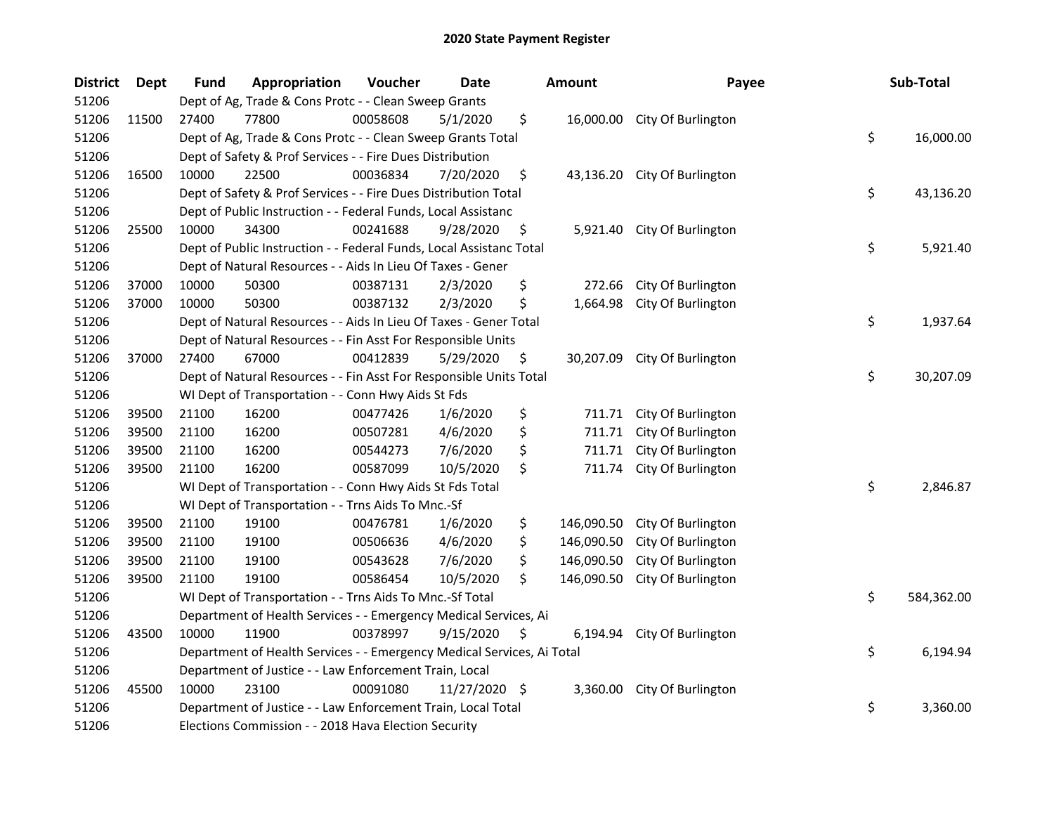| <b>District</b> | <b>Dept</b> | <b>Fund</b> | Appropriation                                                          | Voucher  | <b>Date</b>     | <b>Amount</b>    | Payee                        | Sub-Total        |
|-----------------|-------------|-------------|------------------------------------------------------------------------|----------|-----------------|------------------|------------------------------|------------------|
| 51206           |             |             | Dept of Ag, Trade & Cons Protc - - Clean Sweep Grants                  |          |                 |                  |                              |                  |
| 51206           | 11500       | 27400       | 77800                                                                  | 00058608 | 5/1/2020        | \$               | 16,000.00 City Of Burlington |                  |
| 51206           |             |             | Dept of Ag, Trade & Cons Protc - - Clean Sweep Grants Total            |          |                 |                  |                              | \$<br>16,000.00  |
| 51206           |             |             | Dept of Safety & Prof Services - - Fire Dues Distribution              |          |                 |                  |                              |                  |
| 51206           | 16500       | 10000       | 22500                                                                  | 00036834 | 7/20/2020       | \$               | 43,136.20 City Of Burlington |                  |
| 51206           |             |             | Dept of Safety & Prof Services - - Fire Dues Distribution Total        |          |                 |                  |                              | \$<br>43,136.20  |
| 51206           |             |             | Dept of Public Instruction - - Federal Funds, Local Assistanc          |          |                 |                  |                              |                  |
| 51206           | 25500       | 10000       | 34300                                                                  | 00241688 | 9/28/2020       | \$               | 5,921.40 City Of Burlington  |                  |
| 51206           |             |             | Dept of Public Instruction - - Federal Funds, Local Assistanc Total    |          |                 |                  |                              | \$<br>5,921.40   |
| 51206           |             |             | Dept of Natural Resources - - Aids In Lieu Of Taxes - Gener            |          |                 |                  |                              |                  |
| 51206           | 37000       | 10000       | 50300                                                                  | 00387131 | 2/3/2020        | \$<br>272.66     | City Of Burlington           |                  |
| 51206           | 37000       | 10000       | 50300                                                                  | 00387132 | 2/3/2020        | \$<br>1,664.98   | City Of Burlington           |                  |
| 51206           |             |             | Dept of Natural Resources - - Aids In Lieu Of Taxes - Gener Total      |          |                 |                  |                              | \$<br>1,937.64   |
| 51206           |             |             | Dept of Natural Resources - - Fin Asst For Responsible Units           |          |                 |                  |                              |                  |
| 51206           | 37000       | 27400       | 67000                                                                  | 00412839 | 5/29/2020       | \$<br>30,207.09  | City Of Burlington           |                  |
| 51206           |             |             | Dept of Natural Resources - - Fin Asst For Responsible Units Total     |          |                 |                  |                              | \$<br>30,207.09  |
| 51206           |             |             | WI Dept of Transportation - - Conn Hwy Aids St Fds                     |          |                 |                  |                              |                  |
| 51206           | 39500       | 21100       | 16200                                                                  | 00477426 | 1/6/2020        | \$<br>711.71     | City Of Burlington           |                  |
| 51206           | 39500       | 21100       | 16200                                                                  | 00507281 | 4/6/2020        | \$<br>711.71     | City Of Burlington           |                  |
| 51206           | 39500       | 21100       | 16200                                                                  | 00544273 | 7/6/2020        | \$<br>711.71     | City Of Burlington           |                  |
| 51206           | 39500       | 21100       | 16200                                                                  | 00587099 | 10/5/2020       | \$<br>711.74     | City Of Burlington           |                  |
| 51206           |             |             | WI Dept of Transportation - - Conn Hwy Aids St Fds Total               |          |                 |                  |                              | \$<br>2,846.87   |
| 51206           |             |             | WI Dept of Transportation - - Trns Aids To Mnc.-Sf                     |          |                 |                  |                              |                  |
| 51206           | 39500       | 21100       | 19100                                                                  | 00476781 | 1/6/2020        | \$<br>146,090.50 | City Of Burlington           |                  |
| 51206           | 39500       | 21100       | 19100                                                                  | 00506636 | 4/6/2020        | \$<br>146,090.50 | City Of Burlington           |                  |
| 51206           | 39500       | 21100       | 19100                                                                  | 00543628 | 7/6/2020        | \$<br>146,090.50 | City Of Burlington           |                  |
| 51206           | 39500       | 21100       | 19100                                                                  | 00586454 | 10/5/2020       | \$<br>146,090.50 | City Of Burlington           |                  |
| 51206           |             |             | WI Dept of Transportation - - Trns Aids To Mnc.-Sf Total               |          |                 |                  |                              | \$<br>584,362.00 |
| 51206           |             |             | Department of Health Services - - Emergency Medical Services, Ai       |          |                 |                  |                              |                  |
| 51206           | 43500       | 10000       | 11900                                                                  | 00378997 | 9/15/2020       | \$<br>6,194.94   | City Of Burlington           |                  |
| 51206           |             |             | Department of Health Services - - Emergency Medical Services, Ai Total |          |                 |                  |                              | \$<br>6,194.94   |
| 51206           |             |             | Department of Justice - - Law Enforcement Train, Local                 |          |                 |                  |                              |                  |
| 51206           | 45500       | 10000       | 23100                                                                  | 00091080 | $11/27/2020$ \$ | 3,360.00         | City Of Burlington           |                  |
| 51206           |             |             | Department of Justice - - Law Enforcement Train, Local Total           |          |                 |                  |                              | \$<br>3,360.00   |
| 51206           |             |             | Elections Commission - - 2018 Hava Election Security                   |          |                 |                  |                              |                  |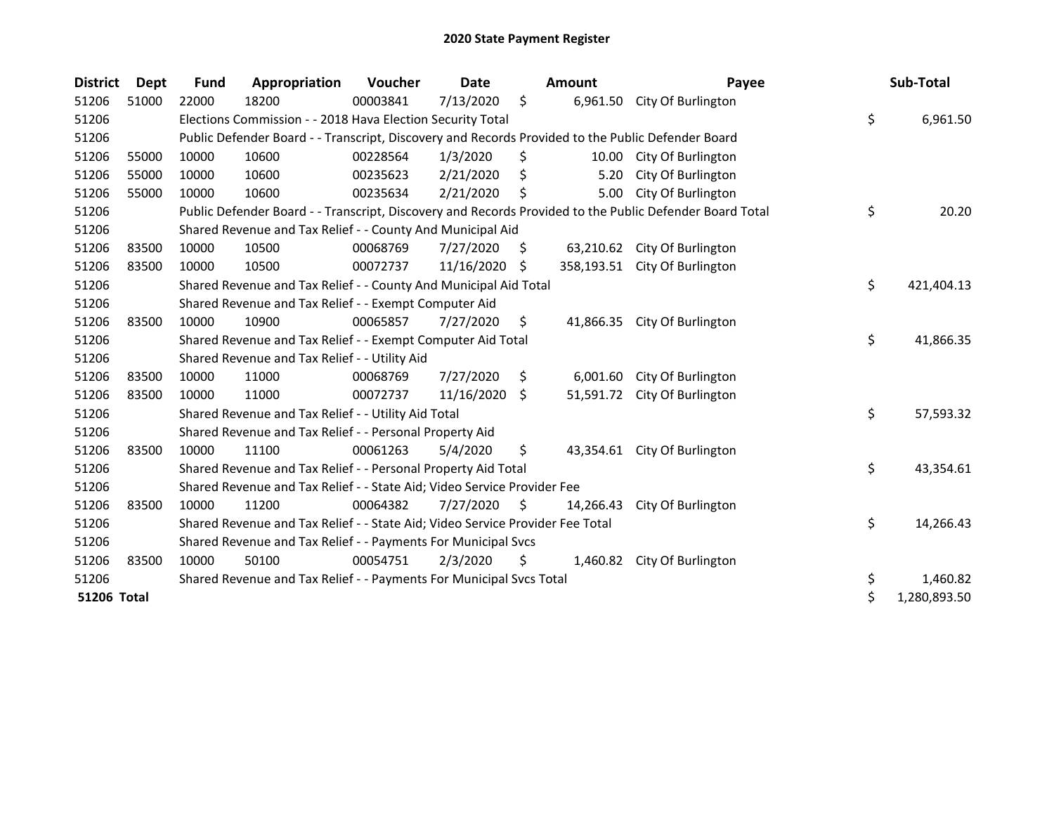| <b>District</b>    | Dept  | Fund  | Appropriation                                                                                     | Voucher  | <b>Date</b> |     | Amount    | Payee                                                                                                   | Sub-Total          |
|--------------------|-------|-------|---------------------------------------------------------------------------------------------------|----------|-------------|-----|-----------|---------------------------------------------------------------------------------------------------------|--------------------|
| 51206              | 51000 | 22000 | 18200                                                                                             | 00003841 | 7/13/2020   | \$  | 6,961.50  | City Of Burlington                                                                                      |                    |
| 51206              |       |       | Elections Commission - - 2018 Hava Election Security Total                                        |          |             |     |           |                                                                                                         | \$<br>6,961.50     |
| 51206              |       |       | Public Defender Board - - Transcript, Discovery and Records Provided to the Public Defender Board |          |             |     |           |                                                                                                         |                    |
| 51206              | 55000 | 10000 | 10600                                                                                             | 00228564 | 1/3/2020    | \$  |           | 10.00 City Of Burlington                                                                                |                    |
| 51206              | 55000 | 10000 | 10600                                                                                             | 00235623 | 2/21/2020   | S   | 5.20      | City Of Burlington                                                                                      |                    |
| 51206              | 55000 | 10000 | 10600                                                                                             | 00235634 | 2/21/2020   |     | 5.00      | City Of Burlington                                                                                      |                    |
| 51206              |       |       |                                                                                                   |          |             |     |           | Public Defender Board - - Transcript, Discovery and Records Provided to the Public Defender Board Total | \$<br>20.20        |
| 51206              |       |       | Shared Revenue and Tax Relief - - County And Municipal Aid                                        |          |             |     |           |                                                                                                         |                    |
| 51206              | 83500 | 10000 | 10500                                                                                             | 00068769 | 7/27/2020   | S   | 63,210.62 | City Of Burlington                                                                                      |                    |
| 51206              | 83500 | 10000 | 10500                                                                                             | 00072737 | 11/16/2020  | S.  |           | 358,193.51 City Of Burlington                                                                           |                    |
| 51206              |       |       | Shared Revenue and Tax Relief - - County And Municipal Aid Total                                  |          |             |     |           |                                                                                                         | \$<br>421,404.13   |
| 51206              |       |       | Shared Revenue and Tax Relief - - Exempt Computer Aid                                             |          |             |     |           |                                                                                                         |                    |
| 51206              | 83500 | 10000 | 10900                                                                                             | 00065857 | 7/27/2020   | \$  | 41,866.35 | City Of Burlington                                                                                      |                    |
| 51206              |       |       | Shared Revenue and Tax Relief - - Exempt Computer Aid Total                                       |          |             |     |           |                                                                                                         | \$<br>41,866.35    |
| 51206              |       |       | Shared Revenue and Tax Relief - - Utility Aid                                                     |          |             |     |           |                                                                                                         |                    |
| 51206              | 83500 | 10000 | 11000                                                                                             | 00068769 | 7/27/2020   | \$  | 6,001.60  | City Of Burlington                                                                                      |                    |
| 51206              | 83500 | 10000 | 11000                                                                                             | 00072737 | 11/16/2020  | \$  | 51,591.72 | City Of Burlington                                                                                      |                    |
| 51206              |       |       | Shared Revenue and Tax Relief - - Utility Aid Total                                               |          |             |     |           |                                                                                                         | \$<br>57,593.32    |
| 51206              |       |       | Shared Revenue and Tax Relief - - Personal Property Aid                                           |          |             |     |           |                                                                                                         |                    |
| 51206              | 83500 | 10000 | 11100                                                                                             | 00061263 | 5/4/2020    | \$  | 43.354.61 | City Of Burlington                                                                                      |                    |
| 51206              |       |       | Shared Revenue and Tax Relief - - Personal Property Aid Total                                     |          |             |     |           |                                                                                                         | \$<br>43,354.61    |
| 51206              |       |       | Shared Revenue and Tax Relief - - State Aid; Video Service Provider Fee                           |          |             |     |           |                                                                                                         |                    |
| 51206              | 83500 | 10000 | 11200                                                                                             | 00064382 | 7/27/2020   | \$. | 14,266.43 | City Of Burlington                                                                                      |                    |
| 51206              |       |       | Shared Revenue and Tax Relief - - State Aid; Video Service Provider Fee Total                     |          |             |     |           |                                                                                                         | \$<br>14,266.43    |
| 51206              |       |       | Shared Revenue and Tax Relief - - Payments For Municipal Svcs                                     |          |             |     |           |                                                                                                         |                    |
| 51206              | 83500 | 10000 | 50100                                                                                             | 00054751 | 2/3/2020    | \$  | 1,460.82  | City Of Burlington                                                                                      |                    |
| 51206              |       |       | Shared Revenue and Tax Relief - - Payments For Municipal Svcs Total                               |          |             |     |           |                                                                                                         | \$<br>1,460.82     |
| <b>51206 Total</b> |       |       |                                                                                                   |          |             |     |           |                                                                                                         | \$<br>1,280,893.50 |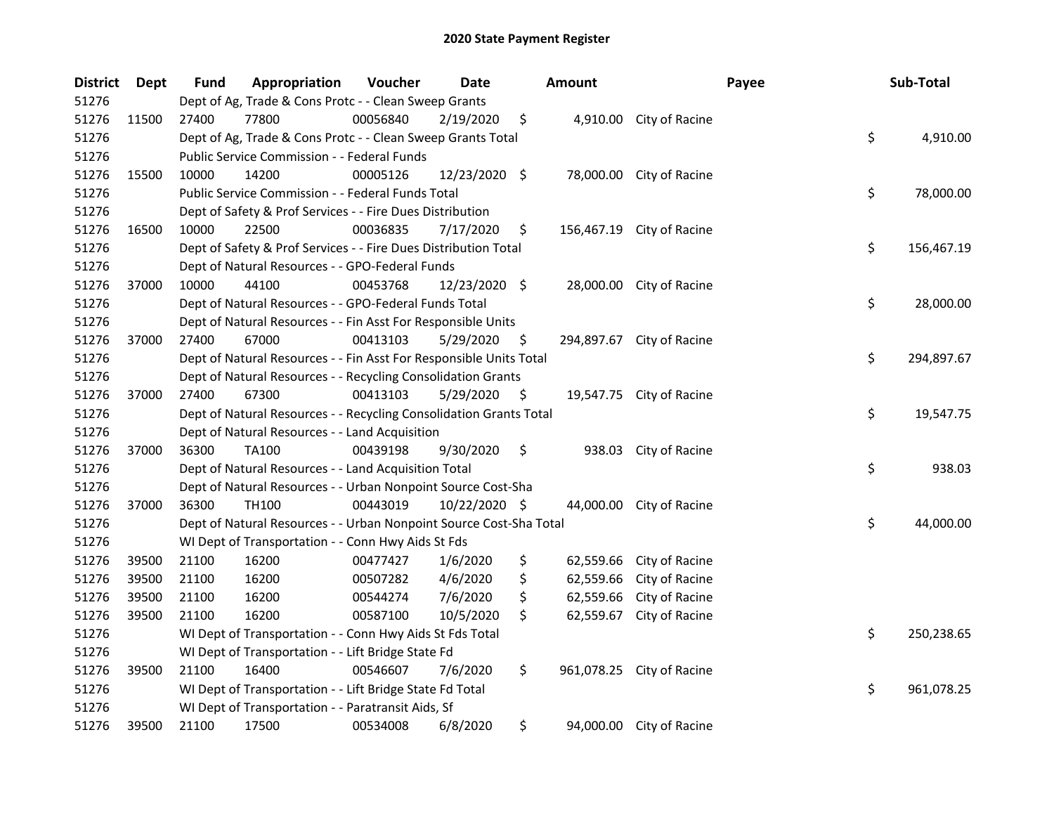| <b>District</b> | <b>Dept</b> | Fund  | Appropriation                                                      | Voucher  | <b>Date</b>   |    | <b>Amount</b> |                           | Payee | Sub-Total  |
|-----------------|-------------|-------|--------------------------------------------------------------------|----------|---------------|----|---------------|---------------------------|-------|------------|
| 51276           |             |       | Dept of Ag, Trade & Cons Protc - - Clean Sweep Grants              |          |               |    |               |                           |       |            |
| 51276           | 11500       | 27400 | 77800                                                              | 00056840 | 2/19/2020     | \$ |               | 4,910.00 City of Racine   |       |            |
| 51276           |             |       | Dept of Ag, Trade & Cons Protc - - Clean Sweep Grants Total        |          |               |    |               |                           | \$    | 4,910.00   |
| 51276           |             |       | Public Service Commission - - Federal Funds                        |          |               |    |               |                           |       |            |
| 51276           | 15500       | 10000 | 14200                                                              | 00005126 | 12/23/2020 \$ |    |               | 78,000.00 City of Racine  |       |            |
| 51276           |             |       | Public Service Commission - - Federal Funds Total                  |          |               |    |               |                           | \$    | 78,000.00  |
| 51276           |             |       | Dept of Safety & Prof Services - - Fire Dues Distribution          |          |               |    |               |                           |       |            |
| 51276           | 16500       | 10000 | 22500                                                              | 00036835 | 7/17/2020     | \$ |               | 156,467.19 City of Racine |       |            |
| 51276           |             |       | Dept of Safety & Prof Services - - Fire Dues Distribution Total    |          |               |    |               |                           | \$    | 156,467.19 |
| 51276           |             |       | Dept of Natural Resources - - GPO-Federal Funds                    |          |               |    |               |                           |       |            |
| 51276           | 37000       | 10000 | 44100                                                              | 00453768 | 12/23/2020 \$ |    |               | 28,000.00 City of Racine  |       |            |
| 51276           |             |       | Dept of Natural Resources - - GPO-Federal Funds Total              |          |               |    |               |                           | \$    | 28,000.00  |
| 51276           |             |       | Dept of Natural Resources - - Fin Asst For Responsible Units       |          |               |    |               |                           |       |            |
| 51276           | 37000       | 27400 | 67000                                                              | 00413103 | 5/29/2020     | Ş  | 294,897.67    | City of Racine            |       |            |
| 51276           |             |       | Dept of Natural Resources - - Fin Asst For Responsible Units Total |          |               |    |               |                           | \$    | 294,897.67 |
| 51276           |             |       | Dept of Natural Resources - - Recycling Consolidation Grants       |          |               |    |               |                           |       |            |
| 51276           | 37000       | 27400 | 67300                                                              | 00413103 | 5/29/2020     | \$ |               | 19,547.75 City of Racine  |       |            |
| 51276           |             |       | Dept of Natural Resources - - Recycling Consolidation Grants Total |          |               |    |               |                           | \$    | 19,547.75  |
| 51276           |             |       | Dept of Natural Resources - - Land Acquisition                     |          |               |    |               |                           |       |            |
| 51276           | 37000       | 36300 | <b>TA100</b>                                                       | 00439198 | 9/30/2020     | \$ | 938.03        | City of Racine            |       |            |
| 51276           |             |       | Dept of Natural Resources - - Land Acquisition Total               |          |               |    |               |                           | \$    | 938.03     |
| 51276           |             |       | Dept of Natural Resources - - Urban Nonpoint Source Cost-Sha       |          |               |    |               |                           |       |            |
| 51276           | 37000       | 36300 | <b>TH100</b>                                                       | 00443019 | 10/22/2020 \$ |    | 44,000.00     | City of Racine            |       |            |
| 51276           |             |       | Dept of Natural Resources - - Urban Nonpoint Source Cost-Sha Total |          |               |    |               |                           | \$    | 44,000.00  |
| 51276           |             |       | WI Dept of Transportation - - Conn Hwy Aids St Fds                 |          |               |    |               |                           |       |            |
| 51276           | 39500       | 21100 | 16200                                                              | 00477427 | 1/6/2020      | \$ | 62,559.66     | City of Racine            |       |            |
| 51276           | 39500       | 21100 | 16200                                                              | 00507282 | 4/6/2020      | \$ | 62,559.66     | City of Racine            |       |            |
| 51276           | 39500       | 21100 | 16200                                                              | 00544274 | 7/6/2020      | \$ | 62,559.66     | City of Racine            |       |            |
| 51276           | 39500       | 21100 | 16200                                                              | 00587100 | 10/5/2020     | \$ | 62,559.67     | City of Racine            |       |            |
| 51276           |             |       | WI Dept of Transportation - - Conn Hwy Aids St Fds Total           |          |               |    |               |                           | \$    | 250,238.65 |
| 51276           |             |       | WI Dept of Transportation - - Lift Bridge State Fd                 |          |               |    |               |                           |       |            |
| 51276           | 39500       | 21100 | 16400                                                              | 00546607 | 7/6/2020      | \$ |               | 961,078.25 City of Racine |       |            |
| 51276           |             |       | WI Dept of Transportation - - Lift Bridge State Fd Total           |          |               |    |               |                           | \$    | 961,078.25 |
| 51276           |             |       | WI Dept of Transportation - - Paratransit Aids, Sf                 |          |               |    |               |                           |       |            |
| 51276           | 39500       | 21100 | 17500                                                              | 00534008 | 6/8/2020      | \$ |               | 94,000.00 City of Racine  |       |            |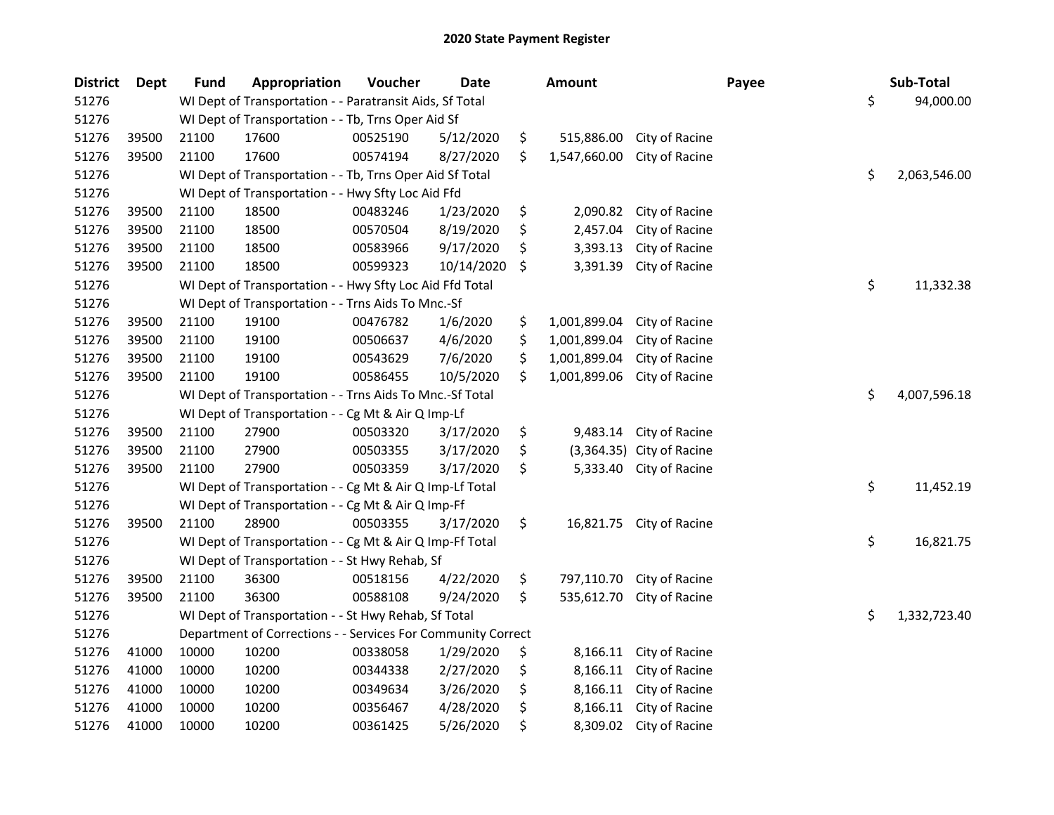| <b>District</b> | <b>Dept</b> | <b>Fund</b> | Appropriation                                                | Voucher  | <b>Date</b> | <b>Amount</b>      |                         | Payee | Sub-Total    |
|-----------------|-------------|-------------|--------------------------------------------------------------|----------|-------------|--------------------|-------------------------|-------|--------------|
| 51276           |             |             | WI Dept of Transportation - - Paratransit Aids, Sf Total     |          |             |                    |                         | \$    | 94,000.00    |
| 51276           |             |             | WI Dept of Transportation - - Tb, Trns Oper Aid Sf           |          |             |                    |                         |       |              |
| 51276           | 39500       | 21100       | 17600                                                        | 00525190 | 5/12/2020   | \$<br>515,886.00   | City of Racine          |       |              |
| 51276           | 39500       | 21100       | 17600                                                        | 00574194 | 8/27/2020   | \$<br>1,547,660.00 | City of Racine          |       |              |
| 51276           |             |             | WI Dept of Transportation - - Tb, Trns Oper Aid Sf Total     |          |             |                    |                         | \$    | 2,063,546.00 |
| 51276           |             |             | WI Dept of Transportation - - Hwy Sfty Loc Aid Ffd           |          |             |                    |                         |       |              |
| 51276           | 39500       | 21100       | 18500                                                        | 00483246 | 1/23/2020   | \$<br>2,090.82     | City of Racine          |       |              |
| 51276           | 39500       | 21100       | 18500                                                        | 00570504 | 8/19/2020   | \$<br>2,457.04     | City of Racine          |       |              |
| 51276           | 39500       | 21100       | 18500                                                        | 00583966 | 9/17/2020   | \$<br>3,393.13     | City of Racine          |       |              |
| 51276           | 39500       | 21100       | 18500                                                        | 00599323 | 10/14/2020  | \$<br>3,391.39     | City of Racine          |       |              |
| 51276           |             |             | WI Dept of Transportation - - Hwy Sfty Loc Aid Ffd Total     |          |             |                    |                         | \$    | 11,332.38    |
| 51276           |             |             | WI Dept of Transportation - - Trns Aids To Mnc.-Sf           |          |             |                    |                         |       |              |
| 51276           | 39500       | 21100       | 19100                                                        | 00476782 | 1/6/2020    | \$<br>1,001,899.04 | City of Racine          |       |              |
| 51276           | 39500       | 21100       | 19100                                                        | 00506637 | 4/6/2020    | \$<br>1,001,899.04 | City of Racine          |       |              |
| 51276           | 39500       | 21100       | 19100                                                        | 00543629 | 7/6/2020    | \$<br>1,001,899.04 | City of Racine          |       |              |
| 51276           | 39500       | 21100       | 19100                                                        | 00586455 | 10/5/2020   | \$<br>1,001,899.06 | City of Racine          |       |              |
| 51276           |             |             | WI Dept of Transportation - - Trns Aids To Mnc.-Sf Total     |          |             |                    |                         | \$    | 4,007,596.18 |
| 51276           |             |             | WI Dept of Transportation - - Cg Mt & Air Q Imp-Lf           |          |             |                    |                         |       |              |
| 51276           | 39500       | 21100       | 27900                                                        | 00503320 | 3/17/2020   | \$<br>9,483.14     | City of Racine          |       |              |
| 51276           | 39500       | 21100       | 27900                                                        | 00503355 | 3/17/2020   | \$<br>(3,364.35)   | City of Racine          |       |              |
| 51276           | 39500       | 21100       | 27900                                                        | 00503359 | 3/17/2020   | \$<br>5,333.40     | City of Racine          |       |              |
| 51276           |             |             | WI Dept of Transportation - - Cg Mt & Air Q Imp-Lf Total     |          |             |                    |                         | \$    | 11,452.19    |
| 51276           |             |             | WI Dept of Transportation - - Cg Mt & Air Q Imp-Ff           |          |             |                    |                         |       |              |
| 51276           | 39500       | 21100       | 28900                                                        | 00503355 | 3/17/2020   | \$<br>16,821.75    | City of Racine          |       |              |
| 51276           |             |             | WI Dept of Transportation - - Cg Mt & Air Q Imp-Ff Total     |          |             |                    |                         | \$    | 16,821.75    |
| 51276           |             |             | WI Dept of Transportation - - St Hwy Rehab, Sf               |          |             |                    |                         |       |              |
| 51276           | 39500       | 21100       | 36300                                                        | 00518156 | 4/22/2020   | \$<br>797,110.70   | City of Racine          |       |              |
| 51276           | 39500       | 21100       | 36300                                                        | 00588108 | 9/24/2020   | \$<br>535,612.70   | City of Racine          |       |              |
| 51276           |             |             | WI Dept of Transportation - - St Hwy Rehab, Sf Total         |          |             |                    |                         | \$    | 1,332,723.40 |
| 51276           |             |             | Department of Corrections - - Services For Community Correct |          |             |                    |                         |       |              |
| 51276           | 41000       | 10000       | 10200                                                        | 00338058 | 1/29/2020   | \$<br>8,166.11     | City of Racine          |       |              |
| 51276           | 41000       | 10000       | 10200                                                        | 00344338 | 2/27/2020   | \$<br>8,166.11     | City of Racine          |       |              |
| 51276           | 41000       | 10000       | 10200                                                        | 00349634 | 3/26/2020   | \$<br>8,166.11     | City of Racine          |       |              |
| 51276           | 41000       | 10000       | 10200                                                        | 00356467 | 4/28/2020   | \$<br>8,166.11     | City of Racine          |       |              |
| 51276           | 41000       | 10000       | 10200                                                        | 00361425 | 5/26/2020   | \$                 | 8,309.02 City of Racine |       |              |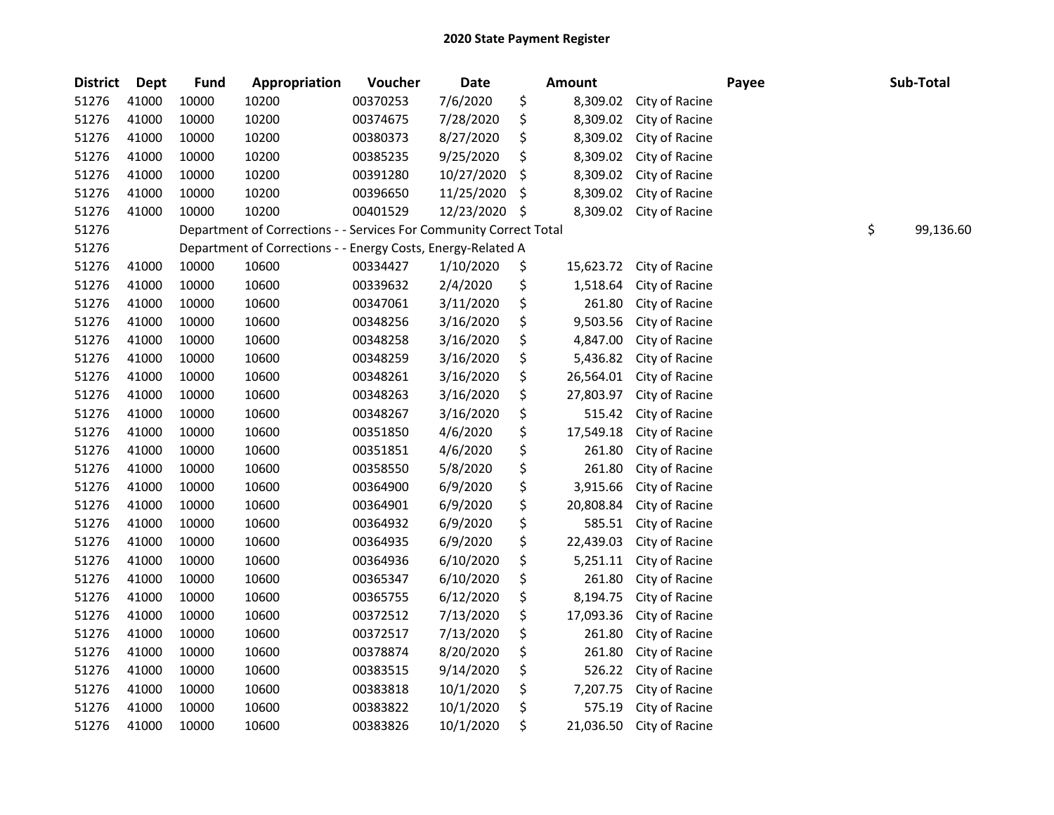| <b>District</b> | <b>Dept</b> | <b>Fund</b> | Appropriation                                                      | Voucher  | Date       |     | <b>Amount</b> |                | Payee | Sub-Total       |
|-----------------|-------------|-------------|--------------------------------------------------------------------|----------|------------|-----|---------------|----------------|-------|-----------------|
| 51276           | 41000       | 10000       | 10200                                                              | 00370253 | 7/6/2020   | \$  | 8,309.02      | City of Racine |       |                 |
| 51276           | 41000       | 10000       | 10200                                                              | 00374675 | 7/28/2020  | \$  | 8,309.02      | City of Racine |       |                 |
| 51276           | 41000       | 10000       | 10200                                                              | 00380373 | 8/27/2020  | \$  | 8,309.02      | City of Racine |       |                 |
| 51276           | 41000       | 10000       | 10200                                                              | 00385235 | 9/25/2020  | \$  | 8,309.02      | City of Racine |       |                 |
| 51276           | 41000       | 10000       | 10200                                                              | 00391280 | 10/27/2020 | \$  | 8,309.02      | City of Racine |       |                 |
| 51276           | 41000       | 10000       | 10200                                                              | 00396650 | 11/25/2020 | \$  | 8,309.02      | City of Racine |       |                 |
| 51276           | 41000       | 10000       | 10200                                                              | 00401529 | 12/23/2020 | \$. | 8,309.02      | City of Racine |       |                 |
| 51276           |             |             | Department of Corrections - - Services For Community Correct Total |          |            |     |               |                |       | \$<br>99,136.60 |
| 51276           |             |             | Department of Corrections - - Energy Costs, Energy-Related A       |          |            |     |               |                |       |                 |
| 51276           | 41000       | 10000       | 10600                                                              | 00334427 | 1/10/2020  | \$  | 15,623.72     | City of Racine |       |                 |
| 51276           | 41000       | 10000       | 10600                                                              | 00339632 | 2/4/2020   | \$  | 1,518.64      | City of Racine |       |                 |
| 51276           | 41000       | 10000       | 10600                                                              | 00347061 | 3/11/2020  | \$  | 261.80        | City of Racine |       |                 |
| 51276           | 41000       | 10000       | 10600                                                              | 00348256 | 3/16/2020  | \$  | 9,503.56      | City of Racine |       |                 |
| 51276           | 41000       | 10000       | 10600                                                              | 00348258 | 3/16/2020  | \$  | 4,847.00      | City of Racine |       |                 |
| 51276           | 41000       | 10000       | 10600                                                              | 00348259 | 3/16/2020  | \$  | 5,436.82      | City of Racine |       |                 |
| 51276           | 41000       | 10000       | 10600                                                              | 00348261 | 3/16/2020  | \$  | 26,564.01     | City of Racine |       |                 |
| 51276           | 41000       | 10000       | 10600                                                              | 00348263 | 3/16/2020  | \$  | 27,803.97     | City of Racine |       |                 |
| 51276           | 41000       | 10000       | 10600                                                              | 00348267 | 3/16/2020  | \$  | 515.42        | City of Racine |       |                 |
| 51276           | 41000       | 10000       | 10600                                                              | 00351850 | 4/6/2020   | \$  | 17,549.18     | City of Racine |       |                 |
| 51276           | 41000       | 10000       | 10600                                                              | 00351851 | 4/6/2020   | \$  | 261.80        | City of Racine |       |                 |
| 51276           | 41000       | 10000       | 10600                                                              | 00358550 | 5/8/2020   | \$  | 261.80        | City of Racine |       |                 |
| 51276           | 41000       | 10000       | 10600                                                              | 00364900 | 6/9/2020   | \$  | 3,915.66      | City of Racine |       |                 |
| 51276           | 41000       | 10000       | 10600                                                              | 00364901 | 6/9/2020   | \$  | 20,808.84     | City of Racine |       |                 |
| 51276           | 41000       | 10000       | 10600                                                              | 00364932 | 6/9/2020   | \$  | 585.51        | City of Racine |       |                 |
| 51276           | 41000       | 10000       | 10600                                                              | 00364935 | 6/9/2020   | \$  | 22,439.03     | City of Racine |       |                 |
| 51276           | 41000       | 10000       | 10600                                                              | 00364936 | 6/10/2020  | \$  | 5,251.11      | City of Racine |       |                 |
| 51276           | 41000       | 10000       | 10600                                                              | 00365347 | 6/10/2020  | \$  | 261.80        | City of Racine |       |                 |
| 51276           | 41000       | 10000       | 10600                                                              | 00365755 | 6/12/2020  | \$  | 8,194.75      | City of Racine |       |                 |
| 51276           | 41000       | 10000       | 10600                                                              | 00372512 | 7/13/2020  | \$  | 17,093.36     | City of Racine |       |                 |
| 51276           | 41000       | 10000       | 10600                                                              | 00372517 | 7/13/2020  | \$  | 261.80        | City of Racine |       |                 |
| 51276           | 41000       | 10000       | 10600                                                              | 00378874 | 8/20/2020  | \$  | 261.80        | City of Racine |       |                 |
| 51276           | 41000       | 10000       | 10600                                                              | 00383515 | 9/14/2020  | \$  | 526.22        | City of Racine |       |                 |
| 51276           | 41000       | 10000       | 10600                                                              | 00383818 | 10/1/2020  | \$  | 7,207.75      | City of Racine |       |                 |
| 51276           | 41000       | 10000       | 10600                                                              | 00383822 | 10/1/2020  | \$  | 575.19        | City of Racine |       |                 |
| 51276           | 41000       | 10000       | 10600                                                              | 00383826 | 10/1/2020  | \$  | 21,036.50     | City of Racine |       |                 |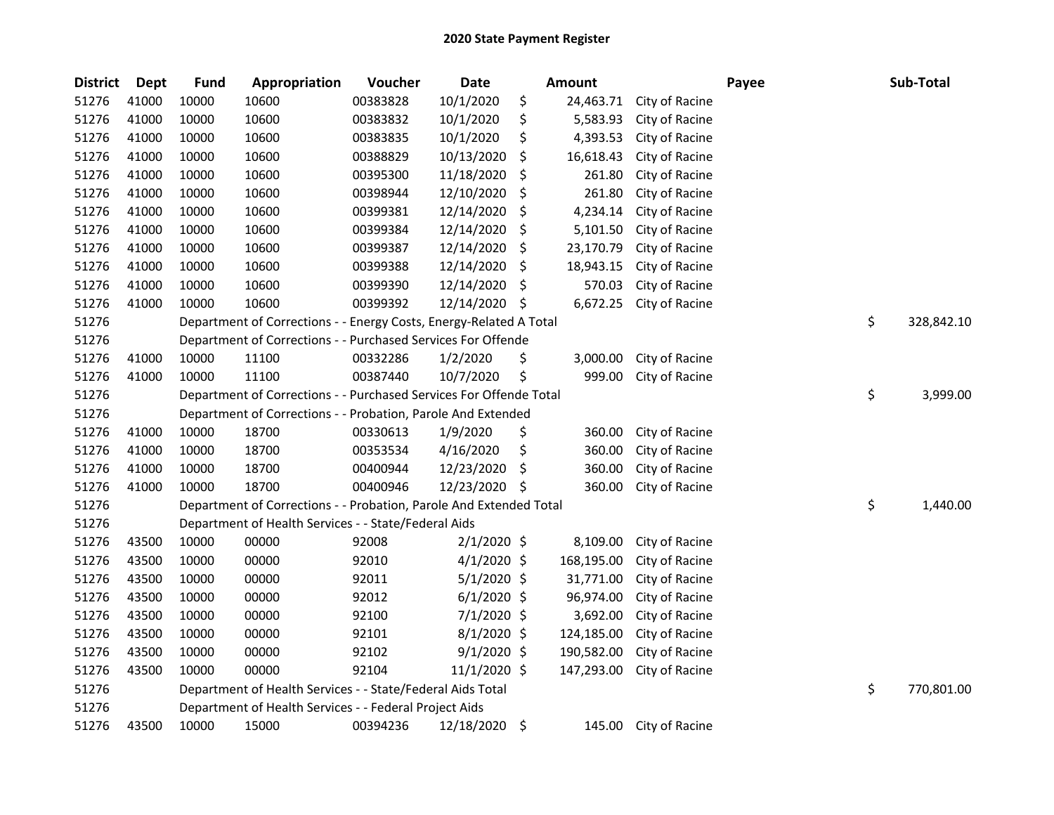| <b>District</b> | <b>Dept</b> | <b>Fund</b> | Appropriation                                                      | Voucher  | <b>Date</b>   |     | <b>Amount</b> |                | Payee | Sub-Total        |
|-----------------|-------------|-------------|--------------------------------------------------------------------|----------|---------------|-----|---------------|----------------|-------|------------------|
| 51276           | 41000       | 10000       | 10600                                                              | 00383828 | 10/1/2020     | \$  | 24,463.71     | City of Racine |       |                  |
| 51276           | 41000       | 10000       | 10600                                                              | 00383832 | 10/1/2020     | \$  | 5,583.93      | City of Racine |       |                  |
| 51276           | 41000       | 10000       | 10600                                                              | 00383835 | 10/1/2020     | \$  | 4,393.53      | City of Racine |       |                  |
| 51276           | 41000       | 10000       | 10600                                                              | 00388829 | 10/13/2020    | \$, | 16,618.43     | City of Racine |       |                  |
| 51276           | 41000       | 10000       | 10600                                                              | 00395300 | 11/18/2020    | \$  | 261.80        | City of Racine |       |                  |
| 51276           | 41000       | 10000       | 10600                                                              | 00398944 | 12/10/2020    | \$  | 261.80        | City of Racine |       |                  |
| 51276           | 41000       | 10000       | 10600                                                              | 00399381 | 12/14/2020    | \$, | 4,234.14      | City of Racine |       |                  |
| 51276           | 41000       | 10000       | 10600                                                              | 00399384 | 12/14/2020    | \$  | 5,101.50      | City of Racine |       |                  |
| 51276           | 41000       | 10000       | 10600                                                              | 00399387 | 12/14/2020    | \$  | 23,170.79     | City of Racine |       |                  |
| 51276           | 41000       | 10000       | 10600                                                              | 00399388 | 12/14/2020    | \$  | 18,943.15     | City of Racine |       |                  |
| 51276           | 41000       | 10000       | 10600                                                              | 00399390 | 12/14/2020    | \$  | 570.03        | City of Racine |       |                  |
| 51276           | 41000       | 10000       | 10600                                                              | 00399392 | 12/14/2020    | \$  | 6,672.25      | City of Racine |       |                  |
| 51276           |             |             | Department of Corrections - - Energy Costs, Energy-Related A Total |          |               |     |               |                |       | \$<br>328,842.10 |
| 51276           |             |             | Department of Corrections - - Purchased Services For Offende       |          |               |     |               |                |       |                  |
| 51276           | 41000       | 10000       | 11100                                                              | 00332286 | 1/2/2020      | \$  | 3,000.00      | City of Racine |       |                  |
| 51276           | 41000       | 10000       | 11100                                                              | 00387440 | 10/7/2020     | \$  | 999.00        | City of Racine |       |                  |
| 51276           |             |             | Department of Corrections - - Purchased Services For Offende Total |          |               |     |               |                |       | \$<br>3,999.00   |
| 51276           |             |             | Department of Corrections - - Probation, Parole And Extended       |          |               |     |               |                |       |                  |
| 51276           | 41000       | 10000       | 18700                                                              | 00330613 | 1/9/2020      | \$  | 360.00        | City of Racine |       |                  |
| 51276           | 41000       | 10000       | 18700                                                              | 00353534 | 4/16/2020     | \$  | 360.00        | City of Racine |       |                  |
| 51276           | 41000       | 10000       | 18700                                                              | 00400944 | 12/23/2020    | \$  | 360.00        | City of Racine |       |                  |
| 51276           | 41000       | 10000       | 18700                                                              | 00400946 | 12/23/2020    | \$. | 360.00        | City of Racine |       |                  |
| 51276           |             |             | Department of Corrections - - Probation, Parole And Extended Total |          |               |     |               |                |       | \$<br>1,440.00   |
| 51276           |             |             | Department of Health Services - - State/Federal Aids               |          |               |     |               |                |       |                  |
| 51276           | 43500       | 10000       | 00000                                                              | 92008    | $2/1/2020$ \$ |     | 8,109.00      | City of Racine |       |                  |
| 51276           | 43500       | 10000       | 00000                                                              | 92010    | $4/1/2020$ \$ |     | 168,195.00    | City of Racine |       |                  |
| 51276           | 43500       | 10000       | 00000                                                              | 92011    | $5/1/2020$ \$ |     | 31,771.00     | City of Racine |       |                  |
| 51276           | 43500       | 10000       | 00000                                                              | 92012    | $6/1/2020$ \$ |     | 96,974.00     | City of Racine |       |                  |
| 51276           | 43500       | 10000       | 00000                                                              | 92100    | 7/1/2020 \$   |     | 3,692.00      | City of Racine |       |                  |
| 51276           | 43500       | 10000       | 00000                                                              | 92101    | $8/1/2020$ \$ |     | 124,185.00    | City of Racine |       |                  |
| 51276           | 43500       | 10000       | 00000                                                              | 92102    | $9/1/2020$ \$ |     | 190,582.00    | City of Racine |       |                  |
| 51276           | 43500       | 10000       | 00000                                                              | 92104    | 11/1/2020 \$  |     | 147,293.00    | City of Racine |       |                  |
| 51276           |             |             | Department of Health Services - - State/Federal Aids Total         |          |               |     |               |                |       | \$<br>770,801.00 |
| 51276           |             |             | Department of Health Services - - Federal Project Aids             |          |               |     |               |                |       |                  |
| 51276           | 43500       | 10000       | 15000                                                              | 00394236 | 12/18/2020    | \$  | 145.00        | City of Racine |       |                  |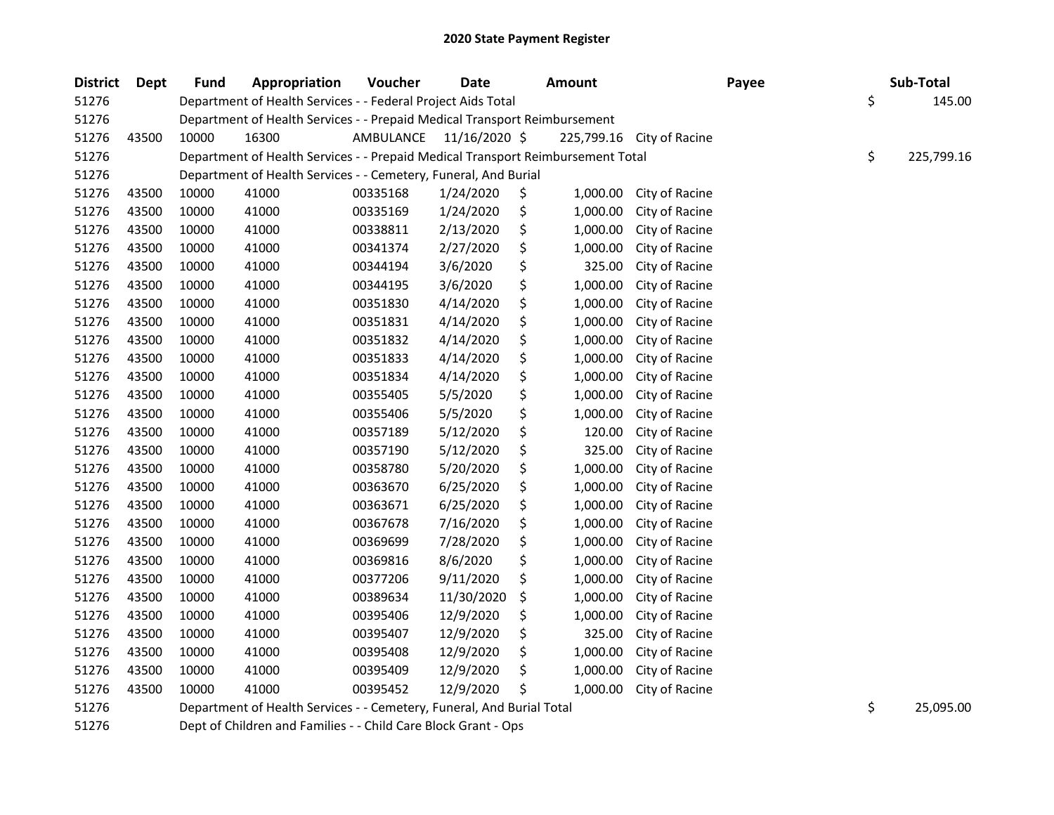| <b>District</b> | <b>Dept</b> | <b>Fund</b> | Appropriation                                                                   | Voucher   | <b>Date</b>   | <b>Amount</b>  |                           | Payee | Sub-Total        |
|-----------------|-------------|-------------|---------------------------------------------------------------------------------|-----------|---------------|----------------|---------------------------|-------|------------------|
| 51276           |             |             | Department of Health Services - - Federal Project Aids Total                    |           |               |                |                           |       | \$<br>145.00     |
| 51276           |             |             | Department of Health Services - - Prepaid Medical Transport Reimbursement       |           |               |                |                           |       |                  |
| 51276           | 43500       | 10000       | 16300                                                                           | AMBULANCE | 11/16/2020 \$ |                | 225,799.16 City of Racine |       |                  |
| 51276           |             |             | Department of Health Services - - Prepaid Medical Transport Reimbursement Total |           |               |                |                           |       | \$<br>225,799.16 |
| 51276           |             |             | Department of Health Services - - Cemetery, Funeral, And Burial                 |           |               |                |                           |       |                  |
| 51276           | 43500       | 10000       | 41000                                                                           | 00335168  | 1/24/2020     | \$<br>1,000.00 | City of Racine            |       |                  |
| 51276           | 43500       | 10000       | 41000                                                                           | 00335169  | 1/24/2020     | \$<br>1,000.00 | City of Racine            |       |                  |
| 51276           | 43500       | 10000       | 41000                                                                           | 00338811  | 2/13/2020     | \$<br>1,000.00 | City of Racine            |       |                  |
| 51276           | 43500       | 10000       | 41000                                                                           | 00341374  | 2/27/2020     | \$<br>1,000.00 | City of Racine            |       |                  |
| 51276           | 43500       | 10000       | 41000                                                                           | 00344194  | 3/6/2020      | \$<br>325.00   | City of Racine            |       |                  |
| 51276           | 43500       | 10000       | 41000                                                                           | 00344195  | 3/6/2020      | \$<br>1,000.00 | City of Racine            |       |                  |
| 51276           | 43500       | 10000       | 41000                                                                           | 00351830  | 4/14/2020     | \$<br>1,000.00 | City of Racine            |       |                  |
| 51276           | 43500       | 10000       | 41000                                                                           | 00351831  | 4/14/2020     | \$<br>1,000.00 | City of Racine            |       |                  |
| 51276           | 43500       | 10000       | 41000                                                                           | 00351832  | 4/14/2020     | \$<br>1,000.00 | City of Racine            |       |                  |
| 51276           | 43500       | 10000       | 41000                                                                           | 00351833  | 4/14/2020     | \$<br>1,000.00 | City of Racine            |       |                  |
| 51276           | 43500       | 10000       | 41000                                                                           | 00351834  | 4/14/2020     | \$<br>1,000.00 | City of Racine            |       |                  |
| 51276           | 43500       | 10000       | 41000                                                                           | 00355405  | 5/5/2020      | \$<br>1,000.00 | City of Racine            |       |                  |
| 51276           | 43500       | 10000       | 41000                                                                           | 00355406  | 5/5/2020      | \$<br>1,000.00 | City of Racine            |       |                  |
| 51276           | 43500       | 10000       | 41000                                                                           | 00357189  | 5/12/2020     | \$<br>120.00   | City of Racine            |       |                  |
| 51276           | 43500       | 10000       | 41000                                                                           | 00357190  | 5/12/2020     | \$<br>325.00   | City of Racine            |       |                  |
| 51276           | 43500       | 10000       | 41000                                                                           | 00358780  | 5/20/2020     | \$<br>1,000.00 | City of Racine            |       |                  |
| 51276           | 43500       | 10000       | 41000                                                                           | 00363670  | 6/25/2020     | \$<br>1,000.00 | City of Racine            |       |                  |
| 51276           | 43500       | 10000       | 41000                                                                           | 00363671  | 6/25/2020     | \$<br>1,000.00 | City of Racine            |       |                  |
| 51276           | 43500       | 10000       | 41000                                                                           | 00367678  | 7/16/2020     | \$<br>1,000.00 | City of Racine            |       |                  |
| 51276           | 43500       | 10000       | 41000                                                                           | 00369699  | 7/28/2020     | \$<br>1,000.00 | City of Racine            |       |                  |
| 51276           | 43500       | 10000       | 41000                                                                           | 00369816  | 8/6/2020      | \$<br>1,000.00 | City of Racine            |       |                  |
| 51276           | 43500       | 10000       | 41000                                                                           | 00377206  | 9/11/2020     | \$<br>1,000.00 | City of Racine            |       |                  |
| 51276           | 43500       | 10000       | 41000                                                                           | 00389634  | 11/30/2020    | \$<br>1,000.00 | City of Racine            |       |                  |
| 51276           | 43500       | 10000       | 41000                                                                           | 00395406  | 12/9/2020     | \$<br>1,000.00 | City of Racine            |       |                  |
| 51276           | 43500       | 10000       | 41000                                                                           | 00395407  | 12/9/2020     | \$<br>325.00   | City of Racine            |       |                  |
| 51276           | 43500       | 10000       | 41000                                                                           | 00395408  | 12/9/2020     | \$<br>1,000.00 | City of Racine            |       |                  |
| 51276           | 43500       | 10000       | 41000                                                                           | 00395409  | 12/9/2020     | \$<br>1,000.00 | City of Racine            |       |                  |
| 51276           | 43500       | 10000       | 41000                                                                           | 00395452  | 12/9/2020     | \$<br>1,000.00 | City of Racine            |       |                  |
| 51276           |             |             | Department of Health Services - - Cemetery, Funeral, And Burial Total           |           |               |                |                           |       | \$<br>25,095.00  |

51276 Dept of Children and Families - - Child Care Block Grant - Ops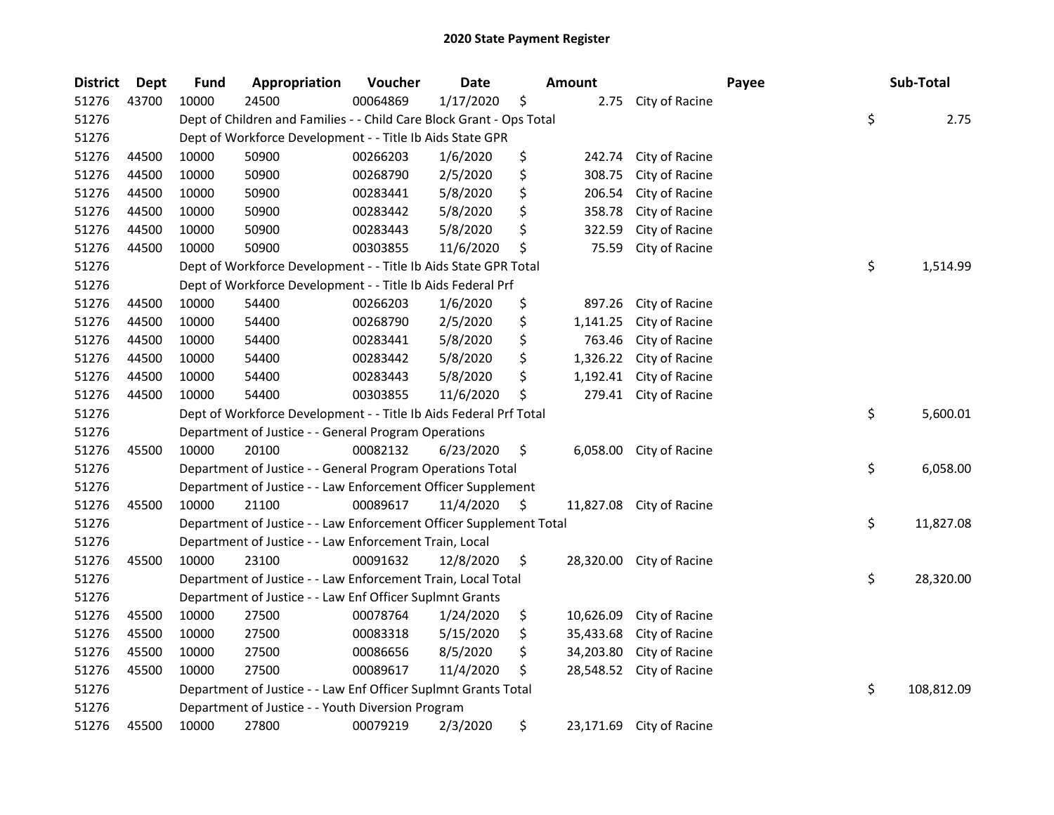| <b>District</b> | Dept  | <b>Fund</b> | Appropriation                                                        | Voucher  | <b>Date</b> | <b>Amount</b>   |                          | Payee | Sub-Total        |
|-----------------|-------|-------------|----------------------------------------------------------------------|----------|-------------|-----------------|--------------------------|-------|------------------|
| 51276           | 43700 | 10000       | 24500                                                                | 00064869 | 1/17/2020   | \$<br>2.75      | City of Racine           |       |                  |
| 51276           |       |             | Dept of Children and Families - - Child Care Block Grant - Ops Total |          |             |                 |                          |       | \$<br>2.75       |
| 51276           |       |             | Dept of Workforce Development - - Title Ib Aids State GPR            |          |             |                 |                          |       |                  |
| 51276           | 44500 | 10000       | 50900                                                                | 00266203 | 1/6/2020    | \$<br>242.74    | City of Racine           |       |                  |
| 51276           | 44500 | 10000       | 50900                                                                | 00268790 | 2/5/2020    | \$<br>308.75    | City of Racine           |       |                  |
| 51276           | 44500 | 10000       | 50900                                                                | 00283441 | 5/8/2020    | \$<br>206.54    | City of Racine           |       |                  |
| 51276           | 44500 | 10000       | 50900                                                                | 00283442 | 5/8/2020    | \$<br>358.78    | City of Racine           |       |                  |
| 51276           | 44500 | 10000       | 50900                                                                | 00283443 | 5/8/2020    | \$<br>322.59    | City of Racine           |       |                  |
| 51276           | 44500 | 10000       | 50900                                                                | 00303855 | 11/6/2020   | \$<br>75.59     | City of Racine           |       |                  |
| 51276           |       |             | Dept of Workforce Development - - Title Ib Aids State GPR Total      |          |             |                 |                          |       | \$<br>1,514.99   |
| 51276           |       |             | Dept of Workforce Development - - Title Ib Aids Federal Prf          |          |             |                 |                          |       |                  |
| 51276           | 44500 | 10000       | 54400                                                                | 00266203 | 1/6/2020    | \$<br>897.26    | City of Racine           |       |                  |
| 51276           | 44500 | 10000       | 54400                                                                | 00268790 | 2/5/2020    | \$<br>1,141.25  | City of Racine           |       |                  |
| 51276           | 44500 | 10000       | 54400                                                                | 00283441 | 5/8/2020    | \$<br>763.46    | City of Racine           |       |                  |
| 51276           | 44500 | 10000       | 54400                                                                | 00283442 | 5/8/2020    | \$<br>1,326.22  | City of Racine           |       |                  |
| 51276           | 44500 | 10000       | 54400                                                                | 00283443 | 5/8/2020    | \$<br>1,192.41  | City of Racine           |       |                  |
| 51276           | 44500 | 10000       | 54400                                                                | 00303855 | 11/6/2020   | \$<br>279.41    | City of Racine           |       |                  |
| 51276           |       |             | Dept of Workforce Development - - Title Ib Aids Federal Prf Total    |          |             |                 |                          |       | \$<br>5,600.01   |
| 51276           |       |             | Department of Justice - - General Program Operations                 |          |             |                 |                          |       |                  |
| 51276           | 45500 | 10000       | 20100                                                                | 00082132 | 6/23/2020   | \$<br>6,058.00  | City of Racine           |       |                  |
| 51276           |       |             | Department of Justice - - General Program Operations Total           |          |             |                 |                          |       | \$<br>6,058.00   |
| 51276           |       |             | Department of Justice - - Law Enforcement Officer Supplement         |          |             |                 |                          |       |                  |
| 51276           | 45500 | 10000       | 21100                                                                | 00089617 | 11/4/2020   | \$<br>11,827.08 | City of Racine           |       |                  |
| 51276           |       |             | Department of Justice - - Law Enforcement Officer Supplement Total   |          |             |                 |                          |       | \$<br>11,827.08  |
| 51276           |       |             | Department of Justice - - Law Enforcement Train, Local               |          |             |                 |                          |       |                  |
| 51276           | 45500 | 10000       | 23100                                                                | 00091632 | 12/8/2020   | \$<br>28,320.00 | City of Racine           |       |                  |
| 51276           |       |             | Department of Justice - - Law Enforcement Train, Local Total         |          |             |                 |                          |       | \$<br>28,320.00  |
| 51276           |       |             | Department of Justice - - Law Enf Officer Suplmnt Grants             |          |             |                 |                          |       |                  |
| 51276           | 45500 | 10000       | 27500                                                                | 00078764 | 1/24/2020   | \$<br>10,626.09 | City of Racine           |       |                  |
| 51276           | 45500 | 10000       | 27500                                                                | 00083318 | 5/15/2020   | \$<br>35,433.68 | City of Racine           |       |                  |
| 51276           | 45500 | 10000       | 27500                                                                | 00086656 | 8/5/2020    | \$<br>34,203.80 | City of Racine           |       |                  |
| 51276           | 45500 | 10000       | 27500                                                                | 00089617 | 11/4/2020   | \$<br>28,548.52 | City of Racine           |       |                  |
| 51276           |       |             | Department of Justice - - Law Enf Officer Suplmnt Grants Total       |          |             |                 |                          |       | \$<br>108,812.09 |
| 51276           |       |             | Department of Justice - - Youth Diversion Program                    |          |             |                 |                          |       |                  |
| 51276           | 45500 | 10000       | 27800                                                                | 00079219 | 2/3/2020    | \$              | 23,171.69 City of Racine |       |                  |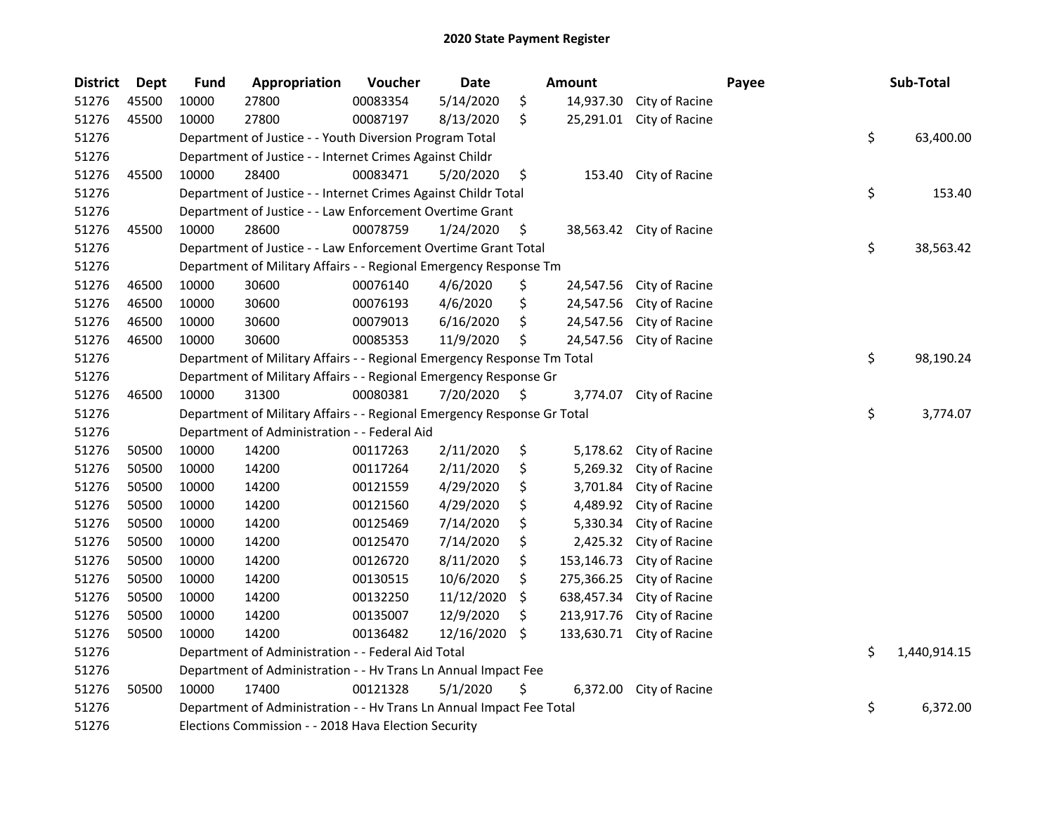| <b>District</b> | <b>Dept</b> | <b>Fund</b>                                                    | Appropriation                                                           | Voucher  | Date       |    | <b>Amount</b> |                          | Payee |    | Sub-Total    |
|-----------------|-------------|----------------------------------------------------------------|-------------------------------------------------------------------------|----------|------------|----|---------------|--------------------------|-------|----|--------------|
| 51276           | 45500       | 10000                                                          | 27800                                                                   | 00083354 | 5/14/2020  | \$ | 14,937.30     | City of Racine           |       |    |              |
| 51276           | 45500       | 10000                                                          | 27800                                                                   | 00087197 | 8/13/2020  | \$ | 25,291.01     | City of Racine           |       |    |              |
| 51276           |             |                                                                | Department of Justice - - Youth Diversion Program Total                 |          |            |    |               |                          |       | \$ | 63,400.00    |
| 51276           |             | Department of Justice - - Internet Crimes Against Childr       |                                                                         |          |            |    |               |                          |       |    |              |
| 51276           | 45500       | 10000                                                          | 28400                                                                   | 00083471 | 5/20/2020  | \$ | 153.40        | City of Racine           |       |    |              |
| 51276           |             |                                                                | Department of Justice - - Internet Crimes Against Childr Total          |          |            |    |               |                          |       | \$ | 153.40       |
| 51276           |             |                                                                | Department of Justice - - Law Enforcement Overtime Grant                |          |            |    |               |                          |       |    |              |
| 51276           | 45500       | 10000                                                          | 28600                                                                   | 00078759 | 1/24/2020  | \$ |               | 38,563.42 City of Racine |       |    |              |
| 51276           |             |                                                                | Department of Justice - - Law Enforcement Overtime Grant Total          |          |            |    |               |                          |       | \$ | 38,563.42    |
| 51276           |             |                                                                | Department of Military Affairs - - Regional Emergency Response Tm       |          |            |    |               |                          |       |    |              |
| 51276           | 46500       | 10000                                                          | 30600                                                                   | 00076140 | 4/6/2020   | \$ | 24,547.56     | City of Racine           |       |    |              |
| 51276           | 46500       | 10000                                                          | 30600                                                                   | 00076193 | 4/6/2020   | \$ | 24,547.56     | City of Racine           |       |    |              |
| 51276           | 46500       | 10000                                                          | 30600                                                                   | 00079013 | 6/16/2020  | \$ | 24,547.56     | City of Racine           |       |    |              |
| 51276           | 46500       | 10000                                                          | 30600                                                                   | 00085353 | 11/9/2020  | \$ | 24,547.56     | City of Racine           |       |    |              |
| 51276           |             |                                                                | Department of Military Affairs - - Regional Emergency Response Tm Total |          |            |    |               |                          |       | \$ | 98,190.24    |
| 51276           |             |                                                                | Department of Military Affairs - - Regional Emergency Response Gr       |          |            |    |               |                          |       |    |              |
| 51276           | 46500       | 10000                                                          | 31300                                                                   | 00080381 | 7/20/2020  | \$ | 3,774.07      | City of Racine           |       |    |              |
| 51276           |             |                                                                | Department of Military Affairs - - Regional Emergency Response Gr Total |          |            |    |               |                          |       | \$ | 3,774.07     |
| 51276           |             |                                                                | Department of Administration - - Federal Aid                            |          |            |    |               |                          |       |    |              |
| 51276           | 50500       | 10000                                                          | 14200                                                                   | 00117263 | 2/11/2020  | \$ | 5,178.62      | City of Racine           |       |    |              |
| 51276           | 50500       | 10000                                                          | 14200                                                                   | 00117264 | 2/11/2020  | \$ | 5,269.32      | City of Racine           |       |    |              |
| 51276           | 50500       | 10000                                                          | 14200                                                                   | 00121559 | 4/29/2020  | \$ | 3,701.84      | City of Racine           |       |    |              |
| 51276           | 50500       | 10000                                                          | 14200                                                                   | 00121560 | 4/29/2020  | \$ | 4,489.92      | City of Racine           |       |    |              |
| 51276           | 50500       | 10000                                                          | 14200                                                                   | 00125469 | 7/14/2020  | \$ | 5,330.34      | City of Racine           |       |    |              |
| 51276           | 50500       | 10000                                                          | 14200                                                                   | 00125470 | 7/14/2020  | \$ | 2,425.32      | City of Racine           |       |    |              |
| 51276           | 50500       | 10000                                                          | 14200                                                                   | 00126720 | 8/11/2020  | \$ | 153,146.73    | City of Racine           |       |    |              |
| 51276           | 50500       | 10000                                                          | 14200                                                                   | 00130515 | 10/6/2020  | \$ | 275,366.25    | City of Racine           |       |    |              |
| 51276           | 50500       | 10000                                                          | 14200                                                                   | 00132250 | 11/12/2020 | S. | 638,457.34    | City of Racine           |       |    |              |
| 51276           | 50500       | 10000                                                          | 14200                                                                   | 00135007 | 12/9/2020  | \$ | 213,917.76    | City of Racine           |       |    |              |
| 51276           | 50500       | 10000                                                          | 14200                                                                   | 00136482 | 12/16/2020 | \$ | 133,630.71    | City of Racine           |       |    |              |
| 51276           |             |                                                                | Department of Administration - - Federal Aid Total                      |          |            |    |               |                          |       | \$ | 1,440,914.15 |
| 51276           |             | Department of Administration - - Hv Trans Ln Annual Impact Fee |                                                                         |          |            |    |               |                          |       |    |              |
| 51276           | 50500       | 10000                                                          | 17400                                                                   | 00121328 | 5/1/2020   | \$ | 6,372.00      | City of Racine           |       |    |              |
| 51276           |             |                                                                | Department of Administration - - Hv Trans Ln Annual Impact Fee Total    |          |            |    |               |                          |       | \$ | 6,372.00     |
| 51276           |             | Elections Commission - - 2018 Hava Election Security           |                                                                         |          |            |    |               |                          |       |    |              |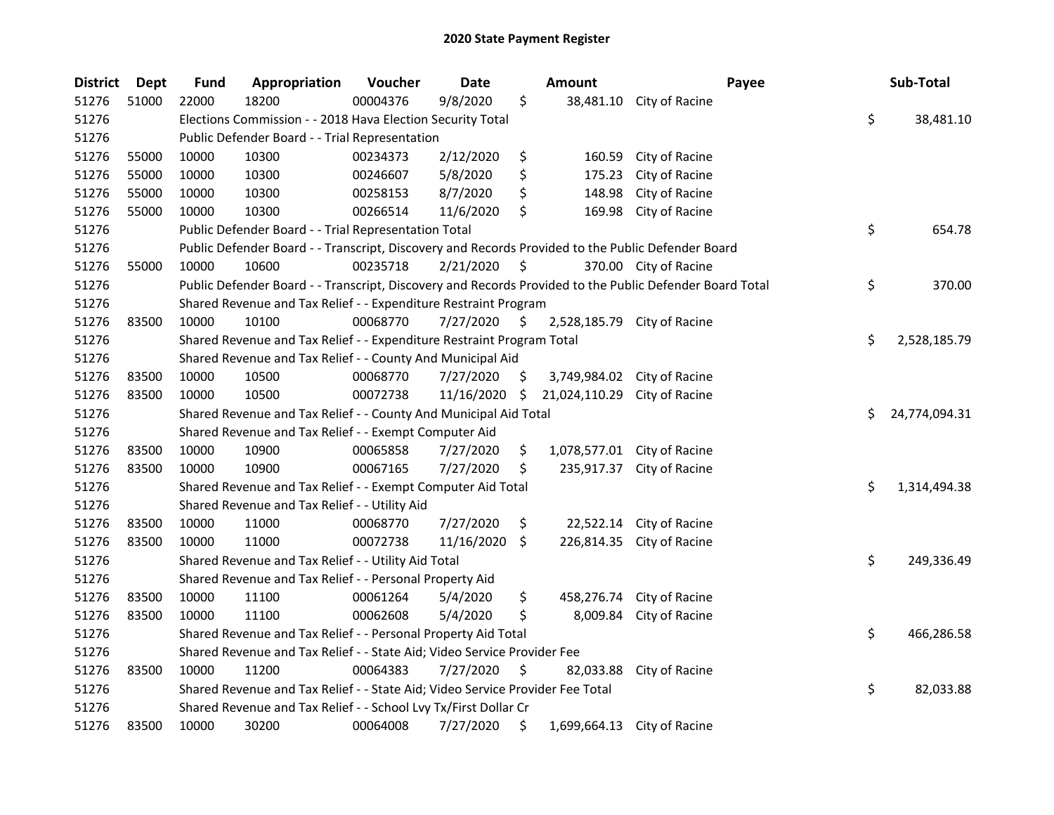| <b>District</b> | Dept  | <b>Fund</b> | Appropriation                                                                                     | Voucher  | <b>Date</b> |                    | Amount        | Payee                                                                                                   | Sub-Total           |
|-----------------|-------|-------------|---------------------------------------------------------------------------------------------------|----------|-------------|--------------------|---------------|---------------------------------------------------------------------------------------------------------|---------------------|
| 51276           | 51000 | 22000       | 18200                                                                                             | 00004376 | 9/8/2020    | \$                 | 38,481.10     | City of Racine                                                                                          |                     |
| 51276           |       |             | Elections Commission - - 2018 Hava Election Security Total                                        |          |             |                    |               |                                                                                                         | \$<br>38,481.10     |
| 51276           |       |             | Public Defender Board - - Trial Representation                                                    |          |             |                    |               |                                                                                                         |                     |
| 51276           | 55000 | 10000       | 10300                                                                                             | 00234373 | 2/12/2020   | \$                 | 160.59        | City of Racine                                                                                          |                     |
| 51276           | 55000 | 10000       | 10300                                                                                             | 00246607 | 5/8/2020    | \$                 | 175.23        | City of Racine                                                                                          |                     |
| 51276           | 55000 | 10000       | 10300                                                                                             | 00258153 | 8/7/2020    | \$                 | 148.98        | City of Racine                                                                                          |                     |
| 51276           | 55000 | 10000       | 10300                                                                                             | 00266514 | 11/6/2020   | \$                 | 169.98        | City of Racine                                                                                          |                     |
| 51276           |       |             | Public Defender Board - - Trial Representation Total                                              |          |             |                    |               |                                                                                                         | \$<br>654.78        |
| 51276           |       |             | Public Defender Board - - Transcript, Discovery and Records Provided to the Public Defender Board |          |             |                    |               |                                                                                                         |                     |
| 51276           | 55000 | 10000       | 10600                                                                                             | 00235718 | 2/21/2020   | \$                 |               | 370.00 City of Racine                                                                                   |                     |
| 51276           |       |             |                                                                                                   |          |             |                    |               | Public Defender Board - - Transcript, Discovery and Records Provided to the Public Defender Board Total | \$<br>370.00        |
| 51276           |       |             | Shared Revenue and Tax Relief - - Expenditure Restraint Program                                   |          |             |                    |               |                                                                                                         |                     |
| 51276           | 83500 | 10000       | 10100                                                                                             | 00068770 | 7/27/2020   | \$                 | 2,528,185.79  | City of Racine                                                                                          |                     |
| 51276           |       |             | Shared Revenue and Tax Relief - - Expenditure Restraint Program Total                             |          |             |                    |               |                                                                                                         | \$<br>2,528,185.79  |
| 51276           |       |             | Shared Revenue and Tax Relief - - County And Municipal Aid                                        |          |             |                    |               |                                                                                                         |                     |
| 51276           | 83500 | 10000       | 10500                                                                                             | 00068770 | 7/27/2020   | \$                 | 3,749,984.02  | City of Racine                                                                                          |                     |
| 51276           | 83500 | 10000       | 10500                                                                                             | 00072738 | 11/16/2020  | S.                 | 21,024,110.29 | City of Racine                                                                                          |                     |
| 51276           |       |             | Shared Revenue and Tax Relief - - County And Municipal Aid Total                                  |          |             |                    |               |                                                                                                         | \$<br>24,774,094.31 |
| 51276           |       |             | Shared Revenue and Tax Relief - - Exempt Computer Aid                                             |          |             |                    |               |                                                                                                         |                     |
| 51276           | 83500 | 10000       | 10900                                                                                             | 00065858 | 7/27/2020   | \$                 | 1,078,577.01  | City of Racine                                                                                          |                     |
| 51276           | 83500 | 10000       | 10900                                                                                             | 00067165 | 7/27/2020   | \$                 | 235,917.37    | City of Racine                                                                                          |                     |
| 51276           |       |             | Shared Revenue and Tax Relief - - Exempt Computer Aid Total                                       |          |             |                    |               |                                                                                                         | \$<br>1,314,494.38  |
| 51276           |       |             | Shared Revenue and Tax Relief - - Utility Aid                                                     |          |             |                    |               |                                                                                                         |                     |
| 51276           | 83500 | 10000       | 11000                                                                                             | 00068770 | 7/27/2020   | \$                 | 22,522.14     | City of Racine                                                                                          |                     |
| 51276           | 83500 | 10000       | 11000                                                                                             | 00072738 | 11/16/2020  | $\ddot{\varsigma}$ |               | 226,814.35 City of Racine                                                                               |                     |
| 51276           |       |             | Shared Revenue and Tax Relief - - Utility Aid Total                                               |          |             |                    |               |                                                                                                         | \$<br>249,336.49    |
| 51276           |       |             | Shared Revenue and Tax Relief - - Personal Property Aid                                           |          |             |                    |               |                                                                                                         |                     |
| 51276           | 83500 | 10000       | 11100                                                                                             | 00061264 | 5/4/2020    | \$                 | 458,276.74    | City of Racine                                                                                          |                     |
| 51276           | 83500 | 10000       | 11100                                                                                             | 00062608 | 5/4/2020    | \$                 | 8,009.84      | City of Racine                                                                                          |                     |
| 51276           |       |             | Shared Revenue and Tax Relief - - Personal Property Aid Total                                     |          |             |                    |               |                                                                                                         | \$<br>466,286.58    |
| 51276           |       |             | Shared Revenue and Tax Relief - - State Aid; Video Service Provider Fee                           |          |             |                    |               |                                                                                                         |                     |
| 51276           | 83500 | 10000       | 11200                                                                                             | 00064383 | 7/27/2020   | \$                 | 82,033.88     | City of Racine                                                                                          |                     |
| 51276           |       |             | Shared Revenue and Tax Relief - - State Aid; Video Service Provider Fee Total                     |          |             |                    |               |                                                                                                         | \$<br>82,033.88     |
| 51276           |       |             | Shared Revenue and Tax Relief - - School Lvy Tx/First Dollar Cr                                   |          |             |                    |               |                                                                                                         |                     |
| 51276           | 83500 | 10000       | 30200                                                                                             | 00064008 | 7/27/2020   | \$                 |               | 1,699,664.13 City of Racine                                                                             |                     |